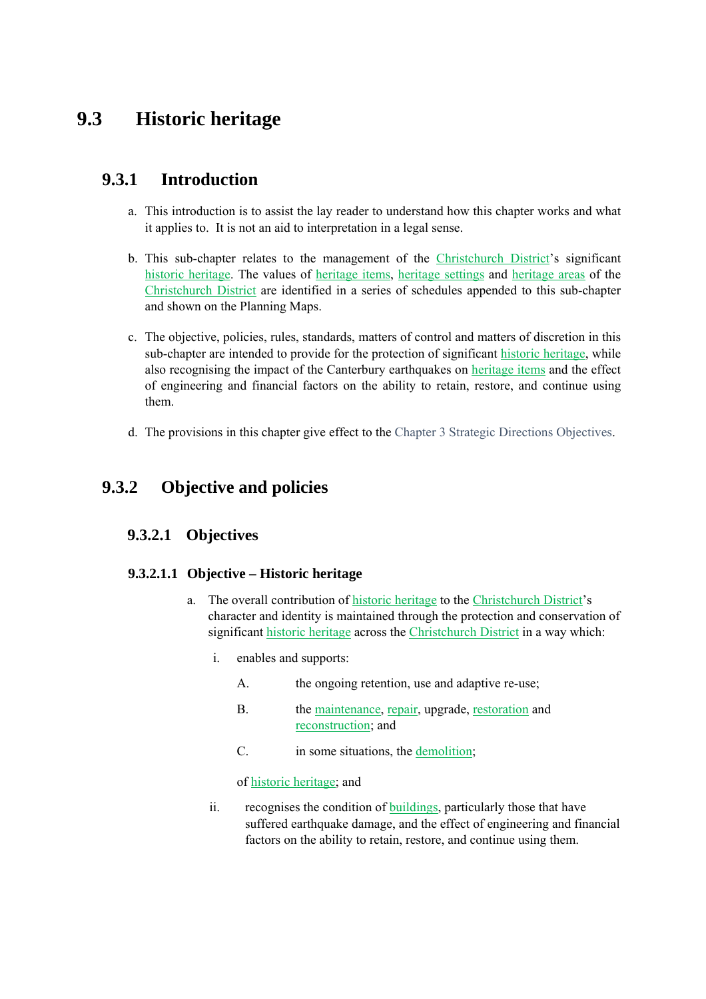# **9.3 Historic heritage**

## **9.3.1 Introduction**

- a. This introduction is to assist the lay reader to understand how this chapter works and what it applies to. It is not an aid to interpretation in a legal sense.
- b. This sub-chapter relates to the management of the Christchurch District's significant historic heritage. The values of heritage items, heritage settings and heritage areas of the Christchurch District are identified in a series of schedules appended to this sub-chapter and shown on the Planning Maps.
- c. The objective, policies, rules, standards, matters of control and matters of discretion in this sub-chapter are intended to provide for the protection of significant historic heritage, while also recognising the impact of the Canterbury earthquakes on heritage items and the effect of engineering and financial factors on the ability to retain, restore, and continue using them.
- d. The provisions in this chapter give effect to the Chapter 3 Strategic Directions Objectives.

## **9.3.2 Objective and policies**

### **9.3.2.1 Objectives**

### **9.3.2.1.1 Objective – Historic heritage**

- a. The overall contribution of historic heritage to the Christchurch District's character and identity is maintained through the protection and conservation of significant historic heritage across the Christchurch District in a way which:
	- i. enables and supports:
		- A. the ongoing retention, use and adaptive re-use;
		- B. the maintenance, repair, upgrade, restoration and reconstruction; and
		- C. in some situations, the demolition;

of historic heritage; and

ii. recognises the condition of buildings, particularly those that have suffered earthquake damage, and the effect of engineering and financial factors on the ability to retain, restore, and continue using them.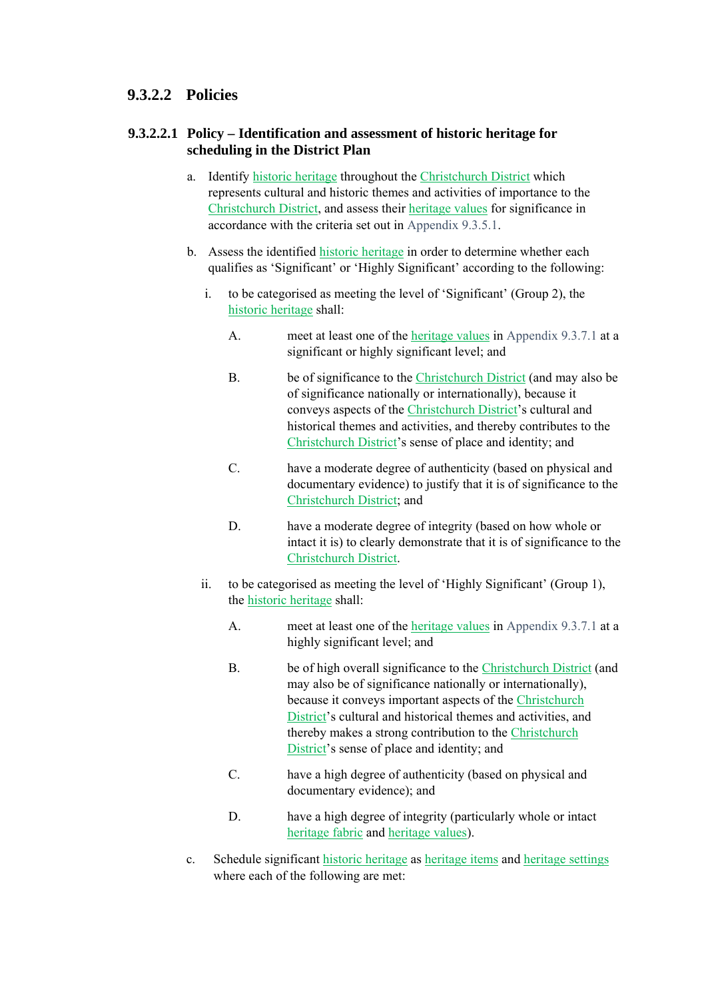### **9.3.2.2 Policies**

### **9.3.2.2.1 Policy – Identification and assessment of historic heritage for scheduling in the District Plan**

- a. Identify historic heritage throughout the Christchurch District which represents cultural and historic themes and activities of importance to the Christchurch District, and assess their heritage values for significance in accordance with the criteria set out in Appendix 9.3.5.1.
- b. Assess the identified historic heritage in order to determine whether each qualifies as 'Significant' or 'Highly Significant' according to the following:
	- i. to be categorised as meeting the level of 'Significant' (Group 2), the historic heritage shall:
		- A. meet at least one of the heritage values in Appendix 9.3.7.1 at a significant or highly significant level; and
		- B. be of significance to the Christchurch District (and may also be of significance nationally or internationally), because it conveys aspects of the Christchurch District's cultural and historical themes and activities, and thereby contributes to the Christchurch District's sense of place and identity; and
		- C. have a moderate degree of authenticity (based on physical and documentary evidence) to justify that it is of significance to the Christchurch District; and
		- D. have a moderate degree of integrity (based on how whole or intact it is) to clearly demonstrate that it is of significance to the Christchurch District.
	- ii. to be categorised as meeting the level of 'Highly Significant' (Group 1), the historic heritage shall:
		- A. meet at least one of the heritage values in Appendix 9.3.7.1 at a highly significant level; and
		- B. be of high overall significance to the Christchurch District (and may also be of significance nationally or internationally), because it conveys important aspects of the Christchurch District's cultural and historical themes and activities, and thereby makes a strong contribution to the Christchurch District's sense of place and identity; and
		- C. have a high degree of authenticity (based on physical and documentary evidence); and
		- D. have a high degree of integrity (particularly whole or intact heritage fabric and heritage values).
- c. Schedule significant historic heritage as heritage items and heritage settings where each of the following are met: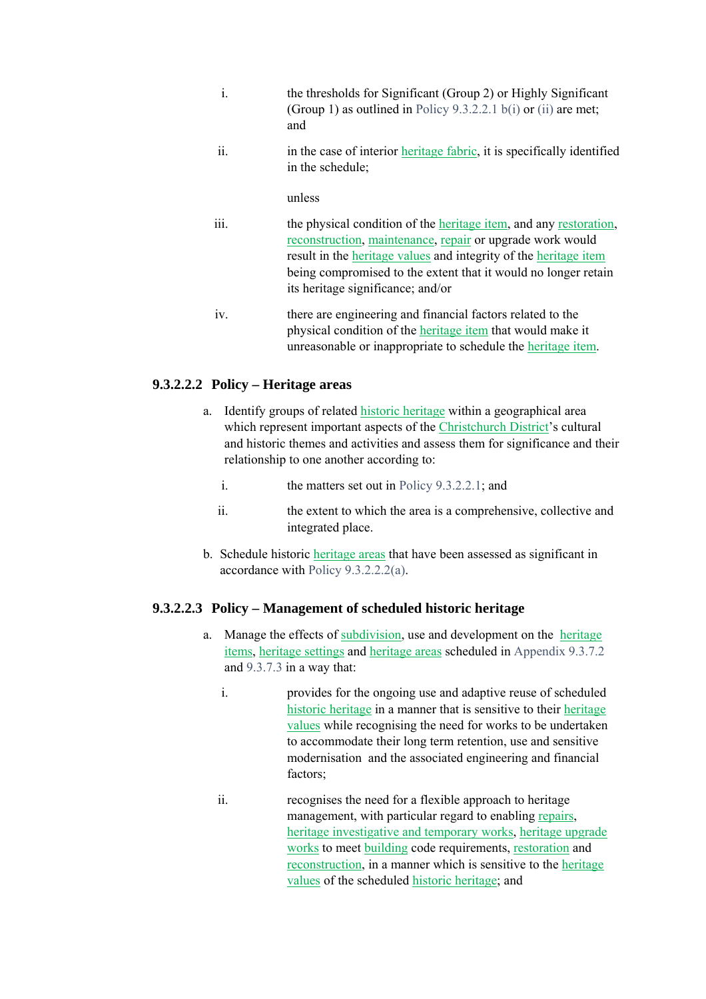- i. the thresholds for Significant (Group 2) or Highly Significant (Group 1) as outlined in Policy 9.3.2.2.1 b(i) or (ii) are met; and
- ii. in the case of interior heritage fabric, it is specifically identified in the schedule;

#### unless

- iii. the physical condition of the heritage item, and any restoration, reconstruction, maintenance, repair or upgrade work would result in the heritage values and integrity of the heritage item being compromised to the extent that it would no longer retain its heritage significance; and/or
- iv. there are engineering and financial factors related to the physical condition of the heritage item that would make it unreasonable or inappropriate to schedule the heritage item.

### **9.3.2.2.2 Policy – Heritage areas**

- a. Identify groups of related historic heritage within a geographical area which represent important aspects of the Christchurch District's cultural and historic themes and activities and assess them for significance and their relationship to one another according to:
	- i. the matters set out in Policy 9.3.2.2.1; and
	- ii. the extent to which the area is a comprehensive, collective and integrated place.
- b. Schedule historic heritage areas that have been assessed as significant in accordance with Policy 9.3.2.2.2(a).

#### **9.3.2.2.3 Policy – Management of scheduled historic heritage**

- a. Manage the effects of subdivision, use and development on the heritage items, heritage settings and heritage areas scheduled in Appendix 9.3.7.2 and 9.3.7.3 in a way that:
	- i. provides for the ongoing use and adaptive reuse of scheduled historic heritage in a manner that is sensitive to their heritage values while recognising the need for works to be undertaken to accommodate their long term retention, use and sensitive modernisation and the associated engineering and financial factors;
	- ii. recognises the need for a flexible approach to heritage management, with particular regard to enabling repairs, heritage investigative and temporary works, heritage upgrade works to meet building code requirements, restoration and reconstruction, in a manner which is sensitive to the heritage values of the scheduled historic heritage; and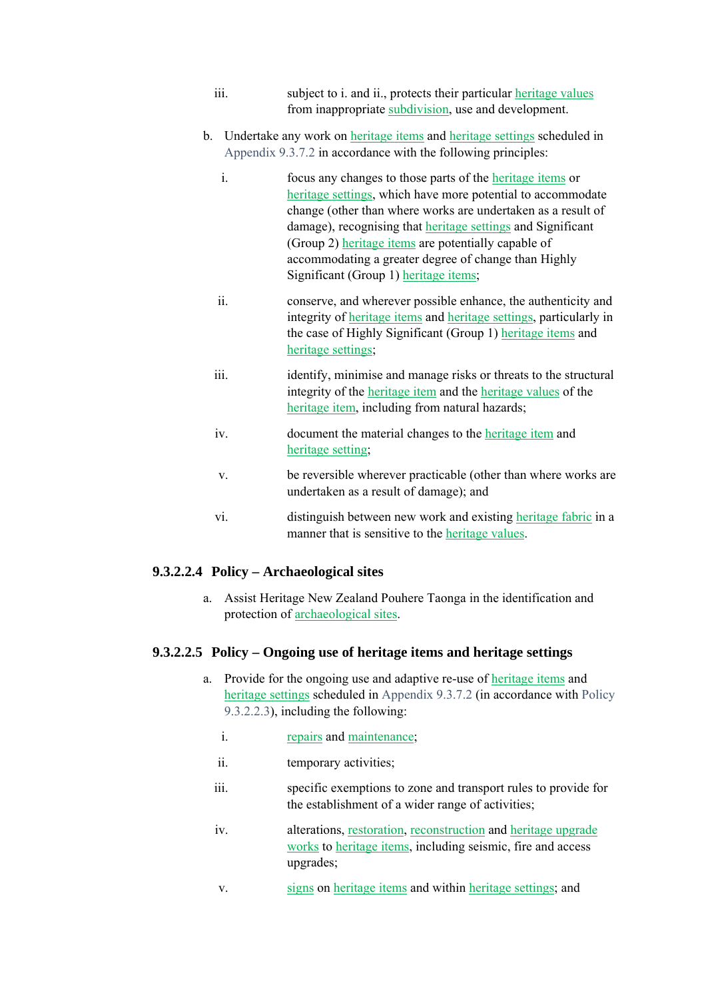- iii. subject to i. and ii., protects their particular heritage values from inappropriate subdivision, use and development.
- b. Undertake any work on heritage items and heritage settings scheduled in Appendix 9.3.7.2 in accordance with the following principles:
	- i. focus any changes to those parts of the heritage items or heritage settings, which have more potential to accommodate change (other than where works are undertaken as a result of damage), recognising that heritage settings and Significant (Group 2) heritage items are potentially capable of accommodating a greater degree of change than Highly Significant (Group 1) heritage items;
	- ii. conserve, and wherever possible enhance, the authenticity and integrity of heritage items and heritage settings, particularly in the case of Highly Significant (Group 1) heritage items and heritage settings;
	- iii. iii. identify, minimise and manage risks or threats to the structural integrity of the heritage item and the heritage values of the heritage item, including from natural hazards;
	- iv. document the material changes to the heritage item and heritage setting;
	- v. be reversible wherever practicable (other than where works are undertaken as a result of damage); and
	- vi. distinguish between new work and existing heritage fabric in a manner that is sensitive to the heritage values.

#### **9.3.2.2.4 Policy – Archaeological sites**

a. Assist Heritage New Zealand Pouhere Taonga in the identification and protection of archaeological sites.

#### **9.3.2.2.5 Policy – Ongoing use of heritage items and heritage settings**

- a. Provide for the ongoing use and adaptive re-use of heritage items and heritage settings scheduled in Appendix 9.3.7.2 (in accordance with Policy 9.3.2.2.3), including the following:
	- i. repairs and maintenance;
	- ii. temporary activities;
	- iii. specific exemptions to zone and transport rules to provide for the establishment of a wider range of activities;
	- iv. alterations, restoration, reconstruction and heritage upgrade works to heritage items, including seismic, fire and access upgrades;
	- v. signs on heritage items and within heritage settings; and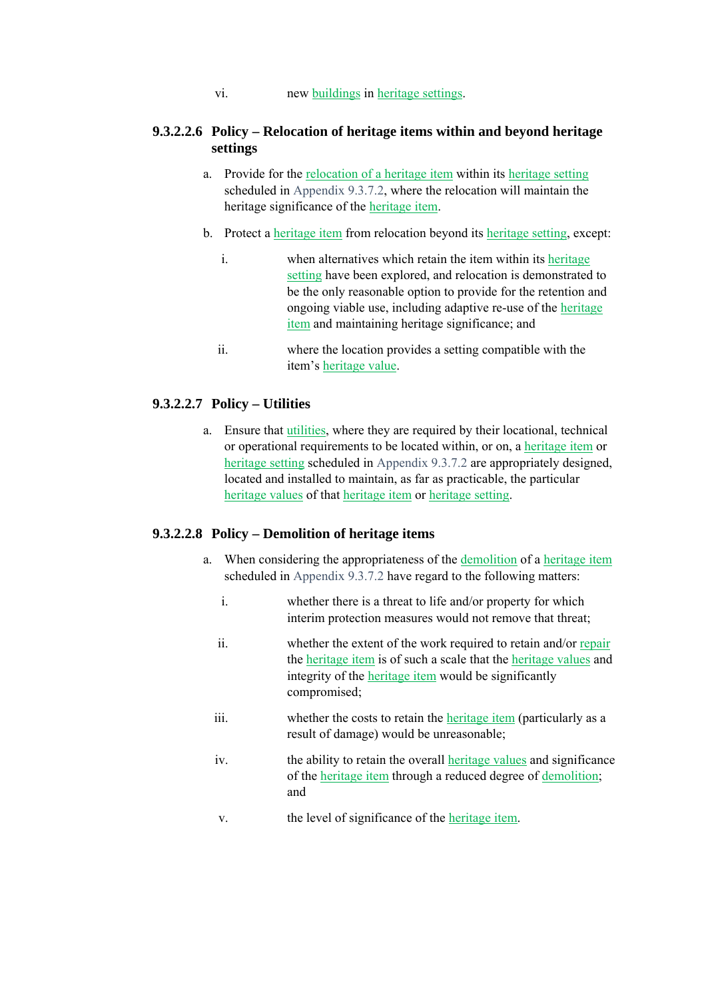vi. new buildings in heritage settings.

#### **9.3.2.2.6 Policy – Relocation of heritage items within and beyond heritage settings**

- a. Provide for the relocation of a heritage item within its heritage setting scheduled in Appendix 9.3.7.2, where the relocation will maintain the heritage significance of the heritage item.
- b. Protect a heritage item from relocation beyond its heritage setting, except:
	- i. when alternatives which retain the item within its heritage setting have been explored, and relocation is demonstrated to be the only reasonable option to provide for the retention and ongoing viable use, including adaptive re-use of the heritage item and maintaining heritage significance; and
	- ii. where the location provides a setting compatible with the item's heritage value.

#### **9.3.2.2.7 Policy – Utilities**

a. Ensure that utilities, where they are required by their locational, technical or operational requirements to be located within, or on, a heritage item or heritage setting scheduled in Appendix 9.3.7.2 are appropriately designed, located and installed to maintain, as far as practicable, the particular heritage values of that heritage item or heritage setting.

#### **9.3.2.2.8 Policy – Demolition of heritage items**

- a. When considering the appropriateness of the demolition of a heritage item scheduled in Appendix 9.3.7.2 have regard to the following matters:
	- i. whether there is a threat to life and/or property for which interim protection measures would not remove that threat;
	- ii. whether the extent of the work required to retain and/or repair the heritage item is of such a scale that the heritage values and integrity of the heritage item would be significantly compromised;
	- iii. whether the costs to retain the heritage item (particularly as a result of damage) would be unreasonable;
	- iv. the ability to retain the overall heritage values and significance of the heritage item through a reduced degree of demolition; and
	- v. the level of significance of the heritage item.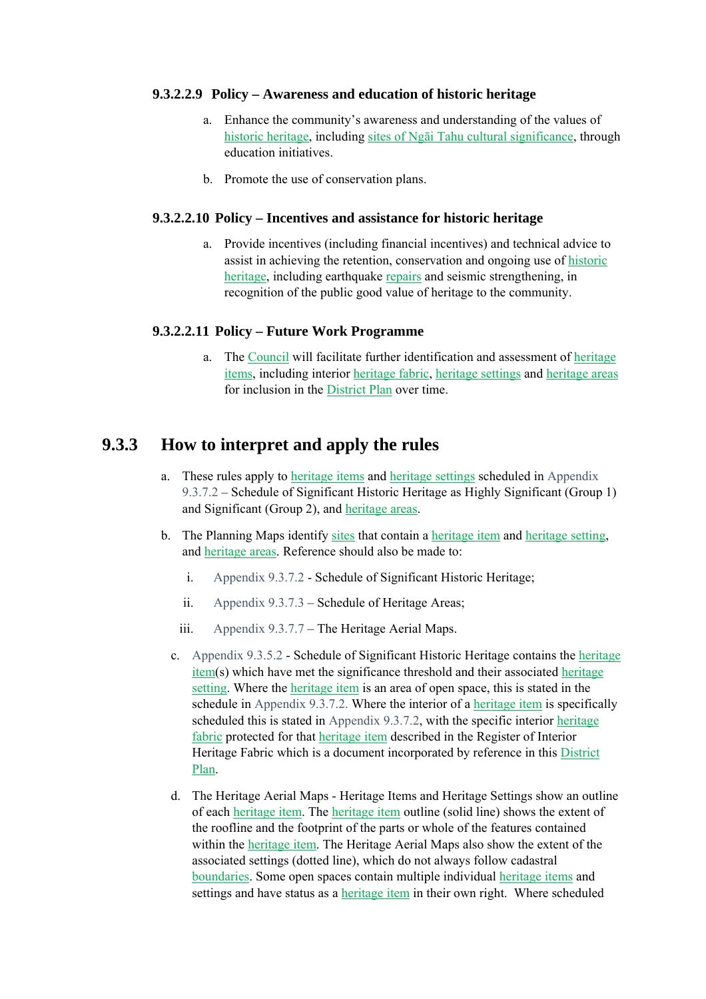#### **9.3.2.2.9 Policy – Awareness and education of historic heritage**

- a. Enhance the community's awareness and understanding of the values of historic heritage, including sites of Ngāi Tahu cultural significance, through education initiatives.
- b. Promote the use of conservation plans.

#### **9.3.2.2.10 Policy – Incentives and assistance for historic heritage**

a. Provide incentives (including financial incentives) and technical advice to assist in achieving the retention, conservation and ongoing use of historic heritage, including earthquake repairs and seismic strengthening, in recognition of the public good value of heritage to the community.

#### **9.3.2.2.11 Policy – Future Work Programme**

a. The Council will facilitate further identification and assessment of heritage items, including interior heritage fabric, heritage settings and heritage areas for inclusion in the District Plan over time.

### **9.3.3 How to interpret and apply the rules**

- a. These rules apply to heritage items and heritage settings scheduled in Appendix 9.3.7.2 – Schedule of Significant Historic Heritage as Highly Significant (Group 1) and Significant (Group 2), and heritage areas.
- b. The Planning Maps identify sites that contain a heritage item and heritage setting, and heritage areas. Reference should also be made to:
	- i. Appendix 9.3.7.2 Schedule of Significant Historic Heritage;
	- ii. Appendix 9.3.7.3 Schedule of Heritage Areas;
	- iii. Appendix 9.3.7.7 The Heritage Aerial Maps.
	- c. Appendix 9.3.5.2 Schedule of Significant Historic Heritage contains the heritage item(s) which have met the significance threshold and their associated heritage setting. Where the heritage item is an area of open space, this is stated in the schedule in Appendix 9.3.7.2. Where the interior of a heritage item is specifically scheduled this is stated in Appendix 9.3.7.2, with the specific interior heritage fabric protected for that heritage item described in the Register of Interior Heritage Fabric which is a document incorporated by reference in this District Plan.
	- d. The Heritage Aerial Maps Heritage Items and Heritage Settings show an outline of each heritage item. The heritage item outline (solid line) shows the extent of the roofline and the footprint of the parts or whole of the features contained within the heritage item. The Heritage Aerial Maps also show the extent of the associated settings (dotted line), which do not always follow cadastral boundaries. Some open spaces contain multiple individual heritage items and settings and have status as a heritage item in their own right. Where scheduled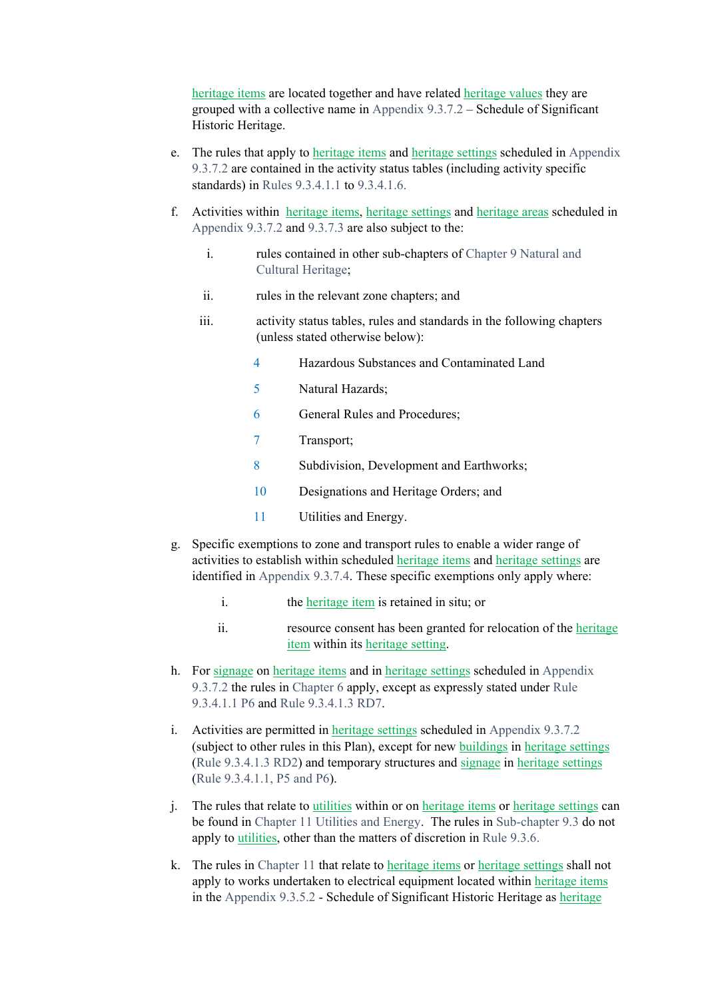heritage items are located together and have related heritage values they are grouped with a collective name in Appendix 9.3.7.2 – Schedule of Significant Historic Heritage.

- e. The rules that apply to heritage items and heritage settings scheduled in Appendix 9.3.7.2 are contained in the activity status tables (including activity specific standards) in Rules 9.3.4.1.1 to 9.3.4.1.6.
- f. Activities within heritage items, heritage settings and heritage areas scheduled in Appendix 9.3.7.2 and 9.3.7.3 are also subject to the:
	- i. rules contained in other sub-chapters of Chapter 9 Natural and Cultural Heritage;
	- ii. rules in the relevant zone chapters; and
	- iii. activity status tables, rules and standards in the following chapters (unless stated otherwise below):
		- 4 Hazardous Substances and Contaminated Land
		- 5 Natural Hazards;
		- 6 General Rules and Procedures;
		- 7 Transport;
		- 8 Subdivision, Development and Earthworks;
		- 10 Designations and Heritage Orders; and
		- 11 Utilities and Energy.
- g. Specific exemptions to zone and transport rules to enable a wider range of activities to establish within scheduled heritage items and heritage settings are identified in Appendix 9.3.7.4. These specific exemptions only apply where:
	- i. the <u>heritage item</u> is retained in situ; or
	- ii. resource consent has been granted for relocation of the heritage item within its heritage setting.
- h. For signage on heritage items and in heritage settings scheduled in Appendix 9.3.7.2 the rules in Chapter 6 apply, except as expressly stated under Rule 9.3.4.1.1 P6 and Rule 9.3.4.1.3 RD7.
- i. Activities are permitted in heritage settings scheduled in Appendix 9.3.7.2 (subject to other rules in this Plan), except for new buildings in heritage settings (Rule 9.3.4.1.3 RD2) and temporary structures and signage in heritage settings (Rule 9.3.4.1.1, P5 and P6).
- j. The rules that relate to utilities within or on heritage items or heritage settings can be found in Chapter 11 Utilities and Energy. The rules in Sub-chapter 9.3 do not apply to utilities, other than the matters of discretion in Rule 9.3.6.
- k. The rules in Chapter 11 that relate to heritage items or heritage settings shall not apply to works undertaken to electrical equipment located within heritage items in the Appendix 9.3.5.2 - Schedule of Significant Historic Heritage as heritage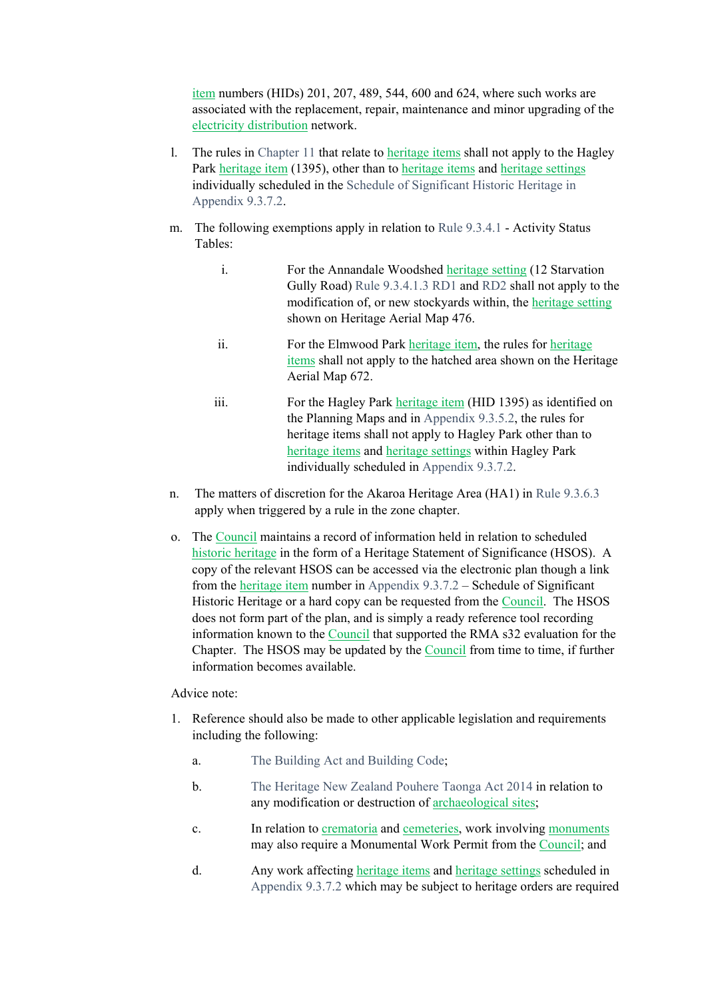item numbers (HIDs) 201, 207, 489, 544, 600 and 624, where such works are associated with the replacement, repair, maintenance and minor upgrading of the electricity distribution network.

- l. The rules in Chapter 11 that relate to heritage items shall not apply to the Hagley Park heritage item (1395), other than to heritage items and heritage settings individually scheduled in the Schedule of Significant Historic Heritage in Appendix 9.3.7.2.
- m. The following exemptions apply in relation to Rule 9.3.4.1 Activity Status Tables:
	- i. For the Annandale Woodshed heritage setting (12 Starvation Gully Road) Rule 9.3.4.1.3 RD1 and RD2 shall not apply to the modification of, or new stockyards within, the heritage setting shown on Heritage Aerial Map 476.
	- ii. For the Elmwood Park heritage item, the rules for heritage items shall not apply to the hatched area shown on the Heritage Aerial Map 672.
	- iii. For the Hagley Park heritage item (HID 1395) as identified on the Planning Maps and in Appendix 9.3.5.2, the rules for heritage items shall not apply to Hagley Park other than to heritage items and heritage settings within Hagley Park individually scheduled in Appendix 9.3.7.2.
- n. The matters of discretion for the Akaroa Heritage Area (HA1) in Rule 9.3.6.3 apply when triggered by a rule in the zone chapter.
- o. The Council maintains a record of information held in relation to scheduled historic heritage in the form of a Heritage Statement of Significance (HSOS). A copy of the relevant HSOS can be accessed via the electronic plan though a link from the heritage item number in Appendix 9.3.7.2 – Schedule of Significant Historic Heritage or a hard copy can be requested from the Council. The HSOS does not form part of the plan, and is simply a ready reference tool recording information known to the Council that supported the RMA s32 evaluation for the Chapter. The HSOS may be updated by the Council from time to time, if further information becomes available.

#### Advice note:

- 1. Reference should also be made to other applicable legislation and requirements including the following:
	- a. The Building Act and Building Code;
	- b. The Heritage New Zealand Pouhere Taonga Act 2014 in relation to any modification or destruction of archaeological sites;
	- c. In relation to crematoria and cemeteries, work involving monuments may also require a Monumental Work Permit from the Council; and
	- d. Any work affecting heritage items and heritage settings scheduled in Appendix 9.3.7.2 which may be subject to heritage orders are required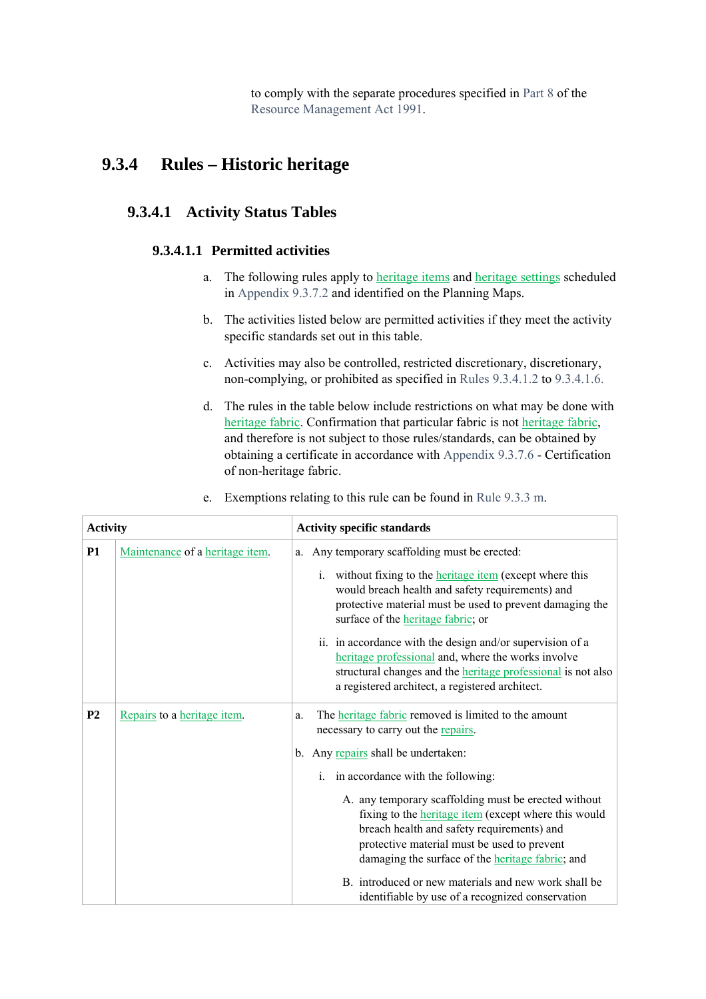to comply with the separate procedures specified in Part 8 of the Resource Management Act 1991.

## **9.3.4 Rules – Historic heritage**

### **9.3.4.1 Activity Status Tables**

#### **9.3.4.1.1 Permitted activities**

- a. The following rules apply to heritage items and heritage settings scheduled in Appendix 9.3.7.2 and identified on the Planning Maps.
- b. The activities listed below are permitted activities if they meet the activity specific standards set out in this table.
- c. Activities may also be controlled, restricted discretionary, discretionary, non-complying, or prohibited as specified in Rules 9.3.4.1.2 to 9.3.4.1.6.
- d. The rules in the table below include restrictions on what may be done with heritage fabric. Confirmation that particular fabric is not heritage fabric, and therefore is not subject to those rules/standards, can be obtained by obtaining a certificate in accordance with Appendix 9.3.7.6 - Certification of non-heritage fabric.

|  |  |  |  |  | e. Exemptions relating to this rule can be found in Rule 9.3.3 m. |
|--|--|--|--|--|-------------------------------------------------------------------|
|--|--|--|--|--|-------------------------------------------------------------------|

| <b>Activity</b> |                                 | <b>Activity specific standards</b>                                                                                                                                                                                                                                   |  |  |  |
|-----------------|---------------------------------|----------------------------------------------------------------------------------------------------------------------------------------------------------------------------------------------------------------------------------------------------------------------|--|--|--|
| <b>P1</b>       | Maintenance of a heritage item. | a. Any temporary scaffolding must be erected:                                                                                                                                                                                                                        |  |  |  |
|                 |                                 | i. without fixing to the <b>heritage</b> item (except where this<br>would breach health and safety requirements) and<br>protective material must be used to prevent damaging the<br>surface of the <b>heritage</b> fabric; or                                        |  |  |  |
|                 |                                 | ii. in accordance with the design and/or supervision of a<br>heritage professional and, where the works involve<br>structural changes and the <b>heritage</b> professional is not also<br>a registered architect, a registered architect.                            |  |  |  |
| P <sub>2</sub>  | Repairs to a heritage item.     | The <b>heritage</b> fabric removed is limited to the amount<br>a.<br>necessary to carry out the repairs.                                                                                                                                                             |  |  |  |
|                 |                                 | b. Any repairs shall be undertaken:                                                                                                                                                                                                                                  |  |  |  |
|                 |                                 | i. in accordance with the following:                                                                                                                                                                                                                                 |  |  |  |
|                 |                                 | A. any temporary scaffolding must be erected without<br>fixing to the <b>heritage</b> item (except where this would<br>breach health and safety requirements) and<br>protective material must be used to prevent<br>damaging the surface of the heritage fabric; and |  |  |  |
|                 |                                 | B introduced or new materials and new work shall be<br>identifiable by use of a recognized conservation                                                                                                                                                              |  |  |  |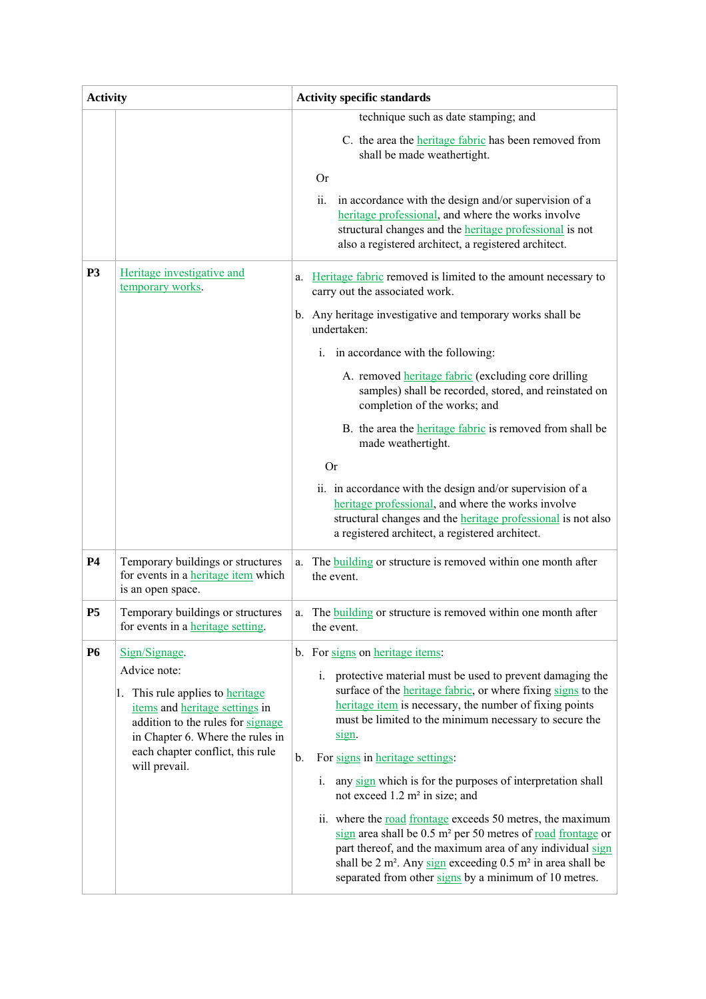| <b>Activity</b> |                                                                                                                                                                                                 | <b>Activity specific standards</b>                                                                                                                                                                                                                                                                                                                                                          |
|-----------------|-------------------------------------------------------------------------------------------------------------------------------------------------------------------------------------------------|---------------------------------------------------------------------------------------------------------------------------------------------------------------------------------------------------------------------------------------------------------------------------------------------------------------------------------------------------------------------------------------------|
|                 |                                                                                                                                                                                                 | technique such as date stamping; and                                                                                                                                                                                                                                                                                                                                                        |
|                 |                                                                                                                                                                                                 | C. the area the <b>heritage</b> fabric has been removed from<br>shall be made weathertight.                                                                                                                                                                                                                                                                                                 |
|                 |                                                                                                                                                                                                 | <b>Or</b>                                                                                                                                                                                                                                                                                                                                                                                   |
|                 |                                                                                                                                                                                                 | ii.<br>in accordance with the design and/or supervision of a<br>heritage professional, and where the works involve<br>structural changes and the <b>heritage</b> professional is not<br>also a registered architect, a registered architect.                                                                                                                                                |
| <b>P3</b>       | Heritage investigative and<br>temporary works.                                                                                                                                                  | Heritage fabric removed is limited to the amount necessary to<br>a.<br>carry out the associated work.                                                                                                                                                                                                                                                                                       |
|                 |                                                                                                                                                                                                 | b. Any heritage investigative and temporary works shall be<br>undertaken:                                                                                                                                                                                                                                                                                                                   |
|                 |                                                                                                                                                                                                 | i. in accordance with the following:                                                                                                                                                                                                                                                                                                                                                        |
|                 |                                                                                                                                                                                                 | A. removed <i>heritage fabric</i> (excluding core drilling<br>samples) shall be recorded, stored, and reinstated on<br>completion of the works; and                                                                                                                                                                                                                                         |
|                 |                                                                                                                                                                                                 | B. the area the <i>heritage fabric</i> is removed from shall be<br>made weathertight.                                                                                                                                                                                                                                                                                                       |
|                 |                                                                                                                                                                                                 | <b>Or</b>                                                                                                                                                                                                                                                                                                                                                                                   |
|                 |                                                                                                                                                                                                 | ii. in accordance with the design and/or supervision of a<br>heritage professional, and where the works involve<br>structural changes and the <b>heritage</b> professional is not also<br>a registered architect, a registered architect.                                                                                                                                                   |
| <b>P4</b>       | Temporary buildings or structures<br>for events in a heritage item which<br>is an open space.                                                                                                   | The <b>building</b> or structure is removed within one month after<br>a.<br>the event.                                                                                                                                                                                                                                                                                                      |
| <b>P5</b>       | Temporary buildings or structures<br>for events in a <u>heritage setting</u> .                                                                                                                  | The <b>building</b> or structure is removed within one month after<br>a.<br>the event.                                                                                                                                                                                                                                                                                                      |
| <b>P6</b>       | Sign/Signage.                                                                                                                                                                                   | b. For signs on heritage items:                                                                                                                                                                                                                                                                                                                                                             |
|                 | Advice note:<br>1. This rule applies to heritage<br>items and heritage settings in<br>addition to the rules for signage<br>in Chapter 6. Where the rules in<br>each chapter conflict, this rule | i. protective material must be used to prevent damaging the<br>surface of the <i>heritage fabric</i> , or where fixing signs to the<br>heritage item is necessary, the number of fixing points<br>must be limited to the minimum necessary to secure the<br>sign.                                                                                                                           |
|                 | will prevail.                                                                                                                                                                                   | $b$ .<br>For signs in heritage settings:                                                                                                                                                                                                                                                                                                                                                    |
|                 |                                                                                                                                                                                                 | any sign which is for the purposes of interpretation shall<br>i.<br>not exceed $1.2 \text{ m}^2$ in size; and                                                                                                                                                                                                                                                                               |
|                 |                                                                                                                                                                                                 | ii. where the <u>road frontage</u> exceeds 50 metres, the maximum<br>$\frac{\text{sign}}{\text{sign}}$ area shall be 0.5 m <sup>2</sup> per 50 metres of <u>road frontage</u> or<br>part thereof, and the maximum area of any individual sign<br>shall be $2 \text{ m}^2$ . Any sign exceeding 0.5 m <sup>2</sup> in area shall be<br>separated from other signs by a minimum of 10 metres. |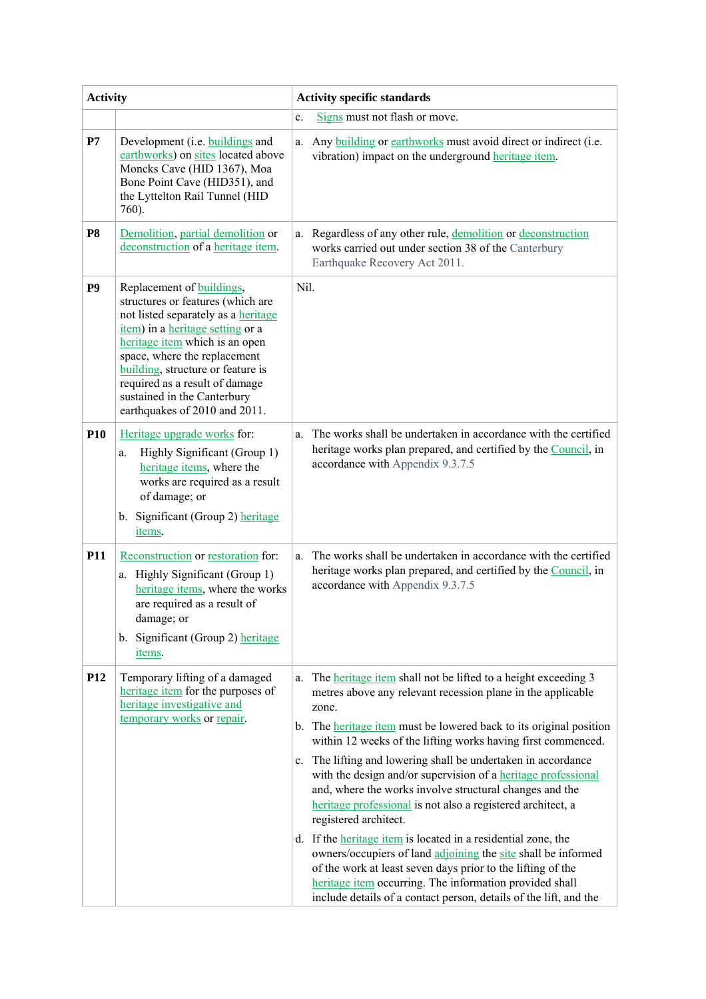| <b>Activity</b> |                                                                                                                                                                                                                                                                                                                                                    | <b>Activity specific standards</b>                                                                                                                                                                                                                                                                                                                                                                                                                                                                                                                                                                                                                                                                                                                                                                                                                                                                                                |  |  |  |  |  |
|-----------------|----------------------------------------------------------------------------------------------------------------------------------------------------------------------------------------------------------------------------------------------------------------------------------------------------------------------------------------------------|-----------------------------------------------------------------------------------------------------------------------------------------------------------------------------------------------------------------------------------------------------------------------------------------------------------------------------------------------------------------------------------------------------------------------------------------------------------------------------------------------------------------------------------------------------------------------------------------------------------------------------------------------------------------------------------------------------------------------------------------------------------------------------------------------------------------------------------------------------------------------------------------------------------------------------------|--|--|--|--|--|
|                 |                                                                                                                                                                                                                                                                                                                                                    | Signs must not flash or move.<br>c.                                                                                                                                                                                                                                                                                                                                                                                                                                                                                                                                                                                                                                                                                                                                                                                                                                                                                               |  |  |  |  |  |
| $\mathbf{P}7$   | Development (i.e. buildings and<br>earthworks) on sites located above<br>Moncks Cave (HID 1367), Moa<br>Bone Point Cave (HID351), and<br>the Lyttelton Rail Tunnel (HID<br>760).                                                                                                                                                                   | Any <b>building</b> or <b>earthworks</b> must avoid direct or indirect (i.e.<br>a.<br>vibration) impact on the underground heritage item.                                                                                                                                                                                                                                                                                                                                                                                                                                                                                                                                                                                                                                                                                                                                                                                         |  |  |  |  |  |
| P <sub>8</sub>  | Demolition, partial demolition or<br>deconstruction of a heritage item.                                                                                                                                                                                                                                                                            | Regardless of any other rule, demolition or deconstruction<br>a.<br>works carried out under section 38 of the Canterbury<br>Earthquake Recovery Act 2011.                                                                                                                                                                                                                                                                                                                                                                                                                                                                                                                                                                                                                                                                                                                                                                         |  |  |  |  |  |
| P <sub>9</sub>  | Replacement of buildings,<br>structures or features (which are<br>not listed separately as a heritage<br>item) in a heritage setting or a<br>heritage item which is an open<br>space, where the replacement<br>building, structure or feature is<br>required as a result of damage<br>sustained in the Canterbury<br>earthquakes of 2010 and 2011. | Nil.                                                                                                                                                                                                                                                                                                                                                                                                                                                                                                                                                                                                                                                                                                                                                                                                                                                                                                                              |  |  |  |  |  |
| P <sub>10</sub> | Heritage upgrade works for:<br>Highly Significant (Group 1)<br>a.<br>heritage items, where the<br>works are required as a result<br>of damage; or<br>b. Significant (Group 2) heritage<br>items.                                                                                                                                                   | The works shall be undertaken in accordance with the certified<br>a.<br>heritage works plan prepared, and certified by the Council, in<br>accordance with Appendix 9.3.7.5                                                                                                                                                                                                                                                                                                                                                                                                                                                                                                                                                                                                                                                                                                                                                        |  |  |  |  |  |
| <b>P11</b>      | Reconstruction or restoration for:<br>a. Highly Significant (Group 1)<br>heritage items, where the works<br>are required as a result of<br>damage; or<br>b. Significant (Group 2) heritage<br>items.                                                                                                                                               | The works shall be undertaken in accordance with the certified<br>a.<br>heritage works plan prepared, and certified by the Council, in<br>accordance with Appendix 9.3.7.5                                                                                                                                                                                                                                                                                                                                                                                                                                                                                                                                                                                                                                                                                                                                                        |  |  |  |  |  |
| P <sub>12</sub> | Temporary lifting of a damaged<br>heritage item for the purposes of<br>heritage investigative and<br>temporary works or repair.                                                                                                                                                                                                                    | The <b>heritage</b> item shall not be lifted to a height exceeding 3<br>a.<br>metres above any relevant recession plane in the applicable<br>zone.<br>b. The heritage item must be lowered back to its original position<br>within 12 weeks of the lifting works having first commenced.<br>The lifting and lowering shall be undertaken in accordance<br>$c_{\cdot}$<br>with the design and/or supervision of a heritage professional<br>and, where the works involve structural changes and the<br>heritage professional is not also a registered architect, a<br>registered architect.<br>d. If the <i>heritage</i> item is located in a residential zone, the<br>owners/occupiers of land adjoining the site shall be informed<br>of the work at least seven days prior to the lifting of the<br>heritage item occurring. The information provided shall<br>include details of a contact person, details of the lift, and the |  |  |  |  |  |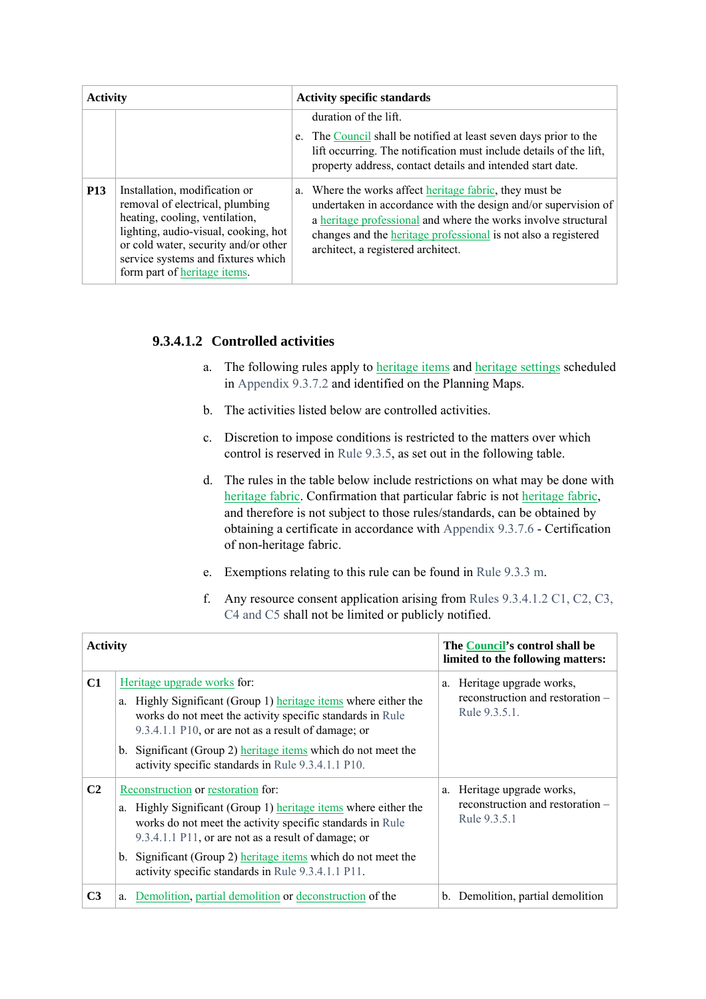| <b>Activity</b> |                                                                                                                                                                                                                                                          | <b>Activity specific standards</b>                                                                                                                                                                                                                                                                         |  |  |  |  |
|-----------------|----------------------------------------------------------------------------------------------------------------------------------------------------------------------------------------------------------------------------------------------------------|------------------------------------------------------------------------------------------------------------------------------------------------------------------------------------------------------------------------------------------------------------------------------------------------------------|--|--|--|--|
|                 |                                                                                                                                                                                                                                                          | duration of the lift.<br>e. The Council shall be notified at least seven days prior to the<br>lift occurring. The notification must include details of the lift,<br>property address, contact details and intended start date.                                                                             |  |  |  |  |
| <b>P13</b>      | Installation, modification or<br>removal of electrical, plumbing<br>heating, cooling, ventilation,<br>lighting, audio-visual, cooking, hot<br>or cold water, security and/or other<br>service systems and fixtures which<br>form part of heritage items. | a. Where the works affect heritage fabric, they must be<br>undertaken in accordance with the design and/or supervision of<br>a heritage professional and where the works involve structural<br>changes and the <i>heritage</i> professional is not also a registered<br>architect, a registered architect. |  |  |  |  |

### **9.3.4.1.2 Controlled activities**

- a. The following rules apply to **heritage items** and **heritage settings** scheduled in Appendix 9.3.7.2 and identified on the Planning Maps.
- b. The activities listed below are controlled activities.
- c. Discretion to impose conditions is restricted to the matters over which control is reserved in Rule 9.3.5, as set out in the following table.
- d. The rules in the table below include restrictions on what may be done with heritage fabric. Confirmation that particular fabric is not heritage fabric, and therefore is not subject to those rules/standards, can be obtained by obtaining a certificate in accordance with Appendix 9.3.7.6 - Certification of non-heritage fabric.
- e. Exemptions relating to this rule can be found in Rule 9.3.3 m.

| The Council's control shall be<br><b>Activity</b><br>limited to the following matters:<br>C1<br>Heritage upgrade works for:<br>a. Heritage upgrade works,<br>reconstruction and restoration –<br>Highly Significant (Group 1) heritage items where either the<br>a.<br>Rule 9.3.5.1.<br>works do not meet the activity specific standards in Rule<br>9.3.4.1.1 P10, or are not as a result of damage; or<br>b. Significant (Group 2) heritage items which do not meet the<br>activity specific standards in Rule 9.3.4.1.1 P10.<br>C <sub>2</sub><br>Reconstruction or restoration for:<br>a. Heritage upgrade works,<br>reconstruction and restoration -<br>Highly Significant (Group 1) heritage items where either the<br>a.<br>Rule 9.3.5.1<br>works do not meet the activity specific standards in Rule<br>9.3.4.1.1 P11, or are not as a result of damage; or<br>b. Significant (Group 2) heritage items which do not meet the<br>activity specific standards in Rule 9.3.4.1.1 P11.<br>C <sub>3</sub><br>Demolition, partial demolition or deconstruction of the<br>b. Demolition, partial demolition<br>a. |  |  |  |  |  |
|--------------------------------------------------------------------------------------------------------------------------------------------------------------------------------------------------------------------------------------------------------------------------------------------------------------------------------------------------------------------------------------------------------------------------------------------------------------------------------------------------------------------------------------------------------------------------------------------------------------------------------------------------------------------------------------------------------------------------------------------------------------------------------------------------------------------------------------------------------------------------------------------------------------------------------------------------------------------------------------------------------------------------------------------------------------------------------------------------------------------|--|--|--|--|--|
|                                                                                                                                                                                                                                                                                                                                                                                                                                                                                                                                                                                                                                                                                                                                                                                                                                                                                                                                                                                                                                                                                                                    |  |  |  |  |  |
|                                                                                                                                                                                                                                                                                                                                                                                                                                                                                                                                                                                                                                                                                                                                                                                                                                                                                                                                                                                                                                                                                                                    |  |  |  |  |  |
|                                                                                                                                                                                                                                                                                                                                                                                                                                                                                                                                                                                                                                                                                                                                                                                                                                                                                                                                                                                                                                                                                                                    |  |  |  |  |  |
|                                                                                                                                                                                                                                                                                                                                                                                                                                                                                                                                                                                                                                                                                                                                                                                                                                                                                                                                                                                                                                                                                                                    |  |  |  |  |  |

f. Any resource consent application arising from Rules 9.3.4.1.2 C1, C2, C3, C4 and C5 shall not be limited or publicly notified.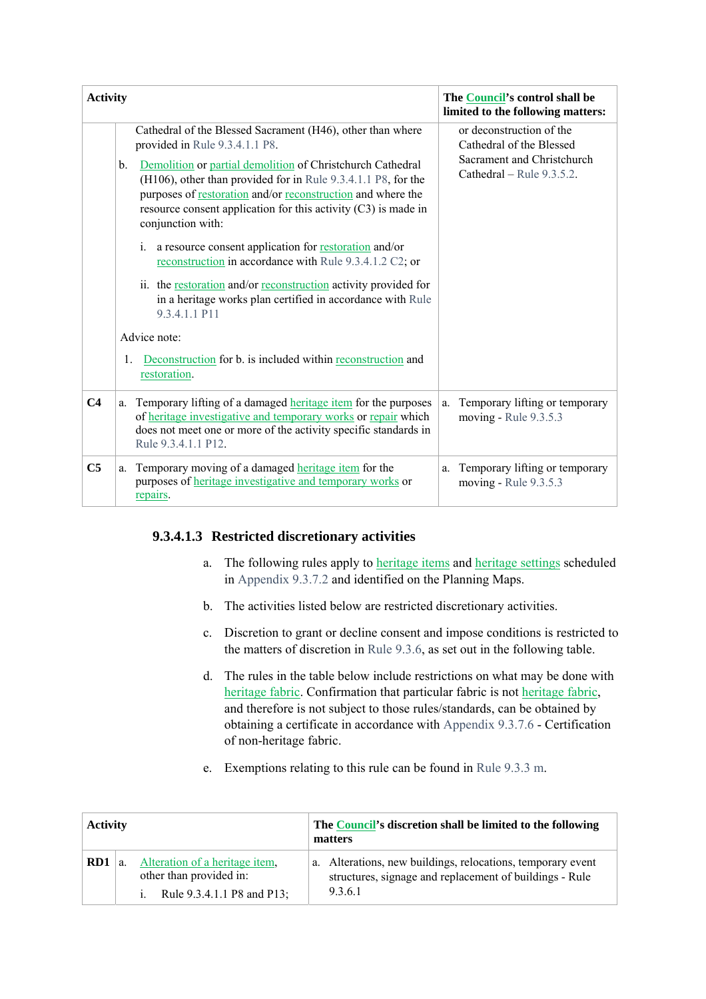| <b>Activity</b> |                                                                                                                                                                                                                                                                                                                                                                                                                                                                                                                                                                                                                                                                                                                                                                                               | The Council's control shall be<br>limited to the following matters:                                             |
|-----------------|-----------------------------------------------------------------------------------------------------------------------------------------------------------------------------------------------------------------------------------------------------------------------------------------------------------------------------------------------------------------------------------------------------------------------------------------------------------------------------------------------------------------------------------------------------------------------------------------------------------------------------------------------------------------------------------------------------------------------------------------------------------------------------------------------|-----------------------------------------------------------------------------------------------------------------|
|                 | Cathedral of the Blessed Sacrament (H46), other than where<br>provided in Rule 9.3.4.1.1 P8.<br>Demolition or partial demolition of Christchurch Cathedral<br>b.<br>(H106), other than provided for in Rule 9.3.4.1.1 P8, for the<br>purposes of restoration and/or reconstruction and where the<br>resource consent application for this activity $(C3)$ is made in<br>conjunction with:<br>a resource consent application for <b>restoration</b> and/or<br>$\mathbf{i}$ .<br>reconstruction in accordance with Rule 9.3.4.1.2 C2; or<br>ii. the restoration and/or reconstruction activity provided for<br>in a heritage works plan certified in accordance with Rule<br>9.3.4.1.1 P11<br>Advice note:<br>Deconstruction for b. is included within reconstruction and<br>1.<br>restoration. | or deconstruction of the<br>Cathedral of the Blessed<br>Sacrament and Christchurch<br>Cathedral – Rule 9.3.5.2. |
| C <sub>4</sub>  | a. Temporary lifting of a damaged heritage item for the purposes<br>of heritage investigative and temporary works or repair which<br>does not meet one or more of the activity specific standards in<br>Rule 9.3.4.1.1 P12.                                                                                                                                                                                                                                                                                                                                                                                                                                                                                                                                                                   | Temporary lifting or temporary<br>a.<br>moving - Rule 9.3.5.3                                                   |
| C <sub>5</sub>  | a. Temporary moving of a damaged heritage item for the<br>purposes of <b>heritage</b> investigative and temporary works or<br>repairs.                                                                                                                                                                                                                                                                                                                                                                                                                                                                                                                                                                                                                                                        | Temporary lifting or temporary<br>a.<br>moving - Rule 9.3.5.3                                                   |

### **9.3.4.1.3 Restricted discretionary activities**

- a. The following rules apply to **heritage items** and **heritage settings** scheduled in Appendix 9.3.7.2 and identified on the Planning Maps.
- b. The activities listed below are restricted discretionary activities.
- c. Discretion to grant or decline consent and impose conditions is restricted to the matters of discretion in Rule 9.3.6, as set out in the following table.
- d. The rules in the table below include restrictions on what may be done with heritage fabric. Confirmation that particular fabric is not heritage fabric, and therefore is not subject to those rules/standards, can be obtained by obtaining a certificate in accordance with Appendix 9.3.7.6 - Certification of non-heritage fabric.
- e. Exemptions relating to this rule can be found in Rule 9.3.3 m.

| <b>Activity</b> |  |                                                                                                           | The Council's discretion shall be limited to the following<br>matters |                                                                                                                                |  |  |  |
|-----------------|--|-----------------------------------------------------------------------------------------------------------|-----------------------------------------------------------------------|--------------------------------------------------------------------------------------------------------------------------------|--|--|--|
| RD1             |  | Alteration of a heritage item.<br>other than provided in:<br>Rule 9.3.4.1.1 P8 and P13;<br>$\mathbf{1}$ . |                                                                       | a. Alterations, new buildings, relocations, temporary event<br>structures, signage and replacement of buildings - Rule<br>9361 |  |  |  |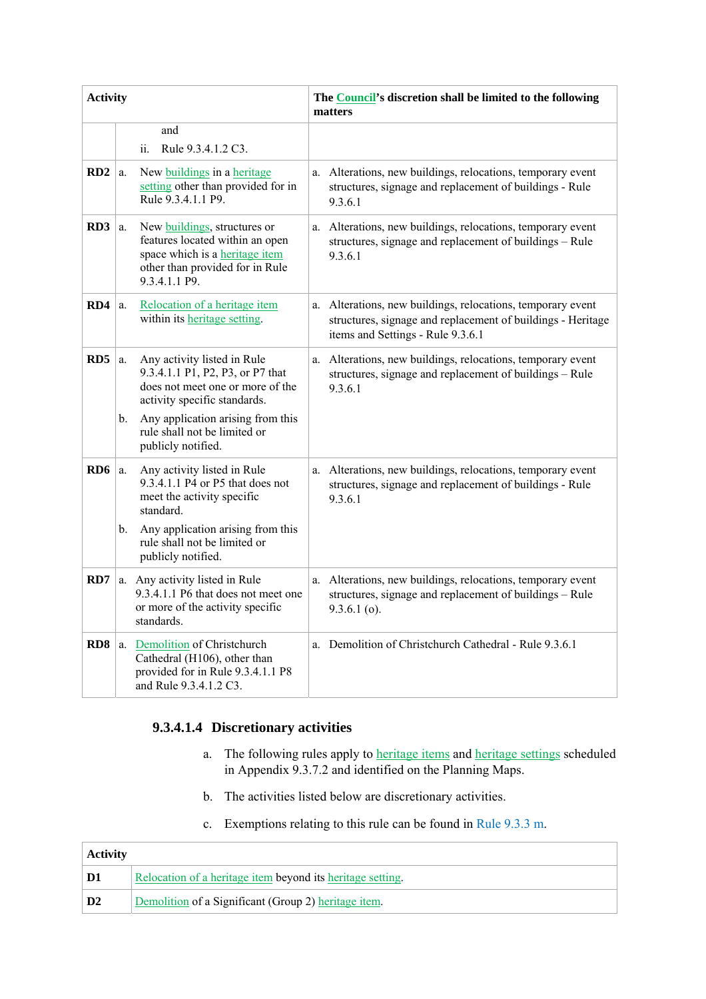| <b>Activity</b> |          |                                                                                                                                                                                                                                |    | The Council's discretion shall be limited to the following<br>matters                                                                                        |
|-----------------|----------|--------------------------------------------------------------------------------------------------------------------------------------------------------------------------------------------------------------------------------|----|--------------------------------------------------------------------------------------------------------------------------------------------------------------|
|                 |          | and<br>Rule 9.3.4.1.2 C3.<br>ii.                                                                                                                                                                                               |    |                                                                                                                                                              |
| RD <sub>2</sub> | a.       | New buildings in a heritage<br>setting other than provided for in<br>Rule 9.3.4.1.1 P9.                                                                                                                                        |    | a. Alterations, new buildings, relocations, temporary event<br>structures, signage and replacement of buildings - Rule<br>9.3.6.1                            |
| RD <sub>3</sub> | a.       | New buildings, structures or<br>features located within an open<br>space which is a heritage item<br>other than provided for in Rule<br>9.3.4.1.1 P9.                                                                          |    | a. Alterations, new buildings, relocations, temporary event<br>structures, signage and replacement of buildings - Rule<br>9.3.6.1                            |
| RD4             | a.       | Relocation of a heritage item<br>within its heritage setting.                                                                                                                                                                  | a. | Alterations, new buildings, relocations, temporary event<br>structures, signage and replacement of buildings - Heritage<br>items and Settings - Rule 9.3.6.1 |
| RD5             | a.<br>b. | Any activity listed in Rule<br>9.3.4.1.1 P1, P2, P3, or P7 that<br>does not meet one or more of the<br>activity specific standards.<br>Any application arising from this<br>rule shall not be limited or<br>publicly notified. |    | a. Alterations, new buildings, relocations, temporary event<br>structures, signage and replacement of buildings - Rule<br>9.3.6.1                            |
| RD <sub>6</sub> | a.<br>b. | Any activity listed in Rule<br>9.3.4.1.1 P4 or P5 that does not<br>meet the activity specific<br>standard.<br>Any application arising from this<br>rule shall not be limited or<br>publicly notified.                          |    | a. Alterations, new buildings, relocations, temporary event<br>structures, signage and replacement of buildings - Rule<br>9.3.6.1                            |
| RD7             |          | a. Any activity listed in Rule<br>9.3.4.1.1 P6 that does not meet one<br>or more of the activity specific<br>standards.                                                                                                        |    | a. Alterations, new buildings, relocations, temporary event<br>structures, signage and replacement of buildings - Rule<br>$9.3.6.1$ (o).                     |
| RD <sub>8</sub> | a.       | Demolition of Christchurch<br>Cathedral (H106), other than<br>provided for in Rule 9.3.4.1.1 P8<br>and Rule 9.3.4.1.2 C3.                                                                                                      |    | a. Demolition of Christchurch Cathedral - Rule 9.3.6.1                                                                                                       |

### **9.3.4.1.4 Discretionary activities**

- a. The following rules apply to **heritage items** and **heritage settings** scheduled in Appendix 9.3.7.2 and identified on the Planning Maps.
- b. The activities listed below are discretionary activities.
- c. Exemptions relating to this rule can be found in Rule 9.3.3 m.

| <b>Activity</b> |                                                            |  |  |  |
|-----------------|------------------------------------------------------------|--|--|--|
| D1              | Relocation of a heritage item beyond its heritage setting. |  |  |  |
| D2              | Demolition of a Significant (Group 2) heritage item.       |  |  |  |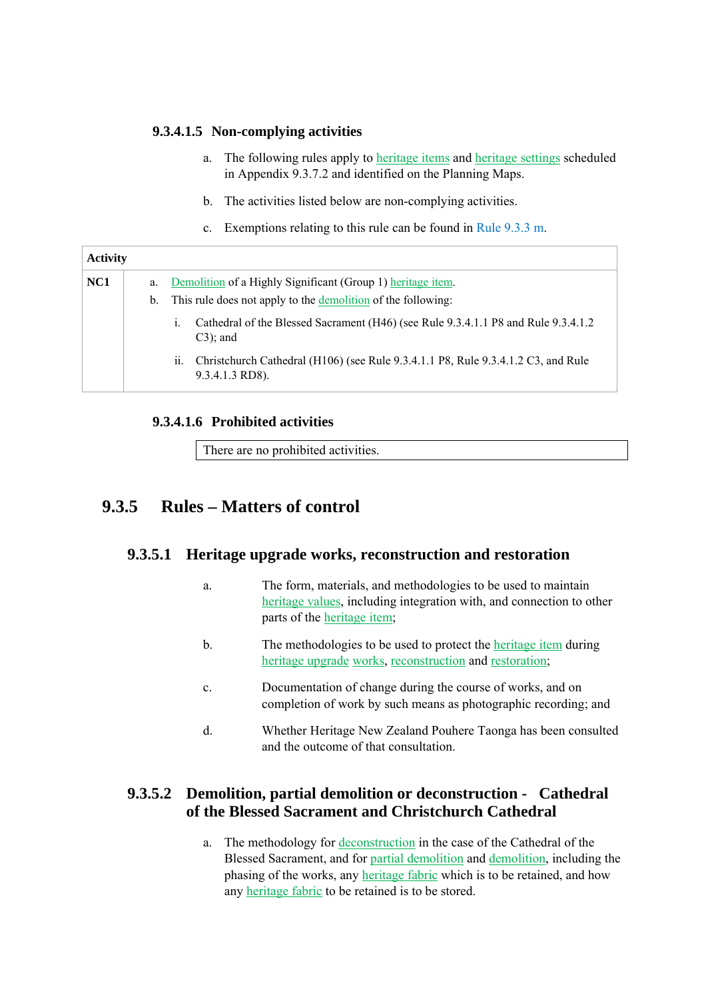### **9.3.4.1.5 Non-complying activities**

- a. The following rules apply to heritage items and heritage settings scheduled in Appendix 9.3.7.2 and identified on the Planning Maps.
- b. The activities listed below are non-complying activities.
- c. Exemptions relating to this rule can be found in Rule 9.3.3 m.

| <b>Activity</b> |         |                                                                                                                    |
|-----------------|---------|--------------------------------------------------------------------------------------------------------------------|
| NC <sub>1</sub> | a.      | Demolition of a Highly Significant (Group 1) heritage item.                                                        |
|                 | $b_{1}$ | This rule does not apply to the demolition of the following:                                                       |
|                 |         | Cathedral of the Blessed Sacrament (H46) (see Rule 9.3.4.1.1 P8 and Rule 9.3.4.1.2<br>$\mathbf{1}$ .<br>$C3$ ; and |
|                 |         | Christchurch Cathedral (H106) (see Rule 9.3.4.1.1 P8, Rule 9.3.4.1.2 C3, and Rule<br>11.<br>$9.3.4.1.3$ RD8).      |

### **9.3.4.1.6 Prohibited activities**

There are no prohibited activities.

## **9.3.5 Rules – Matters of control**

#### **9.3.5.1 Heritage upgrade works, reconstruction and restoration**

- a. The form, materials, and methodologies to be used to maintain heritage values, including integration with, and connection to other parts of the heritage item;
- b. The methodologies to be used to protect the heritage item during heritage upgrade works, reconstruction and restoration;
- c. Documentation of change during the course of works, and on completion of work by such means as photographic recording; and
- d. Whether Heritage New Zealand Pouhere Taonga has been consulted and the outcome of that consultation.

### **9.3.5.2 Demolition, partial demolition or deconstruction - Cathedral of the Blessed Sacrament and Christchurch Cathedral**

a. The methodology for deconstruction in the case of the Cathedral of the Blessed Sacrament, and for partial demolition and demolition, including the phasing of the works, any heritage fabric which is to be retained, and how any heritage fabric to be retained is to be stored.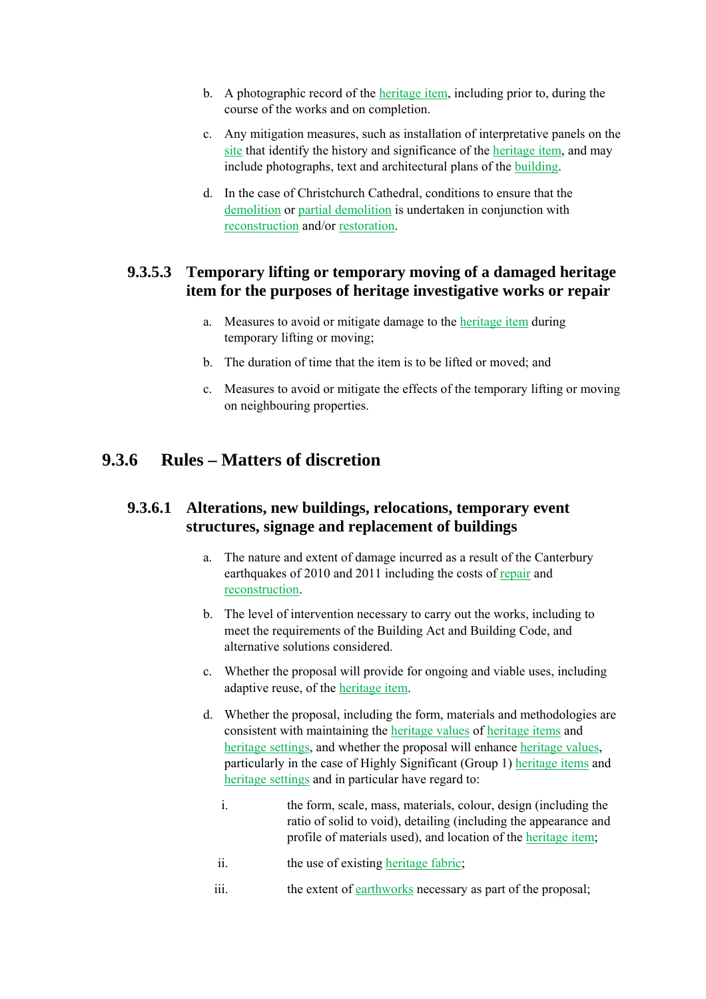- b. A photographic record of the heritage item, including prior to, during the course of the works and on completion.
- c. Any mitigation measures, such as installation of interpretative panels on the site that identify the history and significance of the heritage item, and may include photographs, text and architectural plans of the building.
- d. In the case of Christchurch Cathedral, conditions to ensure that the demolition or partial demolition is undertaken in conjunction with reconstruction and/or restoration.

### **9.3.5.3 Temporary lifting or temporary moving of a damaged heritage item for the purposes of heritage investigative works or repair**

- a. Measures to avoid or mitigate damage to the heritage item during temporary lifting or moving;
- b. The duration of time that the item is to be lifted or moved; and
- c. Measures to avoid or mitigate the effects of the temporary lifting or moving on neighbouring properties.

## **9.3.6 Rules – Matters of discretion**

### **9.3.6.1 Alterations, new buildings, relocations, temporary event structures, signage and replacement of buildings**

- a. The nature and extent of damage incurred as a result of the Canterbury earthquakes of 2010 and 2011 including the costs of repair and reconstruction.
- b. The level of intervention necessary to carry out the works, including to meet the requirements of the Building Act and Building Code, and alternative solutions considered.
- c. Whether the proposal will provide for ongoing and viable uses, including adaptive reuse, of the heritage item.
- d. Whether the proposal, including the form, materials and methodologies are consistent with maintaining the heritage values of heritage items and heritage settings, and whether the proposal will enhance heritage values, particularly in the case of Highly Significant (Group 1) heritage items and heritage settings and in particular have regard to:
	- i. the form, scale, mass, materials, colour, design (including the ratio of solid to void), detailing (including the appearance and profile of materials used), and location of the heritage item;
	- ii. the use of existing heritage fabric;
	- iii. the extent of earthworks necessary as part of the proposal;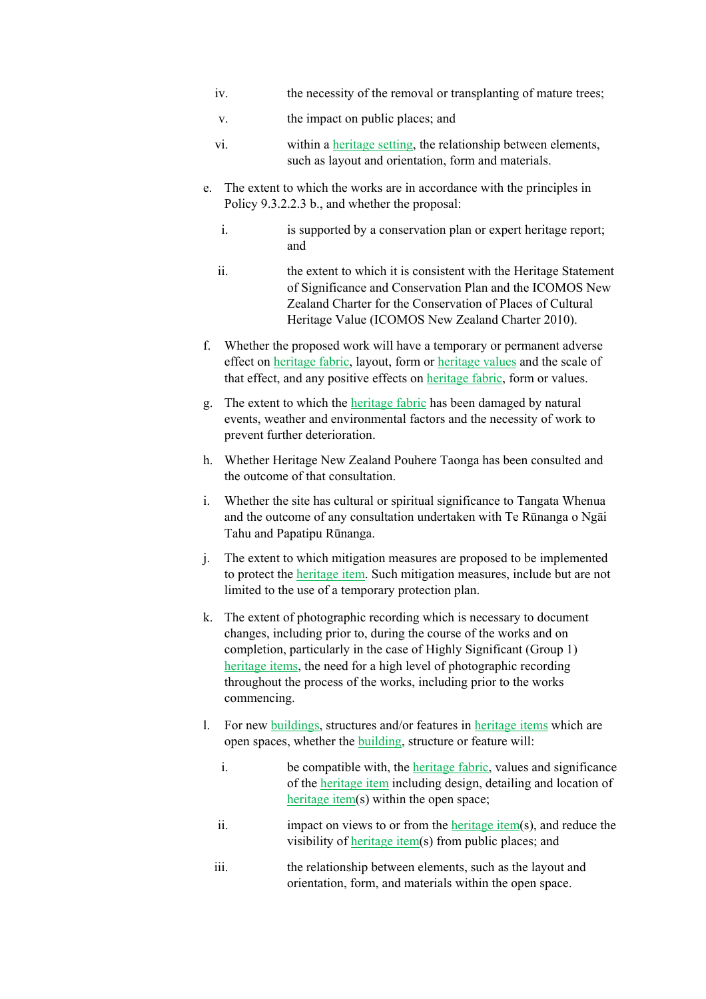- iv. the necessity of the removal or transplanting of mature trees;
- v. the impact on public places; and
- vi. within a heritage setting, the relationship between elements, such as layout and orientation, form and materials.
- e. The extent to which the works are in accordance with the principles in Policy 9.3.2.2.3 b., and whether the proposal:
	- i. is supported by a conservation plan or expert heritage report; and
	- ii. the extent to which it is consistent with the Heritage Statement of Significance and Conservation Plan and the ICOMOS New Zealand Charter for the Conservation of Places of Cultural Heritage Value (ICOMOS New Zealand Charter 2010).
- f. Whether the proposed work will have a temporary or permanent adverse effect on heritage fabric, layout, form or heritage values and the scale of that effect, and any positive effects on heritage fabric, form or values.
- g. The extent to which the heritage fabric has been damaged by natural events, weather and environmental factors and the necessity of work to prevent further deterioration.
- h. Whether Heritage New Zealand Pouhere Taonga has been consulted and the outcome of that consultation.
- i. Whether the site has cultural or spiritual significance to Tangata Whenua and the outcome of any consultation undertaken with Te Rūnanga o Ngāi Tahu and Papatipu Rūnanga.
- j. The extent to which mitigation measures are proposed to be implemented to protect the heritage item. Such mitigation measures, include but are not limited to the use of a temporary protection plan.
- k. The extent of photographic recording which is necessary to document changes, including prior to, during the course of the works and on completion, particularly in the case of Highly Significant (Group 1) heritage items, the need for a high level of photographic recording throughout the process of the works, including prior to the works commencing.
- l. For new buildings, structures and/or features in heritage items which are open spaces, whether the building, structure or feature will:
	- i. be compatible with, the heritage fabric, values and significance of the heritage item including design, detailing and location of heritage item(s) within the open space;
	- ii. impact on views to or from the heritage item(s), and reduce the visibility of heritage item(s) from public places; and
	- iii. the relationship between elements, such as the layout and orientation, form, and materials within the open space.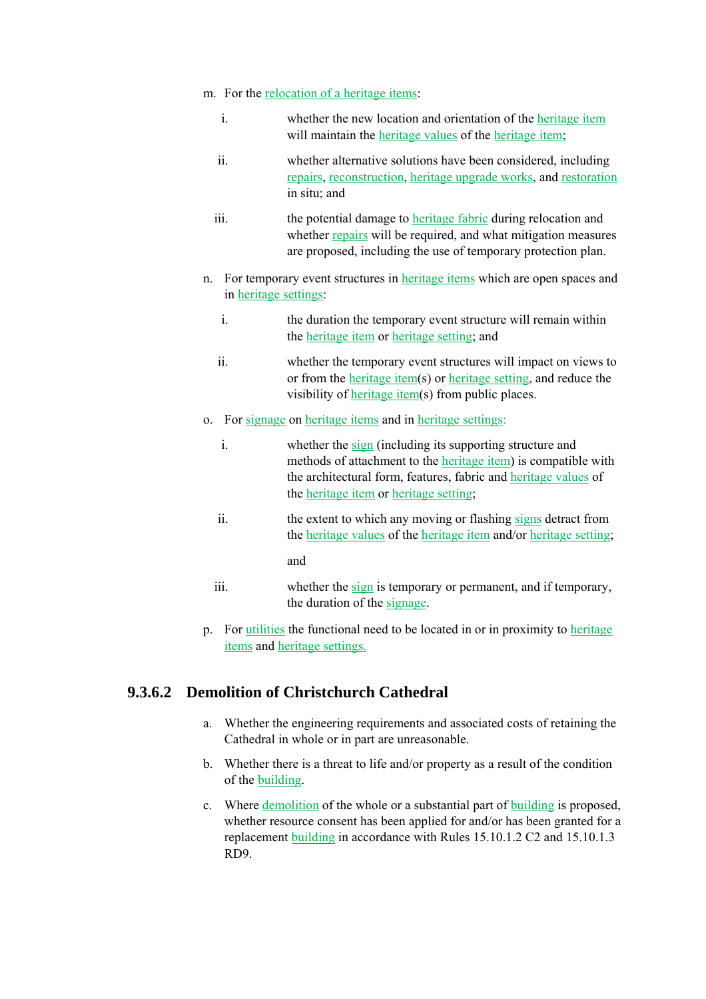- m. For the relocation of a heritage items:
	- i. whether the new location and orientation of the heritage item will maintain the heritage values of the heritage item;
	- ii. whether alternative solutions have been considered, including repairs, reconstruction, heritage upgrade works, and restoration in situ; and
	- iii. the potential damage to heritage fabric during relocation and whether repairs will be required, and what mitigation measures are proposed, including the use of temporary protection plan.
- n. For temporary event structures in heritage items which are open spaces and in heritage settings:
	- i. the duration the temporary event structure will remain within the heritage item or heritage setting; and
	- ii. whether the temporary event structures will impact on views to or from the heritage item(s) or heritage setting, and reduce the visibility of heritage item(s) from public places.
- o. For signage on heritage items and in heritage settings:
	- i. whether the sign (including its supporting structure and methods of attachment to the heritage item) is compatible with the architectural form, features, fabric and heritage values of the heritage item or heritage setting;
	- ii. the extent to which any moving or flashing signs detract from the heritage values of the heritage item and/or heritage setting;

and

- iii. whether the sign is temporary or permanent, and if temporary, the duration of the signage.
- p. For utilities the functional need to be located in or in proximity to heritage items and heritage settings.

### **9.3.6.2 Demolition of Christchurch Cathedral**

- a. Whether the engineering requirements and associated costs of retaining the Cathedral in whole or in part are unreasonable.
- b. Whether there is a threat to life and/or property as a result of the condition of the building.
- c. Where demolition of the whole or a substantial part of building is proposed, whether resource consent has been applied for and/or has been granted for a replacement building in accordance with Rules 15.10.1.2 C2 and 15.10.1.3 RD9.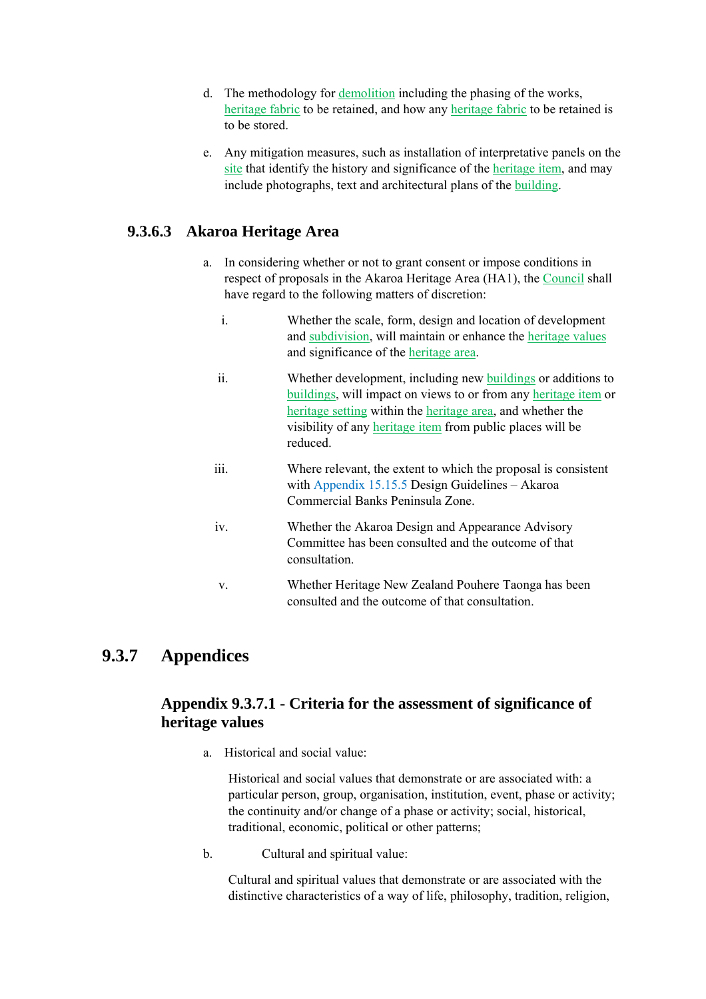- d. The methodology for demolition including the phasing of the works, heritage fabric to be retained, and how any heritage fabric to be retained is to be stored.
- e. Any mitigation measures, such as installation of interpretative panels on the site that identify the history and significance of the heritage item, and may include photographs, text and architectural plans of the building.

### **9.3.6.3 Akaroa Heritage Area**

- a. In considering whether or not to grant consent or impose conditions in respect of proposals in the Akaroa Heritage Area (HA1), the Council shall have regard to the following matters of discretion:
	- i. Whether the scale, form, design and location of development and subdivision, will maintain or enhance the heritage values and significance of the heritage area.
	- ii. Whether development, including new buildings or additions to buildings, will impact on views to or from any heritage item or heritage setting within the heritage area, and whether the visibility of any heritage item from public places will be reduced.
	- iii. Where relevant, the extent to which the proposal is consistent with Appendix 15.15.5 Design Guidelines – Akaroa Commercial Banks Peninsula Zone.
	- iv. Whether the Akaroa Design and Appearance Advisory Committee has been consulted and the outcome of that consultation.
	- v. Whether Heritage New Zealand Pouhere Taonga has been consulted and the outcome of that consultation.

### **9.3.7 Appendices**

### **Appendix 9.3.7.1 - Criteria for the assessment of significance of heritage values**

a. Historical and social value:

Historical and social values that demonstrate or are associated with: a particular person, group, organisation, institution, event, phase or activity; the continuity and/or change of a phase or activity; social, historical, traditional, economic, political or other patterns;

b. Cultural and spiritual value:

Cultural and spiritual values that demonstrate or are associated with the distinctive characteristics of a way of life, philosophy, tradition, religion,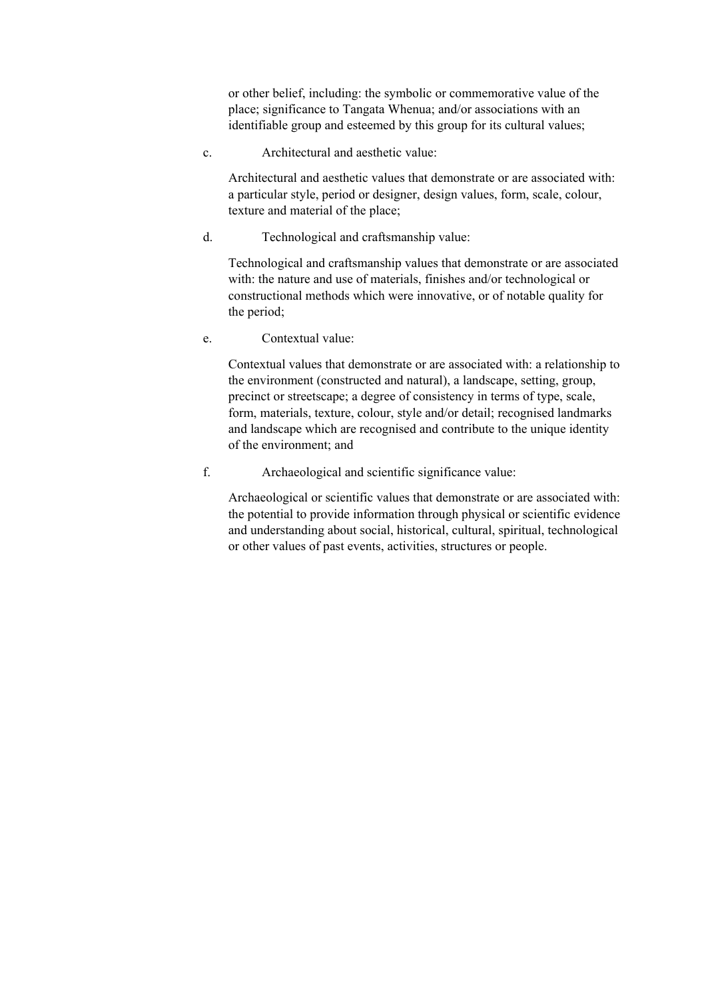or other belief, including: the symbolic or commemorative value of the place; significance to Tangata Whenua; and/or associations with an identifiable group and esteemed by this group for its cultural values;

c. Architectural and aesthetic value:

Architectural and aesthetic values that demonstrate or are associated with: a particular style, period or designer, design values, form, scale, colour, texture and material of the place;

d. Technological and craftsmanship value:

Technological and craftsmanship values that demonstrate or are associated with: the nature and use of materials, finishes and/or technological or constructional methods which were innovative, or of notable quality for the period;

e. Contextual value:

Contextual values that demonstrate or are associated with: a relationship to the environment (constructed and natural), a landscape, setting, group, precinct or streetscape; a degree of consistency in terms of type, scale, form, materials, texture, colour, style and/or detail; recognised landmarks and landscape which are recognised and contribute to the unique identity of the environment; and

f. Archaeological and scientific significance value:

Archaeological or scientific values that demonstrate or are associated with: the potential to provide information through physical or scientific evidence and understanding about social, historical, cultural, spiritual, technological or other values of past events, activities, structures or people.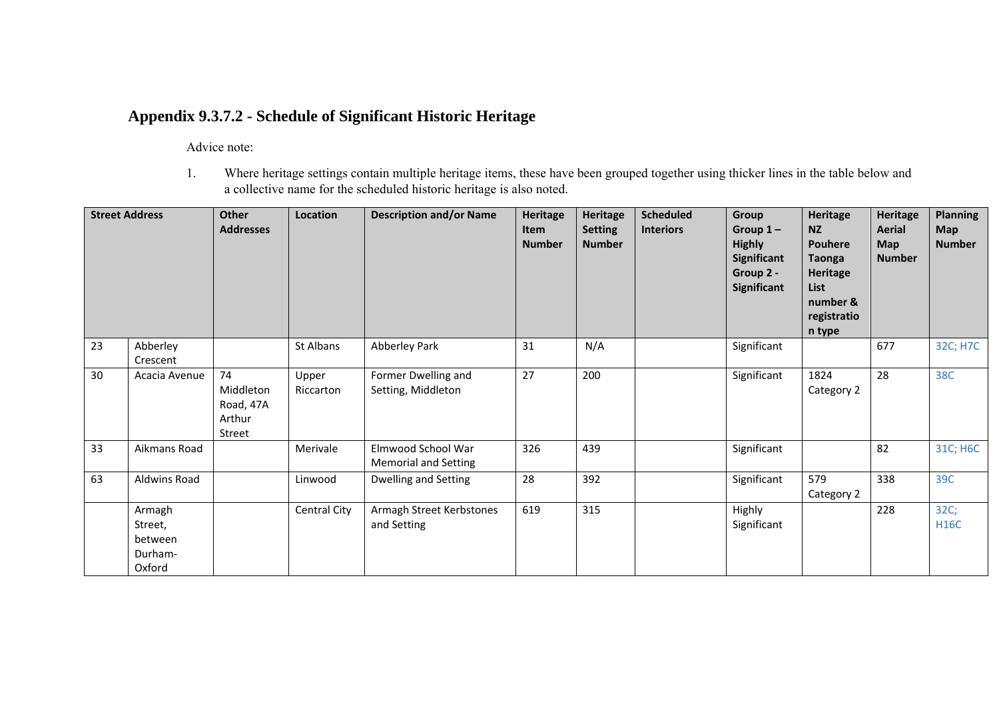## **Appendix 9.3.7.2 - Schedule of Significant Historic Heritage**

Advice note:

1. Where heritage settings contain multiple heritage items, these have been grouped together using thicker lines in the table below and a collective name for the scheduled historic heritage is also noted.

| <b>Street Address</b> |                                                   | <b>Other</b><br><b>Addresses</b>                 | Location            | <b>Description and/or Name</b>                    | <b>Heritage</b><br>Item<br><b>Number</b> | Heritage<br><b>Setting</b><br><b>Number</b> | <b>Scheduled</b><br><b>Interiors</b> | Group<br>Group $1-$<br><b>Highly</b><br>Significant<br>Group 2 -<br>Significant | Heritage<br><b>NZ</b><br><b>Pouhere</b><br><b>Taonga</b><br>Heritage<br><b>List</b><br>number &<br>registratio<br>n type | <b>Heritage</b><br><b>Aerial</b><br><b>Map</b><br><b>Number</b> | <b>Planning</b><br><b>Map</b><br><b>Number</b> |
|-----------------------|---------------------------------------------------|--------------------------------------------------|---------------------|---------------------------------------------------|------------------------------------------|---------------------------------------------|--------------------------------------|---------------------------------------------------------------------------------|--------------------------------------------------------------------------------------------------------------------------|-----------------------------------------------------------------|------------------------------------------------|
| 23                    | Abberley<br>Crescent                              |                                                  | St Albans           | Abberley Park                                     | 31                                       | N/A                                         |                                      | Significant                                                                     |                                                                                                                          | 677                                                             | 32C; H7C                                       |
| 30                    | Acacia Avenue                                     | 74<br>Middleton<br>Road, 47A<br>Arthur<br>Street | Upper<br>Riccarton  | Former Dwelling and<br>Setting, Middleton         | 27                                       | 200                                         |                                      | Significant                                                                     | 1824<br>Category 2                                                                                                       | 28                                                              | 38C                                            |
| 33                    | Aikmans Road                                      |                                                  | Merivale            | Elmwood School War<br><b>Memorial and Setting</b> | 326                                      | 439                                         |                                      | Significant                                                                     |                                                                                                                          | 82                                                              | 31C; H6C                                       |
| 63                    | Aldwins Road                                      |                                                  | Linwood             | <b>Dwelling and Setting</b>                       | 28                                       | 392                                         |                                      | Significant                                                                     | 579<br>Category 2                                                                                                        | 338                                                             | 39C                                            |
|                       | Armagh<br>Street,<br>between<br>Durham-<br>Oxford |                                                  | <b>Central City</b> | Armagh Street Kerbstones<br>and Setting           | 619                                      | 315                                         |                                      | Highly<br>Significant                                                           |                                                                                                                          | 228                                                             | 32C;<br><b>H16C</b>                            |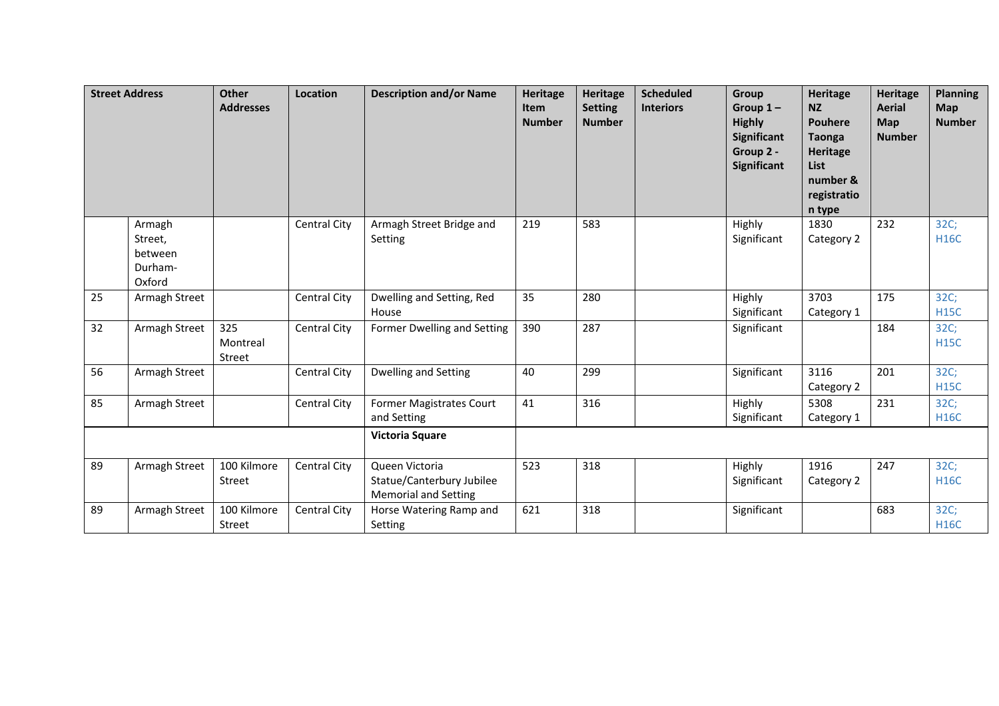|                 | <b>Street Address</b>                             | <b>Other</b><br><b>Addresses</b> | <b>Location</b>     | <b>Description and/or Name</b>                                             | <b>Heritage</b><br><b>Item</b><br><b>Number</b> | <b>Heritage</b><br><b>Setting</b><br><b>Number</b> | <b>Scheduled</b><br><b>Interiors</b> | Group<br>Group $1-$<br><b>Highly</b><br>Significant<br>Group 2 -<br><b>Significant</b> | <b>Heritage</b><br><b>NZ</b><br><b>Pouhere</b><br><b>Taonga</b><br><b>Heritage</b><br><b>List</b><br>number &<br>registratio<br>n type | <b>Heritage</b><br><b>Aerial</b><br>Map<br><b>Number</b> | <b>Planning</b><br><b>Map</b><br><b>Number</b> |
|-----------------|---------------------------------------------------|----------------------------------|---------------------|----------------------------------------------------------------------------|-------------------------------------------------|----------------------------------------------------|--------------------------------------|----------------------------------------------------------------------------------------|----------------------------------------------------------------------------------------------------------------------------------------|----------------------------------------------------------|------------------------------------------------|
|                 | Armagh<br>Street,<br>between<br>Durham-<br>Oxford |                                  | <b>Central City</b> | Armagh Street Bridge and<br>Setting                                        | 219                                             | 583                                                |                                      | Highly<br>Significant                                                                  | 1830<br>Category 2                                                                                                                     | 232                                                      | 32C;<br><b>H16C</b>                            |
| 25              | Armagh Street                                     |                                  | Central City        | Dwelling and Setting, Red<br>House                                         | 35                                              | 280                                                |                                      | Highly<br>Significant                                                                  | 3703<br>Category 1                                                                                                                     | 175                                                      | 32C;<br><b>H15C</b>                            |
| 32 <sup>2</sup> | Armagh Street                                     | 325<br>Montreal<br>Street        | <b>Central City</b> | Former Dwelling and Setting                                                | 390                                             | 287                                                |                                      | Significant                                                                            |                                                                                                                                        | 184                                                      | 32C;<br><b>H15C</b>                            |
| 56              | Armagh Street                                     |                                  | <b>Central City</b> | Dwelling and Setting                                                       | 40                                              | 299                                                |                                      | Significant                                                                            | 3116<br>Category 2                                                                                                                     | 201                                                      | 32C;<br><b>H15C</b>                            |
| 85              | Armagh Street                                     |                                  | Central City        | <b>Former Magistrates Court</b><br>and Setting                             | 41                                              | 316                                                |                                      | Highly<br>Significant                                                                  | 5308<br>Category 1                                                                                                                     | 231                                                      | 32C;<br><b>H16C</b>                            |
|                 |                                                   |                                  |                     | <b>Victoria Square</b>                                                     |                                                 |                                                    |                                      |                                                                                        |                                                                                                                                        |                                                          |                                                |
| 89              | Armagh Street                                     | 100 Kilmore<br>Street            | Central City        | Queen Victoria<br>Statue/Canterbury Jubilee<br><b>Memorial and Setting</b> | 523                                             | 318                                                |                                      | Highly<br>Significant                                                                  | 1916<br>Category 2                                                                                                                     | 247                                                      | 32C;<br><b>H16C</b>                            |
| 89              | Armagh Street                                     | 100 Kilmore<br>Street            | <b>Central City</b> | Horse Watering Ramp and<br>Setting                                         | 621                                             | 318                                                |                                      | Significant                                                                            |                                                                                                                                        | 683                                                      | 32C;<br><b>H16C</b>                            |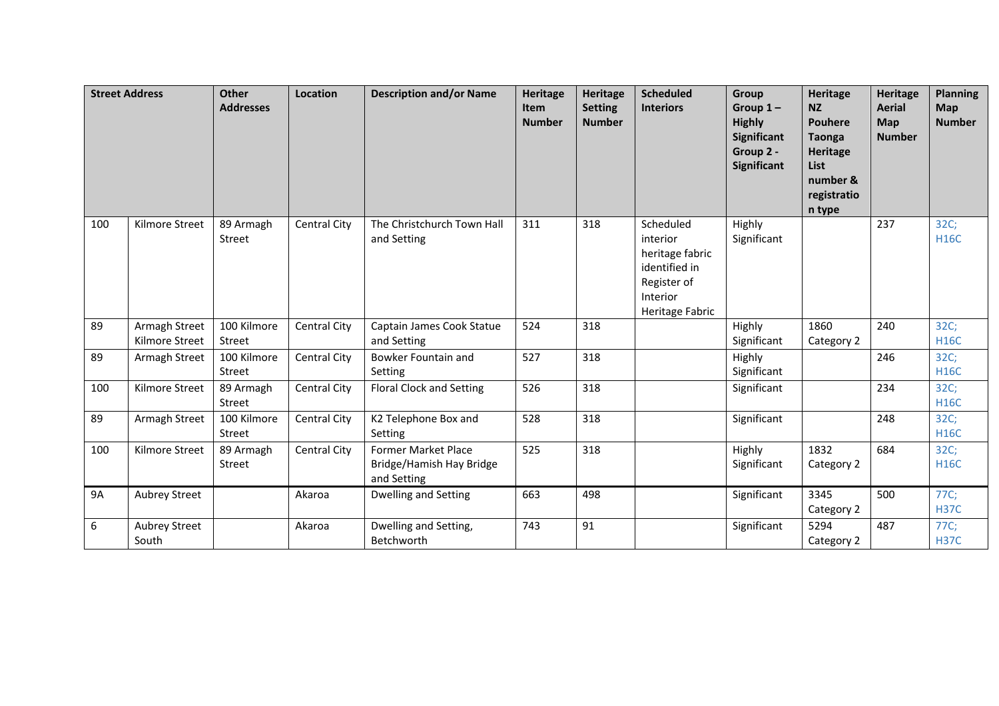|           | <b>Street Address</b>           | <b>Other</b><br><b>Addresses</b> | Location            | <b>Description and/or Name</b>                                        | <b>Heritage</b><br>Item<br><b>Number</b> | <b>Heritage</b><br><b>Setting</b><br><b>Number</b> | <b>Scheduled</b><br><b>Interiors</b>                                                                    | Group<br>Group $1-$<br><b>Highly</b><br>Significant<br>Group 2 -<br>Significant | Heritage<br><b>NZ</b><br><b>Pouhere</b><br><b>Taonga</b><br><b>Heritage</b><br><b>List</b><br>number &<br>registratio<br>n type | <b>Heritage</b><br><b>Aerial</b><br>Map<br><b>Number</b> | <b>Planning</b><br><b>Map</b><br><b>Number</b> |
|-----------|---------------------------------|----------------------------------|---------------------|-----------------------------------------------------------------------|------------------------------------------|----------------------------------------------------|---------------------------------------------------------------------------------------------------------|---------------------------------------------------------------------------------|---------------------------------------------------------------------------------------------------------------------------------|----------------------------------------------------------|------------------------------------------------|
| 100       | Kilmore Street                  | 89 Armagh<br>Street              | <b>Central City</b> | The Christchurch Town Hall<br>and Setting                             | 311                                      | 318                                                | Scheduled<br>interior<br>heritage fabric<br>identified in<br>Register of<br>Interior<br>Heritage Fabric | Highly<br>Significant                                                           |                                                                                                                                 | 237                                                      | 32C;<br><b>H16C</b>                            |
| 89        | Armagh Street<br>Kilmore Street | 100 Kilmore<br>Street            | Central City        | Captain James Cook Statue<br>and Setting                              | 524                                      | 318                                                |                                                                                                         | Highly<br>Significant                                                           | 1860<br>Category 2                                                                                                              | 240                                                      | 32C;<br><b>H16C</b>                            |
| 89        | Armagh Street                   | 100 Kilmore<br>Street            | Central City        | Bowker Fountain and<br>Setting                                        | 527                                      | 318                                                |                                                                                                         | Highly<br>Significant                                                           |                                                                                                                                 | 246                                                      | 32C;<br><b>H16C</b>                            |
| 100       | Kilmore Street                  | 89 Armagh<br>Street              | Central City        | <b>Floral Clock and Setting</b>                                       | 526                                      | 318                                                |                                                                                                         | Significant                                                                     |                                                                                                                                 | 234                                                      | 32C;<br><b>H16C</b>                            |
| 89        | Armagh Street                   | 100 Kilmore<br>Street            | Central City        | K2 Telephone Box and<br>Setting                                       | 528                                      | 318                                                |                                                                                                         | Significant                                                                     |                                                                                                                                 | 248                                                      | 32C;<br><b>H16C</b>                            |
| 100       | Kilmore Street                  | 89 Armagh<br>Street              | Central City        | <b>Former Market Place</b><br>Bridge/Hamish Hay Bridge<br>and Setting | 525                                      | 318                                                |                                                                                                         | Highly<br>Significant                                                           | 1832<br>Category 2                                                                                                              | 684                                                      | 32C;<br><b>H16C</b>                            |
| <b>9A</b> | <b>Aubrey Street</b>            |                                  | Akaroa              | Dwelling and Setting                                                  | 663                                      | 498                                                |                                                                                                         | Significant                                                                     | 3345<br>Category 2                                                                                                              | 500                                                      | 77C;<br><b>H37C</b>                            |
| 6         | Aubrey Street<br>South          |                                  | Akaroa              | Dwelling and Setting,<br>Betchworth                                   | 743                                      | 91                                                 |                                                                                                         | Significant                                                                     | 5294<br>Category 2                                                                                                              | 487                                                      | 77C;<br><b>H37C</b>                            |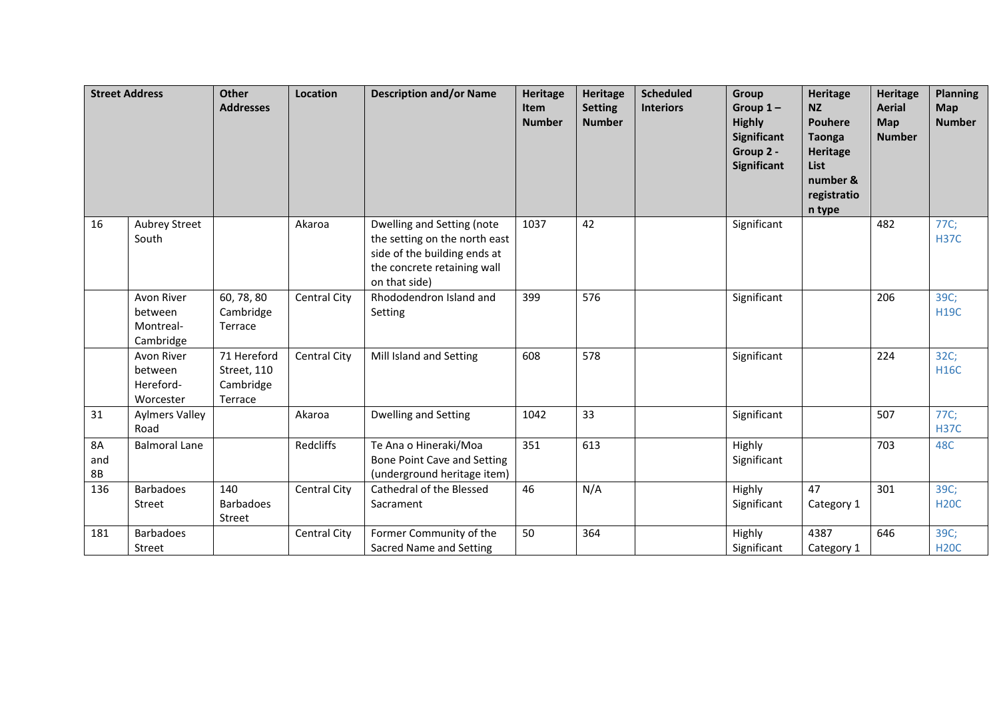|                               | <b>Street Address</b>                           | <b>Other</b><br><b>Addresses</b>                   | Location            | <b>Description and/or Name</b>                                                                                                              | <b>Heritage</b><br>Item<br><b>Number</b> | <b>Heritage</b><br><b>Setting</b><br><b>Number</b> | <b>Scheduled</b><br><b>Interiors</b> | Group<br>Group $1-$<br><b>Highly</b><br>Significant<br>Group 2 -<br>Significant | <b>Heritage</b><br><b>NZ</b><br><b>Pouhere</b><br><b>Taonga</b><br><b>Heritage</b><br><b>List</b><br>number &<br>registratio<br>n type | <b>Heritage</b><br><b>Aerial</b><br>Map<br><b>Number</b> | <b>Planning</b><br><b>Map</b><br><b>Number</b> |
|-------------------------------|-------------------------------------------------|----------------------------------------------------|---------------------|---------------------------------------------------------------------------------------------------------------------------------------------|------------------------------------------|----------------------------------------------------|--------------------------------------|---------------------------------------------------------------------------------|----------------------------------------------------------------------------------------------------------------------------------------|----------------------------------------------------------|------------------------------------------------|
| 16                            | <b>Aubrey Street</b><br>South                   |                                                    | Akaroa              | Dwelling and Setting (note<br>the setting on the north east<br>side of the building ends at<br>the concrete retaining wall<br>on that side) | 1037                                     | 42                                                 |                                      | Significant                                                                     |                                                                                                                                        | 482                                                      | 77C;<br><b>H37C</b>                            |
|                               | Avon River<br>between<br>Montreal-<br>Cambridge | 60, 78, 80<br>Cambridge<br>Terrace                 | Central City        | Rhododendron Island and<br>Setting                                                                                                          | 399                                      | 576                                                |                                      | Significant                                                                     |                                                                                                                                        | 206                                                      | 39C;<br><b>H19C</b>                            |
|                               | Avon River<br>between<br>Hereford-<br>Worcester | 71 Hereford<br>Street, 110<br>Cambridge<br>Terrace | Central City        | Mill Island and Setting                                                                                                                     | 608                                      | 578                                                |                                      | Significant                                                                     |                                                                                                                                        | 224                                                      | 32C;<br><b>H16C</b>                            |
| 31                            | <b>Aylmers Valley</b><br>Road                   |                                                    | Akaroa              | <b>Dwelling and Setting</b>                                                                                                                 | 1042                                     | 33                                                 |                                      | Significant                                                                     |                                                                                                                                        | 507                                                      | 77C;<br><b>H37C</b>                            |
| <b>8A</b><br>and<br><b>8B</b> | <b>Balmoral Lane</b>                            |                                                    | Redcliffs           | Te Ana o Hineraki/Moa<br>Bone Point Cave and Setting<br>(underground heritage item)                                                         | 351                                      | 613                                                |                                      | Highly<br>Significant                                                           |                                                                                                                                        | 703                                                      | 48C                                            |
| 136                           | <b>Barbadoes</b><br>Street                      | 140<br><b>Barbadoes</b><br>Street                  | Central City        | Cathedral of the Blessed<br>Sacrament                                                                                                       | 46                                       | N/A                                                |                                      | Highly<br>Significant                                                           | 47<br>Category 1                                                                                                                       | 301                                                      | 39C;<br><b>H20C</b>                            |
| 181                           | <b>Barbadoes</b><br>Street                      |                                                    | <b>Central City</b> | Former Community of the<br>Sacred Name and Setting                                                                                          | 50                                       | 364                                                |                                      | Highly<br>Significant                                                           | 4387<br>Category 1                                                                                                                     | 646                                                      | 39C;<br><b>H20C</b>                            |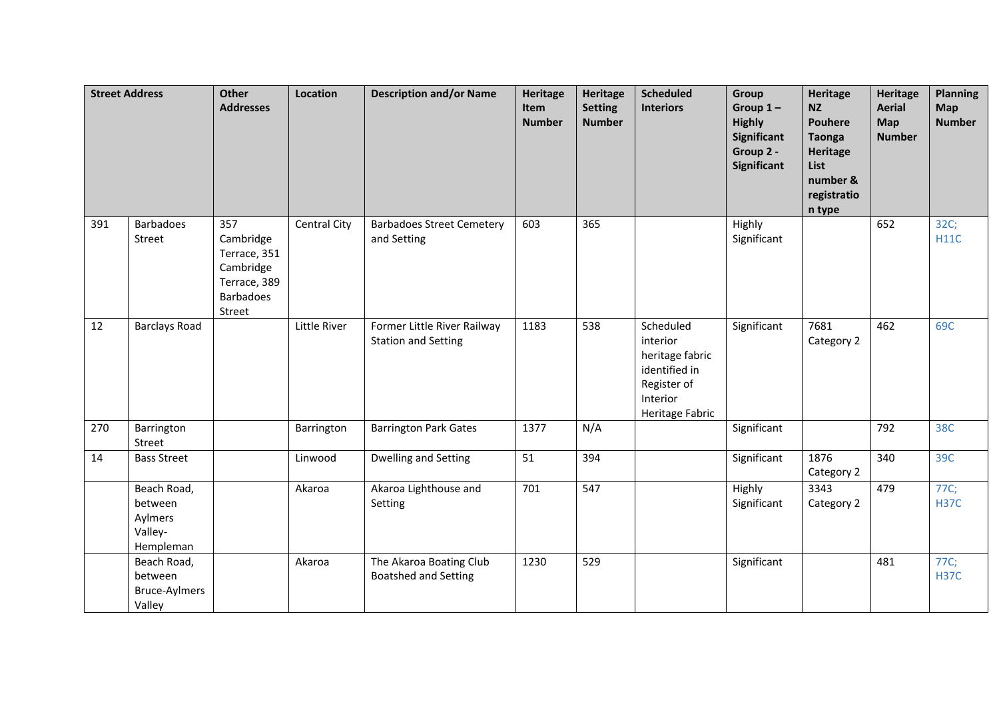|     | <b>Street Address</b>                                     | <b>Other</b><br><b>Addresses</b>                                                            | Location            | <b>Description and/or Name</b>                            | <b>Heritage</b><br>Item<br><b>Number</b> | <b>Heritage</b><br><b>Setting</b><br><b>Number</b> | <b>Scheduled</b><br><b>Interiors</b>                                                                    | Group<br>Group $1-$<br><b>Highly</b><br><b>Significant</b><br>Group 2 -<br><b>Significant</b> | <b>Heritage</b><br><b>NZ</b><br><b>Pouhere</b><br><b>Taonga</b><br><b>Heritage</b><br>List<br>number &<br>registratio<br>n type | <b>Heritage</b><br><b>Aerial</b><br><b>Map</b><br><b>Number</b> | <b>Planning</b><br><b>Map</b><br><b>Number</b> |
|-----|-----------------------------------------------------------|---------------------------------------------------------------------------------------------|---------------------|-----------------------------------------------------------|------------------------------------------|----------------------------------------------------|---------------------------------------------------------------------------------------------------------|-----------------------------------------------------------------------------------------------|---------------------------------------------------------------------------------------------------------------------------------|-----------------------------------------------------------------|------------------------------------------------|
| 391 | <b>Barbadoes</b><br>Street                                | 357<br>Cambridge<br>Terrace, 351<br>Cambridge<br>Terrace, 389<br><b>Barbadoes</b><br>Street | <b>Central City</b> | <b>Barbadoes Street Cemetery</b><br>and Setting           | 603                                      | 365                                                |                                                                                                         | Highly<br>Significant                                                                         |                                                                                                                                 | 652                                                             | 32C;<br><b>H11C</b>                            |
| 12  | <b>Barclays Road</b>                                      |                                                                                             | Little River        | Former Little River Railway<br><b>Station and Setting</b> | 1183                                     | 538                                                | Scheduled<br>interior<br>heritage fabric<br>identified in<br>Register of<br>Interior<br>Heritage Fabric | Significant                                                                                   | 7681<br>Category 2                                                                                                              | 462                                                             | 69C                                            |
| 270 | Barrington<br>Street                                      |                                                                                             | Barrington          | <b>Barrington Park Gates</b>                              | 1377                                     | N/A                                                |                                                                                                         | Significant                                                                                   |                                                                                                                                 | 792                                                             | 38C                                            |
| 14  | <b>Bass Street</b>                                        |                                                                                             | Linwood             | Dwelling and Setting                                      | 51                                       | 394                                                |                                                                                                         | Significant                                                                                   | 1876<br>Category 2                                                                                                              | 340                                                             | 39C                                            |
|     | Beach Road,<br>between<br>Aylmers<br>Valley-<br>Hempleman |                                                                                             | Akaroa              | Akaroa Lighthouse and<br>Setting                          | 701                                      | 547                                                |                                                                                                         | Highly<br>Significant                                                                         | 3343<br>Category 2                                                                                                              | 479                                                             | 77C;<br><b>H37C</b>                            |
|     | Beach Road,<br>between<br><b>Bruce-Aylmers</b><br>Valley  |                                                                                             | Akaroa              | The Akaroa Boating Club<br><b>Boatshed and Setting</b>    | 1230                                     | 529                                                |                                                                                                         | Significant                                                                                   |                                                                                                                                 | 481                                                             | 77C;<br><b>H37C</b>                            |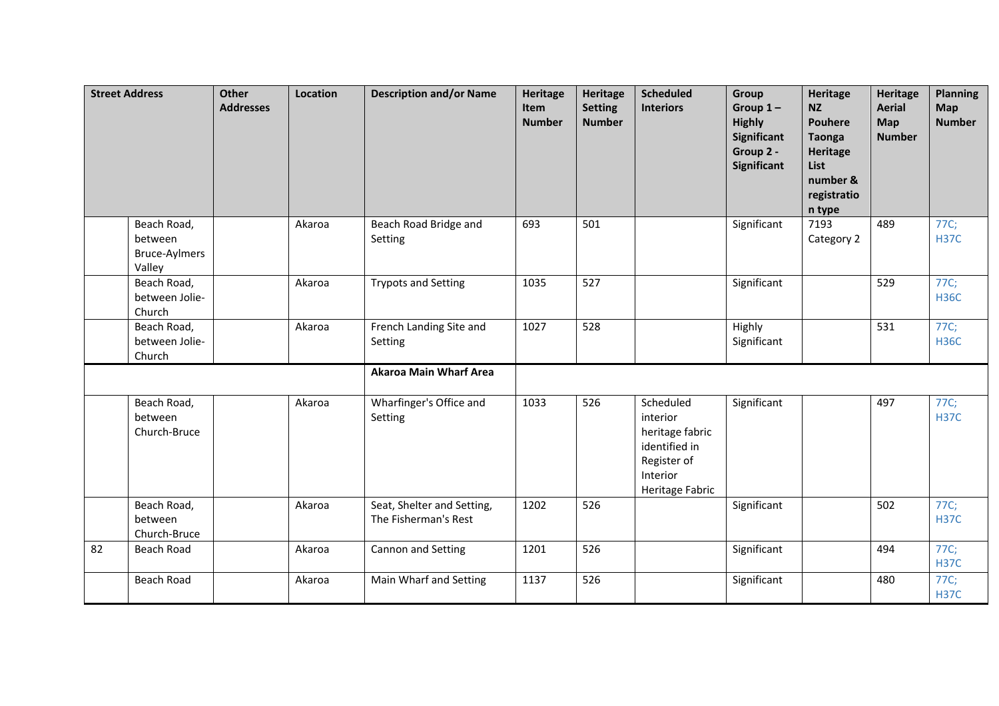|    | <b>Street Address</b>                                    | <b>Other</b><br><b>Addresses</b> | Location | <b>Description and/or Name</b>                     | <b>Heritage</b><br>Item<br><b>Number</b> | <b>Heritage</b><br><b>Setting</b><br><b>Number</b> | <b>Scheduled</b><br><b>Interiors</b>                                                                    | Group<br>Group $1-$<br><b>Highly</b><br><b>Significant</b><br>Group 2 -<br>Significant | <b>Heritage</b><br><b>NZ</b><br><b>Pouhere</b><br><b>Taonga</b><br><b>Heritage</b><br><b>List</b><br>number &<br>registratio<br>n type | <b>Heritage</b><br><b>Aerial</b><br>Map<br><b>Number</b> | <b>Planning</b><br>Map<br><b>Number</b> |
|----|----------------------------------------------------------|----------------------------------|----------|----------------------------------------------------|------------------------------------------|----------------------------------------------------|---------------------------------------------------------------------------------------------------------|----------------------------------------------------------------------------------------|----------------------------------------------------------------------------------------------------------------------------------------|----------------------------------------------------------|-----------------------------------------|
|    | Beach Road,<br>between<br><b>Bruce-Aylmers</b><br>Valley |                                  | Akaroa   | Beach Road Bridge and<br>Setting                   | 693                                      | 501                                                |                                                                                                         | Significant                                                                            | 7193<br>Category 2                                                                                                                     | 489                                                      | 77C;<br><b>H37C</b>                     |
|    | Beach Road,<br>between Jolie-<br>Church                  |                                  | Akaroa   | <b>Trypots and Setting</b>                         | 1035                                     | 527                                                |                                                                                                         | Significant                                                                            |                                                                                                                                        | 529                                                      | 77C;<br><b>H36C</b>                     |
|    | Beach Road,<br>between Jolie-<br>Church                  |                                  | Akaroa   | French Landing Site and<br>Setting                 | 1027                                     | 528                                                |                                                                                                         | Highly<br>Significant                                                                  |                                                                                                                                        | 531                                                      | 77C;<br><b>H36C</b>                     |
|    |                                                          |                                  |          | <b>Akaroa Main Wharf Area</b>                      |                                          |                                                    |                                                                                                         |                                                                                        |                                                                                                                                        |                                                          |                                         |
|    | Beach Road,<br>between<br>Church-Bruce                   |                                  | Akaroa   | Wharfinger's Office and<br>Setting                 | 1033                                     | 526                                                | Scheduled<br>interior<br>heritage fabric<br>identified in<br>Register of<br>Interior<br>Heritage Fabric | Significant                                                                            |                                                                                                                                        | 497                                                      | 77C;<br><b>H37C</b>                     |
|    | Beach Road,<br>between<br>Church-Bruce                   |                                  | Akaroa   | Seat, Shelter and Setting,<br>The Fisherman's Rest | 1202                                     | 526                                                |                                                                                                         | Significant                                                                            |                                                                                                                                        | 502                                                      | 77C;<br><b>H37C</b>                     |
| 82 | <b>Beach Road</b>                                        |                                  | Akaroa   | Cannon and Setting                                 | 1201                                     | 526                                                |                                                                                                         | Significant                                                                            |                                                                                                                                        | 494                                                      | 77C;<br><b>H37C</b>                     |
|    | <b>Beach Road</b>                                        |                                  | Akaroa   | Main Wharf and Setting                             | 1137                                     | 526                                                |                                                                                                         | Significant                                                                            |                                                                                                                                        | 480                                                      | 77C;<br><b>H37C</b>                     |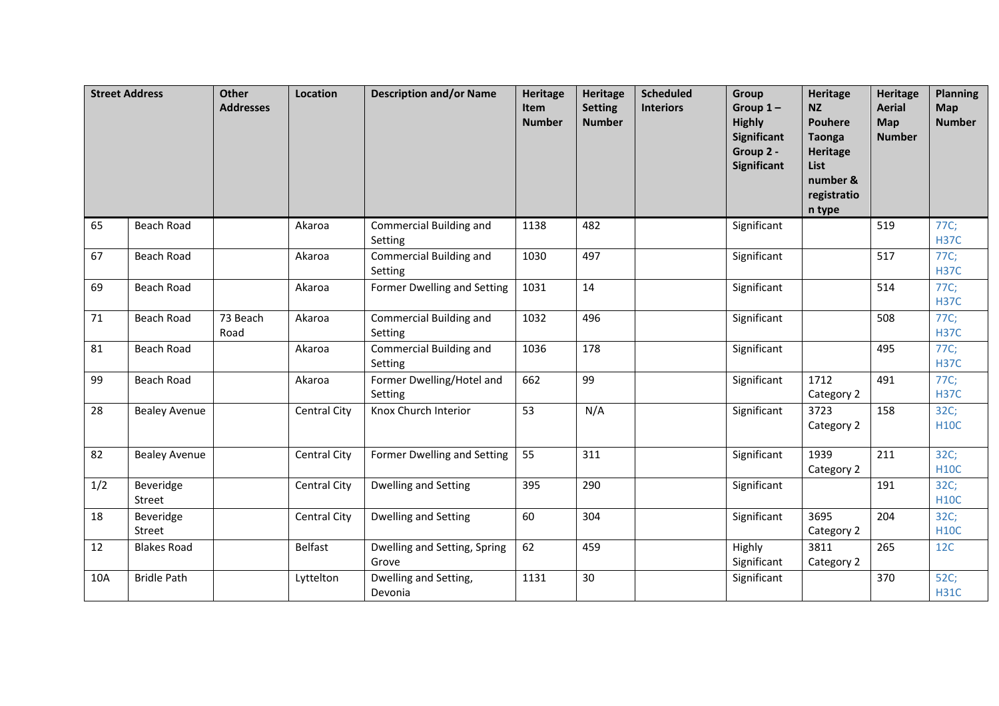|     | <b>Street Address</b> | <b>Other</b><br><b>Addresses</b> | Location            | <b>Description and/or Name</b>        | Heritage<br>Item<br><b>Number</b> | <b>Heritage</b><br><b>Setting</b><br><b>Number</b> | <b>Scheduled</b><br><b>Interiors</b> | Group<br>Group $1-$<br><b>Highly</b><br><b>Significant</b><br>Group 2 -<br><b>Significant</b> | <b>Heritage</b><br><b>NZ</b><br><b>Pouhere</b><br><b>Taonga</b><br><b>Heritage</b><br>List<br>number &<br>registratio<br>n type | <b>Heritage</b><br><b>Aerial</b><br>Map<br><b>Number</b> | <b>Planning</b><br>Map<br><b>Number</b> |
|-----|-----------------------|----------------------------------|---------------------|---------------------------------------|-----------------------------------|----------------------------------------------------|--------------------------------------|-----------------------------------------------------------------------------------------------|---------------------------------------------------------------------------------------------------------------------------------|----------------------------------------------------------|-----------------------------------------|
| 65  | <b>Beach Road</b>     |                                  | Akaroa              | Commercial Building and<br>Setting    | 1138                              | 482                                                |                                      | Significant                                                                                   |                                                                                                                                 | 519                                                      | 77C;<br><b>H37C</b>                     |
| 67  | <b>Beach Road</b>     |                                  | Akaroa              | Commercial Building and<br>Setting    | 1030                              | 497                                                |                                      | Significant                                                                                   |                                                                                                                                 | 517                                                      | 77C;<br><b>H37C</b>                     |
| 69  | <b>Beach Road</b>     |                                  | Akaroa              | Former Dwelling and Setting           | 1031                              | 14                                                 |                                      | Significant                                                                                   |                                                                                                                                 | 514                                                      | 77C;<br><b>H37C</b>                     |
| 71  | <b>Beach Road</b>     | 73 Beach<br>Road                 | Akaroa              | Commercial Building and<br>Setting    | 1032                              | 496                                                |                                      | Significant                                                                                   |                                                                                                                                 | 508                                                      | 77C;<br><b>H37C</b>                     |
| 81  | <b>Beach Road</b>     |                                  | Akaroa              | Commercial Building and<br>Setting    | 1036                              | 178                                                |                                      | Significant                                                                                   |                                                                                                                                 | 495                                                      | 77C;<br><b>H37C</b>                     |
| 99  | <b>Beach Road</b>     |                                  | Akaroa              | Former Dwelling/Hotel and<br>Setting  | 662                               | 99                                                 |                                      | Significant                                                                                   | 1712<br>Category 2                                                                                                              | 491                                                      | 77C;<br><b>H37C</b>                     |
| 28  | <b>Bealey Avenue</b>  |                                  | <b>Central City</b> | Knox Church Interior                  | 53                                | N/A                                                |                                      | Significant                                                                                   | 3723<br>Category 2                                                                                                              | 158                                                      | 32C;<br><b>H10C</b>                     |
| 82  | <b>Bealey Avenue</b>  |                                  | <b>Central City</b> | Former Dwelling and Setting           | 55                                | 311                                                |                                      | Significant                                                                                   | 1939<br>Category 2                                                                                                              | 211                                                      | 32C;<br><b>H10C</b>                     |
| 1/2 | Beveridge<br>Street   |                                  | Central City        | Dwelling and Setting                  | 395                               | 290                                                |                                      | Significant                                                                                   |                                                                                                                                 | 191                                                      | 32C;<br><b>H10C</b>                     |
| 18  | Beveridge<br>Street   |                                  | <b>Central City</b> | Dwelling and Setting                  | 60                                | 304                                                |                                      | Significant                                                                                   | 3695<br>Category 2                                                                                                              | 204                                                      | 32C;<br><b>H10C</b>                     |
| 12  | <b>Blakes Road</b>    |                                  | <b>Belfast</b>      | Dwelling and Setting, Spring<br>Grove | 62                                | 459                                                |                                      | Highly<br>Significant                                                                         | 3811<br>Category 2                                                                                                              | 265                                                      | 12C                                     |
| 10A | <b>Bridle Path</b>    |                                  | Lyttelton           | Dwelling and Setting,<br>Devonia      | 1131                              | 30                                                 |                                      | Significant                                                                                   |                                                                                                                                 | 370                                                      | 52C;<br><b>H31C</b>                     |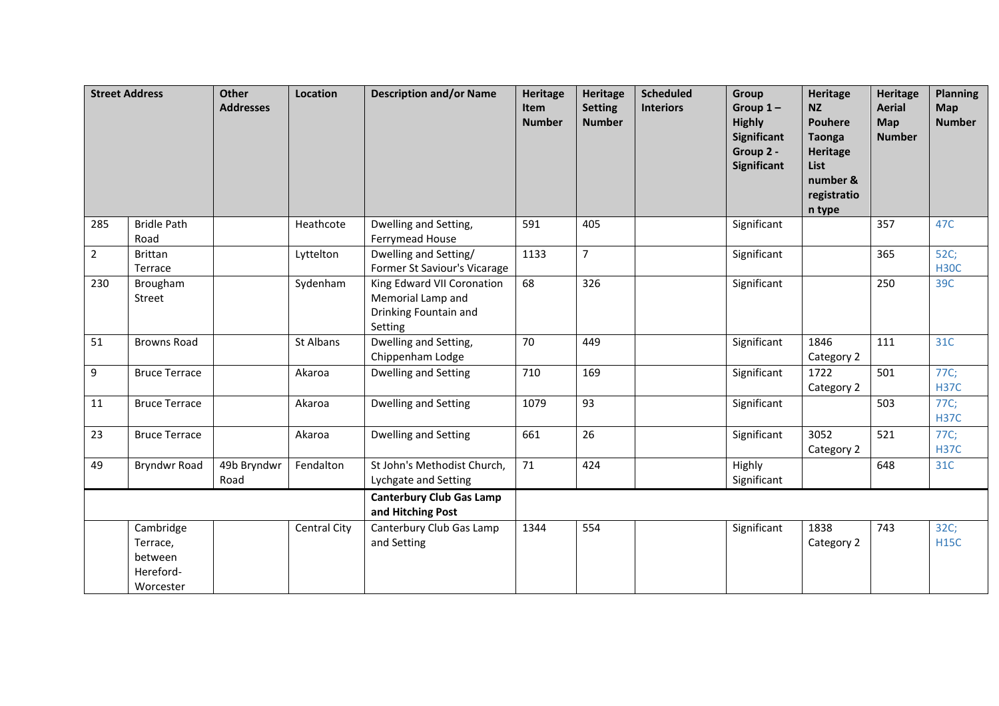|                | <b>Street Address</b>                                      | <b>Other</b><br><b>Addresses</b> | Location     | <b>Description and/or Name</b>                                                      | <b>Heritage</b><br>Item<br><b>Number</b> | <b>Heritage</b><br><b>Setting</b><br><b>Number</b> | <b>Scheduled</b><br><b>Interiors</b> | Group<br>Group $1-$<br><b>Highly</b><br>Significant<br>Group 2 -<br><b>Significant</b> | <b>Heritage</b><br><b>NZ</b><br><b>Pouhere</b><br><b>Taonga</b><br><b>Heritage</b><br>List<br>number &<br>registratio<br>n type | <b>Heritage</b><br><b>Aerial</b><br>Map<br><b>Number</b> | <b>Planning</b><br><b>Map</b><br><b>Number</b> |
|----------------|------------------------------------------------------------|----------------------------------|--------------|-------------------------------------------------------------------------------------|------------------------------------------|----------------------------------------------------|--------------------------------------|----------------------------------------------------------------------------------------|---------------------------------------------------------------------------------------------------------------------------------|----------------------------------------------------------|------------------------------------------------|
| 285            | <b>Bridle Path</b><br>Road                                 |                                  | Heathcote    | Dwelling and Setting,<br>Ferrymead House                                            | 591                                      | 405                                                |                                      | Significant                                                                            |                                                                                                                                 | 357                                                      | 47C                                            |
| $\overline{2}$ | <b>Brittan</b><br>Terrace                                  |                                  | Lyttelton    | Dwelling and Setting/<br>Former St Saviour's Vicarage                               | 1133                                     | $\overline{7}$                                     |                                      | Significant                                                                            |                                                                                                                                 | 365                                                      | 52C;<br><b>H30C</b>                            |
| 230            | Brougham<br>Street                                         |                                  | Sydenham     | King Edward VII Coronation<br>Memorial Lamp and<br>Drinking Fountain and<br>Setting | 68                                       | 326                                                |                                      | Significant                                                                            |                                                                                                                                 | 250                                                      | 39C                                            |
| 51             | <b>Browns Road</b>                                         |                                  | St Albans    | Dwelling and Setting,<br>Chippenham Lodge                                           | 70                                       | 449                                                |                                      | Significant                                                                            | 1846<br>Category 2                                                                                                              | 111                                                      | 31C                                            |
| 9              | <b>Bruce Terrace</b>                                       |                                  | Akaroa       | Dwelling and Setting                                                                | 710                                      | 169                                                |                                      | Significant                                                                            | 1722<br>Category 2                                                                                                              | 501                                                      | 77C;<br><b>H37C</b>                            |
| 11             | <b>Bruce Terrace</b>                                       |                                  | Akaroa       | <b>Dwelling and Setting</b>                                                         | 1079                                     | 93                                                 |                                      | Significant                                                                            |                                                                                                                                 | 503                                                      | 77C;<br><b>H37C</b>                            |
| 23             | <b>Bruce Terrace</b>                                       |                                  | Akaroa       | Dwelling and Setting                                                                | 661                                      | $\overline{26}$                                    |                                      | Significant                                                                            | 3052<br>Category 2                                                                                                              | 521                                                      | 77C;<br><b>H37C</b>                            |
| 49             | <b>Bryndwr Road</b>                                        | 49b Bryndwr<br>Road              | Fendalton    | St John's Methodist Church,<br>Lychgate and Setting                                 | 71                                       | 424                                                |                                      | Highly<br>Significant                                                                  |                                                                                                                                 | 648                                                      | 31C                                            |
|                |                                                            |                                  |              | <b>Canterbury Club Gas Lamp</b><br>and Hitching Post                                |                                          |                                                    |                                      |                                                                                        |                                                                                                                                 |                                                          |                                                |
|                | Cambridge<br>Terrace,<br>between<br>Hereford-<br>Worcester |                                  | Central City | Canterbury Club Gas Lamp<br>and Setting                                             | 1344                                     | 554                                                |                                      | Significant                                                                            | 1838<br>Category 2                                                                                                              | 743                                                      | 32C;<br><b>H15C</b>                            |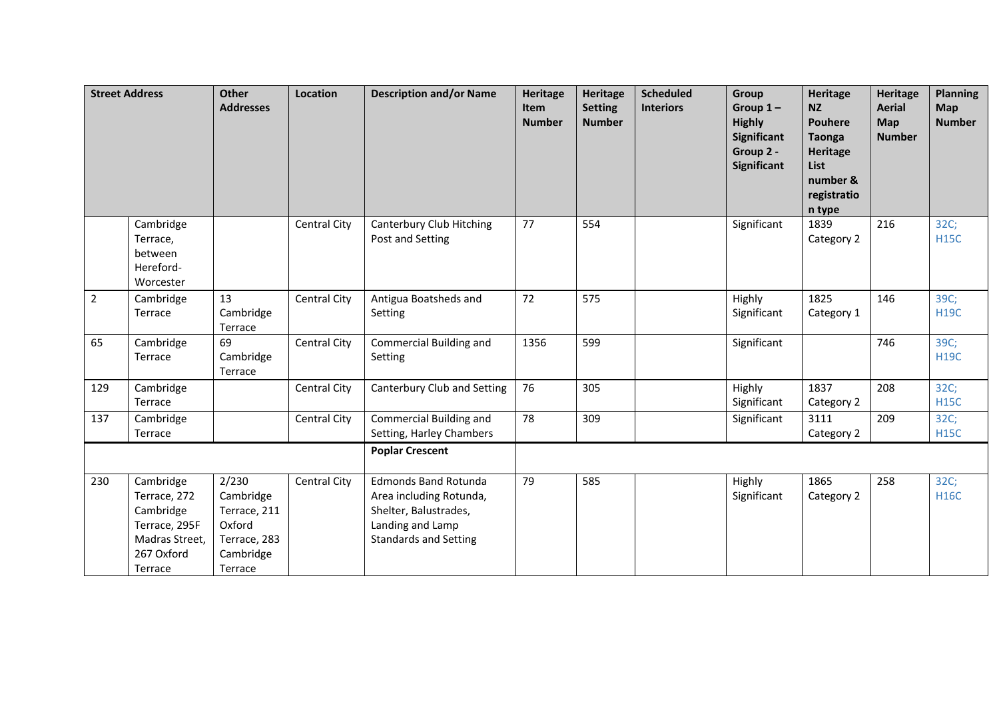|                | <b>Street Address</b>                                                                              | <b>Other</b><br><b>Addresses</b>                                                     | Location            | <b>Description and/or Name</b>                                                                                                      | <b>Heritage</b><br>Item<br><b>Number</b> | <b>Heritage</b><br><b>Setting</b><br><b>Number</b> | <b>Scheduled</b><br><b>Interiors</b> | Group<br>Group $1-$<br><b>Highly</b><br><b>Significant</b><br>Group 2 -<br><b>Significant</b> | <b>Heritage</b><br><b>NZ</b><br><b>Pouhere</b><br><b>Taonga</b><br>Heritage<br>List<br>number &<br>registratio<br>n type | <b>Heritage</b><br><b>Aerial</b><br>Map<br><b>Number</b> | <b>Planning</b><br>Map<br><b>Number</b> |
|----------------|----------------------------------------------------------------------------------------------------|--------------------------------------------------------------------------------------|---------------------|-------------------------------------------------------------------------------------------------------------------------------------|------------------------------------------|----------------------------------------------------|--------------------------------------|-----------------------------------------------------------------------------------------------|--------------------------------------------------------------------------------------------------------------------------|----------------------------------------------------------|-----------------------------------------|
|                | Cambridge<br>Terrace,<br>between<br>Hereford-<br>Worcester                                         |                                                                                      | <b>Central City</b> | Canterbury Club Hitching<br>Post and Setting                                                                                        | 77                                       | 554                                                |                                      | Significant                                                                                   | 1839<br>Category 2                                                                                                       | 216                                                      | 32C;<br><b>H15C</b>                     |
| $\overline{2}$ | Cambridge<br>Terrace                                                                               | 13<br>Cambridge<br>Terrace                                                           | Central City        | Antigua Boatsheds and<br>Setting                                                                                                    | 72                                       | 575                                                |                                      | Highly<br>Significant                                                                         | 1825<br>Category 1                                                                                                       | 146                                                      | 39C;<br><b>H19C</b>                     |
| 65             | Cambridge<br>Terrace                                                                               | 69<br>Cambridge<br>Terrace                                                           | <b>Central City</b> | Commercial Building and<br>Setting                                                                                                  | 1356                                     | 599                                                |                                      | Significant                                                                                   |                                                                                                                          | 746                                                      | 39C;<br><b>H19C</b>                     |
| 129            | Cambridge<br>Terrace                                                                               |                                                                                      | Central City        | Canterbury Club and Setting                                                                                                         | 76                                       | 305                                                |                                      | Highly<br>Significant                                                                         | 1837<br>Category 2                                                                                                       | 208                                                      | 32C;<br><b>H15C</b>                     |
| 137            | Cambridge<br>Terrace                                                                               |                                                                                      | Central City        | Commercial Building and<br>Setting, Harley Chambers                                                                                 | 78                                       | 309                                                |                                      | Significant                                                                                   | 3111<br>Category 2                                                                                                       | 209                                                      | 32C;<br><b>H15C</b>                     |
|                |                                                                                                    |                                                                                      |                     | <b>Poplar Crescent</b>                                                                                                              |                                          |                                                    |                                      |                                                                                               |                                                                                                                          |                                                          |                                         |
| 230            | Cambridge<br>Terrace, 272<br>Cambridge<br>Terrace, 295F<br>Madras Street,<br>267 Oxford<br>Terrace | 2/230<br>Cambridge<br>Terrace, 211<br>Oxford<br>Terrace, 283<br>Cambridge<br>Terrace | Central City        | <b>Edmonds Band Rotunda</b><br>Area including Rotunda,<br>Shelter, Balustrades,<br>Landing and Lamp<br><b>Standards and Setting</b> | 79                                       | 585                                                |                                      | Highly<br>Significant                                                                         | 1865<br>Category 2                                                                                                       | 258                                                      | 32C;<br><b>H16C</b>                     |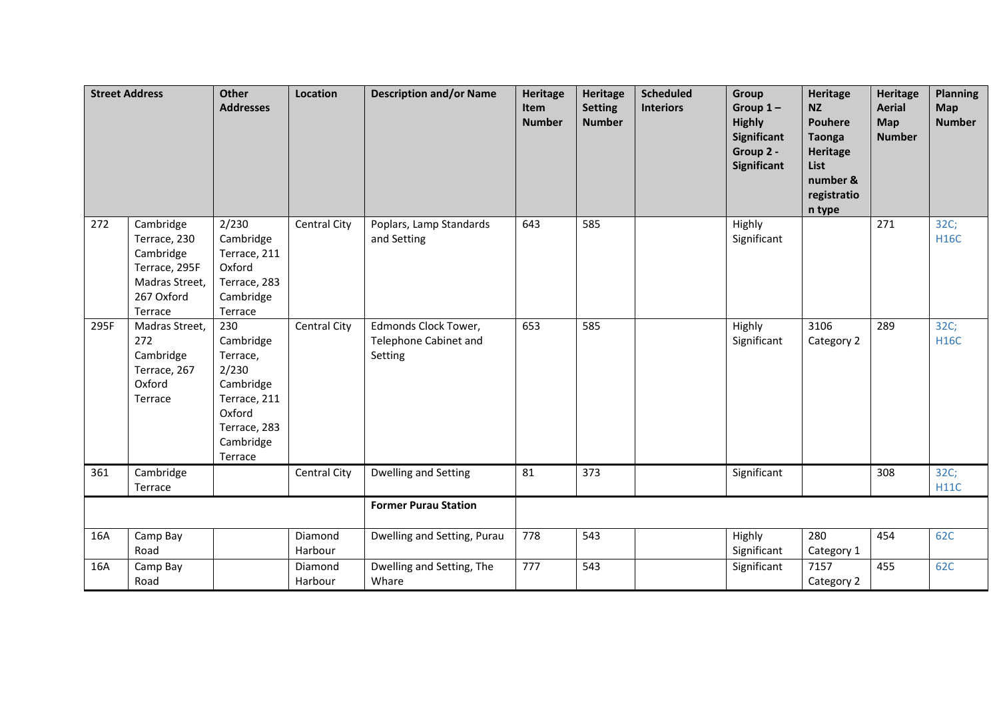|      | <b>Street Address</b>                                                                              | <b>Other</b><br><b>Addresses</b>                                                                                     | Location           | <b>Description and/or Name</b>                           | <b>Heritage</b><br>Item<br><b>Number</b> | <b>Heritage</b><br><b>Setting</b><br><b>Number</b> | <b>Scheduled</b><br><b>Interiors</b> | Group<br>Group $1-$<br><b>Highly</b><br><b>Significant</b><br>Group 2 -<br>Significant | <b>Heritage</b><br><b>NZ</b><br><b>Pouhere</b><br><b>Taonga</b><br><b>Heritage</b><br>List<br>number &<br>registratio<br>n type | <b>Heritage</b><br><b>Aerial</b><br>Map<br><b>Number</b> | <b>Planning</b><br>Map<br><b>Number</b> |
|------|----------------------------------------------------------------------------------------------------|----------------------------------------------------------------------------------------------------------------------|--------------------|----------------------------------------------------------|------------------------------------------|----------------------------------------------------|--------------------------------------|----------------------------------------------------------------------------------------|---------------------------------------------------------------------------------------------------------------------------------|----------------------------------------------------------|-----------------------------------------|
| 272  | Cambridge<br>Terrace, 230<br>Cambridge<br>Terrace, 295F<br>Madras Street,<br>267 Oxford<br>Terrace | 2/230<br>Cambridge<br>Terrace, 211<br>Oxford<br>Terrace, 283<br>Cambridge<br>Terrace                                 | Central City       | Poplars, Lamp Standards<br>and Setting                   | 643                                      | 585                                                |                                      | Highly<br>Significant                                                                  |                                                                                                                                 | 271                                                      | 32C;<br><b>H16C</b>                     |
| 295F | Madras Street,<br>272<br>Cambridge<br>Terrace, 267<br>Oxford<br>Terrace                            | 230<br>Cambridge<br>Terrace,<br>2/230<br>Cambridge<br>Terrace, 211<br>Oxford<br>Terrace, 283<br>Cambridge<br>Terrace | Central City       | Edmonds Clock Tower,<br>Telephone Cabinet and<br>Setting | 653                                      | 585                                                |                                      | Highly<br>Significant                                                                  | 3106<br>Category 2                                                                                                              | 289                                                      | 32C;<br><b>H16C</b>                     |
| 361  | Cambridge<br>Terrace                                                                               |                                                                                                                      | Central City       | Dwelling and Setting                                     | 81                                       | 373                                                |                                      | Significant                                                                            |                                                                                                                                 | 308                                                      | 32C;<br><b>H11C</b>                     |
|      |                                                                                                    |                                                                                                                      |                    | <b>Former Purau Station</b>                              |                                          |                                                    |                                      |                                                                                        |                                                                                                                                 |                                                          |                                         |
| 16A  | Camp Bay<br>Road                                                                                   |                                                                                                                      | Diamond<br>Harbour | Dwelling and Setting, Purau                              | 778                                      | 543                                                |                                      | Highly<br>Significant                                                                  | 280<br>Category 1                                                                                                               | 454                                                      | 62C                                     |
| 16A  | Camp Bay<br>Road                                                                                   |                                                                                                                      | Diamond<br>Harbour | Dwelling and Setting, The<br>Whare                       | 777                                      | 543                                                |                                      | Significant                                                                            | 7157<br>Category 2                                                                                                              | 455                                                      | 62C                                     |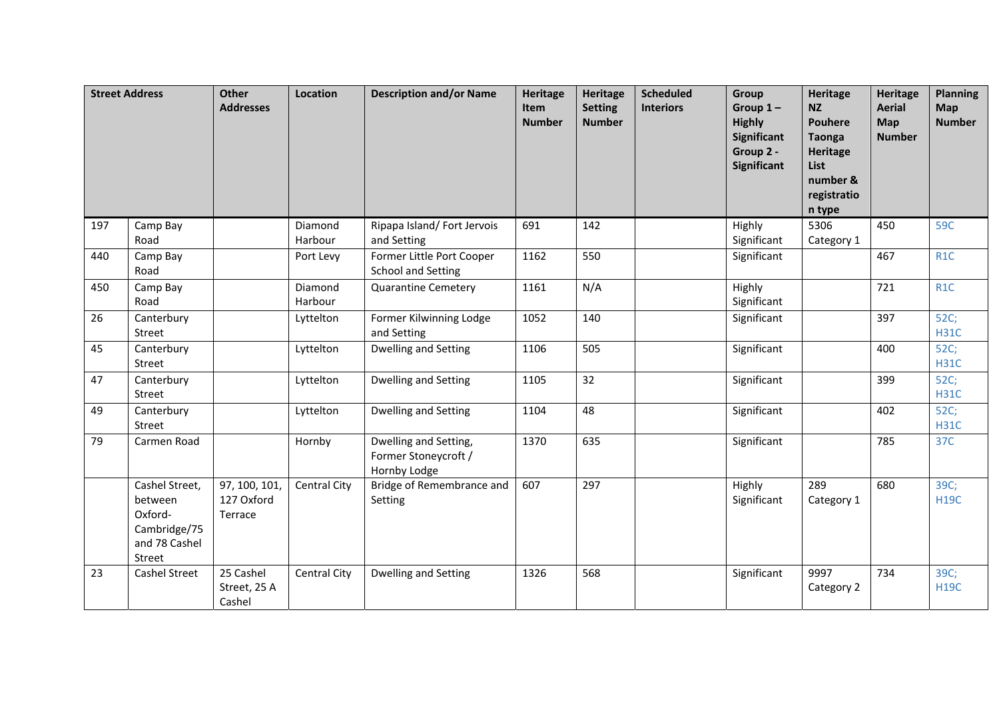|     | <b>Street Address</b>                                                           | <b>Other</b><br><b>Addresses</b>       | Location            | <b>Description and/or Name</b>                                | Heritage<br>Item<br><b>Number</b> | <b>Heritage</b><br><b>Setting</b><br><b>Number</b> | <b>Scheduled</b><br><b>Interiors</b> | Group<br>Group $1-$<br><b>Highly</b><br><b>Significant</b><br>Group 2 -<br><b>Significant</b> | <b>Heritage</b><br><b>NZ</b><br><b>Pouhere</b><br><b>Taonga</b><br><b>Heritage</b><br><b>List</b><br>number &<br>registratio<br>n type | <b>Heritage</b><br><b>Aerial</b><br>Map<br><b>Number</b> | <b>Planning</b><br>Map<br><b>Number</b> |
|-----|---------------------------------------------------------------------------------|----------------------------------------|---------------------|---------------------------------------------------------------|-----------------------------------|----------------------------------------------------|--------------------------------------|-----------------------------------------------------------------------------------------------|----------------------------------------------------------------------------------------------------------------------------------------|----------------------------------------------------------|-----------------------------------------|
| 197 | Camp Bay<br>Road                                                                |                                        | Diamond<br>Harbour  | Ripapa Island/Fort Jervois<br>and Setting                     | 691                               | 142                                                |                                      | Highly<br>Significant                                                                         | 5306<br>Category 1                                                                                                                     | 450                                                      | 59C                                     |
| 440 | Camp Bay<br>Road                                                                |                                        | Port Levy           | Former Little Port Cooper<br><b>School and Setting</b>        | 1162                              | 550                                                |                                      | Significant                                                                                   |                                                                                                                                        | 467                                                      | R <sub>1</sub> C                        |
| 450 | Camp Bay<br>Road                                                                |                                        | Diamond<br>Harbour  | <b>Quarantine Cemetery</b>                                    | 1161                              | N/A                                                |                                      | Highly<br>Significant                                                                         |                                                                                                                                        | 721                                                      | R <sub>1</sub> C                        |
| 26  | Canterbury<br>Street                                                            |                                        | Lyttelton           | Former Kilwinning Lodge<br>and Setting                        | 1052                              | 140                                                |                                      | Significant                                                                                   |                                                                                                                                        | 397                                                      | 52C;<br><b>H31C</b>                     |
| 45  | Canterbury<br>Street                                                            |                                        | Lyttelton           | <b>Dwelling and Setting</b>                                   | 1106                              | 505                                                |                                      | Significant                                                                                   |                                                                                                                                        | 400                                                      | 52C;<br><b>H31C</b>                     |
| 47  | Canterbury<br>Street                                                            |                                        | Lyttelton           | Dwelling and Setting                                          | 1105                              | 32                                                 |                                      | Significant                                                                                   |                                                                                                                                        | 399                                                      | 52C;<br><b>H31C</b>                     |
| 49  | Canterbury<br>Street                                                            |                                        | Lyttelton           | Dwelling and Setting                                          | 1104                              | 48                                                 |                                      | Significant                                                                                   |                                                                                                                                        | 402                                                      | 52C;<br><b>H31C</b>                     |
| 79  | Carmen Road                                                                     |                                        | Hornby              | Dwelling and Setting,<br>Former Stoneycroft /<br>Hornby Lodge | 1370                              | 635                                                |                                      | Significant                                                                                   |                                                                                                                                        | 785                                                      | 37C                                     |
|     | Cashel Street,<br>between<br>Oxford-<br>Cambridge/75<br>and 78 Cashel<br>Street | 97, 100, 101,<br>127 Oxford<br>Terrace | Central City        | Bridge of Remembrance and<br>Setting                          | 607                               | 297                                                |                                      | Highly<br>Significant                                                                         | 289<br>Category 1                                                                                                                      | 680                                                      | 39C;<br><b>H19C</b>                     |
| 23  | <b>Cashel Street</b>                                                            | 25 Cashel<br>Street, 25 A<br>Cashel    | <b>Central City</b> | Dwelling and Setting                                          | 1326                              | 568                                                |                                      | Significant                                                                                   | 9997<br>Category 2                                                                                                                     | 734                                                      | 39C;<br><b>H19C</b>                     |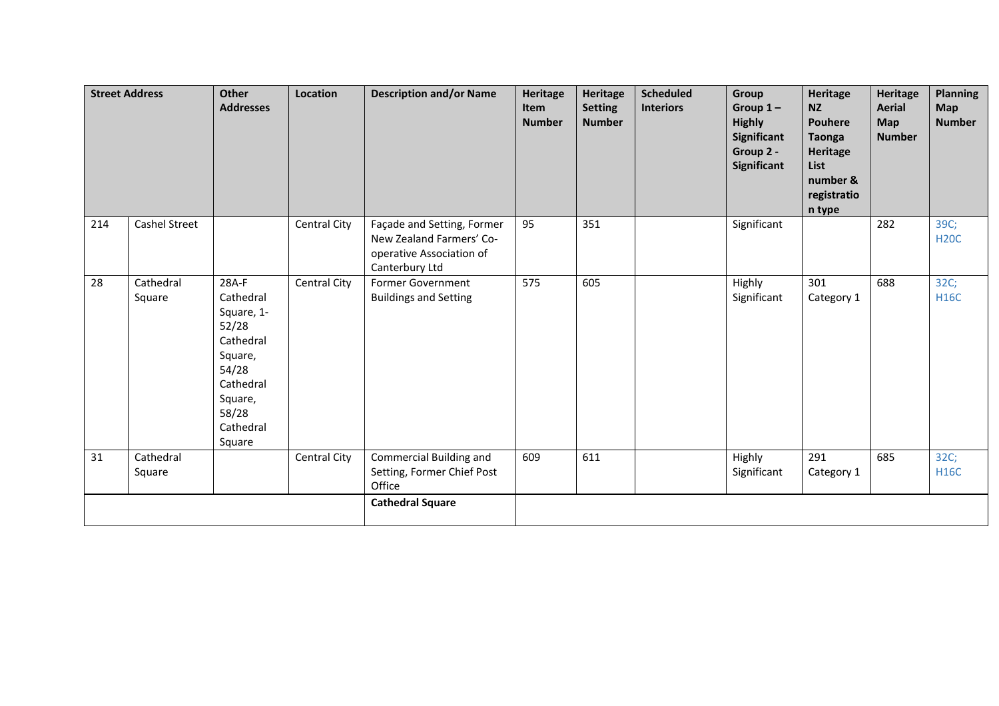|     | <b>Street Address</b> | Other<br><b>Addresses</b>                                                                                                          | Location            | <b>Description and/or Name</b>                                                                       | <b>Heritage</b><br>Item<br><b>Number</b> | Heritage<br><b>Setting</b><br><b>Number</b> | <b>Scheduled</b><br><b>Interiors</b> | Group<br>Group $1-$<br><b>Highly</b><br>Significant<br>Group 2 -<br>Significant | <b>Heritage</b><br><b>NZ</b><br><b>Pouhere</b><br><b>Taonga</b><br><b>Heritage</b><br>List<br>number &<br>registratio<br>n type | <b>Heritage</b><br><b>Aerial</b><br>Map<br><b>Number</b> | <b>Planning</b><br><b>Map</b><br><b>Number</b> |
|-----|-----------------------|------------------------------------------------------------------------------------------------------------------------------------|---------------------|------------------------------------------------------------------------------------------------------|------------------------------------------|---------------------------------------------|--------------------------------------|---------------------------------------------------------------------------------|---------------------------------------------------------------------------------------------------------------------------------|----------------------------------------------------------|------------------------------------------------|
| 214 | <b>Cashel Street</b>  |                                                                                                                                    | Central City        | Façade and Setting, Former<br>New Zealand Farmers' Co-<br>operative Association of<br>Canterbury Ltd | 95                                       | 351                                         |                                      | Significant                                                                     |                                                                                                                                 | 282                                                      | 39C;<br><b>H20C</b>                            |
| 28  | Cathedral<br>Square   | 28A-F<br>Cathedral<br>Square, 1-<br>52/28<br>Cathedral<br>Square,<br>54/28<br>Cathedral<br>Square,<br>58/28<br>Cathedral<br>Square | <b>Central City</b> | <b>Former Government</b><br><b>Buildings and Setting</b>                                             | 575                                      | 605                                         |                                      | Highly<br>Significant                                                           | 301<br>Category 1                                                                                                               | 688                                                      | 32C;<br><b>H16C</b>                            |
| 31  | Cathedral<br>Square   |                                                                                                                                    | Central City        | Commercial Building and<br>Setting, Former Chief Post<br>Office                                      | 609                                      | 611                                         |                                      | Highly<br>Significant                                                           | 291<br>Category 1                                                                                                               | 685                                                      | 32C;<br><b>H16C</b>                            |
|     |                       |                                                                                                                                    |                     | <b>Cathedral Square</b>                                                                              |                                          |                                             |                                      |                                                                                 |                                                                                                                                 |                                                          |                                                |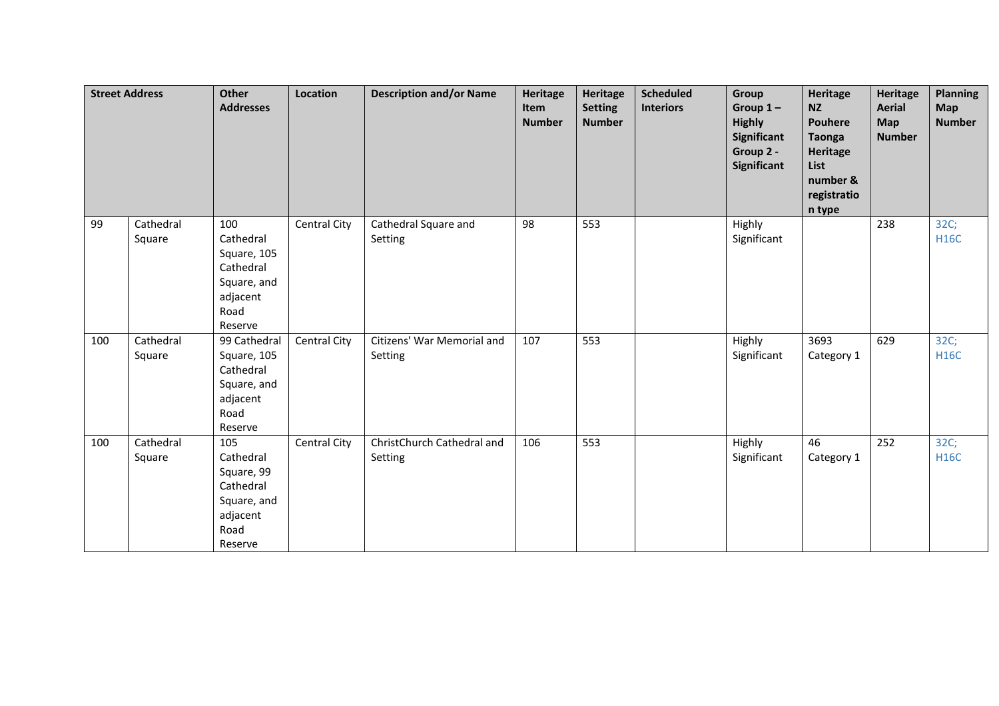|     | <b>Street Address</b> | <b>Other</b><br><b>Addresses</b>                                                           | Location     | <b>Description and/or Name</b>        | <b>Heritage</b><br>Item<br><b>Number</b> | Heritage<br><b>Setting</b><br><b>Number</b> | <b>Scheduled</b><br><b>Interiors</b> | Group<br>Group $1-$<br><b>Highly</b><br>Significant<br>Group 2 -<br>Significant | <b>Heritage</b><br><b>NZ</b><br><b>Pouhere</b><br><b>Taonga</b><br><b>Heritage</b><br>List<br>number &<br>registratio<br>n type | <b>Heritage</b><br><b>Aerial</b><br>Map<br><b>Number</b> | <b>Planning</b><br><b>Map</b><br><b>Number</b> |
|-----|-----------------------|--------------------------------------------------------------------------------------------|--------------|---------------------------------------|------------------------------------------|---------------------------------------------|--------------------------------------|---------------------------------------------------------------------------------|---------------------------------------------------------------------------------------------------------------------------------|----------------------------------------------------------|------------------------------------------------|
| 99  | Cathedral<br>Square   | 100<br>Cathedral<br>Square, 105<br>Cathedral<br>Square, and<br>adjacent<br>Road<br>Reserve | Central City | Cathedral Square and<br>Setting       | 98                                       | 553                                         |                                      | Highly<br>Significant                                                           |                                                                                                                                 | 238                                                      | 32C;<br><b>H16C</b>                            |
| 100 | Cathedral<br>Square   | 99 Cathedral<br>Square, 105<br>Cathedral<br>Square, and<br>adjacent<br>Road<br>Reserve     | Central City | Citizens' War Memorial and<br>Setting | 107                                      | 553                                         |                                      | Highly<br>Significant                                                           | 3693<br>Category 1                                                                                                              | 629                                                      | 32C;<br><b>H16C</b>                            |
| 100 | Cathedral<br>Square   | 105<br>Cathedral<br>Square, 99<br>Cathedral<br>Square, and<br>adjacent<br>Road<br>Reserve  | Central City | ChristChurch Cathedral and<br>Setting | 106                                      | 553                                         |                                      | Highly<br>Significant                                                           | 46<br>Category 1                                                                                                                | 252                                                      | 32C;<br><b>H16C</b>                            |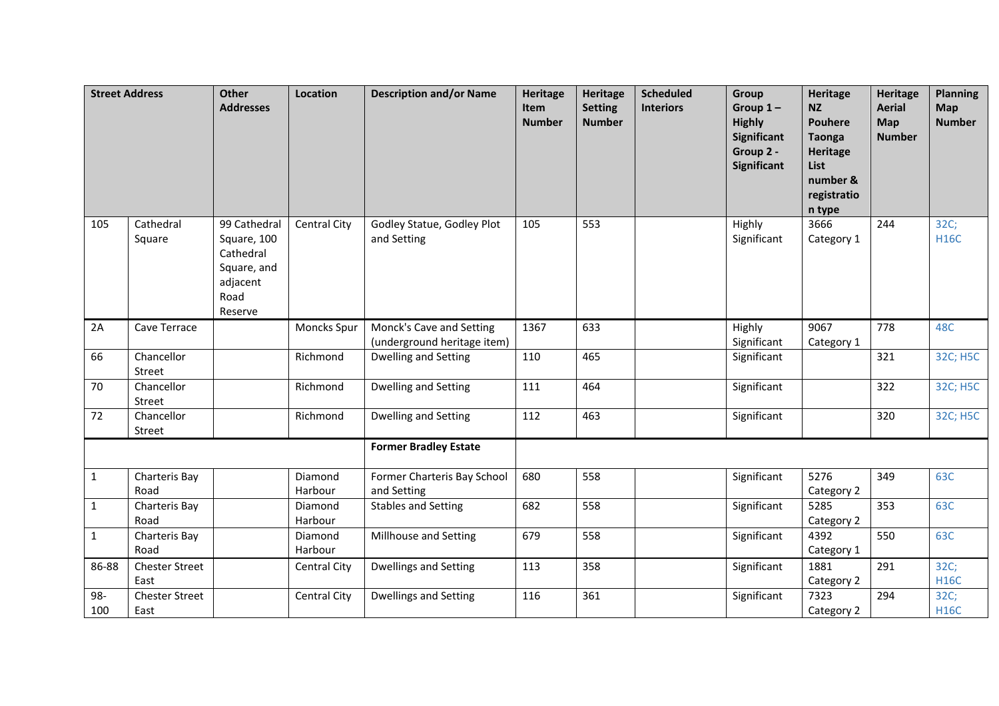| <b>Street Address</b> |                               | <b>Other</b><br><b>Addresses</b>                                                       | Location                     | <b>Description and/or Name</b>                          | <b>Heritage</b><br><b>Item</b><br><b>Number</b> | <b>Heritage</b><br><b>Setting</b><br><b>Number</b> | <b>Scheduled</b><br><b>Interiors</b> | Group<br>Group $1-$<br><b>Highly</b><br>Significant<br>Group 2 -<br><b>Significant</b> | <b>Heritage</b><br><b>NZ</b><br><b>Pouhere</b><br><b>Taonga</b><br>Heritage<br>List<br>number &<br>registratio<br>n type | <b>Heritage</b><br><b>Aerial</b><br>Map<br><b>Number</b> | <b>Planning</b><br>Map<br><b>Number</b> |
|-----------------------|-------------------------------|----------------------------------------------------------------------------------------|------------------------------|---------------------------------------------------------|-------------------------------------------------|----------------------------------------------------|--------------------------------------|----------------------------------------------------------------------------------------|--------------------------------------------------------------------------------------------------------------------------|----------------------------------------------------------|-----------------------------------------|
| 105                   | Cathedral<br>Square           | 99 Cathedral<br>Square, 100<br>Cathedral<br>Square, and<br>adjacent<br>Road<br>Reserve | Central City                 | Godley Statue, Godley Plot<br>and Setting               | 105                                             | 553                                                |                                      | Highly<br>Significant                                                                  | 3666<br>Category 1                                                                                                       | 244                                                      | 32C;<br><b>H16C</b>                     |
| 2A                    | Cave Terrace                  |                                                                                        | Moncks Spur                  | Monck's Cave and Setting<br>(underground heritage item) | 1367                                            | 633                                                |                                      | Highly<br>Significant                                                                  | 9067<br>Category 1                                                                                                       | 778                                                      | 48C                                     |
| 66                    | Chancellor<br>Street          |                                                                                        | Richmond                     | Dwelling and Setting                                    | 110                                             | 465                                                |                                      | Significant                                                                            |                                                                                                                          | 321                                                      | 32C; H5C                                |
| 70                    | Chancellor<br>Street          |                                                                                        | Richmond                     | Dwelling and Setting                                    | 111                                             | 464                                                |                                      | Significant                                                                            |                                                                                                                          | 322                                                      | 32C; H5C                                |
| 72                    | Chancellor<br><b>Street</b>   |                                                                                        | Richmond                     | <b>Dwelling and Setting</b>                             | 112                                             | 463                                                |                                      | Significant                                                                            |                                                                                                                          | 320                                                      | 32C; H5C                                |
|                       |                               |                                                                                        | <b>Former Bradley Estate</b> |                                                         |                                                 |                                                    |                                      |                                                                                        |                                                                                                                          |                                                          |                                         |
| $\mathbf{1}$          | Charteris Bay<br>Road         |                                                                                        | Diamond<br>Harbour           | Former Charteris Bay School<br>and Setting              | 680                                             | 558                                                |                                      | Significant                                                                            | 5276<br>Category 2                                                                                                       | 349                                                      | 63C                                     |
| 1                     | Charteris Bay<br>Road         |                                                                                        | Diamond<br>Harbour           | <b>Stables and Setting</b>                              | 682                                             | 558                                                |                                      | Significant                                                                            | 5285<br>Category 2                                                                                                       | 353                                                      | 63C                                     |
| 1                     | Charteris Bay<br>Road         |                                                                                        | Diamond<br>Harbour           | Millhouse and Setting                                   | 679                                             | 558                                                |                                      | Significant                                                                            | 4392<br>Category 1                                                                                                       | 550                                                      | 63C                                     |
| 86-88                 | <b>Chester Street</b><br>East |                                                                                        | <b>Central City</b>          | <b>Dwellings and Setting</b>                            | 113                                             | 358                                                |                                      | Significant                                                                            | 1881<br>Category 2                                                                                                       | 291                                                      | 32C;<br><b>H16C</b>                     |
| 98-<br>100            | <b>Chester Street</b><br>East |                                                                                        | <b>Central City</b>          | <b>Dwellings and Setting</b>                            | 116                                             | 361                                                |                                      | Significant                                                                            | 7323<br>Category 2                                                                                                       | 294                                                      | 32C;<br><b>H16C</b>                     |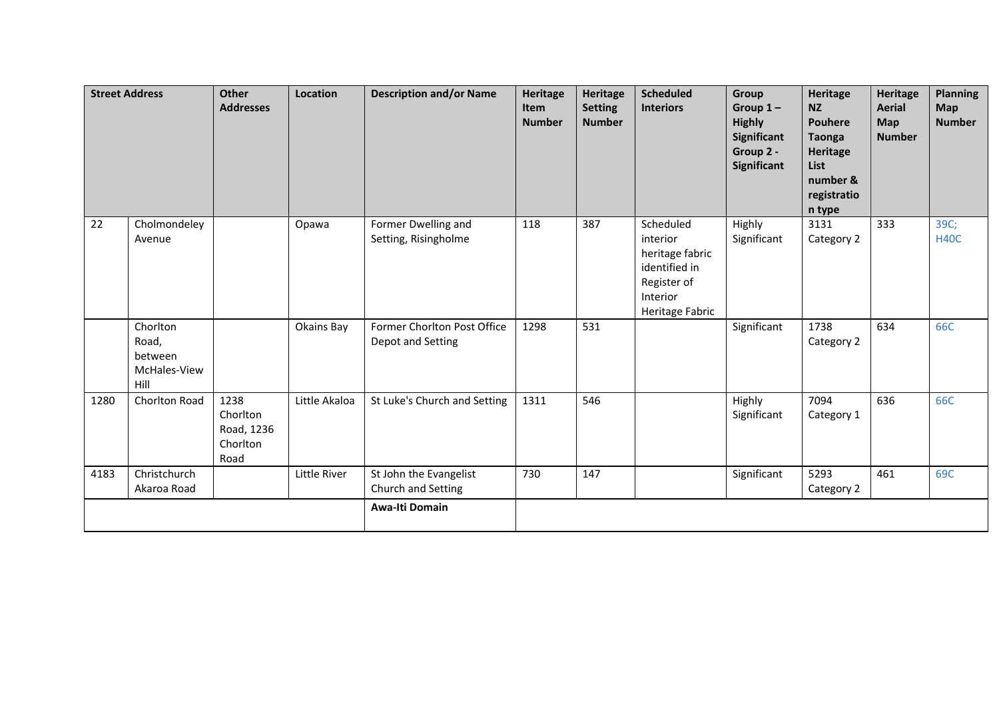| <b>Street Address</b> |                                                      | <b>Other</b><br><b>Addresses</b>                   | Location      | <b>Description and/or Name</b>                   | <b>Heritage</b><br><b>Item</b><br><b>Number</b> | <b>Heritage</b><br><b>Setting</b><br><b>Number</b> | <b>Scheduled</b><br><b>Interiors</b>                                                                    | Group<br>Group $1-$<br><b>Highly</b><br>Significant<br>Group 2 -<br><b>Significant</b> | <b>Heritage</b><br><b>NZ</b><br><b>Pouhere</b><br><b>Taonga</b><br>Heritage<br>List<br>number &<br>registratio<br>n type | <b>Heritage</b><br><b>Aerial</b><br>Map<br><b>Number</b> | <b>Planning</b><br><b>Map</b><br><b>Number</b> |
|-----------------------|------------------------------------------------------|----------------------------------------------------|---------------|--------------------------------------------------|-------------------------------------------------|----------------------------------------------------|---------------------------------------------------------------------------------------------------------|----------------------------------------------------------------------------------------|--------------------------------------------------------------------------------------------------------------------------|----------------------------------------------------------|------------------------------------------------|
| 22                    | Cholmondeley<br>Avenue                               |                                                    | Opawa         | Former Dwelling and<br>Setting, Risingholme      | 118                                             | 387                                                | Scheduled<br>interior<br>heritage fabric<br>identified in<br>Register of<br>Interior<br>Heritage Fabric | Highly<br>Significant                                                                  | 3131<br>Category 2                                                                                                       | 333                                                      | 39C;<br><b>H40C</b>                            |
|                       | Chorlton<br>Road,<br>between<br>McHales-View<br>Hill |                                                    | Okains Bay    | Former Chorlton Post Office<br>Depot and Setting | 1298                                            | 531                                                |                                                                                                         | Significant                                                                            | 1738<br>Category 2                                                                                                       | 634                                                      | 66C                                            |
| 1280                  | Chorlton Road                                        | 1238<br>Chorlton<br>Road, 1236<br>Chorlton<br>Road | Little Akaloa | St Luke's Church and Setting                     | 1311                                            | 546                                                |                                                                                                         | Highly<br>Significant                                                                  | 7094<br>Category 1                                                                                                       | 636                                                      | 66C                                            |
| 4183                  | Christchurch<br>Akaroa Road                          |                                                    | Little River  | St John the Evangelist<br>Church and Setting     | 730                                             | 147                                                |                                                                                                         | Significant                                                                            | 5293<br>Category 2                                                                                                       | 461                                                      | 69C                                            |
|                       |                                                      |                                                    |               | Awa-Iti Domain                                   |                                                 |                                                    |                                                                                                         |                                                                                        |                                                                                                                          |                                                          |                                                |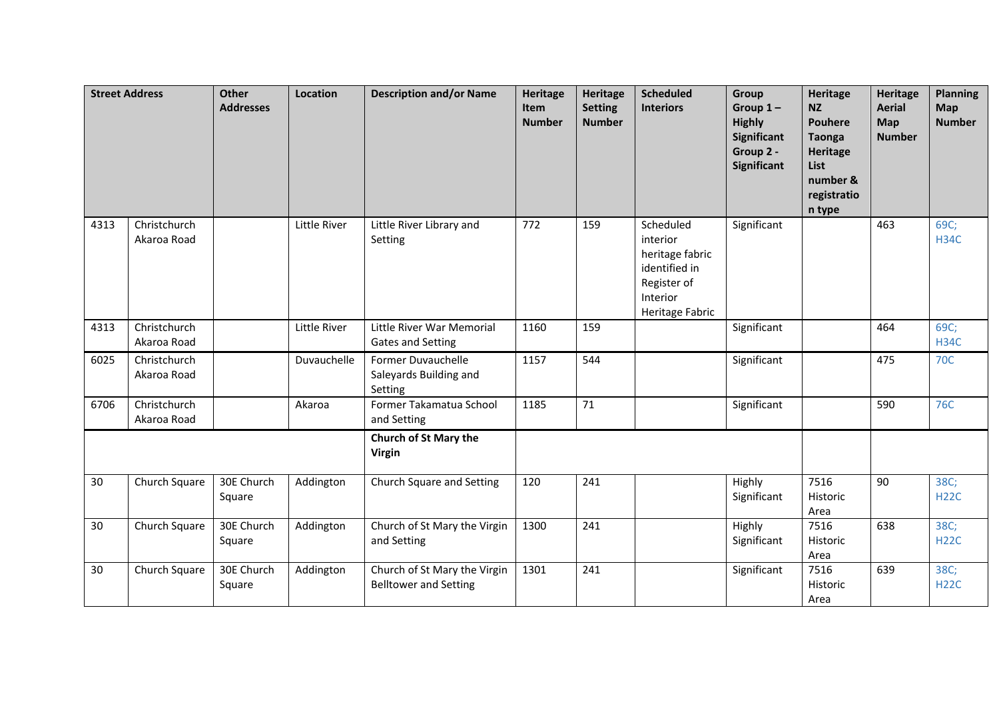| <b>Street Address</b> |                             | <b>Other</b><br><b>Addresses</b> | Location     | <b>Description and/or Name</b>                               | <b>Heritage</b><br><b>Item</b><br><b>Number</b> | <b>Heritage</b><br><b>Setting</b><br><b>Number</b> | <b>Scheduled</b><br><b>Interiors</b>                                                                    | Group<br>Group $1-$<br><b>Highly</b><br><b>Significant</b><br>Group 2 -<br>Significant | <b>Heritage</b><br><b>NZ</b><br><b>Pouhere</b><br><b>Taonga</b><br><b>Heritage</b><br>List<br>number &<br>registratio<br>n type | <b>Heritage</b><br><b>Aerial</b><br><b>Map</b><br><b>Number</b> | <b>Planning</b><br>Map<br><b>Number</b> |
|-----------------------|-----------------------------|----------------------------------|--------------|--------------------------------------------------------------|-------------------------------------------------|----------------------------------------------------|---------------------------------------------------------------------------------------------------------|----------------------------------------------------------------------------------------|---------------------------------------------------------------------------------------------------------------------------------|-----------------------------------------------------------------|-----------------------------------------|
| 4313                  | Christchurch<br>Akaroa Road |                                  | Little River | Little River Library and<br>Setting                          | 772                                             | 159                                                | Scheduled<br>interior<br>heritage fabric<br>identified in<br>Register of<br>Interior<br>Heritage Fabric | Significant                                                                            |                                                                                                                                 | 463                                                             | 69C;<br><b>H34C</b>                     |
| 4313                  | Christchurch<br>Akaroa Road |                                  | Little River | Little River War Memorial<br><b>Gates and Setting</b>        | 1160                                            | 159                                                |                                                                                                         | Significant                                                                            |                                                                                                                                 | 464                                                             | 69C;<br><b>H34C</b>                     |
| 6025                  | Christchurch<br>Akaroa Road |                                  | Duvauchelle  | Former Duvauchelle<br>Saleyards Building and<br>Setting      | 1157                                            | 544                                                |                                                                                                         | Significant                                                                            |                                                                                                                                 | 475                                                             | <b>70C</b>                              |
| 6706                  | Christchurch<br>Akaroa Road |                                  | Akaroa       | Former Takamatua School<br>and Setting                       | 1185                                            | 71                                                 |                                                                                                         | Significant                                                                            |                                                                                                                                 | 590                                                             | <b>76C</b>                              |
|                       |                             |                                  |              | <b>Church of St Mary the</b><br><b>Virgin</b>                |                                                 |                                                    |                                                                                                         |                                                                                        |                                                                                                                                 |                                                                 |                                         |
| 30                    | Church Square               | 30E Church<br>Square             | Addington    | Church Square and Setting                                    | 120                                             | 241                                                |                                                                                                         | Highly<br>Significant                                                                  | 7516<br>Historic<br>Area                                                                                                        | 90                                                              | 38C;<br><b>H22C</b>                     |
| 30                    | Church Square               | 30E Church<br>Square             | Addington    | Church of St Mary the Virgin<br>and Setting                  | 1300                                            | 241                                                |                                                                                                         | Highly<br>Significant                                                                  | 7516<br>Historic<br>Area                                                                                                        | 638                                                             | 38C;<br><b>H22C</b>                     |
| 30                    | Church Square               | 30E Church<br>Square             | Addington    | Church of St Mary the Virgin<br><b>Belltower and Setting</b> | 1301                                            | 241                                                |                                                                                                         | Significant                                                                            | 7516<br>Historic<br>Area                                                                                                        | 639                                                             | 38C;<br><b>H22C</b>                     |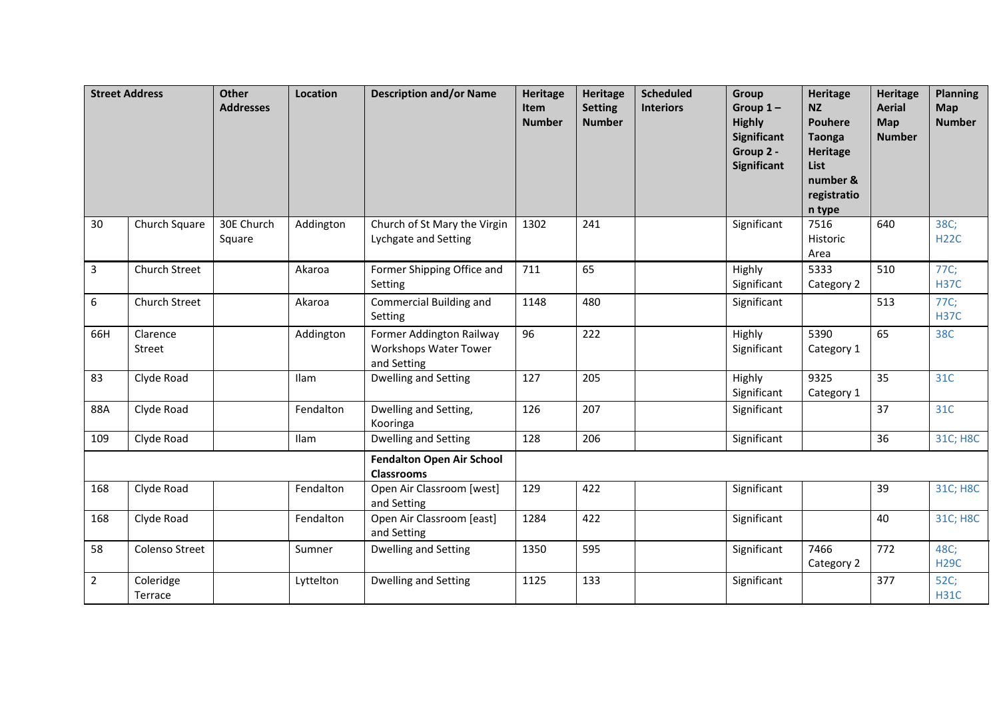|                | <b>Street Address</b> | <b>Other</b><br><b>Addresses</b> | Location  | <b>Description and/or Name</b>                                   | <b>Heritage</b><br>Item<br><b>Number</b> | <b>Heritage</b><br><b>Setting</b><br><b>Number</b> | <b>Scheduled</b><br><b>Interiors</b> | Group<br>Group $1-$<br><b>Highly</b><br><b>Significant</b><br>Group 2 -<br>Significant | <b>Heritage</b><br><b>NZ</b><br><b>Pouhere</b><br><b>Taonga</b><br><b>Heritage</b><br>List<br>number &<br>registratio<br>n type | <b>Heritage</b><br><b>Aerial</b><br><b>Map</b><br><b>Number</b> | <b>Planning</b><br>Map<br><b>Number</b> |
|----------------|-----------------------|----------------------------------|-----------|------------------------------------------------------------------|------------------------------------------|----------------------------------------------------|--------------------------------------|----------------------------------------------------------------------------------------|---------------------------------------------------------------------------------------------------------------------------------|-----------------------------------------------------------------|-----------------------------------------|
| 30             | Church Square         | 30E Church<br>Square             | Addington | Church of St Mary the Virgin<br>Lychgate and Setting             | 1302                                     | 241                                                |                                      | Significant                                                                            | 7516<br>Historic<br>Area                                                                                                        | 640                                                             | 38C;<br><b>H22C</b>                     |
| $\overline{3}$ | Church Street         |                                  | Akaroa    | Former Shipping Office and<br>Setting                            | 711                                      | 65                                                 |                                      | Highly<br>Significant                                                                  | 5333<br>Category 2                                                                                                              | 510                                                             | 77C;<br><b>H37C</b>                     |
| 6              | Church Street         |                                  | Akaroa    | Commercial Building and<br>Setting                               | 1148                                     | 480                                                |                                      | Significant                                                                            |                                                                                                                                 | 513                                                             | 77C;<br><b>H37C</b>                     |
| 66H            | Clarence<br>Street    |                                  | Addington | Former Addington Railway<br>Workshops Water Tower<br>and Setting | 96                                       | 222                                                |                                      | Highly<br>Significant                                                                  | 5390<br>Category 1                                                                                                              | 65                                                              | 38C                                     |
| 83             | Clyde Road            |                                  | Ilam      | Dwelling and Setting                                             | 127                                      | 205                                                |                                      | Highly<br>Significant                                                                  | 9325<br>Category 1                                                                                                              | 35                                                              | 31C                                     |
| 88A            | Clyde Road            |                                  | Fendalton | Dwelling and Setting,<br>Kooringa                                | 126                                      | 207                                                |                                      | Significant                                                                            |                                                                                                                                 | 37                                                              | 31C                                     |
| 109            | Clyde Road            |                                  | Ilam      | Dwelling and Setting                                             | 128                                      | 206                                                |                                      | Significant                                                                            |                                                                                                                                 | 36                                                              | 31C; H8C                                |
|                |                       |                                  |           | <b>Fendalton Open Air School</b><br><b>Classrooms</b>            |                                          |                                                    |                                      |                                                                                        |                                                                                                                                 |                                                                 |                                         |
| 168            | Clyde Road            |                                  | Fendalton | Open Air Classroom [west]<br>and Setting                         | 129                                      | 422                                                |                                      | Significant                                                                            |                                                                                                                                 | 39                                                              | 31C; H8C                                |
| 168            | Clyde Road            |                                  | Fendalton | Open Air Classroom [east]<br>and Setting                         | 1284                                     | 422                                                |                                      | Significant                                                                            |                                                                                                                                 | 40                                                              | 31C; H8C                                |
| 58             | Colenso Street        |                                  | Sumner    | <b>Dwelling and Setting</b>                                      | 1350                                     | 595                                                |                                      | Significant                                                                            | 7466<br>Category 2                                                                                                              | 772                                                             | 48C;<br><b>H29C</b>                     |
| $\overline{2}$ | Coleridge<br>Terrace  |                                  | Lyttelton | Dwelling and Setting                                             | 1125                                     | 133                                                |                                      | Significant                                                                            |                                                                                                                                 | 377                                                             | 52C;<br><b>H31C</b>                     |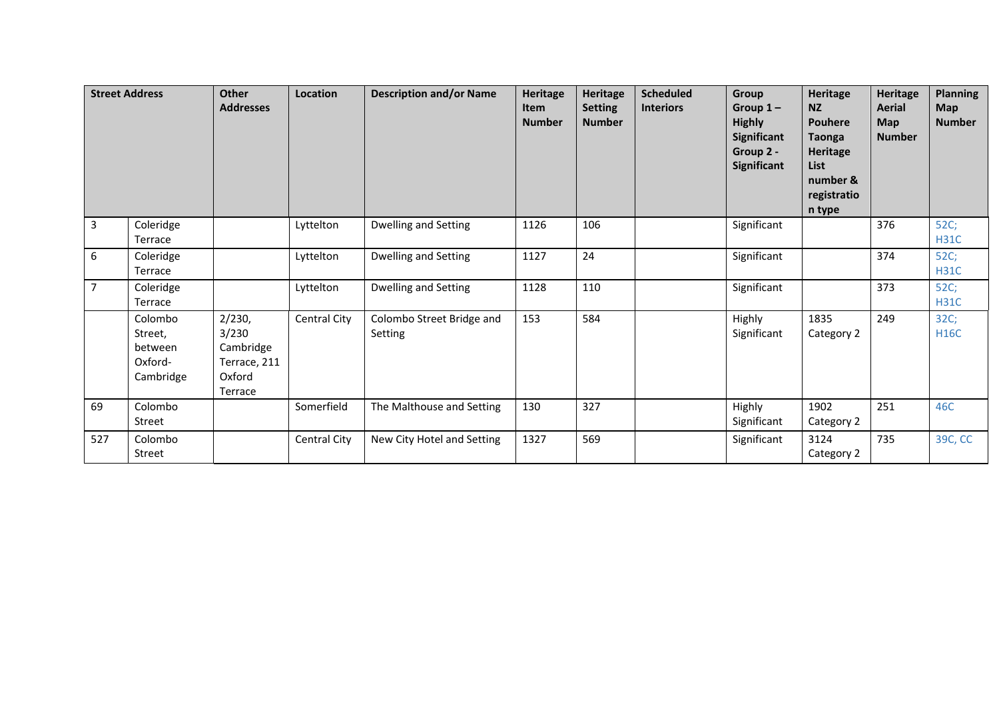|                | <b>Street Address</b>                                 | <b>Other</b><br><b>Addresses</b>                                  | Location     | <b>Description and/or Name</b>       | <b>Heritage</b><br><b>Item</b><br><b>Number</b> | Heritage<br><b>Setting</b><br><b>Number</b> | <b>Scheduled</b><br><b>Interiors</b> | Group<br>Group $1-$<br><b>Highly</b><br>Significant<br>Group 2 -<br>Significant | Heritage<br><b>NZ</b><br><b>Pouhere</b><br><b>Taonga</b><br><b>Heritage</b><br><b>List</b><br>number &<br>registratio<br>n type | <b>Heritage</b><br><b>Aerial</b><br><b>Map</b><br><b>Number</b> | <b>Planning</b><br><b>Map</b><br><b>Number</b> |
|----------------|-------------------------------------------------------|-------------------------------------------------------------------|--------------|--------------------------------------|-------------------------------------------------|---------------------------------------------|--------------------------------------|---------------------------------------------------------------------------------|---------------------------------------------------------------------------------------------------------------------------------|-----------------------------------------------------------------|------------------------------------------------|
| $\overline{3}$ | Coleridge<br>Terrace                                  |                                                                   | Lyttelton    | Dwelling and Setting                 | 1126                                            | 106                                         |                                      | Significant                                                                     |                                                                                                                                 | 376                                                             | 52C;<br><b>H31C</b>                            |
| 6              | Coleridge<br>Terrace                                  |                                                                   | Lyttelton    | Dwelling and Setting                 | 1127                                            | 24                                          |                                      | Significant                                                                     |                                                                                                                                 | 374                                                             | 52C;<br><b>H31C</b>                            |
| $\overline{7}$ | Coleridge<br>Terrace                                  |                                                                   | Lyttelton    | <b>Dwelling and Setting</b>          | 1128                                            | 110                                         |                                      | Significant                                                                     |                                                                                                                                 | 373                                                             | 52C;<br><b>H31C</b>                            |
|                | Colombo<br>Street,<br>between<br>Oxford-<br>Cambridge | 2/230,<br>3/230<br>Cambridge<br>Terrace, 211<br>Oxford<br>Terrace | Central City | Colombo Street Bridge and<br>Setting | 153                                             | 584                                         |                                      | Highly<br>Significant                                                           | 1835<br>Category 2                                                                                                              | 249                                                             | 32C;<br><b>H16C</b>                            |
| 69             | Colombo<br>Street                                     |                                                                   | Somerfield   | The Malthouse and Setting            | 130                                             | 327                                         |                                      | Highly<br>Significant                                                           | 1902<br>Category 2                                                                                                              | 251                                                             | 46C                                            |
| 527            | Colombo<br>Street                                     |                                                                   | Central City | New City Hotel and Setting           | 1327                                            | 569                                         |                                      | Significant                                                                     | 3124<br>Category 2                                                                                                              | 735                                                             | 39C, CC                                        |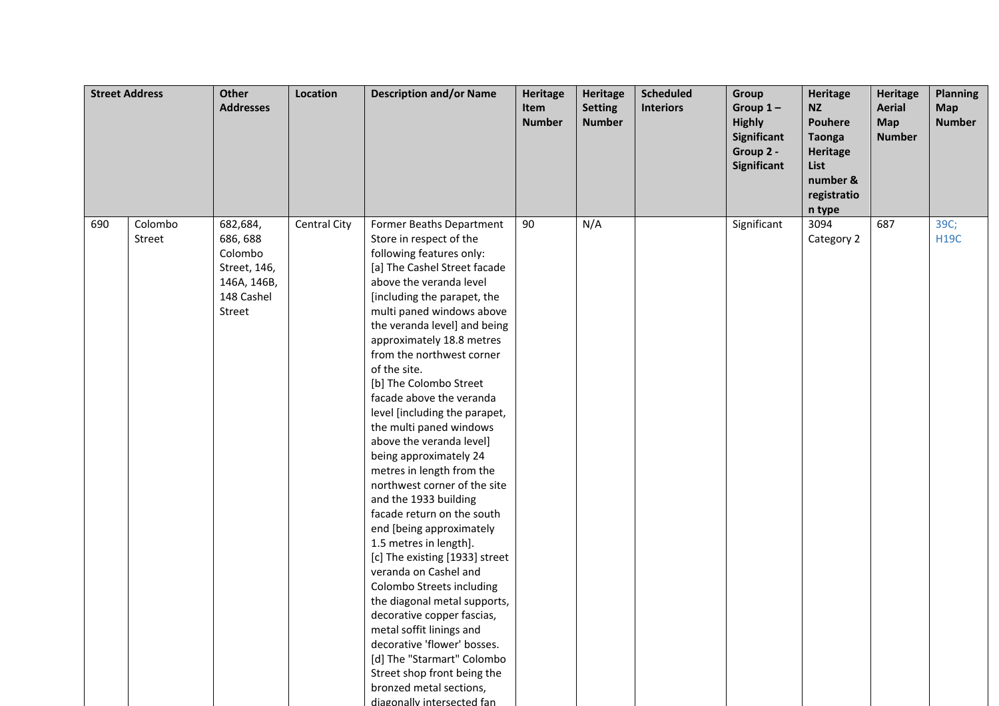| <b>Street Address</b> |                   | <b>Other</b><br><b>Addresses</b>                                                       | Location     | <b>Description and/or Name</b>                                                                                                                                                                                                                                                                                                                                                                                                                                                                                                                                                                                                                                                                                                                                                                                                                                                                                                                                                                            | <b>Heritage</b><br>Item<br><b>Number</b> | <b>Heritage</b><br><b>Setting</b><br><b>Number</b> | <b>Scheduled</b><br><b>Interiors</b> | Group<br>Group $1-$<br><b>Highly</b><br>Significant<br>Group 2 -<br>Significant | <b>Heritage</b><br><b>NZ</b><br><b>Pouhere</b><br><b>Taonga</b><br><b>Heritage</b><br>List<br>number &<br>registratio<br>n type | <b>Heritage</b><br><b>Aerial</b><br><b>Map</b><br><b>Number</b> | <b>Planning</b><br><b>Map</b><br><b>Number</b> |
|-----------------------|-------------------|----------------------------------------------------------------------------------------|--------------|-----------------------------------------------------------------------------------------------------------------------------------------------------------------------------------------------------------------------------------------------------------------------------------------------------------------------------------------------------------------------------------------------------------------------------------------------------------------------------------------------------------------------------------------------------------------------------------------------------------------------------------------------------------------------------------------------------------------------------------------------------------------------------------------------------------------------------------------------------------------------------------------------------------------------------------------------------------------------------------------------------------|------------------------------------------|----------------------------------------------------|--------------------------------------|---------------------------------------------------------------------------------|---------------------------------------------------------------------------------------------------------------------------------|-----------------------------------------------------------------|------------------------------------------------|
| 690                   | Colombo<br>Street | 682,684,<br>686, 688<br>Colombo<br>Street, 146,<br>146A, 146B,<br>148 Cashel<br>Street | Central City | Former Beaths Department<br>Store in respect of the<br>following features only:<br>[a] The Cashel Street facade<br>above the veranda level<br>[including the parapet, the<br>multi paned windows above<br>the veranda level] and being<br>approximately 18.8 metres<br>from the northwest corner<br>of the site.<br>[b] The Colombo Street<br>facade above the veranda<br>level [including the parapet,<br>the multi paned windows<br>above the veranda level]<br>being approximately 24<br>metres in length from the<br>northwest corner of the site<br>and the 1933 building<br>facade return on the south<br>end [being approximately<br>1.5 metres in length].<br>[c] The existing [1933] street<br>veranda on Cashel and<br>Colombo Streets including<br>the diagonal metal supports,<br>decorative copper fascias,<br>metal soffit linings and<br>decorative 'flower' bosses.<br>[d] The "Starmart" Colombo<br>Street shop front being the<br>bronzed metal sections,<br>diagonally intersected fan | 90                                       | N/A                                                |                                      | Significant                                                                     | 3094<br>Category 2                                                                                                              | 687                                                             | 39C;<br><b>H19C</b>                            |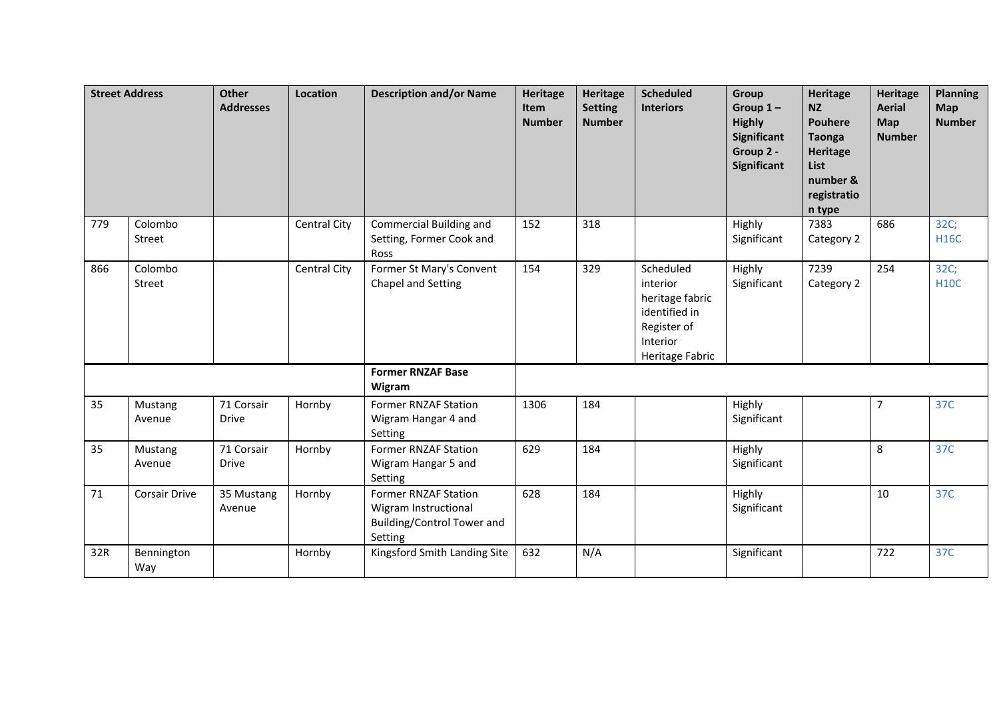|     | <b>Street Address</b> | <b>Other</b><br><b>Addresses</b> | Location            | <b>Description and/or Name</b>                                                               | <b>Heritage</b><br><b>Item</b><br><b>Number</b> | <b>Heritage</b><br><b>Setting</b><br><b>Number</b> | <b>Scheduled</b><br><b>Interiors</b>                                                                    | Group<br>Group $1 -$<br><b>Highly</b><br><b>Significant</b><br>Group 2 -<br>Significant | Heritage<br><b>NZ</b><br><b>Pouhere</b><br><b>Taonga</b><br>Heritage<br>List<br>number &<br>registratio<br>n type | Heritage<br><b>Aerial</b><br>Map<br><b>Number</b> | <b>Planning</b><br>Map<br><b>Number</b> |
|-----|-----------------------|----------------------------------|---------------------|----------------------------------------------------------------------------------------------|-------------------------------------------------|----------------------------------------------------|---------------------------------------------------------------------------------------------------------|-----------------------------------------------------------------------------------------|-------------------------------------------------------------------------------------------------------------------|---------------------------------------------------|-----------------------------------------|
| 779 | Colombo<br>Street     |                                  | Central City        | Commercial Building and<br>Setting, Former Cook and<br>Ross                                  | 152                                             | 318                                                |                                                                                                         | Highly<br>Significant                                                                   | 7383<br>Category 2                                                                                                | 686                                               | 32C;<br><b>H16C</b>                     |
| 866 | Colombo<br>Street     |                                  | <b>Central City</b> | Former St Mary's Convent<br>Chapel and Setting                                               | 154                                             | 329                                                | Scheduled<br>interior<br>heritage fabric<br>identified in<br>Register of<br>Interior<br>Heritage Fabric | Highly<br>Significant                                                                   | 7239<br>Category 2                                                                                                | 254                                               | 32C;<br><b>H10C</b>                     |
|     |                       |                                  |                     | <b>Former RNZAF Base</b><br>Wigram                                                           |                                                 |                                                    |                                                                                                         |                                                                                         |                                                                                                                   |                                                   |                                         |
| 35  | Mustang<br>Avenue     | 71 Corsair<br>Drive              | Hornby              | <b>Former RNZAF Station</b><br>Wigram Hangar 4 and<br>Setting                                | 1306                                            | 184                                                |                                                                                                         | Highly<br>Significant                                                                   |                                                                                                                   | $\overline{7}$                                    | 37C                                     |
| 35  | Mustang<br>Avenue     | 71 Corsair<br><b>Drive</b>       | Hornby              | <b>Former RNZAF Station</b><br>Wigram Hangar 5 and<br>Setting                                | 629                                             | 184                                                |                                                                                                         | Highly<br>Significant                                                                   |                                                                                                                   | 8                                                 | 37C                                     |
| 71  | <b>Corsair Drive</b>  | 35 Mustang<br>Avenue             | Hornby              | <b>Former RNZAF Station</b><br>Wigram Instructional<br>Building/Control Tower and<br>Setting | 628                                             | 184                                                |                                                                                                         | Highly<br>Significant                                                                   |                                                                                                                   | 10                                                | 37C                                     |
| 32R | Bennington<br>Way     |                                  | Hornby              | Kingsford Smith Landing Site                                                                 | 632                                             | N/A                                                |                                                                                                         | Significant                                                                             |                                                                                                                   | 722                                               | 37C                                     |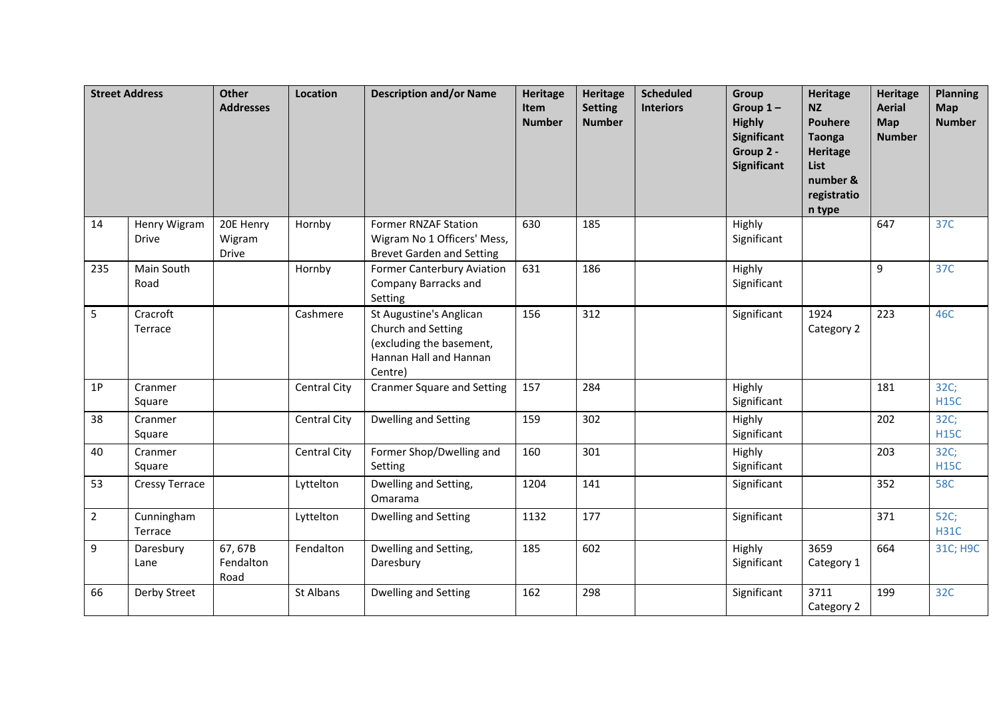|                | <b>Street Address</b>        | <b>Other</b><br><b>Addresses</b> | Location            | <b>Description and/or Name</b>                                                                                 | <b>Heritage</b><br>Item<br><b>Number</b> | <b>Heritage</b><br><b>Setting</b><br><b>Number</b> | <b>Scheduled</b><br><b>Interiors</b> | Group<br>Group $1-$<br><b>Highly</b><br><b>Significant</b><br>Group 2 -<br>Significant | <b>Heritage</b><br><b>NZ</b><br><b>Pouhere</b><br><b>Taonga</b><br><b>Heritage</b><br><b>List</b><br>number &<br>registratio<br>n type | <b>Heritage</b><br><b>Aerial</b><br>Map<br><b>Number</b> | <b>Planning</b><br>Map<br><b>Number</b> |
|----------------|------------------------------|----------------------------------|---------------------|----------------------------------------------------------------------------------------------------------------|------------------------------------------|----------------------------------------------------|--------------------------------------|----------------------------------------------------------------------------------------|----------------------------------------------------------------------------------------------------------------------------------------|----------------------------------------------------------|-----------------------------------------|
| 14             | Henry Wigram<br><b>Drive</b> | 20E Henry<br>Wigram<br>Drive     | Hornby              | <b>Former RNZAF Station</b><br>Wigram No 1 Officers' Mess,<br><b>Brevet Garden and Setting</b>                 | 630                                      | 185                                                |                                      | Highly<br>Significant                                                                  |                                                                                                                                        | 647                                                      | 37C                                     |
| 235            | Main South<br>Road           |                                  | Hornby              | <b>Former Canterbury Aviation</b><br>Company Barracks and<br>Setting                                           | 631                                      | 186                                                |                                      | Highly<br>Significant                                                                  |                                                                                                                                        | 9                                                        | 37C                                     |
| 5              | Cracroft<br>Terrace          |                                  | Cashmere            | St Augustine's Anglican<br>Church and Setting<br>(excluding the basement,<br>Hannan Hall and Hannan<br>Centre) | 156                                      | 312                                                |                                      | Significant                                                                            | 1924<br>Category 2                                                                                                                     | 223                                                      | 46C                                     |
| 1P             | Cranmer<br>Square            |                                  | <b>Central City</b> | <b>Cranmer Square and Setting</b>                                                                              | 157                                      | 284                                                |                                      | Highly<br>Significant                                                                  |                                                                                                                                        | 181                                                      | 32C;<br><b>H15C</b>                     |
| 38             | Cranmer<br>Square            |                                  | Central City        | Dwelling and Setting                                                                                           | 159                                      | 302                                                |                                      | Highly<br>Significant                                                                  |                                                                                                                                        | 202                                                      | 32C;<br><b>H15C</b>                     |
| 40             | Cranmer<br>Square            |                                  | Central City        | Former Shop/Dwelling and<br>Setting                                                                            | 160                                      | 301                                                |                                      | Highly<br>Significant                                                                  |                                                                                                                                        | 203                                                      | 32C;<br><b>H15C</b>                     |
| 53             | <b>Cressy Terrace</b>        |                                  | Lyttelton           | Dwelling and Setting,<br>Omarama                                                                               | 1204                                     | 141                                                |                                      | Significant                                                                            |                                                                                                                                        | 352                                                      | <b>58C</b>                              |
| $\overline{2}$ | Cunningham<br>Terrace        |                                  | Lyttelton           | Dwelling and Setting                                                                                           | 1132                                     | 177                                                |                                      | Significant                                                                            |                                                                                                                                        | 371                                                      | 52C;<br><b>H31C</b>                     |
| 9              | Daresbury<br>Lane            | 67,67B<br>Fendalton<br>Road      | Fendalton           | Dwelling and Setting,<br>Daresbury                                                                             | 185                                      | 602                                                |                                      | Highly<br>Significant                                                                  | 3659<br>Category 1                                                                                                                     | 664                                                      | 31C; H9C                                |
| 66             | Derby Street                 |                                  | St Albans           | Dwelling and Setting                                                                                           | 162                                      | 298                                                |                                      | Significant                                                                            | 3711<br>Category 2                                                                                                                     | 199                                                      | 32C                                     |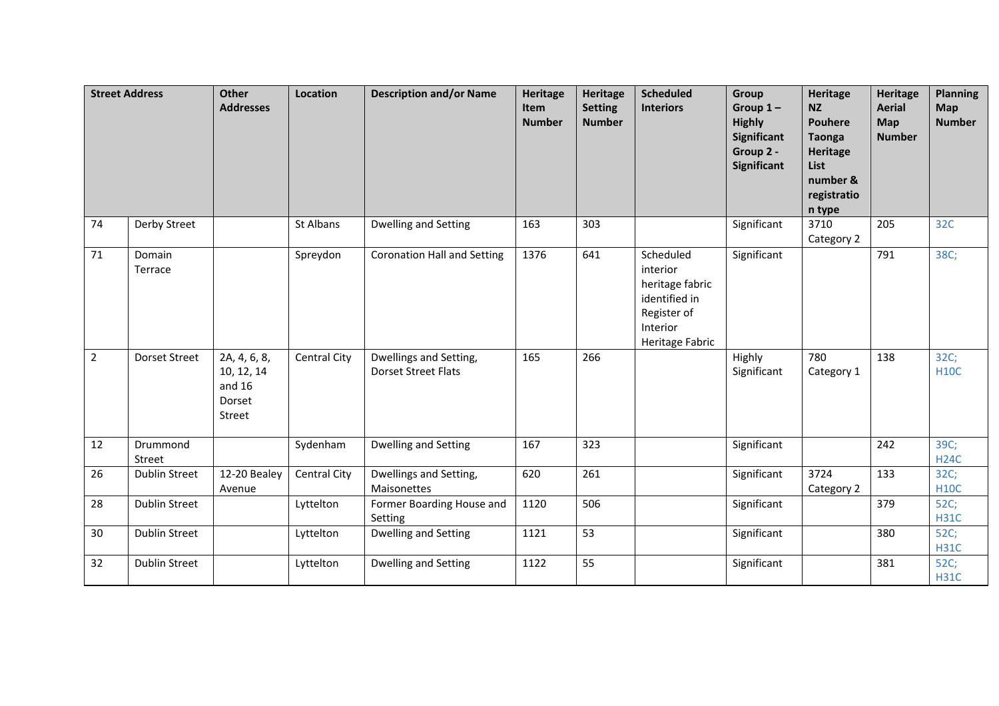|                | <b>Street Address</b> | <b>Other</b><br><b>Addresses</b>                           | Location     | <b>Description and/or Name</b>                       | Heritage<br>Item<br><b>Number</b> | Heritage<br><b>Setting</b><br><b>Number</b> | <b>Scheduled</b><br><b>Interiors</b>                                                                    | Group<br>Group $1-$<br><b>Highly</b><br>Significant<br>Group 2 -<br><b>Significant</b> | <b>Heritage</b><br><b>NZ</b><br><b>Pouhere</b><br><b>Taonga</b><br><b>Heritage</b><br>List<br>number &<br>registratio<br>n type | Heritage<br><b>Aerial</b><br>Map<br><b>Number</b> | <b>Planning</b><br><b>Map</b><br><b>Number</b> |
|----------------|-----------------------|------------------------------------------------------------|--------------|------------------------------------------------------|-----------------------------------|---------------------------------------------|---------------------------------------------------------------------------------------------------------|----------------------------------------------------------------------------------------|---------------------------------------------------------------------------------------------------------------------------------|---------------------------------------------------|------------------------------------------------|
| 74             | Derby Street          |                                                            | St Albans    | Dwelling and Setting                                 | 163                               | 303                                         |                                                                                                         | Significant                                                                            | 3710<br>Category 2                                                                                                              | 205                                               | 32C                                            |
| 71             | Domain<br>Terrace     |                                                            | Spreydon     | <b>Coronation Hall and Setting</b>                   | 1376                              | 641                                         | Scheduled<br>interior<br>heritage fabric<br>identified in<br>Register of<br>Interior<br>Heritage Fabric | Significant                                                                            |                                                                                                                                 | 791                                               | 38C;                                           |
| $\overline{2}$ | Dorset Street         | 2A, 4, 6, 8,<br>10, 12, 14<br>and $16$<br>Dorset<br>Street | Central City | Dwellings and Setting,<br><b>Dorset Street Flats</b> | 165                               | 266                                         |                                                                                                         | Highly<br>Significant                                                                  | 780<br>Category 1                                                                                                               | 138                                               | 32C;<br><b>H10C</b>                            |
| 12             | Drummond<br>Street    |                                                            | Sydenham     | Dwelling and Setting                                 | 167                               | 323                                         |                                                                                                         | Significant                                                                            |                                                                                                                                 | 242                                               | 39C;<br><b>H24C</b>                            |
| 26             | <b>Dublin Street</b>  | 12-20 Bealey<br>Avenue                                     | Central City | Dwellings and Setting,<br>Maisonettes                | 620                               | 261                                         |                                                                                                         | Significant                                                                            | 3724<br>Category 2                                                                                                              | 133                                               | 32C;<br><b>H10C</b>                            |
| 28             | <b>Dublin Street</b>  |                                                            | Lyttelton    | Former Boarding House and<br>Setting                 | 1120                              | 506                                         |                                                                                                         | Significant                                                                            |                                                                                                                                 | 379                                               | 52C;<br><b>H31C</b>                            |
| 30             | <b>Dublin Street</b>  |                                                            | Lyttelton    | Dwelling and Setting                                 | 1121                              | 53                                          |                                                                                                         | Significant                                                                            |                                                                                                                                 | 380                                               | 52C;<br><b>H31C</b>                            |
| 32             | Dublin Street         |                                                            | Lyttelton    | Dwelling and Setting                                 | 1122                              | 55                                          |                                                                                                         | Significant                                                                            |                                                                                                                                 | 381                                               | 52C;<br><b>H31C</b>                            |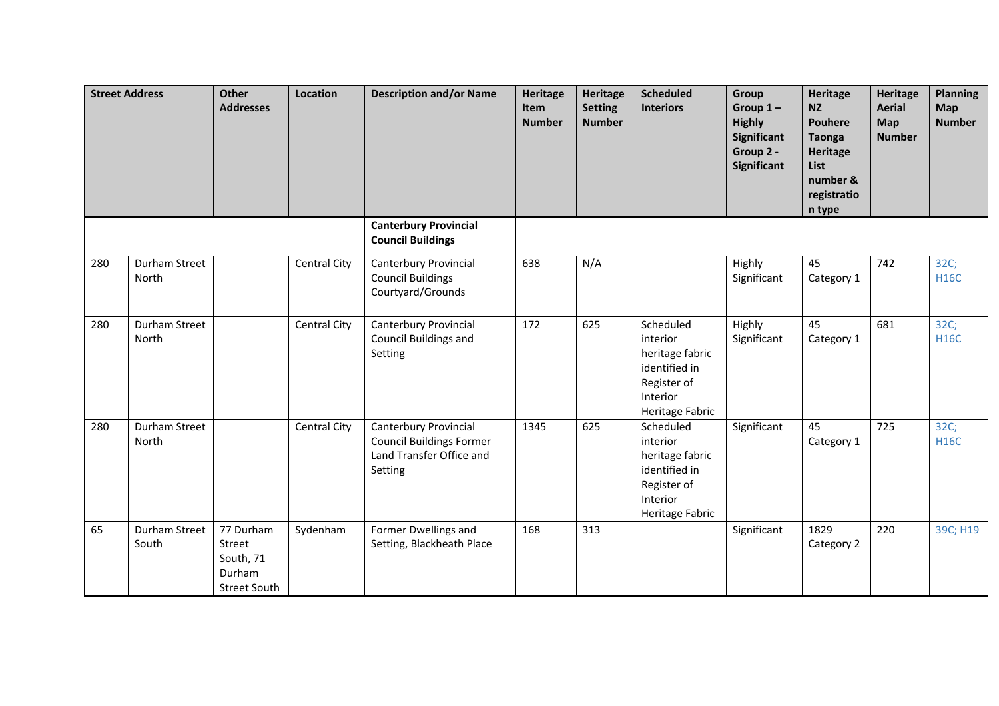|     | <b>Street Address</b>  | <b>Other</b><br><b>Addresses</b>                                  | Location     | <b>Description and/or Name</b>                                                                  | <b>Heritage</b><br><b>Item</b><br><b>Number</b> | <b>Heritage</b><br><b>Setting</b><br><b>Number</b> | <b>Scheduled</b><br><b>Interiors</b>                                                                    | Group<br>Group $1-$<br><b>Highly</b><br>Significant<br>Group 2 -<br><b>Significant</b> | <b>Heritage</b><br><b>NZ</b><br><b>Pouhere</b><br><b>Taonga</b><br>Heritage<br>List<br>number &<br>registratio<br>n type | <b>Heritage</b><br><b>Aerial</b><br><b>Map</b><br><b>Number</b> | <b>Planning</b><br>Map<br><b>Number</b> |
|-----|------------------------|-------------------------------------------------------------------|--------------|-------------------------------------------------------------------------------------------------|-------------------------------------------------|----------------------------------------------------|---------------------------------------------------------------------------------------------------------|----------------------------------------------------------------------------------------|--------------------------------------------------------------------------------------------------------------------------|-----------------------------------------------------------------|-----------------------------------------|
|     |                        |                                                                   |              | <b>Canterbury Provincial</b><br><b>Council Buildings</b>                                        |                                                 |                                                    |                                                                                                         |                                                                                        |                                                                                                                          |                                                                 |                                         |
| 280 | Durham Street<br>North |                                                                   | Central City | Canterbury Provincial<br><b>Council Buildings</b><br>Courtyard/Grounds                          | 638                                             | N/A                                                |                                                                                                         | Highly<br>Significant                                                                  | 45<br>Category 1                                                                                                         | 742                                                             | 32C;<br><b>H16C</b>                     |
| 280 | Durham Street<br>North |                                                                   | Central City | Canterbury Provincial<br>Council Buildings and<br>Setting                                       | 172                                             | 625                                                | Scheduled<br>interior<br>heritage fabric<br>identified in<br>Register of<br>Interior<br>Heritage Fabric | Highly<br>Significant                                                                  | 45<br>Category 1                                                                                                         | 681                                                             | 32C;<br><b>H16C</b>                     |
| 280 | Durham Street<br>North |                                                                   | Central City | Canterbury Provincial<br><b>Council Buildings Former</b><br>Land Transfer Office and<br>Setting | 1345                                            | 625                                                | Scheduled<br>interior<br>heritage fabric<br>identified in<br>Register of<br>Interior<br>Heritage Fabric | Significant                                                                            | 45<br>Category 1                                                                                                         | 725                                                             | 32C;<br><b>H16C</b>                     |
| 65  | Durham Street<br>South | 77 Durham<br>Street<br>South, 71<br>Durham<br><b>Street South</b> | Sydenham     | Former Dwellings and<br>Setting, Blackheath Place                                               | 168                                             | 313                                                |                                                                                                         | Significant                                                                            | 1829<br>Category 2                                                                                                       | 220                                                             | 39C; H <sub>19</sub>                    |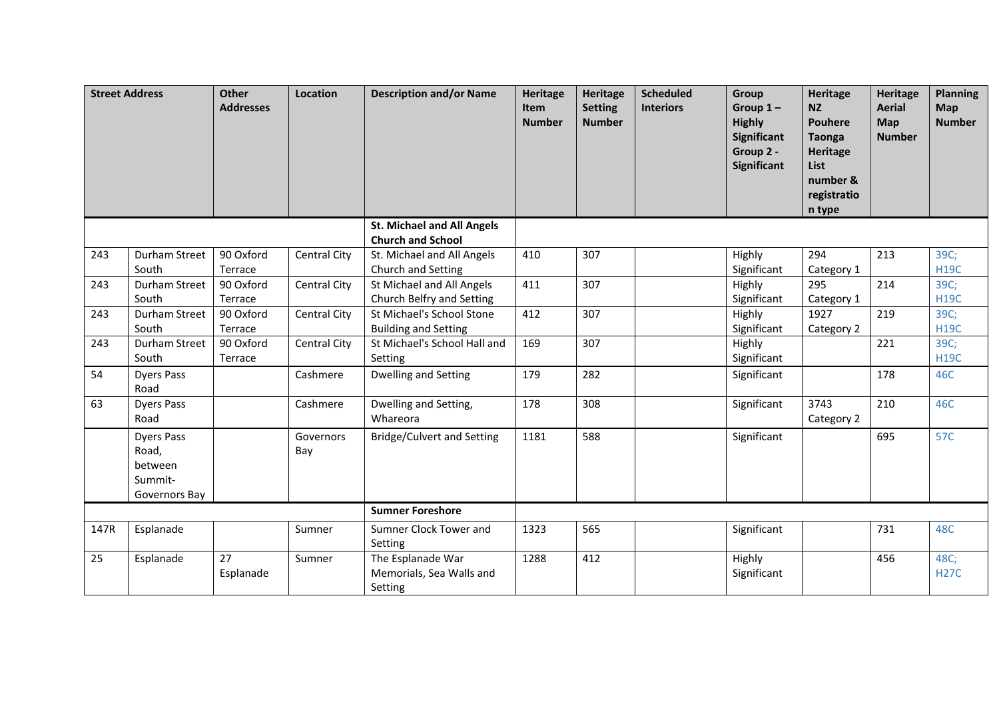|      | <b>Street Address</b>                                             | <b>Other</b><br><b>Addresses</b> | Location         | <b>Description and/or Name</b>                                | <b>Heritage</b><br>Item<br><b>Number</b> | <b>Heritage</b><br><b>Setting</b><br><b>Number</b> | <b>Scheduled</b><br><b>Interiors</b> | Group<br>Group $1-$<br><b>Highly</b><br>Significant<br>Group 2 -<br>Significant | Heritage<br><b>NZ</b><br><b>Pouhere</b><br><b>Taonga</b><br>Heritage<br><b>List</b><br>number &<br>registratio<br>n type | <b>Heritage</b><br><b>Aerial</b><br><b>Map</b><br><b>Number</b> | <b>Planning</b><br>Map<br><b>Number</b> |
|------|-------------------------------------------------------------------|----------------------------------|------------------|---------------------------------------------------------------|------------------------------------------|----------------------------------------------------|--------------------------------------|---------------------------------------------------------------------------------|--------------------------------------------------------------------------------------------------------------------------|-----------------------------------------------------------------|-----------------------------------------|
|      |                                                                   |                                  |                  | <b>St. Michael and All Angels</b><br><b>Church and School</b> |                                          |                                                    |                                      |                                                                                 |                                                                                                                          |                                                                 |                                         |
| 243  | Durham Street<br>South                                            | 90 Oxford<br>Terrace             | Central City     | St. Michael and All Angels<br>Church and Setting              | 410                                      | 307                                                |                                      | Highly<br>Significant                                                           | 294<br>Category 1                                                                                                        | 213                                                             | 39C;<br><b>H19C</b>                     |
| 243  | Durham Street<br>South                                            | 90 Oxford<br>Terrace             | Central City     | St Michael and All Angels<br>Church Belfry and Setting        | 411                                      | 307                                                |                                      | Highly<br>Significant                                                           | 295<br>Category 1                                                                                                        | 214                                                             | 39C;<br><b>H19C</b>                     |
| 243  | <b>Durham Street</b><br>South                                     | 90 Oxford<br>Terrace             | Central City     | St Michael's School Stone<br><b>Building and Setting</b>      | 412                                      | 307                                                |                                      | Highly<br>Significant                                                           | 1927<br>Category 2                                                                                                       | 219                                                             | 39C;<br><b>H19C</b>                     |
| 243  | Durham Street<br>South                                            | 90 Oxford<br>Terrace             | Central City     | St Michael's School Hall and<br>Setting                       | 169                                      | 307                                                |                                      | Highly<br>Significant                                                           |                                                                                                                          | 221                                                             | 39C;<br><b>H19C</b>                     |
| 54   | <b>Dyers Pass</b><br>Road                                         |                                  | Cashmere         | Dwelling and Setting                                          | 179                                      | 282                                                |                                      | Significant                                                                     |                                                                                                                          | 178                                                             | 46C                                     |
| 63   | <b>Dyers Pass</b><br>Road                                         |                                  | Cashmere         | Dwelling and Setting,<br>Whareora                             | 178                                      | 308                                                |                                      | Significant                                                                     | 3743<br>Category 2                                                                                                       | 210                                                             | 46C                                     |
|      | <b>Dyers Pass</b><br>Road,<br>between<br>Summit-<br>Governors Bay |                                  | Governors<br>Bay | <b>Bridge/Culvert and Setting</b>                             | 1181                                     | 588                                                |                                      | Significant                                                                     |                                                                                                                          | 695                                                             | <b>57C</b>                              |
|      |                                                                   |                                  |                  | <b>Sumner Foreshore</b>                                       |                                          |                                                    |                                      |                                                                                 |                                                                                                                          |                                                                 |                                         |
| 147R | Esplanade                                                         |                                  | Sumner           | Sumner Clock Tower and<br>Setting                             | 1323                                     | 565                                                |                                      | Significant                                                                     |                                                                                                                          | 731                                                             | 48C                                     |
| 25   | Esplanade                                                         | 27<br>Esplanade                  | Sumner           | The Esplanade War<br>Memorials, Sea Walls and<br>Setting      | 1288                                     | 412                                                |                                      | Highly<br>Significant                                                           |                                                                                                                          | 456                                                             | 48C;<br><b>H27C</b>                     |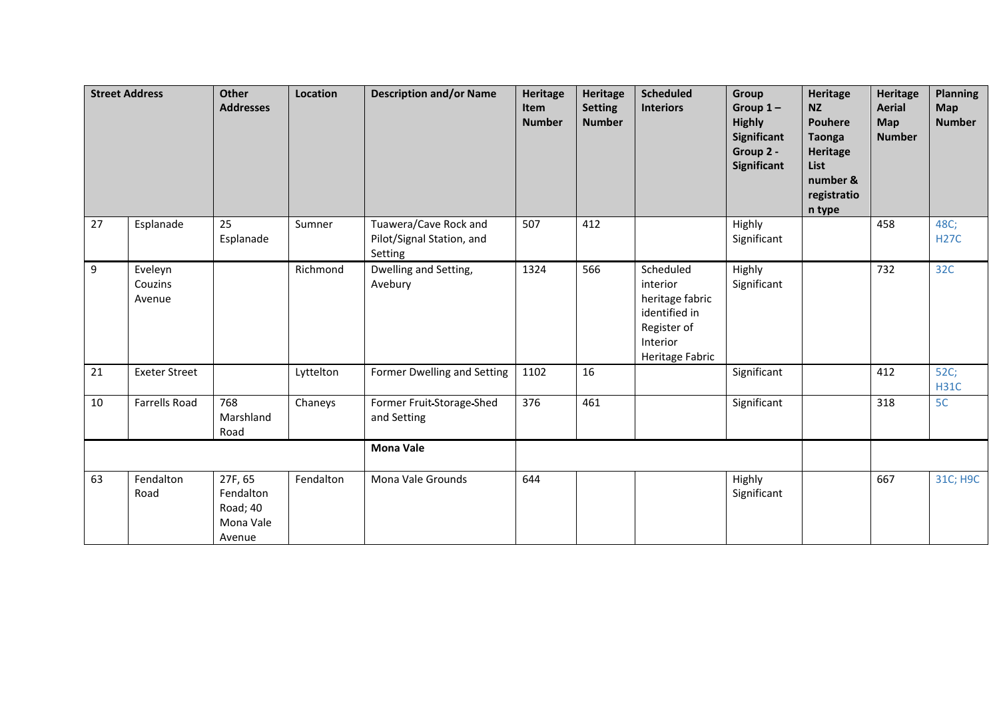|    | <b>Street Address</b>        | <b>Other</b><br><b>Addresses</b>                        | Location  | <b>Description and/or Name</b>                                | <b>Heritage</b><br>Item<br><b>Number</b> | <b>Heritage</b><br><b>Setting</b><br><b>Number</b> | <b>Scheduled</b><br><b>Interiors</b>                                                                    | Group<br>Group $1-$<br><b>Highly</b><br><b>Significant</b><br>Group 2 -<br>Significant | Heritage<br><b>NZ</b><br><b>Pouhere</b><br><b>Taonga</b><br>Heritage<br>List<br>number &<br>registratio<br>n type | <b>Heritage</b><br><b>Aerial</b><br><b>Map</b><br><b>Number</b> | <b>Planning</b><br>Map<br><b>Number</b> |
|----|------------------------------|---------------------------------------------------------|-----------|---------------------------------------------------------------|------------------------------------------|----------------------------------------------------|---------------------------------------------------------------------------------------------------------|----------------------------------------------------------------------------------------|-------------------------------------------------------------------------------------------------------------------|-----------------------------------------------------------------|-----------------------------------------|
| 27 | Esplanade                    | 25<br>Esplanade                                         | Sumner    | Tuawera/Cave Rock and<br>Pilot/Signal Station, and<br>Setting | 507                                      | 412                                                |                                                                                                         | Highly<br>Significant                                                                  |                                                                                                                   | 458                                                             | 48C;<br><b>H27C</b>                     |
| 9  | Eveleyn<br>Couzins<br>Avenue |                                                         | Richmond  | Dwelling and Setting,<br>Avebury                              | 1324                                     | 566                                                | Scheduled<br>interior<br>heritage fabric<br>identified in<br>Register of<br>Interior<br>Heritage Fabric | Highly<br>Significant                                                                  |                                                                                                                   | 732                                                             | 32C                                     |
| 21 | <b>Exeter Street</b>         |                                                         | Lyttelton | Former Dwelling and Setting                                   | 1102                                     | 16                                                 |                                                                                                         | Significant                                                                            |                                                                                                                   | 412                                                             | 52C;<br><b>H31C</b>                     |
| 10 | <b>Farrells Road</b>         | 768<br>Marshland<br>Road                                | Chaneys   | Former Fruit-Storage-Shed<br>and Setting                      | 376                                      | 461                                                |                                                                                                         | Significant                                                                            |                                                                                                                   | 318                                                             | 5C                                      |
|    |                              |                                                         |           | <b>Mona Vale</b>                                              |                                          |                                                    |                                                                                                         |                                                                                        |                                                                                                                   |                                                                 |                                         |
| 63 | Fendalton<br>Road            | 27F, 65<br>Fendalton<br>Road; 40<br>Mona Vale<br>Avenue | Fendalton | Mona Vale Grounds                                             | 644                                      |                                                    |                                                                                                         | Highly<br>Significant                                                                  |                                                                                                                   | 667                                                             | 31C; H9C                                |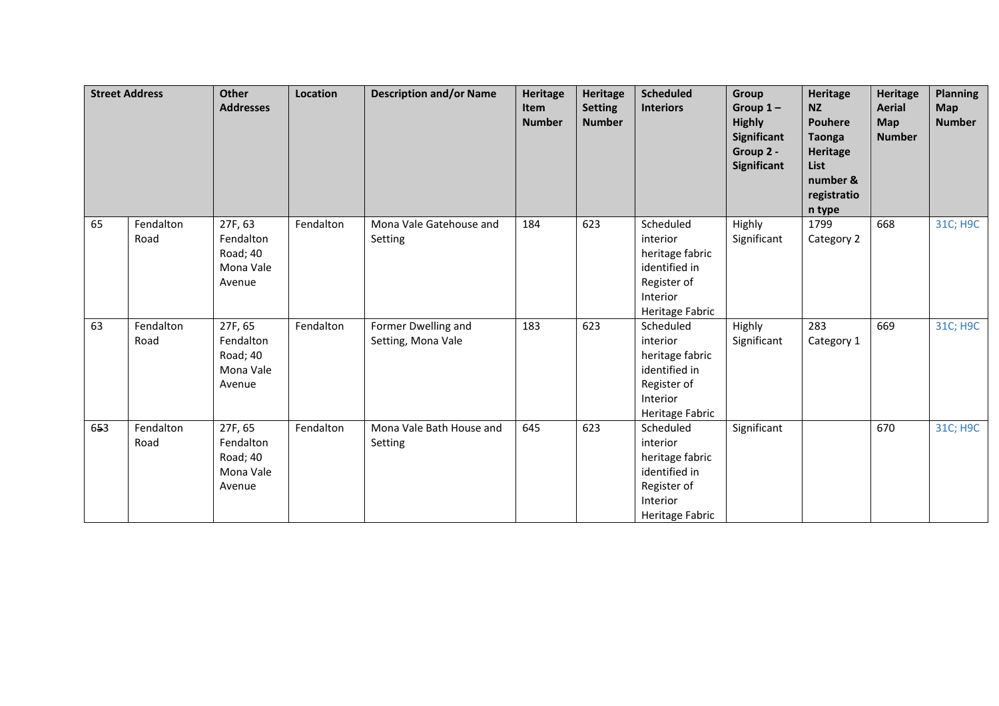|     | <b>Street Address</b> | <b>Other</b><br><b>Addresses</b>                        | Location  | <b>Description and/or Name</b>            | Heritage<br><b>Item</b><br><b>Number</b> | Heritage<br><b>Setting</b><br><b>Number</b> | <b>Scheduled</b><br><b>Interiors</b>                                                                    | Group<br>Group $1-$<br><b>Highly</b><br>Significant<br>Group 2 -<br><b>Significant</b> | Heritage<br><b>NZ</b><br><b>Pouhere</b><br><b>Taonga</b><br><b>Heritage</b><br>List<br>number &<br>registratio<br>n type | <b>Heritage</b><br><b>Aerial</b><br>Map<br><b>Number</b> | <b>Planning</b><br><b>Map</b><br><b>Number</b> |
|-----|-----------------------|---------------------------------------------------------|-----------|-------------------------------------------|------------------------------------------|---------------------------------------------|---------------------------------------------------------------------------------------------------------|----------------------------------------------------------------------------------------|--------------------------------------------------------------------------------------------------------------------------|----------------------------------------------------------|------------------------------------------------|
| 65  | Fendalton<br>Road     | 27F, 63<br>Fendalton<br>Road; 40<br>Mona Vale<br>Avenue | Fendalton | Mona Vale Gatehouse and<br>Setting        | 184                                      | 623                                         | Scheduled<br>interior<br>heritage fabric<br>identified in<br>Register of<br>Interior<br>Heritage Fabric | Highly<br>Significant                                                                  | 1799<br>Category 2                                                                                                       | 668                                                      | 31C; H9C                                       |
| 63  | Fendalton<br>Road     | 27F, 65<br>Fendalton<br>Road; 40<br>Mona Vale<br>Avenue | Fendalton | Former Dwelling and<br>Setting, Mona Vale | 183                                      | 623                                         | Scheduled<br>interior<br>heritage fabric<br>identified in<br>Register of<br>Interior<br>Heritage Fabric | Highly<br>Significant                                                                  | 283<br>Category 1                                                                                                        | 669                                                      | 31C; H9C                                       |
| 653 | Fendalton<br>Road     | 27F, 65<br>Fendalton<br>Road; 40<br>Mona Vale<br>Avenue | Fendalton | Mona Vale Bath House and<br>Setting       | 645                                      | 623                                         | Scheduled<br>interior<br>heritage fabric<br>identified in<br>Register of<br>Interior<br>Heritage Fabric | Significant                                                                            |                                                                                                                          | 670                                                      | 31C; H9C                                       |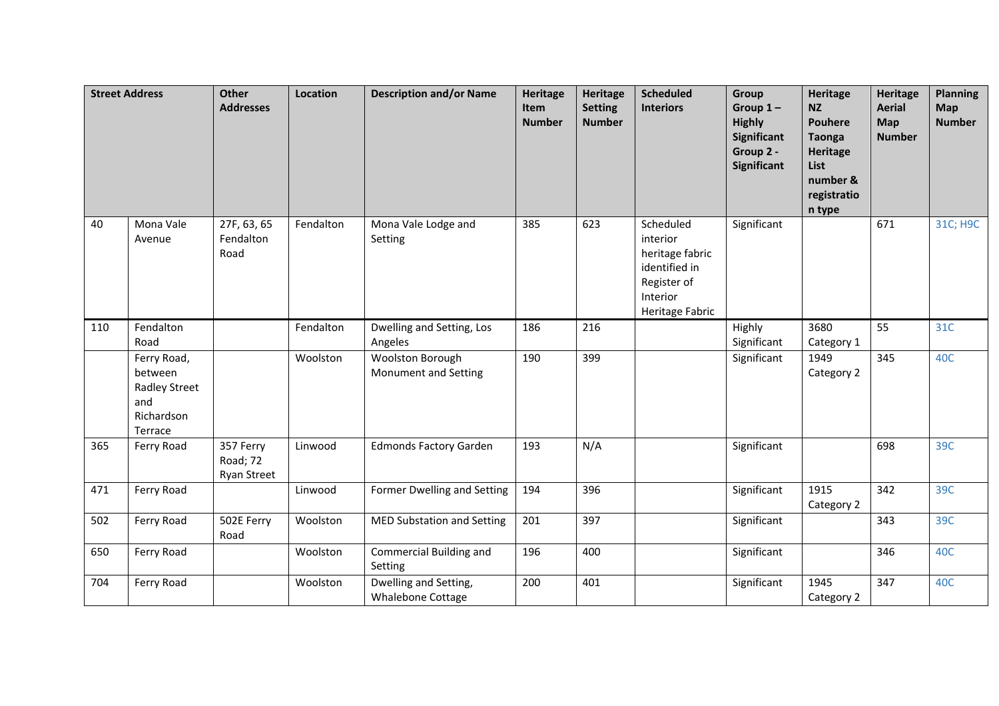|     | <b>Street Address</b>                                                          | <b>Other</b><br><b>Addresses</b>            | Location  | <b>Description and/or Name</b>                    | <b>Heritage</b><br>Item<br><b>Number</b> | <b>Heritage</b><br><b>Setting</b><br><b>Number</b> | <b>Scheduled</b><br><b>Interiors</b>                                                                    | <b>Group</b><br>Group $1-$<br><b>Highly</b><br><b>Significant</b><br>Group 2 -<br><b>Significant</b> | <b>Heritage</b><br><b>NZ</b><br><b>Pouhere</b><br><b>Taonga</b><br><b>Heritage</b><br>List<br>number &<br>registratio<br>n type | <b>Heritage</b><br><b>Aerial</b><br>Map<br><b>Number</b> | <b>Planning</b><br><b>Map</b><br><b>Number</b> |
|-----|--------------------------------------------------------------------------------|---------------------------------------------|-----------|---------------------------------------------------|------------------------------------------|----------------------------------------------------|---------------------------------------------------------------------------------------------------------|------------------------------------------------------------------------------------------------------|---------------------------------------------------------------------------------------------------------------------------------|----------------------------------------------------------|------------------------------------------------|
| 40  | Mona Vale<br>Avenue                                                            | 27F, 63, 65<br>Fendalton<br>Road            | Fendalton | Mona Vale Lodge and<br>Setting                    | 385                                      | 623                                                | Scheduled<br>interior<br>heritage fabric<br>identified in<br>Register of<br>Interior<br>Heritage Fabric | Significant                                                                                          |                                                                                                                                 | 671                                                      | 31C; H9C                                       |
| 110 | Fendalton<br>Road                                                              |                                             | Fendalton | Dwelling and Setting, Los<br>Angeles              | 186                                      | 216                                                |                                                                                                         | Highly<br>Significant                                                                                | 3680<br>Category 1                                                                                                              | 55                                                       | 31C                                            |
|     | Ferry Road,<br>between<br><b>Radley Street</b><br>and<br>Richardson<br>Terrace |                                             | Woolston  | Woolston Borough<br>Monument and Setting          | 190                                      | 399                                                |                                                                                                         | Significant                                                                                          | 1949<br>Category 2                                                                                                              | 345                                                      | 40C                                            |
| 365 | Ferry Road                                                                     | 357 Ferry<br>Road; 72<br><b>Ryan Street</b> | Linwood   | <b>Edmonds Factory Garden</b>                     | 193                                      | N/A                                                |                                                                                                         | Significant                                                                                          |                                                                                                                                 | 698                                                      | 39C                                            |
| 471 | Ferry Road                                                                     |                                             | Linwood   | Former Dwelling and Setting                       | 194                                      | 396                                                |                                                                                                         | Significant                                                                                          | 1915<br>Category 2                                                                                                              | 342                                                      | 39C                                            |
| 502 | Ferry Road                                                                     | 502E Ferry<br>Road                          | Woolston  | MED Substation and Setting                        | 201                                      | 397                                                |                                                                                                         | Significant                                                                                          |                                                                                                                                 | 343                                                      | 39C                                            |
| 650 | Ferry Road                                                                     |                                             | Woolston  | Commercial Building and<br>Setting                | 196                                      | 400                                                |                                                                                                         | Significant                                                                                          |                                                                                                                                 | 346                                                      | 40C                                            |
| 704 | Ferry Road                                                                     |                                             | Woolston  | Dwelling and Setting,<br><b>Whalebone Cottage</b> | 200                                      | 401                                                |                                                                                                         | Significant                                                                                          | 1945<br>Category 2                                                                                                              | 347                                                      | 40C                                            |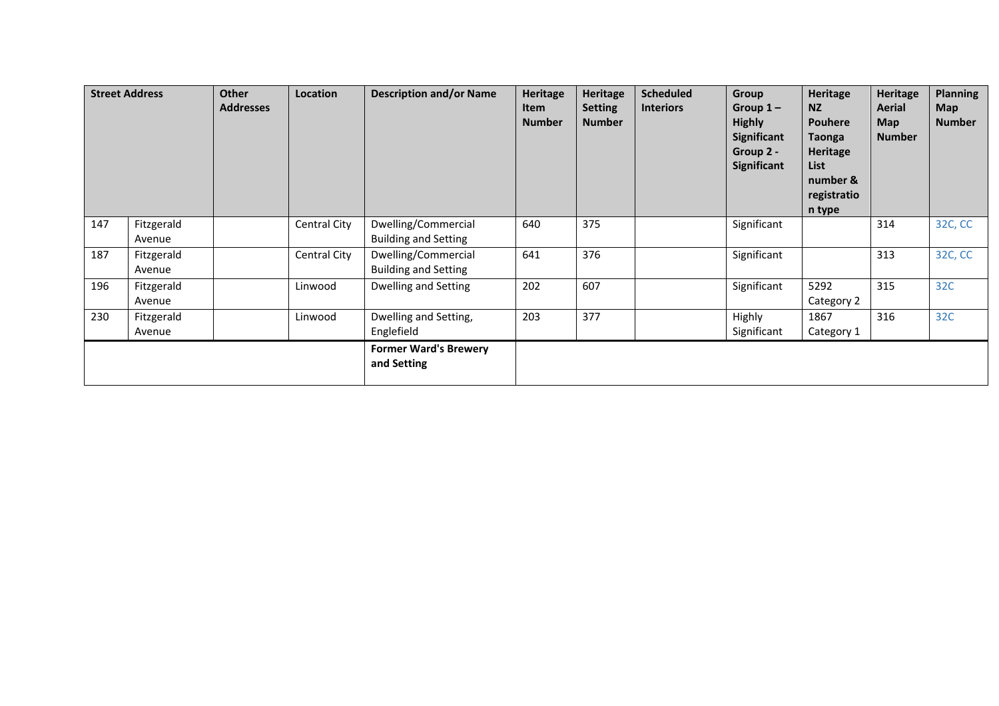|     | <b>Street Address</b> | <b>Other</b><br><b>Addresses</b> | Location     | <b>Description and/or Name</b>                     | Heritage<br>Item<br><b>Number</b> | Heritage<br><b>Setting</b><br><b>Number</b> | <b>Scheduled</b><br><b>Interiors</b> | Group<br>Group $1 -$<br><b>Highly</b><br>Significant<br>Group 2 -<br>Significant | Heritage<br><b>NZ</b><br><b>Pouhere</b><br>Taonga<br>Heritage<br>List<br>number &<br>registratio<br>n type | <b>Heritage</b><br>Aerial<br><b>Map</b><br><b>Number</b> | <b>Planning</b><br><b>Map</b><br><b>Number</b> |
|-----|-----------------------|----------------------------------|--------------|----------------------------------------------------|-----------------------------------|---------------------------------------------|--------------------------------------|----------------------------------------------------------------------------------|------------------------------------------------------------------------------------------------------------|----------------------------------------------------------|------------------------------------------------|
| 147 | Fitzgerald<br>Avenue  |                                  | Central City | Dwelling/Commercial<br><b>Building and Setting</b> | 640                               | 375                                         |                                      | Significant                                                                      |                                                                                                            | 314                                                      | 32C, CC                                        |
| 187 | Fitzgerald<br>Avenue  |                                  | Central City | Dwelling/Commercial<br><b>Building and Setting</b> | 641                               | 376                                         |                                      | Significant                                                                      |                                                                                                            | 313                                                      | 32C, CC                                        |
| 196 | Fitzgerald<br>Avenue  |                                  | Linwood      | Dwelling and Setting                               | 202                               | 607                                         |                                      | Significant                                                                      | 5292<br>Category 2                                                                                         | 315                                                      | 32C                                            |
| 230 | Fitzgerald<br>Avenue  |                                  | Linwood      | Dwelling and Setting,<br>Englefield                | 203                               | 377                                         |                                      | Highly<br>Significant                                                            | 1867<br>Category 1                                                                                         | 316                                                      | 32C                                            |
|     |                       |                                  |              | <b>Former Ward's Brewery</b><br>and Setting        |                                   |                                             |                                      |                                                                                  |                                                                                                            |                                                          |                                                |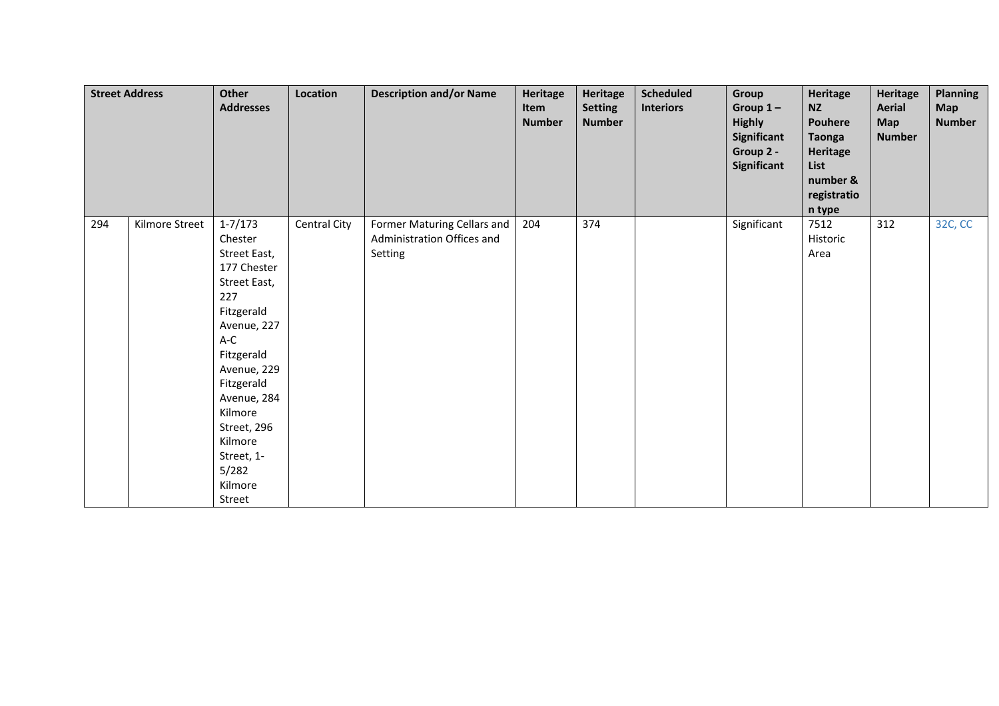|     | <b>Street Address</b> | Other<br><b>Addresses</b>                                                                                                                                                                                                                                   | Location     | <b>Description and/or Name</b>                                       | Heritage<br>Item<br><b>Number</b> | Heritage<br><b>Setting</b><br><b>Number</b> | <b>Scheduled</b><br><b>Interiors</b> | Group<br>Group $1-$<br><b>Highly</b><br>Significant<br>Group 2 -<br>Significant | Heritage<br><b>NZ</b><br>Pouhere<br><b>Taonga</b><br>Heritage<br>List<br>number &<br>registratio<br>n type | <b>Heritage</b><br><b>Aerial</b><br><b>Map</b><br><b>Number</b> | Planning<br><b>Map</b><br><b>Number</b> |
|-----|-----------------------|-------------------------------------------------------------------------------------------------------------------------------------------------------------------------------------------------------------------------------------------------------------|--------------|----------------------------------------------------------------------|-----------------------------------|---------------------------------------------|--------------------------------------|---------------------------------------------------------------------------------|------------------------------------------------------------------------------------------------------------|-----------------------------------------------------------------|-----------------------------------------|
| 294 | Kilmore Street        | $1 - 7/173$<br>Chester<br>Street East,<br>177 Chester<br>Street East,<br>227<br>Fitzgerald<br>Avenue, 227<br>A-C<br>Fitzgerald<br>Avenue, 229<br>Fitzgerald<br>Avenue, 284<br>Kilmore<br>Street, 296<br>Kilmore<br>Street, 1-<br>5/282<br>Kilmore<br>Street | Central City | Former Maturing Cellars and<br>Administration Offices and<br>Setting | 204                               | 374                                         |                                      | Significant                                                                     | 7512<br>Historic<br>Area                                                                                   | 312                                                             | 32C, CC                                 |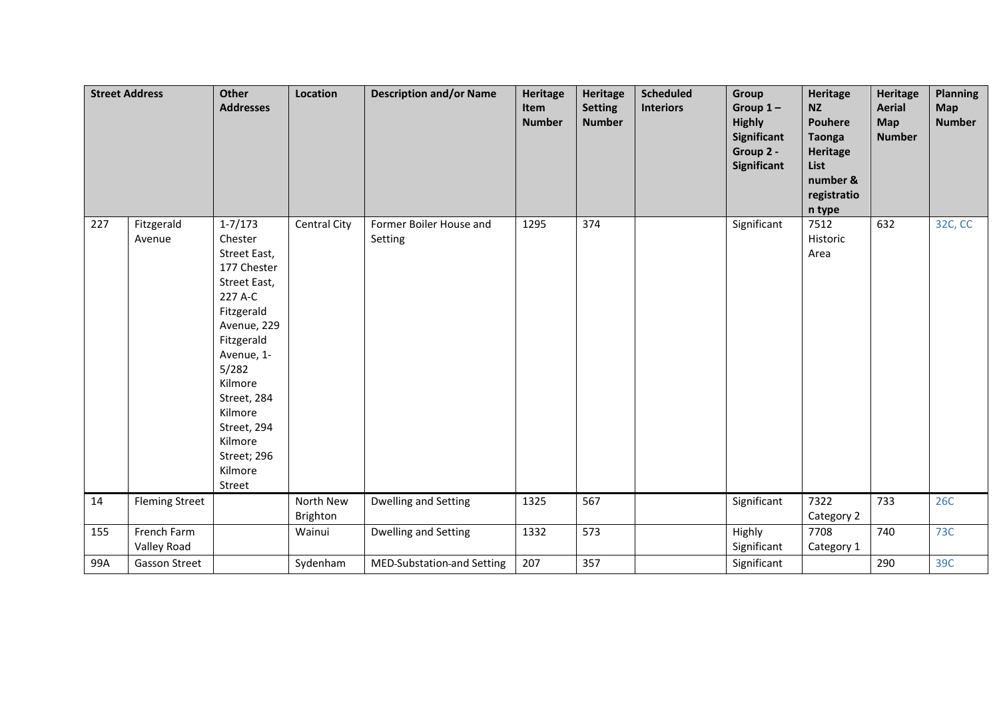|     | <b>Street Address</b>      | <b>Other</b><br><b>Addresses</b>                                                                                                                                                                                                                      | Location              | <b>Description and/or Name</b>     | <b>Heritage</b><br>Item<br><b>Number</b> | <b>Heritage</b><br><b>Setting</b><br><b>Number</b> | <b>Scheduled</b><br><b>Interiors</b> | Group<br>Group $1-$<br><b>Highly</b><br><b>Significant</b><br>Group 2 -<br>Significant | Heritage<br><b>NZ</b><br><b>Pouhere</b><br><b>Taonga</b><br>Heritage<br>List<br>number &<br>registratio<br>n type | <b>Heritage</b><br><b>Aerial</b><br><b>Map</b><br><b>Number</b> | <b>Planning</b><br>Map<br><b>Number</b> |
|-----|----------------------------|-------------------------------------------------------------------------------------------------------------------------------------------------------------------------------------------------------------------------------------------------------|-----------------------|------------------------------------|------------------------------------------|----------------------------------------------------|--------------------------------------|----------------------------------------------------------------------------------------|-------------------------------------------------------------------------------------------------------------------|-----------------------------------------------------------------|-----------------------------------------|
| 227 | Fitzgerald<br>Avenue       | $1 - 7/173$<br>Chester<br>Street East,<br>177 Chester<br>Street East,<br>227 A-C<br>Fitzgerald<br>Avenue, 229<br>Fitzgerald<br>Avenue, 1-<br>5/282<br>Kilmore<br>Street, 284<br>Kilmore<br>Street, 294<br>Kilmore<br>Street; 296<br>Kilmore<br>Street | Central City          | Former Boiler House and<br>Setting | 1295                                     | 374                                                |                                      | Significant                                                                            | 7512<br>Historic<br>Area                                                                                          | 632                                                             | 32C, CC                                 |
| 14  | <b>Fleming Street</b>      |                                                                                                                                                                                                                                                       | North New<br>Brighton | Dwelling and Setting               | 1325                                     | 567                                                |                                      | Significant                                                                            | 7322<br>Category 2                                                                                                | 733                                                             | <b>26C</b>                              |
| 155 | French Farm<br>Valley Road |                                                                                                                                                                                                                                                       | Wainui                | Dwelling and Setting               | 1332                                     | 573                                                |                                      | Highly<br>Significant                                                                  | 7708<br>Category 1                                                                                                | 740                                                             | 73C                                     |
| 99A | <b>Gasson Street</b>       |                                                                                                                                                                                                                                                       | Sydenham              | MED-Substation-and Setting         | 207                                      | 357                                                |                                      | Significant                                                                            |                                                                                                                   | 290                                                             | 39C                                     |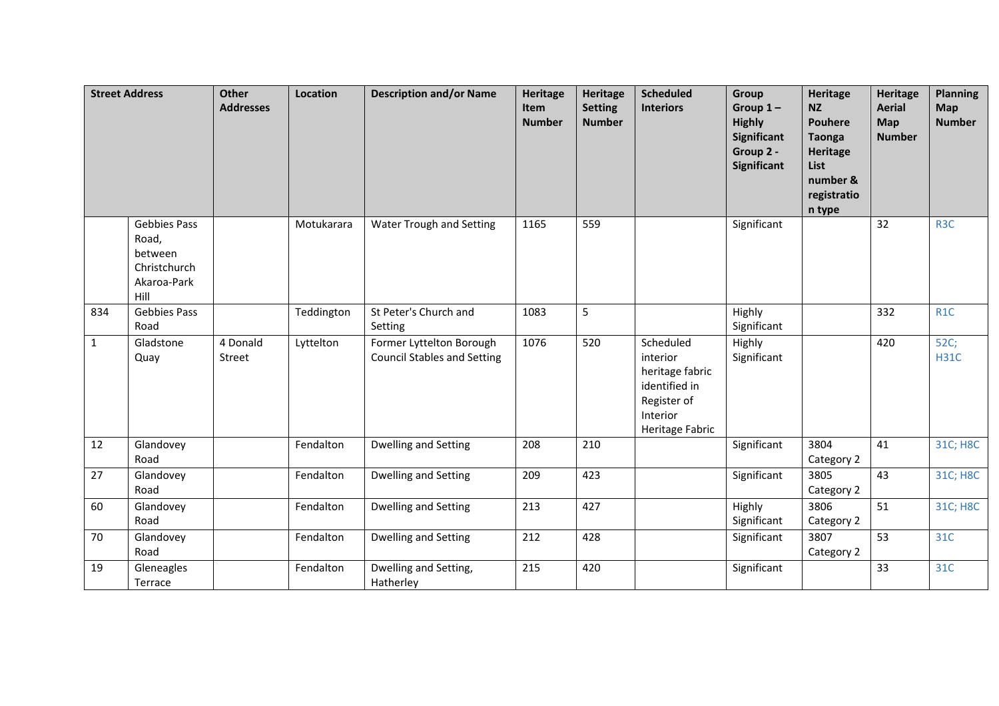|              | <b>Street Address</b>                                                          | <b>Other</b><br><b>Addresses</b> | Location   | <b>Description and/or Name</b>                                 | <b>Heritage</b><br>Item<br><b>Number</b> | <b>Heritage</b><br><b>Setting</b><br><b>Number</b> | <b>Scheduled</b><br><b>Interiors</b>                                                                    | <b>Group</b><br>Group $1-$<br><b>Highly</b><br>Significant<br>Group 2 -<br>Significant | <b>Heritage</b><br><b>NZ</b><br><b>Pouhere</b><br><b>Taonga</b><br><b>Heritage</b><br>List<br>number &<br>registratio<br>n type | <b>Heritage</b><br><b>Aerial</b><br>Map<br><b>Number</b> | <b>Planning</b><br>Map<br><b>Number</b> |
|--------------|--------------------------------------------------------------------------------|----------------------------------|------------|----------------------------------------------------------------|------------------------------------------|----------------------------------------------------|---------------------------------------------------------------------------------------------------------|----------------------------------------------------------------------------------------|---------------------------------------------------------------------------------------------------------------------------------|----------------------------------------------------------|-----------------------------------------|
|              | <b>Gebbies Pass</b><br>Road,<br>between<br>Christchurch<br>Akaroa-Park<br>Hill |                                  | Motukarara | Water Trough and Setting                                       | 1165                                     | 559                                                |                                                                                                         | Significant                                                                            |                                                                                                                                 | 32                                                       | R <sub>3</sub> C                        |
| 834          | <b>Gebbies Pass</b><br>Road                                                    |                                  | Teddington | St Peter's Church and<br>Setting                               | 1083                                     | 5                                                  |                                                                                                         | Highly<br>Significant                                                                  |                                                                                                                                 | 332                                                      | R <sub>1</sub> C                        |
| $\mathbf{1}$ | Gladstone<br>Quay                                                              | 4 Donald<br>Street               | Lyttelton  | Former Lyttelton Borough<br><b>Council Stables and Setting</b> | 1076                                     | 520                                                | Scheduled<br>interior<br>heritage fabric<br>identified in<br>Register of<br>Interior<br>Heritage Fabric | Highly<br>Significant                                                                  |                                                                                                                                 | 420                                                      | 52C;<br><b>H31C</b>                     |
| 12           | Glandovey<br>Road                                                              |                                  | Fendalton  | Dwelling and Setting                                           | 208                                      | 210                                                |                                                                                                         | Significant                                                                            | 3804<br>Category 2                                                                                                              | 41                                                       | 31C; H8C                                |
| 27           | Glandovey<br>Road                                                              |                                  | Fendalton  | Dwelling and Setting                                           | 209                                      | 423                                                |                                                                                                         | Significant                                                                            | 3805<br>Category 2                                                                                                              | 43                                                       | 31C; H8C                                |
| 60           | Glandovey<br>Road                                                              |                                  | Fendalton  | Dwelling and Setting                                           | 213                                      | 427                                                |                                                                                                         | Highly<br>Significant                                                                  | 3806<br>Category 2                                                                                                              | 51                                                       | 31C; H8C                                |
| 70           | Glandovey<br>Road                                                              |                                  | Fendalton  | Dwelling and Setting                                           | 212                                      | 428                                                |                                                                                                         | Significant                                                                            | 3807<br>Category 2                                                                                                              | 53                                                       | 31C                                     |
| 19           | Gleneagles<br>Terrace                                                          |                                  | Fendalton  | Dwelling and Setting,<br>Hatherley                             | 215                                      | 420                                                |                                                                                                         | Significant                                                                            |                                                                                                                                 | 33                                                       | 31C                                     |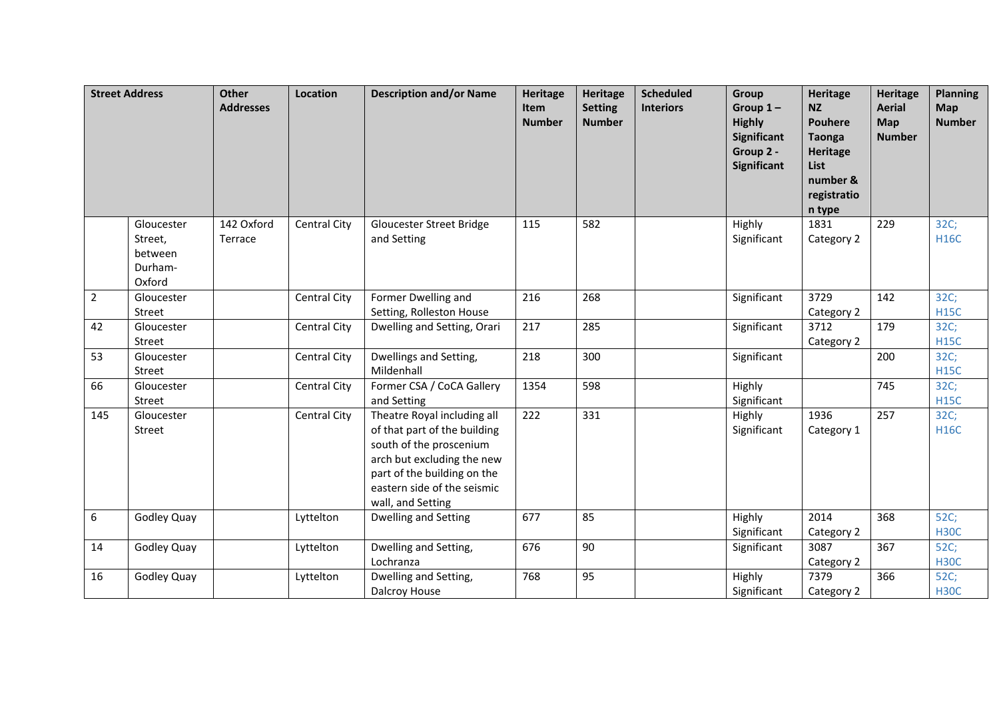|                | <b>Street Address</b>                                 | <b>Other</b><br><b>Addresses</b> | Location     | <b>Description and/or Name</b>                                                                                                                                                                          | <b>Heritage</b><br>Item<br><b>Number</b> | Heritage<br><b>Setting</b><br><b>Number</b> | <b>Scheduled</b><br><b>Interiors</b> | Group<br>Group $1-$<br><b>Highly</b><br><b>Significant</b><br>Group 2 -<br>Significant | <b>Heritage</b><br><b>NZ</b><br><b>Pouhere</b><br><b>Taonga</b><br><b>Heritage</b><br><b>List</b><br>number &<br>registratio<br>n type | <b>Heritage</b><br><b>Aerial</b><br>Map<br><b>Number</b> | <b>Planning</b><br><b>Map</b><br><b>Number</b> |
|----------------|-------------------------------------------------------|----------------------------------|--------------|---------------------------------------------------------------------------------------------------------------------------------------------------------------------------------------------------------|------------------------------------------|---------------------------------------------|--------------------------------------|----------------------------------------------------------------------------------------|----------------------------------------------------------------------------------------------------------------------------------------|----------------------------------------------------------|------------------------------------------------|
|                | Gloucester<br>Street,<br>between<br>Durham-<br>Oxford | 142 Oxford<br>Terrace            | Central City | Gloucester Street Bridge<br>and Setting                                                                                                                                                                 | 115                                      | 582                                         |                                      | Highly<br>Significant                                                                  | 1831<br>Category 2                                                                                                                     | 229                                                      | 32C;<br><b>H16C</b>                            |
| $\overline{2}$ | Gloucester<br>Street                                  |                                  | Central City | Former Dwelling and<br>Setting, Rolleston House                                                                                                                                                         | 216                                      | 268                                         |                                      | Significant                                                                            | 3729<br>Category 2                                                                                                                     | 142                                                      | 32C;<br><b>H15C</b>                            |
| 42             | Gloucester<br>Street                                  |                                  | Central City | Dwelling and Setting, Orari                                                                                                                                                                             | 217                                      | 285                                         |                                      | Significant                                                                            | 3712<br>Category 2                                                                                                                     | 179                                                      | 32C;<br><b>H15C</b>                            |
| 53             | Gloucester<br>Street                                  |                                  | Central City | Dwellings and Setting,<br>Mildenhall                                                                                                                                                                    | 218                                      | 300                                         |                                      | Significant                                                                            |                                                                                                                                        | 200                                                      | 32C;<br><b>H15C</b>                            |
| 66             | Gloucester<br>Street                                  |                                  | Central City | Former CSA / CoCA Gallery<br>and Setting                                                                                                                                                                | 1354                                     | 598                                         |                                      | Highly<br>Significant                                                                  |                                                                                                                                        | 745                                                      | 32C;<br><b>H15C</b>                            |
| 145            | Gloucester<br>Street                                  |                                  | Central City | Theatre Royal including all<br>of that part of the building<br>south of the proscenium<br>arch but excluding the new<br>part of the building on the<br>eastern side of the seismic<br>wall, and Setting | 222                                      | 331                                         |                                      | Highly<br>Significant                                                                  | 1936<br>Category 1                                                                                                                     | 257                                                      | 32C;<br><b>H16C</b>                            |
| 6              | Godley Quay                                           |                                  | Lyttelton    | <b>Dwelling and Setting</b>                                                                                                                                                                             | 677                                      | 85                                          |                                      | Highly<br>Significant                                                                  | 2014<br>Category 2                                                                                                                     | 368                                                      | 52C;<br><b>H30C</b>                            |
| 14             | Godley Quay                                           |                                  | Lyttelton    | Dwelling and Setting,<br>Lochranza                                                                                                                                                                      | 676                                      | 90                                          |                                      | Significant                                                                            | 3087<br>Category 2                                                                                                                     | 367                                                      | 52C;<br><b>H30C</b>                            |
| 16             | Godley Quay                                           |                                  | Lyttelton    | Dwelling and Setting,<br>Dalcroy House                                                                                                                                                                  | 768                                      | 95                                          |                                      | Highly<br>Significant                                                                  | 7379<br>Category 2                                                                                                                     | 366                                                      | 52C;<br><b>H30C</b>                            |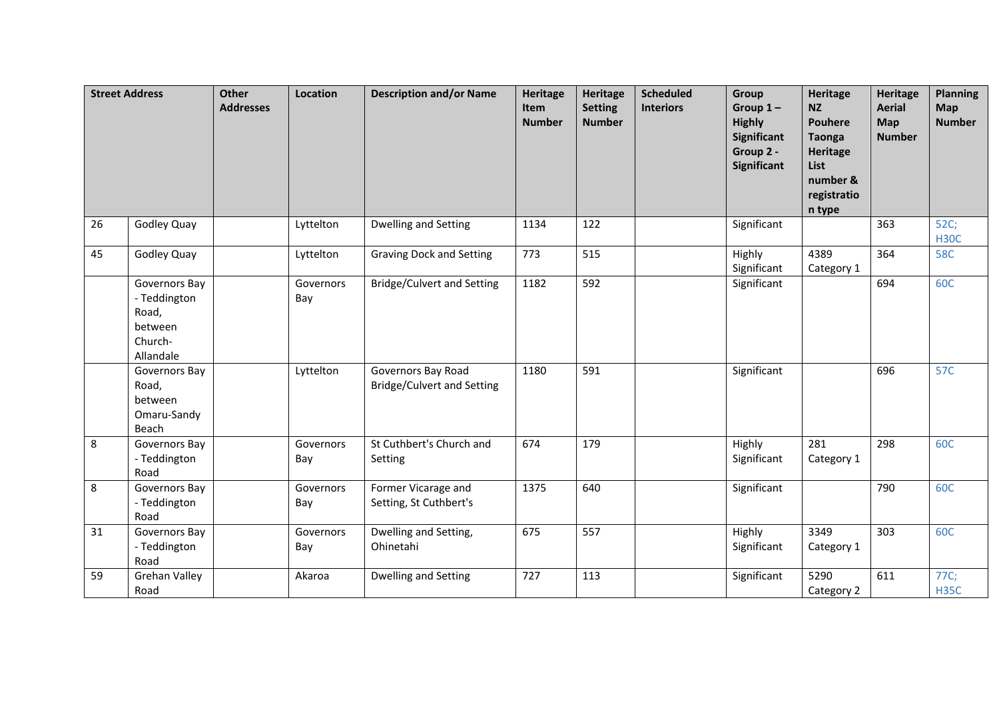|    | <b>Street Address</b>                                                     | <b>Other</b><br><b>Addresses</b> | Location         | <b>Description and/or Name</b>                          | <b>Heritage</b><br>Item<br><b>Number</b> | <b>Heritage</b><br><b>Setting</b><br><b>Number</b> | <b>Scheduled</b><br><b>Interiors</b> | Group<br>Group $1-$<br><b>Highly</b><br><b>Significant</b><br>Group 2 -<br>Significant | <b>Heritage</b><br><b>NZ</b><br><b>Pouhere</b><br><b>Taonga</b><br><b>Heritage</b><br>List<br>number &<br>registratio<br>n type | <b>Heritage</b><br><b>Aerial</b><br>Map<br><b>Number</b> | <b>Planning</b><br><b>Map</b><br><b>Number</b> |
|----|---------------------------------------------------------------------------|----------------------------------|------------------|---------------------------------------------------------|------------------------------------------|----------------------------------------------------|--------------------------------------|----------------------------------------------------------------------------------------|---------------------------------------------------------------------------------------------------------------------------------|----------------------------------------------------------|------------------------------------------------|
| 26 | Godley Quay                                                               |                                  | Lyttelton        | <b>Dwelling and Setting</b>                             | 1134                                     | 122                                                |                                      | Significant                                                                            |                                                                                                                                 | 363                                                      | 52C;<br><b>H30C</b>                            |
| 45 | Godley Quay                                                               |                                  | Lyttelton        | <b>Graving Dock and Setting</b>                         | $773$                                    | 515                                                |                                      | Highly<br>Significant                                                                  | 4389<br>Category 1                                                                                                              | 364                                                      | <b>58C</b>                                     |
|    | Governors Bay<br>- Teddington<br>Road,<br>between<br>Church-<br>Allandale |                                  | Governors<br>Bay | <b>Bridge/Culvert and Setting</b>                       | 1182                                     | 592                                                |                                      | Significant                                                                            |                                                                                                                                 | 694                                                      | 60C                                            |
|    | Governors Bay<br>Road,<br>between<br>Omaru-Sandy<br>Beach                 |                                  | Lyttelton        | Governors Bay Road<br><b>Bridge/Culvert and Setting</b> | 1180                                     | 591                                                |                                      | Significant                                                                            |                                                                                                                                 | 696                                                      | 57C                                            |
| 8  | Governors Bay<br>- Teddington<br>Road                                     |                                  | Governors<br>Bay | St Cuthbert's Church and<br>Setting                     | 674                                      | 179                                                |                                      | Highly<br>Significant                                                                  | 281<br>Category 1                                                                                                               | 298                                                      | 60C                                            |
| 8  | Governors Bay<br>- Teddington<br>Road                                     |                                  | Governors<br>Bay | Former Vicarage and<br>Setting, St Cuthbert's           | 1375                                     | 640                                                |                                      | Significant                                                                            |                                                                                                                                 | 790                                                      | 60C                                            |
| 31 | Governors Bay<br>- Teddington<br>Road                                     |                                  | Governors<br>Bay | Dwelling and Setting,<br>Ohinetahi                      | 675                                      | 557                                                |                                      | Highly<br>Significant                                                                  | 3349<br>Category 1                                                                                                              | 303                                                      | 60C                                            |
| 59 | <b>Grehan Valley</b><br>Road                                              |                                  | Akaroa           | <b>Dwelling and Setting</b>                             | 727                                      | 113                                                |                                      | Significant                                                                            | 5290<br>Category 2                                                                                                              | 611                                                      | 77C;<br><b>H35C</b>                            |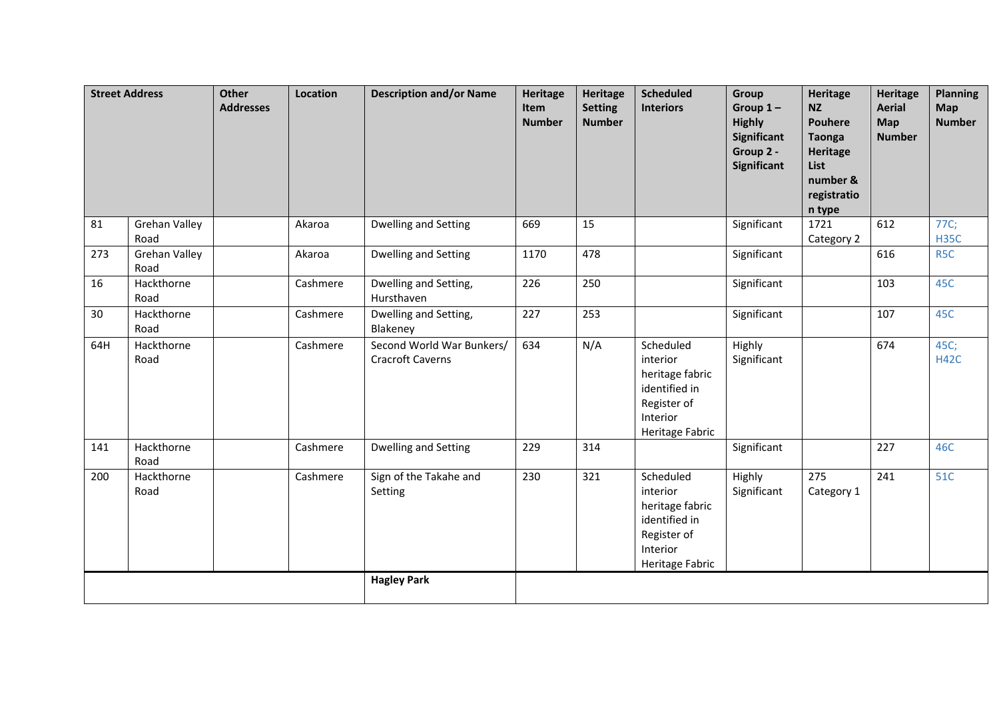|     | <b>Street Address</b>        | <b>Other</b><br><b>Addresses</b> | Location | <b>Description and/or Name</b>                       | Heritage<br>Item<br><b>Number</b> | Heritage<br><b>Setting</b><br><b>Number</b> | <b>Scheduled</b><br><b>Interiors</b>                                                                    | <b>Group</b><br>Group $1-$<br><b>Highly</b><br><b>Significant</b><br>Group 2 -<br><b>Significant</b> | <b>Heritage</b><br><b>NZ</b><br><b>Pouhere</b><br><b>Taonga</b><br><b>Heritage</b><br>List<br>number &<br>registratio<br>n type | <b>Heritage</b><br><b>Aerial</b><br>Map<br><b>Number</b> | <b>Planning</b><br><b>Map</b><br><b>Number</b> |
|-----|------------------------------|----------------------------------|----------|------------------------------------------------------|-----------------------------------|---------------------------------------------|---------------------------------------------------------------------------------------------------------|------------------------------------------------------------------------------------------------------|---------------------------------------------------------------------------------------------------------------------------------|----------------------------------------------------------|------------------------------------------------|
| 81  | <b>Grehan Valley</b><br>Road |                                  | Akaroa   | Dwelling and Setting                                 | 669                               | 15                                          |                                                                                                         | Significant                                                                                          | 1721<br>Category 2                                                                                                              | 612                                                      | 77C;<br><b>H35C</b>                            |
| 273 | <b>Grehan Valley</b><br>Road |                                  | Akaroa   | Dwelling and Setting                                 | 1170                              | 478                                         |                                                                                                         | Significant                                                                                          |                                                                                                                                 | 616                                                      | R <sub>5</sub> C                               |
| 16  | Hackthorne<br>Road           |                                  | Cashmere | Dwelling and Setting,<br>Hursthaven                  | 226                               | 250                                         |                                                                                                         | Significant                                                                                          |                                                                                                                                 | 103                                                      | 45C                                            |
| 30  | Hackthorne<br>Road           |                                  | Cashmere | Dwelling and Setting,<br>Blakeney                    | 227                               | 253                                         |                                                                                                         | Significant                                                                                          |                                                                                                                                 | 107                                                      | 45C                                            |
| 64H | Hackthorne<br>Road           |                                  | Cashmere | Second World War Bunkers/<br><b>Cracroft Caverns</b> | 634                               | N/A                                         | Scheduled<br>interior<br>heritage fabric<br>identified in<br>Register of<br>Interior<br>Heritage Fabric | Highly<br>Significant                                                                                |                                                                                                                                 | 674                                                      | 45C;<br><b>H42C</b>                            |
| 141 | Hackthorne<br>Road           |                                  | Cashmere | Dwelling and Setting                                 | 229                               | 314                                         |                                                                                                         | Significant                                                                                          |                                                                                                                                 | 227                                                      | 46C                                            |
| 200 | Hackthorne<br>Road           |                                  | Cashmere | Sign of the Takahe and<br>Setting                    | 230                               | 321                                         | Scheduled<br>interior<br>heritage fabric<br>identified in<br>Register of<br>Interior<br>Heritage Fabric | Highly<br>Significant                                                                                | 275<br>Category 1                                                                                                               | 241                                                      | 51C                                            |
|     |                              |                                  |          | <b>Hagley Park</b>                                   |                                   |                                             |                                                                                                         |                                                                                                      |                                                                                                                                 |                                                          |                                                |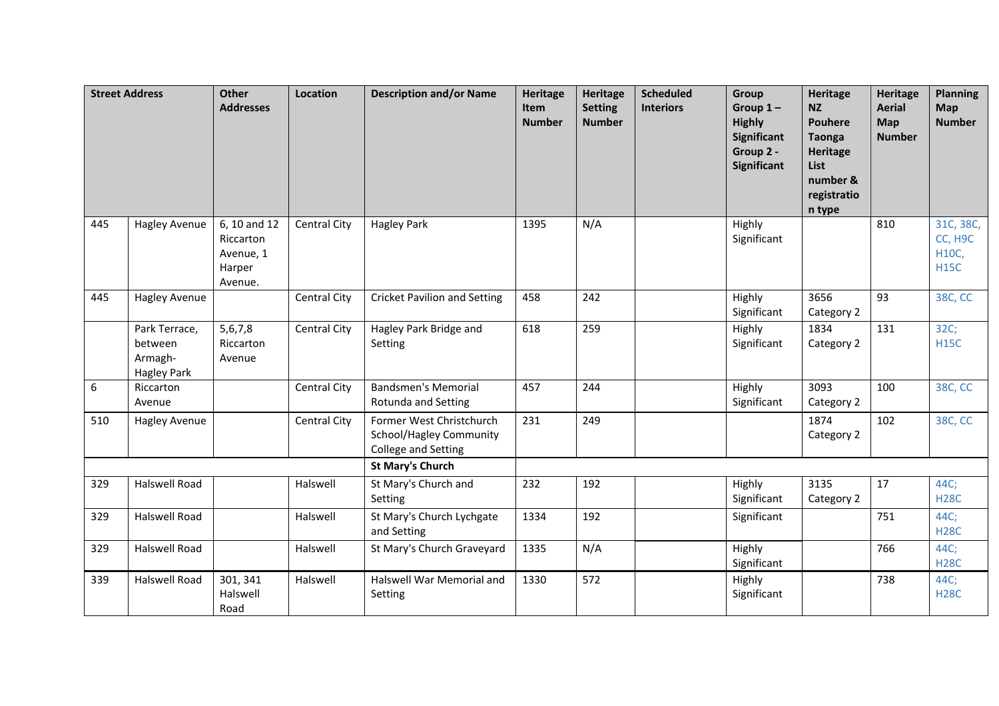| <b>Street Address</b> |                                                           | Other<br><b>Addresses</b>                                   | Location            | <b>Description and/or Name</b>                                                    | <b>Heritage</b><br>Item<br><b>Number</b> | <b>Heritage</b><br><b>Setting</b><br><b>Number</b> | <b>Scheduled</b><br><b>Interiors</b> | Group<br>Group $1-$<br><b>Highly</b><br>Significant<br>Group 2 -<br>Significant | <b>Heritage</b><br><b>NZ</b><br><b>Pouhere</b><br><b>Taonga</b><br><b>Heritage</b><br>List<br>number &<br>registratio<br>n type | <b>Heritage</b><br><b>Aerial</b><br><b>Map</b><br><b>Number</b> | <b>Planning</b><br>Map<br><b>Number</b>      |
|-----------------------|-----------------------------------------------------------|-------------------------------------------------------------|---------------------|-----------------------------------------------------------------------------------|------------------------------------------|----------------------------------------------------|--------------------------------------|---------------------------------------------------------------------------------|---------------------------------------------------------------------------------------------------------------------------------|-----------------------------------------------------------------|----------------------------------------------|
| 445                   | <b>Hagley Avenue</b>                                      | 6, 10 and 12<br>Riccarton<br>Avenue, 1<br>Harper<br>Avenue. | <b>Central City</b> | <b>Hagley Park</b>                                                                | 1395                                     | N/A                                                |                                      | Highly<br>Significant                                                           |                                                                                                                                 | 810                                                             | 31C, 38C,<br>CC, H9C<br>H10C,<br><b>H15C</b> |
| 445                   | <b>Hagley Avenue</b>                                      |                                                             | <b>Central City</b> | <b>Cricket Pavilion and Setting</b>                                               | 458                                      | 242                                                |                                      | Highly<br>Significant                                                           | 3656<br>Category 2                                                                                                              | 93                                                              | 38C, CC                                      |
|                       | Park Terrace,<br>between<br>Armagh-<br><b>Hagley Park</b> | 5,6,7,8<br>Riccarton<br>Avenue                              | <b>Central City</b> | Hagley Park Bridge and<br>Setting                                                 | 618                                      | 259                                                |                                      | Highly<br>Significant                                                           | 1834<br>Category 2                                                                                                              | 131                                                             | 32C;<br><b>H15C</b>                          |
| 6                     | Riccarton<br>Avenue                                       |                                                             | Central City        | <b>Bandsmen's Memorial</b><br><b>Rotunda and Setting</b>                          | 457                                      | 244                                                |                                      | Highly<br>Significant                                                           | 3093<br>Category 2                                                                                                              | 100                                                             | 38C, CC                                      |
| 510                   | <b>Hagley Avenue</b>                                      |                                                             | Central City        | Former West Christchurch<br><b>School/Hagley Community</b><br>College and Setting | 231                                      | 249                                                |                                      |                                                                                 | 1874<br>Category 2                                                                                                              | 102                                                             | 38C, CC                                      |
|                       |                                                           |                                                             |                     | <b>St Mary's Church</b>                                                           |                                          |                                                    |                                      |                                                                                 |                                                                                                                                 |                                                                 |                                              |
| 329                   | Halswell Road                                             |                                                             | Halswell            | St Mary's Church and<br>Setting                                                   | 232                                      | 192                                                |                                      | Highly<br>Significant                                                           | 3135<br>Category 2                                                                                                              | 17                                                              | 44C;<br><b>H28C</b>                          |
| 329                   | <b>Halswell Road</b>                                      |                                                             | Halswell            | St Mary's Church Lychgate<br>and Setting                                          | 1334                                     | 192                                                |                                      | Significant                                                                     |                                                                                                                                 | 751                                                             | 44C;<br><b>H28C</b>                          |
| 329                   | Halswell Road                                             |                                                             | Halswell            | St Mary's Church Graveyard                                                        | 1335                                     | N/A                                                |                                      | Highly<br>Significant                                                           |                                                                                                                                 | 766                                                             | 44C;<br><b>H28C</b>                          |
| 339                   | Halswell Road                                             | 301, 341<br>Halswell<br>Road                                | Halswell            | Halswell War Memorial and<br>Setting                                              | 1330                                     | 572                                                |                                      | Highly<br>Significant                                                           |                                                                                                                                 | 738                                                             | 44C;<br><b>H28C</b>                          |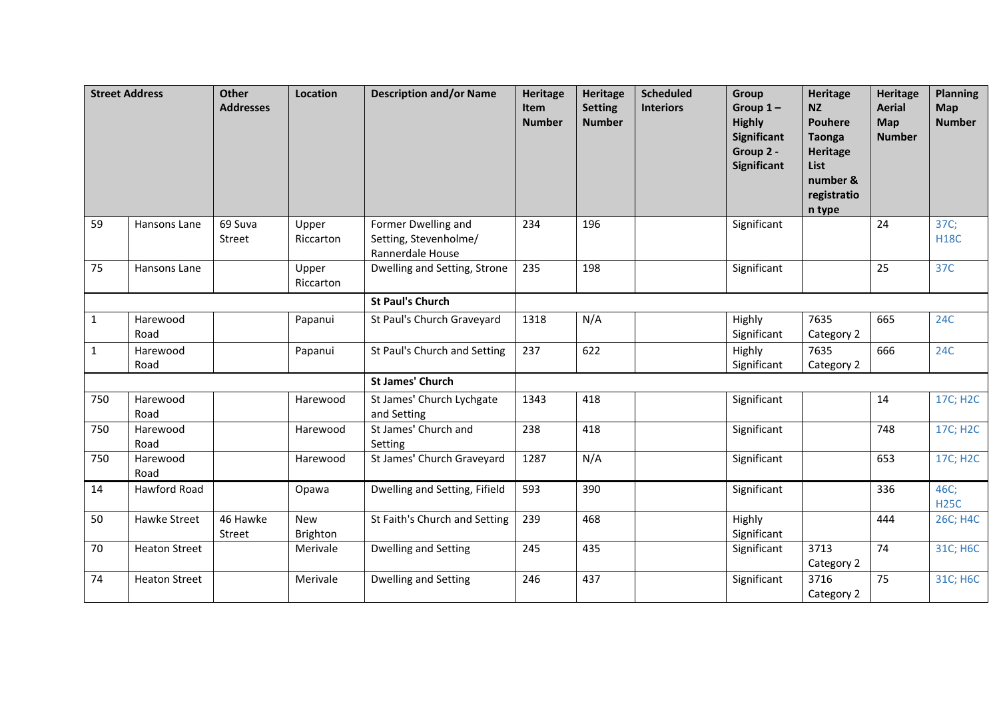|              | <b>Street Address</b> | <b>Other</b><br><b>Addresses</b> | <b>Location</b>    | <b>Description and/or Name</b>                                   | Heritage<br>Item<br><b>Number</b> | <b>Heritage</b><br><b>Setting</b><br><b>Number</b> | <b>Scheduled</b><br><b>Interiors</b> | Group<br>Group $1-$<br><b>Highly</b><br>Significant<br>Group 2 -<br>Significant | <b>Heritage</b><br><b>NZ</b><br><b>Pouhere</b><br><b>Taonga</b><br><b>Heritage</b><br>List<br>number &<br>registratio<br>n type | <b>Heritage</b><br><b>Aerial</b><br><b>Map</b><br><b>Number</b> | <b>Planning</b><br>Map<br><b>Number</b> |
|--------------|-----------------------|----------------------------------|--------------------|------------------------------------------------------------------|-----------------------------------|----------------------------------------------------|--------------------------------------|---------------------------------------------------------------------------------|---------------------------------------------------------------------------------------------------------------------------------|-----------------------------------------------------------------|-----------------------------------------|
| 59           | Hansons Lane          | 69 Suva<br>Street                | Upper<br>Riccarton | Former Dwelling and<br>Setting, Stevenholme/<br>Rannerdale House | 234                               | 196                                                |                                      | Significant                                                                     |                                                                                                                                 | 24                                                              | 37C;<br><b>H18C</b>                     |
| 75           | Hansons Lane          |                                  | Upper<br>Riccarton | Dwelling and Setting, Strone                                     | 235                               | 198                                                |                                      | Significant                                                                     |                                                                                                                                 | 25                                                              | 37C                                     |
|              |                       |                                  |                    | <b>St Paul's Church</b>                                          |                                   |                                                    |                                      |                                                                                 |                                                                                                                                 |                                                                 |                                         |
| $\mathbf{1}$ | Harewood<br>Road      |                                  | Papanui            | St Paul's Church Graveyard                                       | 1318                              | N/A                                                |                                      | Highly<br>Significant                                                           | 7635<br>Category 2                                                                                                              | 665                                                             | <b>24C</b>                              |
| 1            | Harewood<br>Road      |                                  | Papanui            | St Paul's Church and Setting                                     | 237                               | 622                                                |                                      | Highly<br>Significant                                                           | 7635<br>Category 2                                                                                                              | 666                                                             | <b>24C</b>                              |
|              |                       |                                  |                    | <b>St James' Church</b>                                          |                                   |                                                    |                                      |                                                                                 |                                                                                                                                 |                                                                 |                                         |
| 750          | Harewood<br>Road      |                                  | Harewood           | St James' Church Lychgate<br>and Setting                         | 1343                              | 418                                                |                                      | Significant                                                                     |                                                                                                                                 | 14                                                              | 17C; H2C                                |
| 750          | Harewood<br>Road      |                                  | Harewood           | St James' Church and<br>Setting                                  | 238                               | 418                                                |                                      | Significant                                                                     |                                                                                                                                 | 748                                                             | 17C; H2C                                |
| 750          | Harewood<br>Road      |                                  | Harewood           | St James' Church Graveyard                                       | 1287                              | N/A                                                |                                      | Significant                                                                     |                                                                                                                                 | 653                                                             | 17C; H2C                                |
| 14           | Hawford Road          |                                  | Opawa              | Dwelling and Setting, Fifield                                    | 593                               | 390                                                |                                      | Significant                                                                     |                                                                                                                                 | 336                                                             | 46C;<br><b>H25C</b>                     |
| 50           | Hawke Street          | 46 Hawke<br>Street               | New<br>Brighton    | St Faith's Church and Setting                                    | 239                               | 468                                                |                                      | Highly<br>Significant                                                           |                                                                                                                                 | 444                                                             | 26C; H4C                                |
| 70           | <b>Heaton Street</b>  |                                  | Merivale           | <b>Dwelling and Setting</b>                                      | 245                               | 435                                                |                                      | Significant                                                                     | 3713<br>Category 2                                                                                                              | 74                                                              | 31C; H6C                                |
| 74           | <b>Heaton Street</b>  |                                  | Merivale           | Dwelling and Setting                                             | 246                               | 437                                                |                                      | Significant                                                                     | 3716<br>Category 2                                                                                                              | 75                                                              | 31C; H6C                                |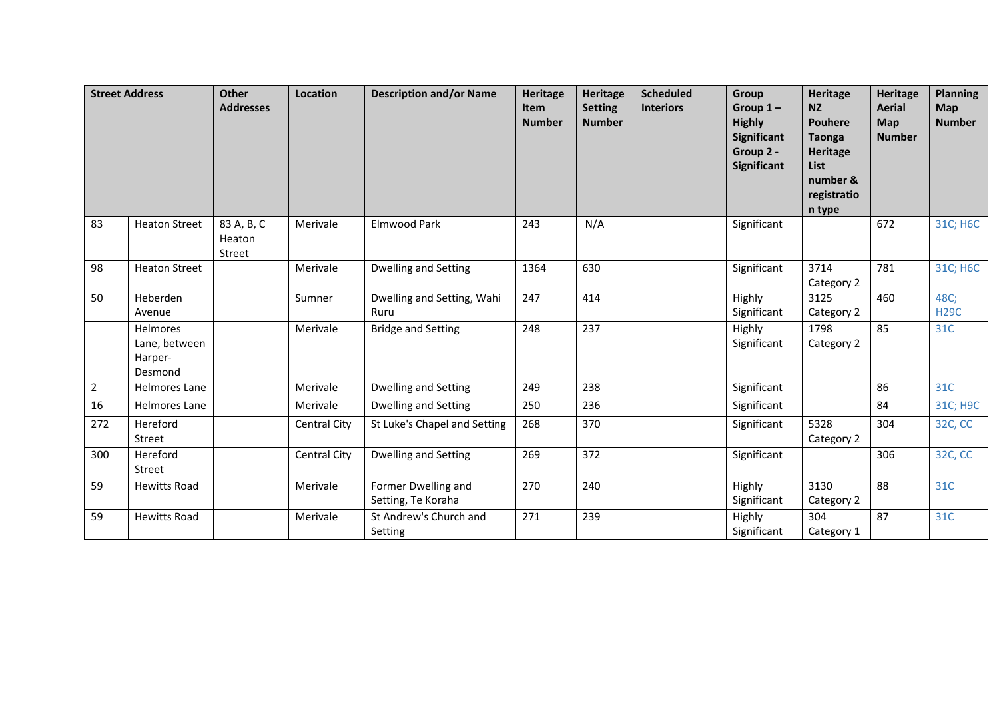|                | <b>Street Address</b>                           | <b>Other</b><br><b>Addresses</b> | Location            | <b>Description and/or Name</b>            | <b>Heritage</b><br>Item<br><b>Number</b> | <b>Heritage</b><br><b>Setting</b><br><b>Number</b> | <b>Scheduled</b><br><b>Interiors</b> | Group<br>Group $1-$<br><b>Highly</b><br><b>Significant</b><br>Group 2 -<br><b>Significant</b> | Heritage<br><b>NZ</b><br><b>Pouhere</b><br><b>Taonga</b><br>Heritage<br><b>List</b><br>number &<br>registratio<br>n type | <b>Heritage</b><br><b>Aerial</b><br>Map<br><b>Number</b> | <b>Planning</b><br><b>Map</b><br><b>Number</b> |
|----------------|-------------------------------------------------|----------------------------------|---------------------|-------------------------------------------|------------------------------------------|----------------------------------------------------|--------------------------------------|-----------------------------------------------------------------------------------------------|--------------------------------------------------------------------------------------------------------------------------|----------------------------------------------------------|------------------------------------------------|
| 83             | <b>Heaton Street</b>                            | 83 A, B, C<br>Heaton<br>Street   | Merivale            | Elmwood Park                              | 243                                      | N/A                                                |                                      | Significant                                                                                   |                                                                                                                          | 672                                                      | 31C; H6C                                       |
| 98             | <b>Heaton Street</b>                            |                                  | Merivale            | <b>Dwelling and Setting</b>               | 1364                                     | 630                                                |                                      | Significant                                                                                   | 3714<br>Category 2                                                                                                       | 781                                                      | 31C; H6C                                       |
| 50             | Heberden<br>Avenue                              |                                  | Sumner              | Dwelling and Setting, Wahi<br>Ruru        | 247                                      | 414                                                |                                      | Highly<br>Significant                                                                         | 3125<br>Category 2                                                                                                       | 460                                                      | 48C;<br><b>H29C</b>                            |
|                | Helmores<br>Lane, between<br>Harper-<br>Desmond |                                  | Merivale            | <b>Bridge and Setting</b>                 | 248                                      | 237                                                |                                      | Highly<br>Significant                                                                         | 1798<br>Category 2                                                                                                       | 85                                                       | 31C                                            |
| $\overline{2}$ | Helmores Lane                                   |                                  | Merivale            | Dwelling and Setting                      | 249                                      | 238                                                |                                      | Significant                                                                                   |                                                                                                                          | 86                                                       | 31C                                            |
| 16             | Helmores Lane                                   |                                  | Merivale            | Dwelling and Setting                      | 250                                      | 236                                                |                                      | Significant                                                                                   |                                                                                                                          | 84                                                       | 31C; H9C                                       |
| 272            | Hereford<br>Street                              |                                  | <b>Central City</b> | St Luke's Chapel and Setting              | 268                                      | 370                                                |                                      | Significant                                                                                   | 5328<br>Category 2                                                                                                       | 304                                                      | 32C, CC                                        |
| 300            | Hereford<br>Street                              |                                  | <b>Central City</b> | Dwelling and Setting                      | 269                                      | 372                                                |                                      | Significant                                                                                   |                                                                                                                          | 306                                                      | 32C, CC                                        |
| 59             | <b>Hewitts Road</b>                             |                                  | Merivale            | Former Dwelling and<br>Setting, Te Koraha | 270                                      | 240                                                |                                      | Highly<br>Significant                                                                         | 3130<br>Category 2                                                                                                       | 88                                                       | 31C                                            |
| 59             | <b>Hewitts Road</b>                             |                                  | Merivale            | St Andrew's Church and<br>Setting         | 271                                      | 239                                                |                                      | Highly<br>Significant                                                                         | 304<br>Category 1                                                                                                        | 87                                                       | 31C                                            |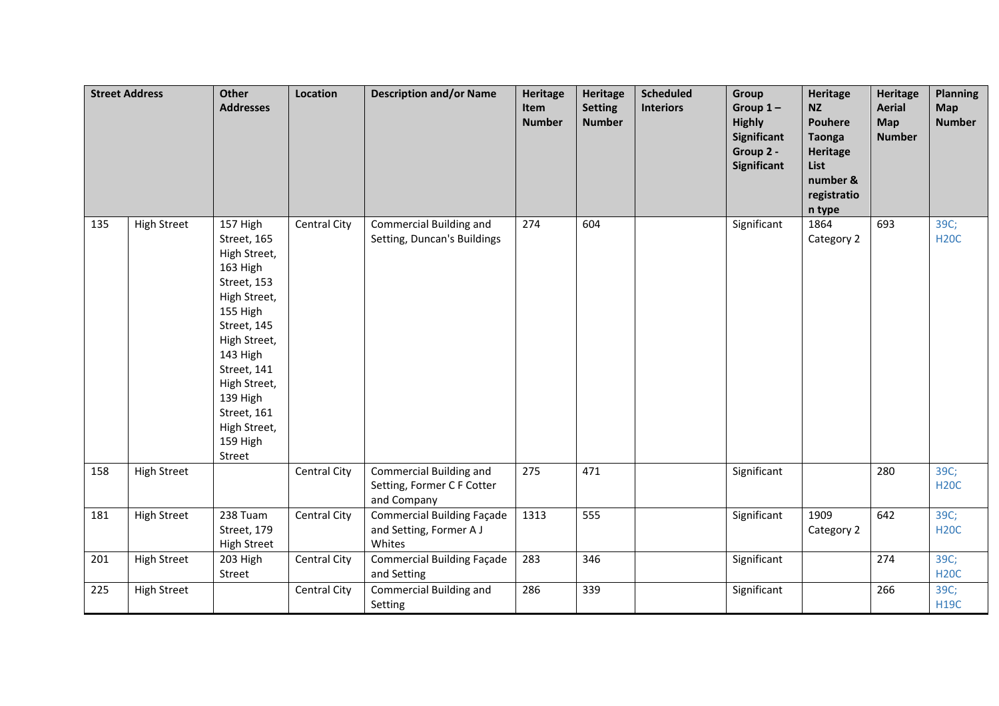|     | <b>Street Address</b> | Other<br><b>Addresses</b>                                                                                                                                                                                                                 | Location     | <b>Description and/or Name</b>                                         | <b>Heritage</b><br>Item<br><b>Number</b> | Heritage<br><b>Setting</b><br><b>Number</b> | <b>Scheduled</b><br><b>Interiors</b> | Group<br>Group $1-$<br><b>Highly</b><br><b>Significant</b><br>Group 2 -<br><b>Significant</b> | Heritage<br><b>NZ</b><br><b>Pouhere</b><br><b>Taonga</b><br>Heritage<br>List<br>number &<br>registratio<br>n type | <b>Heritage</b><br><b>Aerial</b><br><b>Map</b><br><b>Number</b> | <b>Planning</b><br><b>Map</b><br><b>Number</b> |
|-----|-----------------------|-------------------------------------------------------------------------------------------------------------------------------------------------------------------------------------------------------------------------------------------|--------------|------------------------------------------------------------------------|------------------------------------------|---------------------------------------------|--------------------------------------|-----------------------------------------------------------------------------------------------|-------------------------------------------------------------------------------------------------------------------|-----------------------------------------------------------------|------------------------------------------------|
| 135 | <b>High Street</b>    | 157 High<br>Street, 165<br>High Street,<br>163 High<br>Street, 153<br>High Street,<br>155 High<br>Street, 145<br>High Street,<br>143 High<br>Street, 141<br>High Street,<br>139 High<br>Street, 161<br>High Street,<br>159 High<br>Street | Central City | Commercial Building and<br>Setting, Duncan's Buildings                 | 274                                      | 604                                         |                                      | Significant                                                                                   | 1864<br>Category 2                                                                                                | 693                                                             | 39C;<br><b>H20C</b>                            |
| 158 | <b>High Street</b>    |                                                                                                                                                                                                                                           | Central City | Commercial Building and<br>Setting, Former C F Cotter<br>and Company   | 275                                      | 471                                         |                                      | Significant                                                                                   |                                                                                                                   | 280                                                             | 39C;<br><b>H20C</b>                            |
| 181 | <b>High Street</b>    | 238 Tuam<br>Street, 179<br><b>High Street</b>                                                                                                                                                                                             | Central City | <b>Commercial Building Façade</b><br>and Setting, Former A J<br>Whites | 1313                                     | 555                                         |                                      | Significant                                                                                   | 1909<br>Category 2                                                                                                | 642                                                             | 39C;<br><b>H20C</b>                            |
| 201 | <b>High Street</b>    | 203 High<br>Street                                                                                                                                                                                                                        | Central City | <b>Commercial Building Façade</b><br>and Setting                       | 283                                      | 346                                         |                                      | Significant                                                                                   |                                                                                                                   | 274                                                             | 39C;<br><b>H20C</b>                            |
| 225 | <b>High Street</b>    |                                                                                                                                                                                                                                           | Central City | Commercial Building and<br>Setting                                     | 286                                      | 339                                         |                                      | Significant                                                                                   |                                                                                                                   | 266                                                             | 39C;<br><b>H19C</b>                            |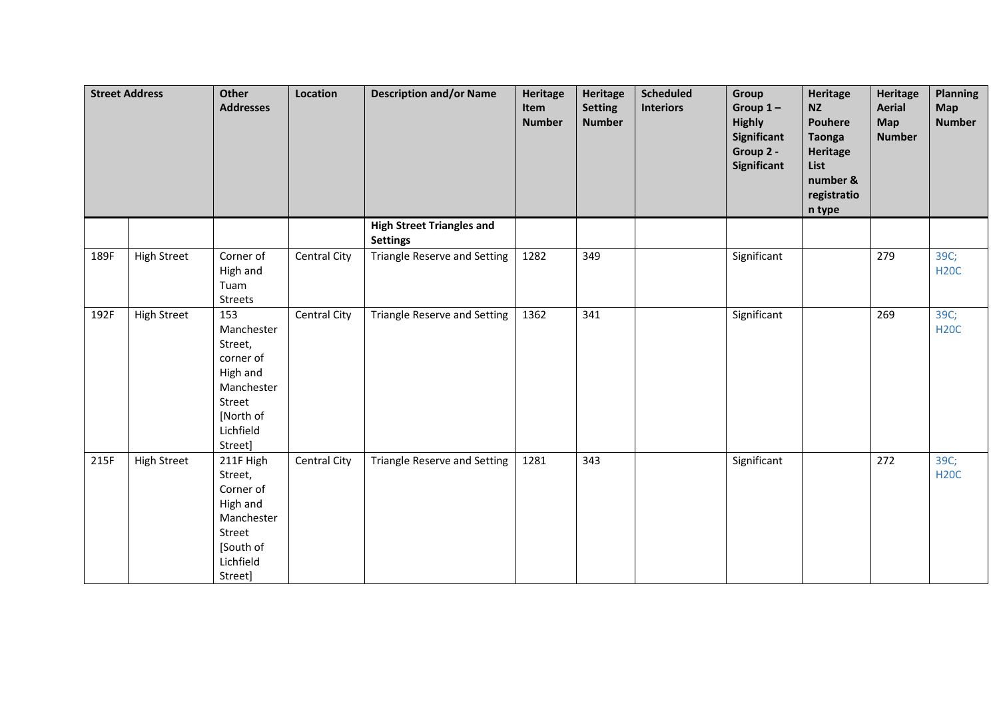|      | <b>Street Address</b> | Other<br><b>Addresses</b>                                                                                          | Location            | <b>Description and/or Name</b>                      | <b>Heritage</b><br>Item<br><b>Number</b> | Heritage<br><b>Setting</b><br><b>Number</b> | <b>Scheduled</b><br><b>Interiors</b> | Group<br>Group $1-$<br><b>Highly</b><br>Significant<br>Group 2 -<br><b>Significant</b> | <b>Heritage</b><br><b>NZ</b><br><b>Pouhere</b><br><b>Taonga</b><br>Heritage<br>List<br>number &<br>registratio<br>n type | <b>Heritage</b><br><b>Aerial</b><br><b>Map</b><br><b>Number</b> | <b>Planning</b><br><b>Map</b><br><b>Number</b> |
|------|-----------------------|--------------------------------------------------------------------------------------------------------------------|---------------------|-----------------------------------------------------|------------------------------------------|---------------------------------------------|--------------------------------------|----------------------------------------------------------------------------------------|--------------------------------------------------------------------------------------------------------------------------|-----------------------------------------------------------------|------------------------------------------------|
|      |                       |                                                                                                                    |                     | <b>High Street Triangles and</b><br><b>Settings</b> |                                          |                                             |                                      |                                                                                        |                                                                                                                          |                                                                 |                                                |
| 189F | <b>High Street</b>    | Corner of<br>High and<br>Tuam<br>Streets                                                                           | <b>Central City</b> | Triangle Reserve and Setting                        | 1282                                     | 349                                         |                                      | Significant                                                                            |                                                                                                                          | 279                                                             | 39C;<br><b>H20C</b>                            |
| 192F | <b>High Street</b>    | 153<br>Manchester<br>Street,<br>corner of<br>High and<br>Manchester<br>Street<br>[North of<br>Lichfield<br>Street] | Central City        | <b>Triangle Reserve and Setting</b>                 | 1362                                     | 341                                         |                                      | Significant                                                                            |                                                                                                                          | 269                                                             | 39C;<br><b>H20C</b>                            |
| 215F | <b>High Street</b>    | 211F High<br>Street,<br>Corner of<br>High and<br>Manchester<br>Street<br>[South of<br>Lichfield<br>Street]         | Central City        | Triangle Reserve and Setting                        | 1281                                     | 343                                         |                                      | Significant                                                                            |                                                                                                                          | 272                                                             | 39C;<br><b>H20C</b>                            |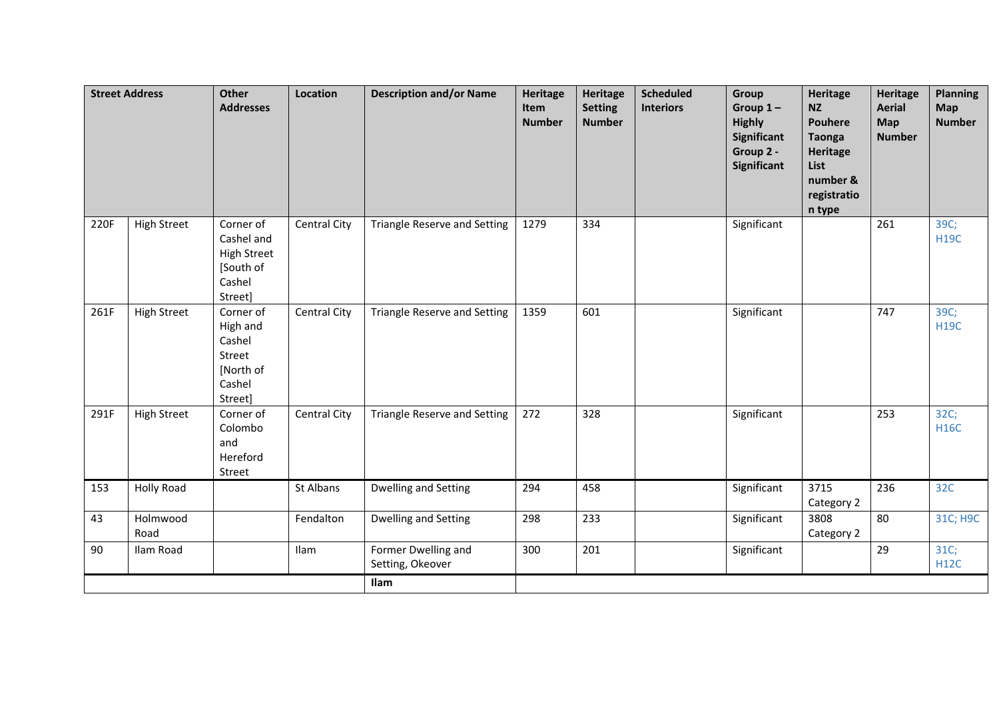|      | <b>Street Address</b> | <b>Other</b><br><b>Addresses</b>                                                | Location            | <b>Description and/or Name</b>          | <b>Heritage</b><br>Item<br><b>Number</b> | Heritage<br><b>Setting</b><br><b>Number</b> | <b>Scheduled</b><br><b>Interiors</b> | Group<br>Group $1-$<br><b>Highly</b><br>Significant<br>Group 2 -<br>Significant | <b>Heritage</b><br><b>NZ</b><br><b>Pouhere</b><br><b>Taonga</b><br><b>Heritage</b><br>List<br>number &<br>registratio<br>n type | <b>Heritage</b><br><b>Aerial</b><br>Map<br><b>Number</b> | <b>Planning</b><br><b>Map</b><br><b>Number</b> |
|------|-----------------------|---------------------------------------------------------------------------------|---------------------|-----------------------------------------|------------------------------------------|---------------------------------------------|--------------------------------------|---------------------------------------------------------------------------------|---------------------------------------------------------------------------------------------------------------------------------|----------------------------------------------------------|------------------------------------------------|
| 220F | <b>High Street</b>    | Corner of<br>Cashel and<br><b>High Street</b><br>[South of<br>Cashel<br>Street] | Central City        | Triangle Reserve and Setting            | 1279                                     | 334                                         |                                      | Significant                                                                     |                                                                                                                                 | 261                                                      | 39C;<br><b>H19C</b>                            |
| 261F | <b>High Street</b>    | Corner of<br>High and<br>Cashel<br>Street<br>[North of<br>Cashel<br>Street]     | <b>Central City</b> | <b>Triangle Reserve and Setting</b>     | 1359                                     | 601                                         |                                      | Significant                                                                     |                                                                                                                                 | 747                                                      | 39C;<br><b>H19C</b>                            |
| 291F | <b>High Street</b>    | Corner of<br>Colombo<br>and<br>Hereford<br>Street                               | Central City        | <b>Triangle Reserve and Setting</b>     | 272                                      | 328                                         |                                      | Significant                                                                     |                                                                                                                                 | 253                                                      | 32C;<br><b>H16C</b>                            |
| 153  | Holly Road            |                                                                                 | St Albans           | Dwelling and Setting                    | 294                                      | 458                                         |                                      | Significant                                                                     | 3715<br>Category 2                                                                                                              | 236                                                      | 32C                                            |
| 43   | Holmwood<br>Road      |                                                                                 | Fendalton           | Dwelling and Setting                    | 298                                      | 233                                         |                                      | Significant                                                                     | 3808<br>Category 2                                                                                                              | 80                                                       | 31C; H9C                                       |
| 90   | Ilam Road             |                                                                                 | Ilam                | Former Dwelling and<br>Setting, Okeover | 300                                      | 201                                         |                                      | Significant                                                                     |                                                                                                                                 | 29                                                       | 31C;<br><b>H12C</b>                            |
|      |                       |                                                                                 |                     | <b>Ilam</b>                             |                                          |                                             |                                      |                                                                                 |                                                                                                                                 |                                                          |                                                |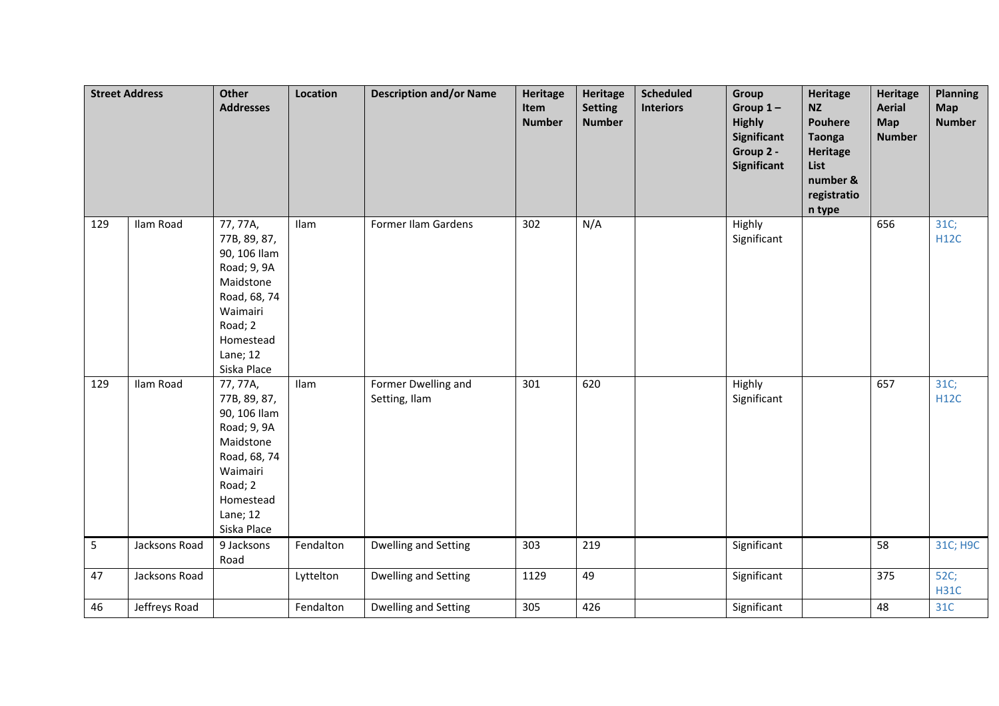| <b>Street Address</b> |               | Other<br><b>Addresses</b>                                                                                                                           | Location  | <b>Description and/or Name</b>       | <b>Heritage</b><br>Item<br><b>Number</b> | Heritage<br><b>Setting</b><br><b>Number</b> | <b>Scheduled</b><br><b>Interiors</b> | Group<br>Group $1-$<br><b>Highly</b><br>Significant<br>Group 2 -<br>Significant | <b>Heritage</b><br><b>NZ</b><br><b>Pouhere</b><br><b>Taonga</b><br><b>Heritage</b><br>List<br>number &<br>registratio<br>n type | <b>Heritage</b><br><b>Aerial</b><br>Map<br><b>Number</b> | <b>Planning</b><br><b>Map</b><br><b>Number</b> |
|-----------------------|---------------|-----------------------------------------------------------------------------------------------------------------------------------------------------|-----------|--------------------------------------|------------------------------------------|---------------------------------------------|--------------------------------------|---------------------------------------------------------------------------------|---------------------------------------------------------------------------------------------------------------------------------|----------------------------------------------------------|------------------------------------------------|
| 129                   | Ilam Road     | 77, 77A,<br>77B, 89, 87,<br>90, 106 Ilam<br>Road; 9, 9A<br>Maidstone<br>Road, 68, 74<br>Waimairi<br>Road; 2<br>Homestead<br>Lane; 12<br>Siska Place | Ilam      | Former Ilam Gardens                  | 302                                      | N/A                                         |                                      | Highly<br>Significant                                                           |                                                                                                                                 | 656                                                      | 31C;<br><b>H12C</b>                            |
| 129                   | Ilam Road     | 77, 77A,<br>77B, 89, 87,<br>90, 106 Ilam<br>Road; 9, 9A<br>Maidstone<br>Road, 68, 74<br>Waimairi<br>Road; 2<br>Homestead<br>Lane; 12<br>Siska Place | Ilam      | Former Dwelling and<br>Setting, Ilam | 301                                      | 620                                         |                                      | Highly<br>Significant                                                           |                                                                                                                                 | 657                                                      | 31C;<br><b>H12C</b>                            |
| 5                     | Jacksons Road | 9 Jacksons<br>Road                                                                                                                                  | Fendalton | Dwelling and Setting                 | 303                                      | 219                                         |                                      | Significant                                                                     |                                                                                                                                 | 58                                                       | 31C; H9C                                       |
| 47                    | Jacksons Road |                                                                                                                                                     | Lyttelton | Dwelling and Setting                 | 1129                                     | 49                                          |                                      | Significant                                                                     |                                                                                                                                 | 375                                                      | 52C;<br><b>H31C</b>                            |
| 46                    | Jeffreys Road |                                                                                                                                                     | Fendalton | Dwelling and Setting                 | 305                                      | 426                                         |                                      | Significant                                                                     |                                                                                                                                 | 48                                                       | 31C                                            |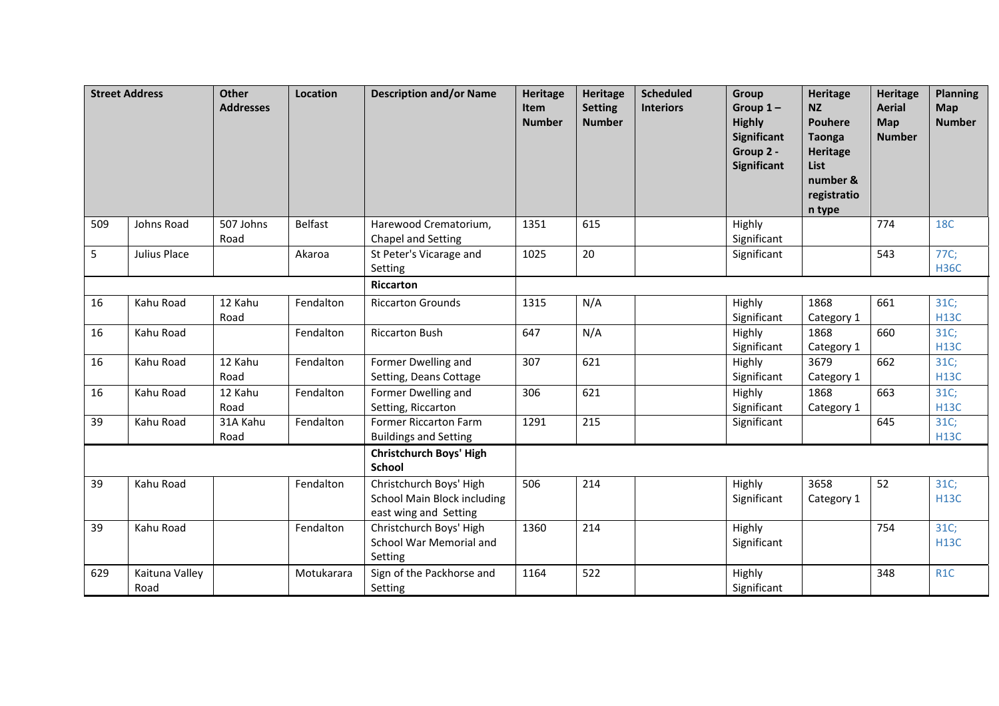|     | <b>Street Address</b>  | <b>Other</b><br><b>Addresses</b> | Location   | <b>Description and/or Name</b>                                                  | <b>Heritage</b><br>Item<br><b>Number</b> | Heritage<br><b>Setting</b><br><b>Number</b> | <b>Scheduled</b><br><b>Interiors</b> | Group<br>Group $1-$<br><b>Highly</b><br>Significant<br>Group 2 -<br>Significant | <b>Heritage</b><br><b>NZ</b><br><b>Pouhere</b><br><b>Taonga</b><br><b>Heritage</b><br>List<br>number &<br>registratio<br>n type | <b>Heritage</b><br><b>Aerial</b><br>Map<br><b>Number</b> | <b>Planning</b><br>Map<br><b>Number</b> |
|-----|------------------------|----------------------------------|------------|---------------------------------------------------------------------------------|------------------------------------------|---------------------------------------------|--------------------------------------|---------------------------------------------------------------------------------|---------------------------------------------------------------------------------------------------------------------------------|----------------------------------------------------------|-----------------------------------------|
| 509 | Johns Road             | 507 Johns<br>Road                | Belfast    | Harewood Crematorium,<br>Chapel and Setting                                     | 1351                                     | 615                                         |                                      | Highly<br>Significant                                                           |                                                                                                                                 | 774                                                      | <b>18C</b>                              |
| 5   | Julius Place           |                                  | Akaroa     | St Peter's Vicarage and<br>Setting                                              | 1025                                     | 20                                          |                                      | Significant                                                                     |                                                                                                                                 | 543                                                      | 77C;<br><b>H36C</b>                     |
|     |                        |                                  |            | Riccarton                                                                       |                                          |                                             |                                      |                                                                                 |                                                                                                                                 |                                                          |                                         |
| 16  | Kahu Road              | 12 Kahu<br>Road                  | Fendalton  | <b>Riccarton Grounds</b>                                                        | 1315                                     | N/A                                         |                                      | Highly<br>Significant                                                           | 1868<br>Category 1                                                                                                              | 661                                                      | 31C;<br><b>H13C</b>                     |
| 16  | Kahu Road              |                                  | Fendalton  | <b>Riccarton Bush</b>                                                           | 647                                      | N/A                                         |                                      | Highly<br>Significant                                                           | 1868<br>Category 1                                                                                                              | 660                                                      | 31C;<br><b>H13C</b>                     |
| 16  | Kahu Road              | 12 Kahu<br>Road                  | Fendalton  | Former Dwelling and<br>Setting, Deans Cottage                                   | 307                                      | 621                                         |                                      | Highly<br>Significant                                                           | 3679<br>Category 1                                                                                                              | 662                                                      | 31C;<br><b>H13C</b>                     |
| 16  | Kahu Road              | 12 Kahu<br>Road                  | Fendalton  | Former Dwelling and<br>Setting, Riccarton                                       | 306                                      | 621                                         |                                      | Highly<br>Significant                                                           | 1868<br>Category 1                                                                                                              | 663                                                      | 31C;<br><b>H13C</b>                     |
| 39  | Kahu Road              | 31A Kahu<br>Road                 | Fendalton  | Former Riccarton Farm<br><b>Buildings and Setting</b>                           | 1291                                     | 215                                         |                                      | Significant                                                                     |                                                                                                                                 | 645                                                      | 31C;<br><b>H13C</b>                     |
|     |                        |                                  |            | <b>Christchurch Boys' High</b><br><b>School</b>                                 |                                          |                                             |                                      |                                                                                 |                                                                                                                                 |                                                          |                                         |
| 39  | Kahu Road              |                                  | Fendalton  | Christchurch Boys' High<br>School Main Block including<br>east wing and Setting | 506                                      | 214                                         |                                      | Highly<br>Significant                                                           | 3658<br>Category 1                                                                                                              | 52                                                       | 31C;<br><b>H13C</b>                     |
| 39  | Kahu Road              |                                  | Fendalton  | Christchurch Boys' High<br>School War Memorial and<br>Setting                   | 1360                                     | 214                                         |                                      | Highly<br>Significant                                                           |                                                                                                                                 | 754                                                      | 31C;<br><b>H13C</b>                     |
| 629 | Kaituna Valley<br>Road |                                  | Motukarara | Sign of the Packhorse and<br>Setting                                            | 1164                                     | 522                                         |                                      | Highly<br>Significant                                                           |                                                                                                                                 | 348                                                      | R <sub>1</sub> C                        |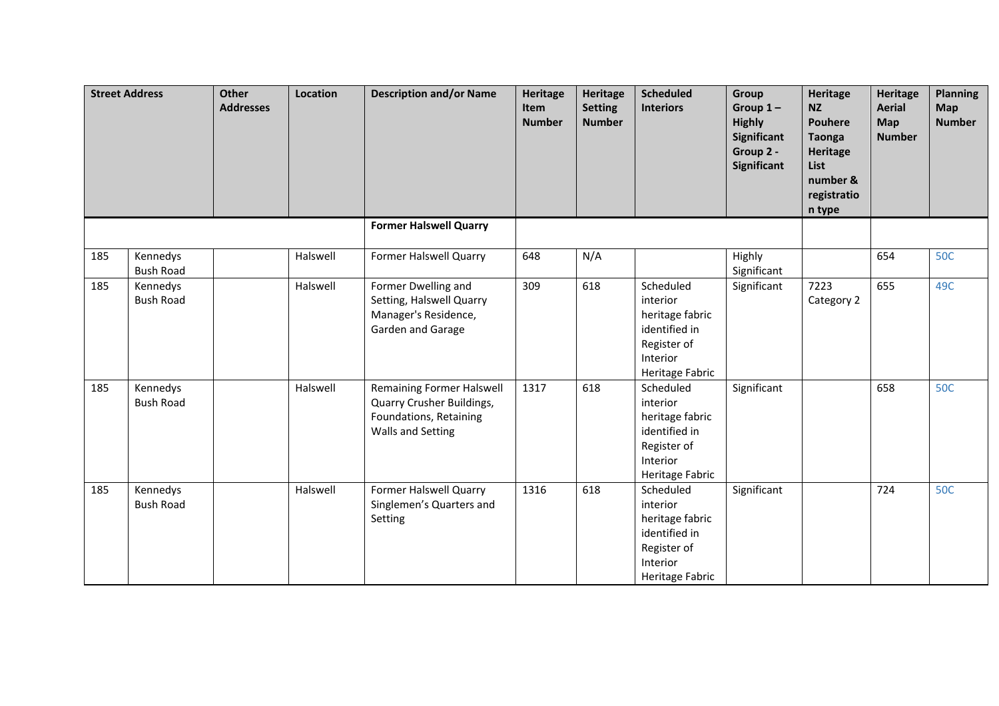|     | <b>Street Address</b>        | <b>Other</b><br><b>Addresses</b> | Location | <b>Description and/or Name</b>                                                                               | <b>Heritage</b><br>Item<br><b>Number</b> | <b>Heritage</b><br><b>Setting</b><br><b>Number</b> | <b>Scheduled</b><br><b>Interiors</b>                                                                    | Group<br>Group $1-$<br><b>Highly</b><br>Significant<br>Group 2 -<br>Significant | Heritage<br><b>NZ</b><br><b>Pouhere</b><br><b>Taonga</b><br>Heritage<br>List<br>number &<br>registratio<br>n type | <b>Heritage</b><br><b>Aerial</b><br><b>Map</b><br><b>Number</b> | <b>Planning</b><br><b>Map</b><br><b>Number</b> |
|-----|------------------------------|----------------------------------|----------|--------------------------------------------------------------------------------------------------------------|------------------------------------------|----------------------------------------------------|---------------------------------------------------------------------------------------------------------|---------------------------------------------------------------------------------|-------------------------------------------------------------------------------------------------------------------|-----------------------------------------------------------------|------------------------------------------------|
|     |                              |                                  |          | <b>Former Halswell Quarry</b>                                                                                |                                          |                                                    |                                                                                                         |                                                                                 |                                                                                                                   |                                                                 |                                                |
| 185 | Kennedys<br><b>Bush Road</b> |                                  | Halswell | Former Halswell Quarry                                                                                       | 648                                      | N/A                                                |                                                                                                         | Highly<br>Significant                                                           |                                                                                                                   | 654                                                             | <b>50C</b>                                     |
| 185 | Kennedys<br><b>Bush Road</b> |                                  | Halswell | Former Dwelling and<br>Setting, Halswell Quarry<br>Manager's Residence,<br>Garden and Garage                 | 309                                      | 618                                                | Scheduled<br>interior<br>heritage fabric<br>identified in<br>Register of<br>Interior<br>Heritage Fabric | Significant                                                                     | 7223<br>Category 2                                                                                                | 655                                                             | 49C                                            |
| 185 | Kennedys<br><b>Bush Road</b> |                                  | Halswell | <b>Remaining Former Halswell</b><br>Quarry Crusher Buildings,<br>Foundations, Retaining<br>Walls and Setting | 1317                                     | 618                                                | Scheduled<br>interior<br>heritage fabric<br>identified in<br>Register of<br>Interior<br>Heritage Fabric | Significant                                                                     |                                                                                                                   | 658                                                             | <b>50C</b>                                     |
| 185 | Kennedys<br><b>Bush Road</b> |                                  | Halswell | Former Halswell Quarry<br>Singlemen's Quarters and<br>Setting                                                | 1316                                     | 618                                                | Scheduled<br>interior<br>heritage fabric<br>identified in<br>Register of<br>Interior<br>Heritage Fabric | Significant                                                                     |                                                                                                                   | 724                                                             | <b>50C</b>                                     |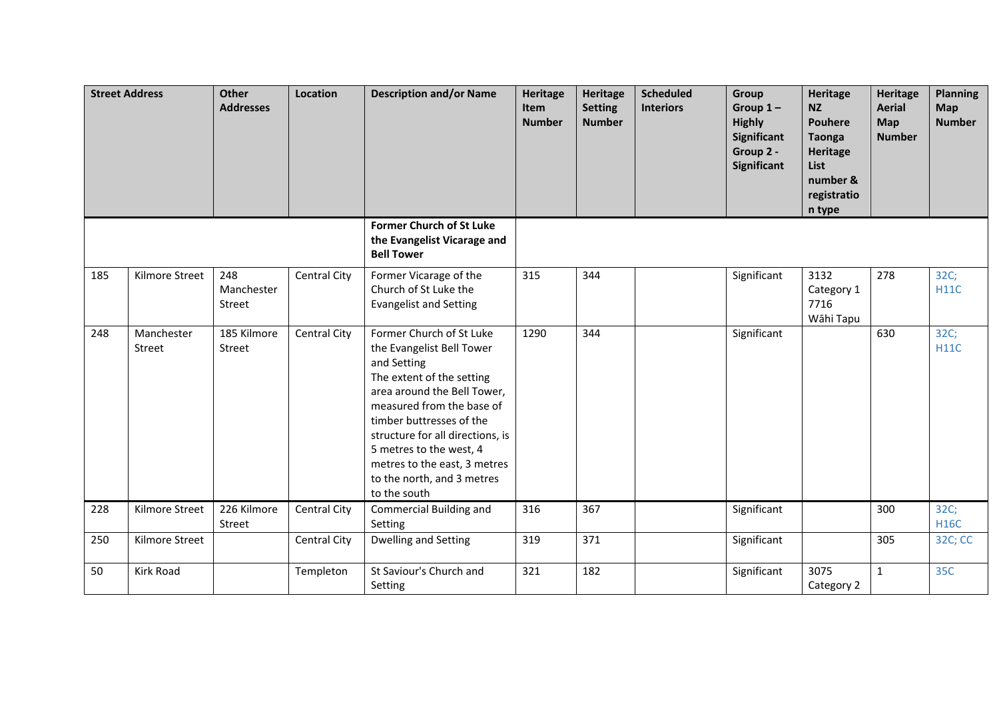|     | <b>Street Address</b> | <b>Other</b><br><b>Addresses</b> | Location     | <b>Description and/or Name</b>                                                                                                                                                                                                                                                                                                         | <b>Heritage</b><br>Item<br><b>Number</b> | Heritage<br><b>Setting</b><br><b>Number</b> | <b>Scheduled</b><br><b>Interiors</b> | Group<br>Group $1-$<br><b>Highly</b><br>Significant<br>Group 2 -<br>Significant | <b>Heritage</b><br><b>NZ</b><br><b>Pouhere</b><br><b>Taonga</b><br>Heritage<br>List<br>number &<br>registratio<br>n type | <b>Heritage</b><br><b>Aerial</b><br><b>Map</b><br><b>Number</b> | <b>Planning</b><br>Map<br><b>Number</b> |
|-----|-----------------------|----------------------------------|--------------|----------------------------------------------------------------------------------------------------------------------------------------------------------------------------------------------------------------------------------------------------------------------------------------------------------------------------------------|------------------------------------------|---------------------------------------------|--------------------------------------|---------------------------------------------------------------------------------|--------------------------------------------------------------------------------------------------------------------------|-----------------------------------------------------------------|-----------------------------------------|
|     |                       |                                  |              | <b>Former Church of St Luke</b><br>the Evangelist Vicarage and<br><b>Bell Tower</b>                                                                                                                                                                                                                                                    |                                          |                                             |                                      |                                                                                 |                                                                                                                          |                                                                 |                                         |
| 185 | Kilmore Street        | 248<br>Manchester<br>Street      | Central City | Former Vicarage of the<br>Church of St Luke the<br><b>Evangelist and Setting</b>                                                                                                                                                                                                                                                       | 315                                      | 344                                         |                                      | Significant                                                                     | 3132<br>Category 1<br>7716<br>Wāhi Tapu                                                                                  | 278                                                             | 32C;<br><b>H11C</b>                     |
| 248 | Manchester<br>Street  | 185 Kilmore<br>Street            | Central City | Former Church of St Luke<br>the Evangelist Bell Tower<br>and Setting<br>The extent of the setting<br>area around the Bell Tower,<br>measured from the base of<br>timber buttresses of the<br>structure for all directions, is<br>5 metres to the west, 4<br>metres to the east, 3 metres<br>to the north, and 3 metres<br>to the south | 1290                                     | 344                                         |                                      | Significant                                                                     |                                                                                                                          | 630                                                             | 32C;<br><b>H11C</b>                     |
| 228 | Kilmore Street        | 226 Kilmore<br>Street            | Central City | Commercial Building and<br>Setting                                                                                                                                                                                                                                                                                                     | 316                                      | 367                                         |                                      | Significant                                                                     |                                                                                                                          | 300                                                             | 32C;<br><b>H16C</b>                     |
| 250 | Kilmore Street        |                                  | Central City | Dwelling and Setting                                                                                                                                                                                                                                                                                                                   | 319                                      | 371                                         |                                      | Significant                                                                     |                                                                                                                          | 305                                                             | 32C; CC                                 |
| 50  | Kirk Road             |                                  | Templeton    | St Saviour's Church and<br>Setting                                                                                                                                                                                                                                                                                                     | 321                                      | 182                                         |                                      | Significant                                                                     | 3075<br>Category 2                                                                                                       | $\mathbf{1}$                                                    | 35C                                     |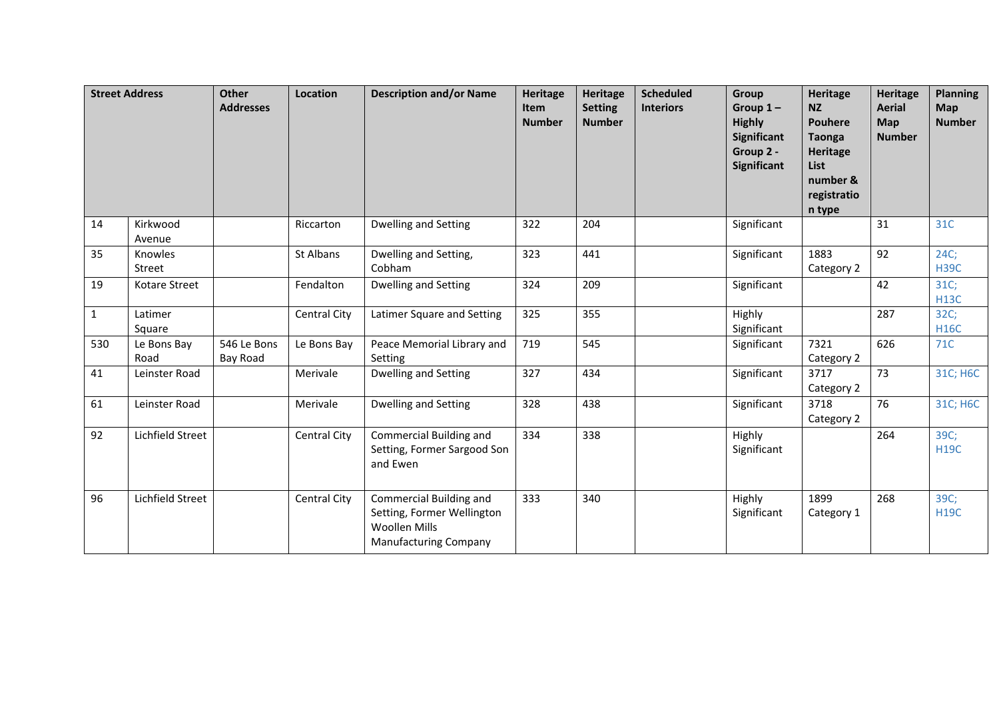|              | <b>Street Address</b> | Other<br><b>Addresses</b> | <b>Location</b> | <b>Description and/or Name</b>                                                                                | <b>Heritage</b><br>Item<br><b>Number</b> | <b>Heritage</b><br><b>Setting</b><br><b>Number</b> | <b>Scheduled</b><br><b>Interiors</b> | Group<br>Group $1-$<br><b>Highly</b><br><b>Significant</b><br>Group 2 -<br>Significant | <b>Heritage</b><br><b>NZ</b><br><b>Pouhere</b><br><b>Taonga</b><br><b>Heritage</b><br><b>List</b><br>number &<br>registratio<br>n type | <b>Heritage</b><br><b>Aerial</b><br><b>Map</b><br><b>Number</b> | <b>Planning</b><br><b>Map</b><br><b>Number</b> |
|--------------|-----------------------|---------------------------|-----------------|---------------------------------------------------------------------------------------------------------------|------------------------------------------|----------------------------------------------------|--------------------------------------|----------------------------------------------------------------------------------------|----------------------------------------------------------------------------------------------------------------------------------------|-----------------------------------------------------------------|------------------------------------------------|
| 14           | Kirkwood<br>Avenue    |                           | Riccarton       | Dwelling and Setting                                                                                          | 322                                      | 204                                                |                                      | Significant                                                                            |                                                                                                                                        | 31                                                              | 31C                                            |
| 35           | Knowles<br>Street     |                           | St Albans       | Dwelling and Setting,<br>Cobham                                                                               | 323                                      | 441                                                |                                      | Significant                                                                            | 1883<br>Category 2                                                                                                                     | $\overline{92}$                                                 | 24C;<br><b>H39C</b>                            |
| 19           | Kotare Street         |                           | Fendalton       | Dwelling and Setting                                                                                          | 324                                      | 209                                                |                                      | Significant                                                                            |                                                                                                                                        | 42                                                              | 31C;<br><b>H13C</b>                            |
| $\mathbf{1}$ | Latimer<br>Square     |                           | Central City    | Latimer Square and Setting                                                                                    | 325                                      | 355                                                |                                      | Highly<br>Significant                                                                  |                                                                                                                                        | 287                                                             | 32C;<br><b>H16C</b>                            |
| 530          | Le Bons Bay<br>Road   | 546 Le Bons<br>Bay Road   | Le Bons Bay     | Peace Memorial Library and<br>Setting                                                                         | 719                                      | 545                                                |                                      | Significant                                                                            | 7321<br>Category 2                                                                                                                     | 626                                                             | 71C                                            |
| 41           | Leinster Road         |                           | Merivale        | Dwelling and Setting                                                                                          | 327                                      | 434                                                |                                      | Significant                                                                            | 3717<br>Category 2                                                                                                                     | 73                                                              | 31C; H6C                                       |
| 61           | Leinster Road         |                           | Merivale        | Dwelling and Setting                                                                                          | 328                                      | 438                                                |                                      | Significant                                                                            | 3718<br>Category 2                                                                                                                     | 76                                                              | 31C; H6C                                       |
| 92           | Lichfield Street      |                           | Central City    | Commercial Building and<br>Setting, Former Sargood Son<br>and Ewen                                            | 334                                      | 338                                                |                                      | Highly<br>Significant                                                                  |                                                                                                                                        | 264                                                             | 39C;<br><b>H19C</b>                            |
| 96           | Lichfield Street      |                           | Central City    | Commercial Building and<br>Setting, Former Wellington<br><b>Woollen Mills</b><br><b>Manufacturing Company</b> | 333                                      | 340                                                |                                      | Highly<br>Significant                                                                  | 1899<br>Category 1                                                                                                                     | 268                                                             | 39C;<br><b>H19C</b>                            |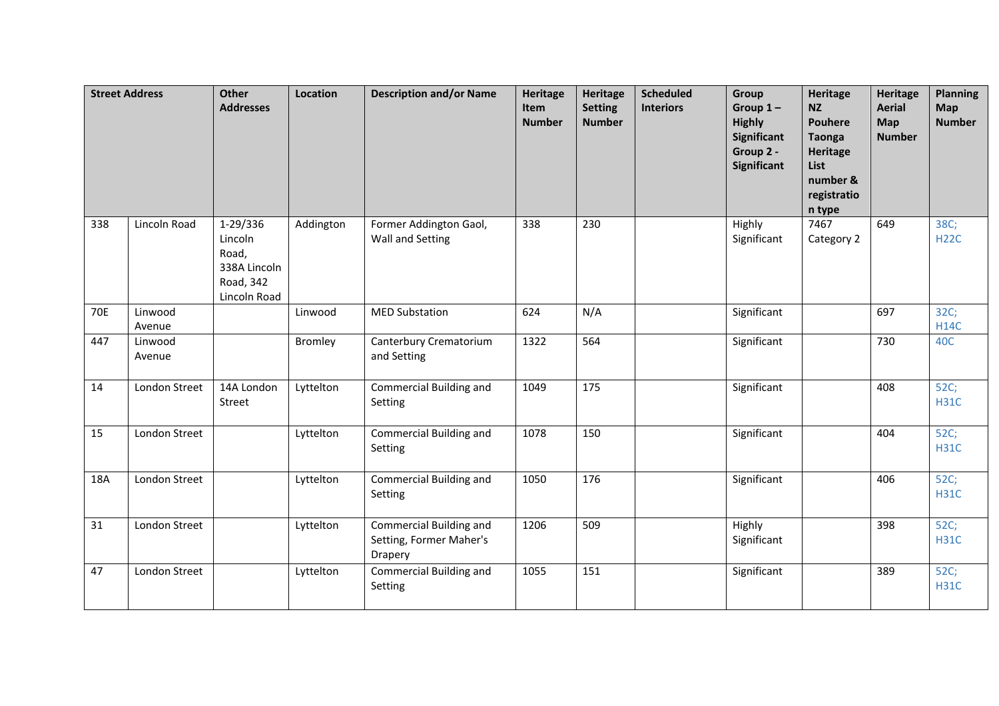| <b>Street Address</b> |                   | <b>Other</b><br><b>Addresses</b>                                          | Location  | <b>Description and/or Name</b>                                       | <b>Heritage</b><br>Item<br><b>Number</b> | <b>Heritage</b><br><b>Setting</b><br><b>Number</b> | <b>Scheduled</b><br><b>Interiors</b> | Group<br>Group $1-$<br><b>Highly</b><br>Significant<br>Group 2 -<br>Significant | <b>Heritage</b><br><b>NZ</b><br><b>Pouhere</b><br><b>Taonga</b><br><b>Heritage</b><br>List<br>number &<br>registratio<br>n type | <b>Heritage</b><br><b>Aerial</b><br>Map<br><b>Number</b> | <b>Planning</b><br>Map<br><b>Number</b> |
|-----------------------|-------------------|---------------------------------------------------------------------------|-----------|----------------------------------------------------------------------|------------------------------------------|----------------------------------------------------|--------------------------------------|---------------------------------------------------------------------------------|---------------------------------------------------------------------------------------------------------------------------------|----------------------------------------------------------|-----------------------------------------|
| 338                   | Lincoln Road      | 1-29/336<br>Lincoln<br>Road,<br>338A Lincoln<br>Road, 342<br>Lincoln Road | Addington | Former Addington Gaol,<br>Wall and Setting                           | 338                                      | 230                                                |                                      | Highly<br>Significant                                                           | 7467<br>Category 2                                                                                                              | 649                                                      | 38C;<br><b>H22C</b>                     |
| <b>70E</b>            | Linwood<br>Avenue |                                                                           | Linwood   | <b>MED Substation</b>                                                | 624                                      | N/A                                                |                                      | Significant                                                                     |                                                                                                                                 | 697                                                      | 32C;<br><b>H14C</b>                     |
| 447                   | Linwood<br>Avenue |                                                                           | Bromley   | Canterbury Crematorium<br>and Setting                                | 1322                                     | 564                                                |                                      | Significant                                                                     |                                                                                                                                 | 730                                                      | 40C                                     |
| 14                    | London Street     | 14A London<br>Street                                                      | Lyttelton | Commercial Building and<br>Setting                                   | 1049                                     | 175                                                |                                      | Significant                                                                     |                                                                                                                                 | 408                                                      | 52C;<br><b>H31C</b>                     |
| 15                    | London Street     |                                                                           | Lyttelton | Commercial Building and<br>Setting                                   | 1078                                     | 150                                                |                                      | Significant                                                                     |                                                                                                                                 | 404                                                      | 52C;<br><b>H31C</b>                     |
| 18A                   | London Street     |                                                                           | Lyttelton | Commercial Building and<br>Setting                                   | 1050                                     | 176                                                |                                      | Significant                                                                     |                                                                                                                                 | 406                                                      | 52C;<br><b>H31C</b>                     |
| 31                    | London Street     |                                                                           | Lyttelton | <b>Commercial Building and</b><br>Setting, Former Maher's<br>Drapery | 1206                                     | 509                                                |                                      | Highly<br>Significant                                                           |                                                                                                                                 | 398                                                      | 52C;<br><b>H31C</b>                     |
| 47                    | London Street     |                                                                           | Lyttelton | Commercial Building and<br>Setting                                   | 1055                                     | 151                                                |                                      | Significant                                                                     |                                                                                                                                 | 389                                                      | 52C;<br><b>H31C</b>                     |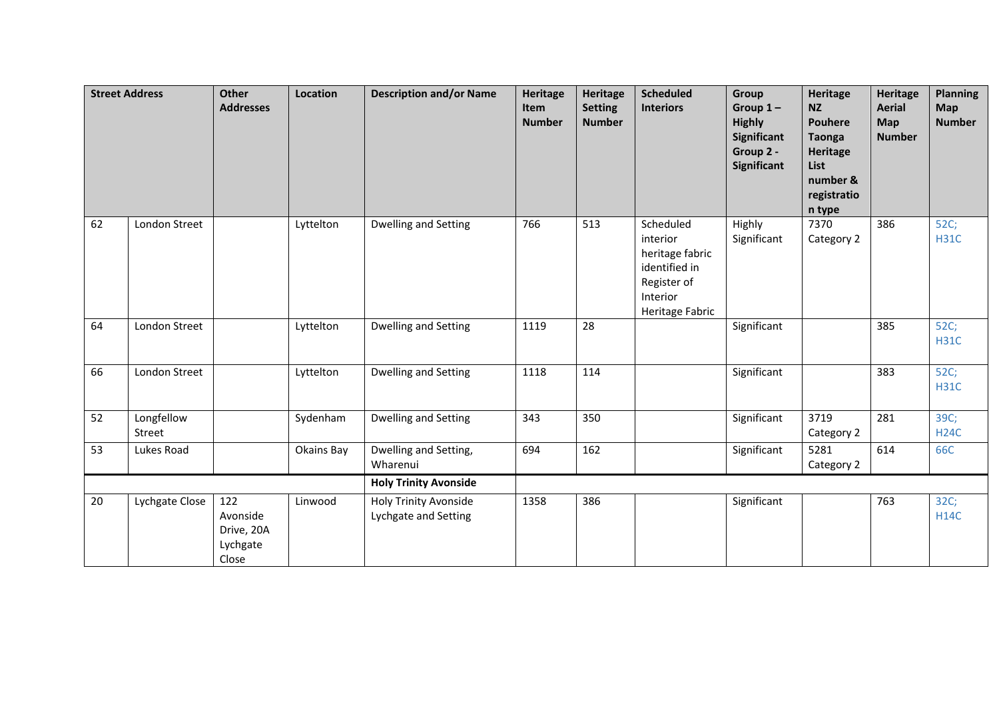|    | <b>Street Address</b> | Other<br><b>Addresses</b>                          | Location   | <b>Description and/or Name</b>                       | <b>Heritage</b><br>Item<br><b>Number</b> | <b>Heritage</b><br><b>Setting</b><br><b>Number</b> | <b>Scheduled</b><br><b>Interiors</b>                                                                    | Group<br>Group $1-$<br><b>Highly</b><br><b>Significant</b><br>Group 2 -<br><b>Significant</b> | <b>Heritage</b><br><b>NZ</b><br><b>Pouhere</b><br><b>Taonga</b><br>Heritage<br>List<br>number &<br>registratio<br>n type | <b>Heritage</b><br><b>Aerial</b><br>Map<br><b>Number</b> | <b>Planning</b><br><b>Map</b><br><b>Number</b> |
|----|-----------------------|----------------------------------------------------|------------|------------------------------------------------------|------------------------------------------|----------------------------------------------------|---------------------------------------------------------------------------------------------------------|-----------------------------------------------------------------------------------------------|--------------------------------------------------------------------------------------------------------------------------|----------------------------------------------------------|------------------------------------------------|
| 62 | London Street         |                                                    | Lyttelton  | Dwelling and Setting                                 | 766                                      | 513                                                | Scheduled<br>interior<br>heritage fabric<br>identified in<br>Register of<br>Interior<br>Heritage Fabric | Highly<br>Significant                                                                         | 7370<br>Category 2                                                                                                       | 386                                                      | 52C;<br><b>H31C</b>                            |
| 64 | London Street         |                                                    | Lyttelton  | Dwelling and Setting                                 | 1119                                     | 28                                                 |                                                                                                         | Significant                                                                                   |                                                                                                                          | 385                                                      | 52C;<br><b>H31C</b>                            |
| 66 | London Street         |                                                    | Lyttelton  | <b>Dwelling and Setting</b>                          | 1118                                     | 114                                                |                                                                                                         | Significant                                                                                   |                                                                                                                          | 383                                                      | 52C;<br><b>H31C</b>                            |
| 52 | Longfellow<br>Street  |                                                    | Sydenham   | Dwelling and Setting                                 | 343                                      | 350                                                |                                                                                                         | Significant                                                                                   | 3719<br>Category 2                                                                                                       | 281                                                      | 39C;<br><b>H24C</b>                            |
| 53 | Lukes Road            |                                                    | Okains Bay | Dwelling and Setting,<br>Wharenui                    | 694                                      | 162                                                |                                                                                                         | Significant                                                                                   | 5281<br>Category 2                                                                                                       | 614                                                      | 66C                                            |
|    |                       |                                                    |            | <b>Holy Trinity Avonside</b>                         |                                          |                                                    |                                                                                                         |                                                                                               |                                                                                                                          |                                                          |                                                |
| 20 | Lychgate Close        | 122<br>Avonside<br>Drive, 20A<br>Lychgate<br>Close | Linwood    | <b>Holy Trinity Avonside</b><br>Lychgate and Setting | 1358                                     | 386                                                |                                                                                                         | Significant                                                                                   |                                                                                                                          | 763                                                      | 32C;<br><b>H14C</b>                            |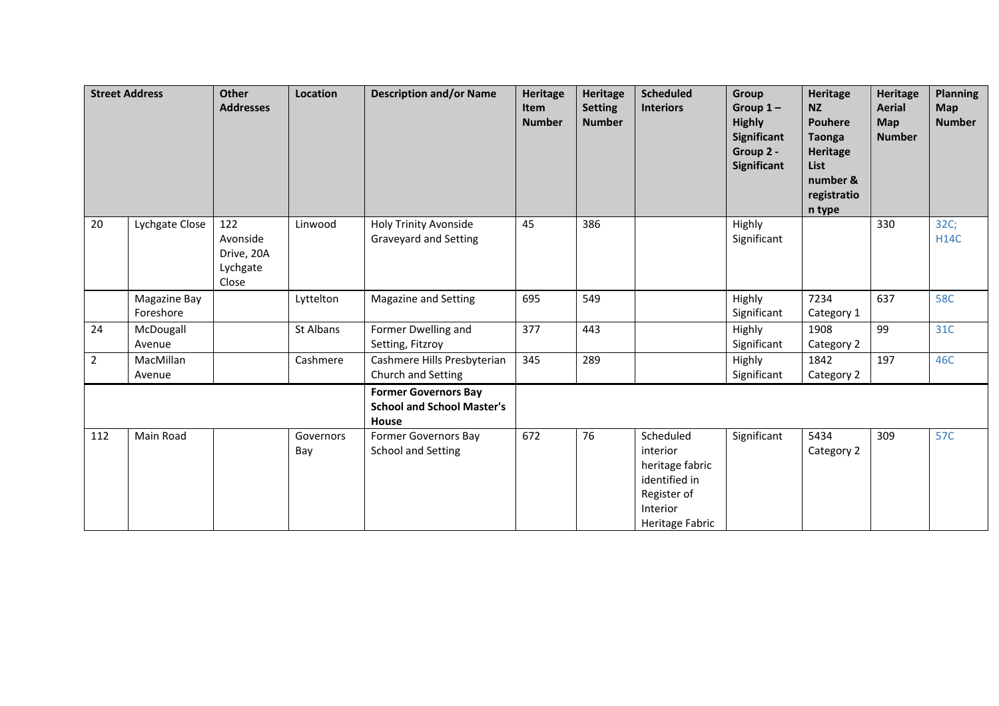|                | <b>Street Address</b>     | <b>Other</b><br><b>Addresses</b>                   | Location         | <b>Description and/or Name</b>                                            | <b>Heritage</b><br>Item<br><b>Number</b> | <b>Heritage</b><br><b>Setting</b><br><b>Number</b> | <b>Scheduled</b><br><b>Interiors</b>                                                                    | Group<br>Group $1 -$<br><b>Highly</b><br>Significant<br>Group 2 -<br>Significant | Heritage<br><b>NZ</b><br><b>Pouhere</b><br><b>Taonga</b><br>Heritage<br><b>List</b><br>number &<br>registratio<br>n type | Heritage<br><b>Aerial</b><br>Map<br><b>Number</b> | <b>Planning</b><br><b>Map</b><br><b>Number</b> |
|----------------|---------------------------|----------------------------------------------------|------------------|---------------------------------------------------------------------------|------------------------------------------|----------------------------------------------------|---------------------------------------------------------------------------------------------------------|----------------------------------------------------------------------------------|--------------------------------------------------------------------------------------------------------------------------|---------------------------------------------------|------------------------------------------------|
| 20             | Lychgate Close            | 122<br>Avonside<br>Drive, 20A<br>Lychgate<br>Close | Linwood          | <b>Holy Trinity Avonside</b><br>Graveyard and Setting                     | 45                                       | 386                                                |                                                                                                         | Highly<br>Significant                                                            |                                                                                                                          | 330                                               | 32C;<br><b>H14C</b>                            |
|                | Magazine Bay<br>Foreshore |                                                    | Lyttelton        | Magazine and Setting                                                      | 695                                      | 549                                                |                                                                                                         | Highly<br>Significant                                                            | 7234<br>Category 1                                                                                                       | 637                                               | <b>58C</b>                                     |
| 24             | McDougall<br>Avenue       |                                                    | St Albans        | Former Dwelling and<br>Setting, Fitzroy                                   | 377                                      | 443                                                |                                                                                                         | Highly<br>Significant                                                            | 1908<br>Category 2                                                                                                       | 99                                                | 31C                                            |
| $\overline{2}$ | MacMillan<br>Avenue       |                                                    | Cashmere         | Cashmere Hills Presbyterian<br>Church and Setting                         | 345                                      | 289                                                |                                                                                                         | Highly<br>Significant                                                            | 1842<br>Category 2                                                                                                       | 197                                               | 46C                                            |
|                |                           |                                                    |                  | <b>Former Governors Bay</b><br><b>School and School Master's</b><br>House |                                          |                                                    |                                                                                                         |                                                                                  |                                                                                                                          |                                                   |                                                |
| 112            | Main Road                 |                                                    | Governors<br>Bay | Former Governors Bay<br><b>School and Setting</b>                         | 672                                      | 76                                                 | Scheduled<br>interior<br>heritage fabric<br>identified in<br>Register of<br>Interior<br>Heritage Fabric | Significant                                                                      | 5434<br>Category 2                                                                                                       | 309                                               | 57C                                            |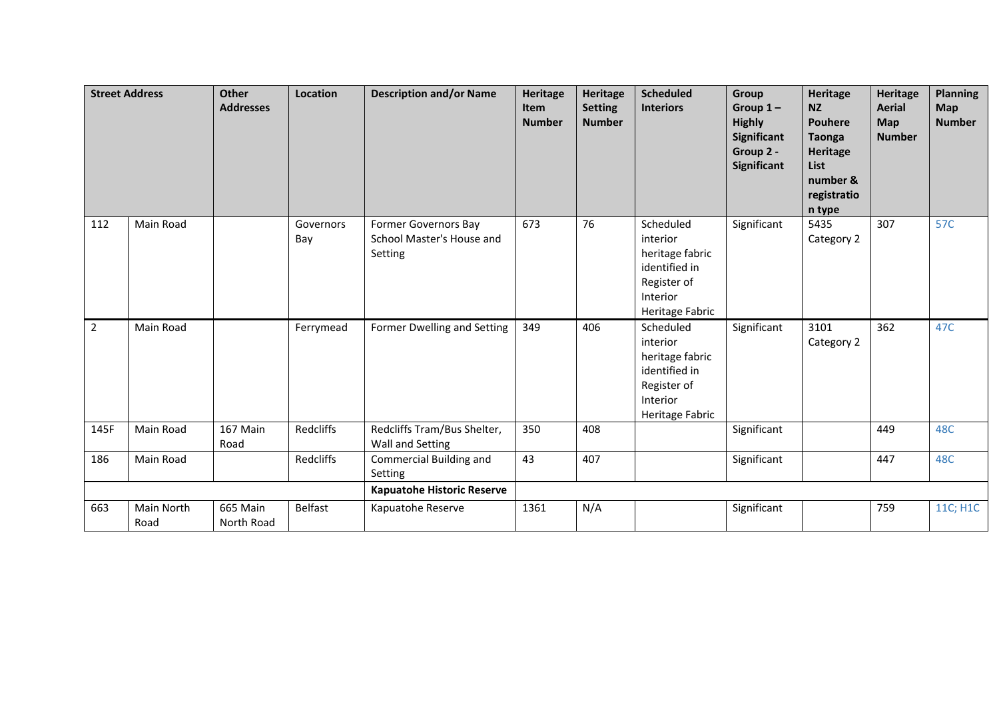|                | <b>Street Address</b> | <b>Other</b><br><b>Addresses</b> | Location         | <b>Description and/or Name</b>                               | <b>Heritage</b><br>Item<br><b>Number</b> | Heritage<br><b>Setting</b><br><b>Number</b> | <b>Scheduled</b><br><b>Interiors</b>                                                                    | Group<br>Group $1-$<br><b>Highly</b><br>Significant<br>Group 2 -<br><b>Significant</b> | Heritage<br><b>NZ</b><br><b>Pouhere</b><br><b>Taonga</b><br>Heritage<br>List<br>number &<br>registratio<br>n type | <b>Heritage</b><br><b>Aerial</b><br>Map<br><b>Number</b> | <b>Planning</b><br><b>Map</b><br><b>Number</b> |
|----------------|-----------------------|----------------------------------|------------------|--------------------------------------------------------------|------------------------------------------|---------------------------------------------|---------------------------------------------------------------------------------------------------------|----------------------------------------------------------------------------------------|-------------------------------------------------------------------------------------------------------------------|----------------------------------------------------------|------------------------------------------------|
| 112            | Main Road             |                                  | Governors<br>Bay | Former Governors Bay<br>School Master's House and<br>Setting | 673                                      | 76                                          | Scheduled<br>interior<br>heritage fabric<br>identified in<br>Register of<br>Interior<br>Heritage Fabric | Significant                                                                            | 5435<br>Category 2                                                                                                | 307                                                      | 57C                                            |
| $\overline{2}$ | Main Road             |                                  | Ferrymead        | Former Dwelling and Setting                                  | 349                                      | 406                                         | Scheduled<br>interior<br>heritage fabric<br>identified in<br>Register of<br>Interior<br>Heritage Fabric | Significant                                                                            | 3101<br>Category 2                                                                                                | 362                                                      | 47C                                            |
| 145F           | Main Road             | 167 Main<br>Road                 | Redcliffs        | Redcliffs Tram/Bus Shelter,<br>Wall and Setting              | 350                                      | 408                                         |                                                                                                         | Significant                                                                            |                                                                                                                   | 449                                                      | 48C                                            |
| 186            | Main Road             |                                  | <b>Redcliffs</b> | Commercial Building and<br>Setting                           | 43                                       | 407                                         |                                                                                                         | Significant                                                                            |                                                                                                                   | 447                                                      | 48C                                            |
|                |                       |                                  |                  | Kapuatohe Historic Reserve                                   |                                          |                                             |                                                                                                         |                                                                                        |                                                                                                                   |                                                          |                                                |
| 663            | Main North<br>Road    | 665 Main<br>North Road           | <b>Belfast</b>   | Kapuatohe Reserve                                            | 1361                                     | N/A                                         |                                                                                                         | Significant                                                                            |                                                                                                                   | 759                                                      | 11C; H1C                                       |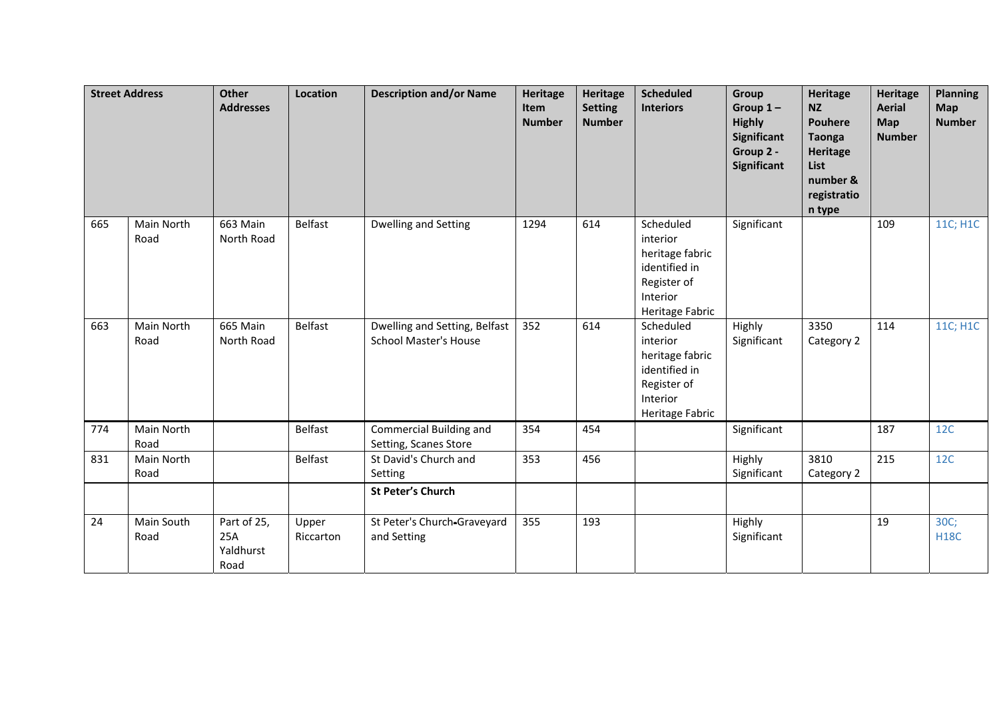|     | <b>Street Address</b> | Other<br><b>Addresses</b>               | <b>Location</b>    | <b>Description and/or Name</b>                                | <b>Heritage</b><br>Item<br><b>Number</b> | <b>Heritage</b><br><b>Setting</b><br><b>Number</b> | <b>Scheduled</b><br><b>Interiors</b>                                                                    | Group<br>Group $1-$<br><b>Highly</b><br>Significant<br>Group 2 -<br><b>Significant</b> | <b>Heritage</b><br><b>NZ</b><br><b>Pouhere</b><br><b>Taonga</b><br><b>Heritage</b><br>List<br>number &<br>registratio<br>n type | <b>Heritage</b><br><b>Aerial</b><br>Map<br><b>Number</b> | <b>Planning</b><br>Map<br><b>Number</b> |
|-----|-----------------------|-----------------------------------------|--------------------|---------------------------------------------------------------|------------------------------------------|----------------------------------------------------|---------------------------------------------------------------------------------------------------------|----------------------------------------------------------------------------------------|---------------------------------------------------------------------------------------------------------------------------------|----------------------------------------------------------|-----------------------------------------|
| 665 | Main North<br>Road    | 663 Main<br>North Road                  | <b>Belfast</b>     | <b>Dwelling and Setting</b>                                   | 1294                                     | 614                                                | Scheduled<br>interior<br>heritage fabric<br>identified in<br>Register of<br>Interior<br>Heritage Fabric | Significant                                                                            |                                                                                                                                 | 109                                                      | 11C; H1C                                |
| 663 | Main North<br>Road    | 665 Main<br>North Road                  | <b>Belfast</b>     | Dwelling and Setting, Belfast<br><b>School Master's House</b> | 352                                      | 614                                                | Scheduled<br>interior<br>heritage fabric<br>identified in<br>Register of<br>Interior<br>Heritage Fabric | Highly<br>Significant                                                                  | 3350<br>Category 2                                                                                                              | 114                                                      | 11C; H1C                                |
| 774 | Main North<br>Road    |                                         | <b>Belfast</b>     | Commercial Building and<br>Setting, Scanes Store              | 354                                      | 454                                                |                                                                                                         | Significant                                                                            |                                                                                                                                 | 187                                                      | 12C                                     |
| 831 | Main North<br>Road    |                                         | <b>Belfast</b>     | St David's Church and<br>Setting                              | 353                                      | 456                                                |                                                                                                         | Highly<br>Significant                                                                  | 3810<br>Category 2                                                                                                              | 215                                                      | 12C                                     |
|     |                       |                                         |                    | <b>St Peter's Church</b>                                      |                                          |                                                    |                                                                                                         |                                                                                        |                                                                                                                                 |                                                          |                                         |
| 24  | Main South<br>Road    | Part of 25,<br>25A<br>Yaldhurst<br>Road | Upper<br>Riccarton | St Peter's Church-Graveyard<br>and Setting                    | 355                                      | 193                                                |                                                                                                         | Highly<br>Significant                                                                  |                                                                                                                                 | 19                                                       | 30C;<br><b>H18C</b>                     |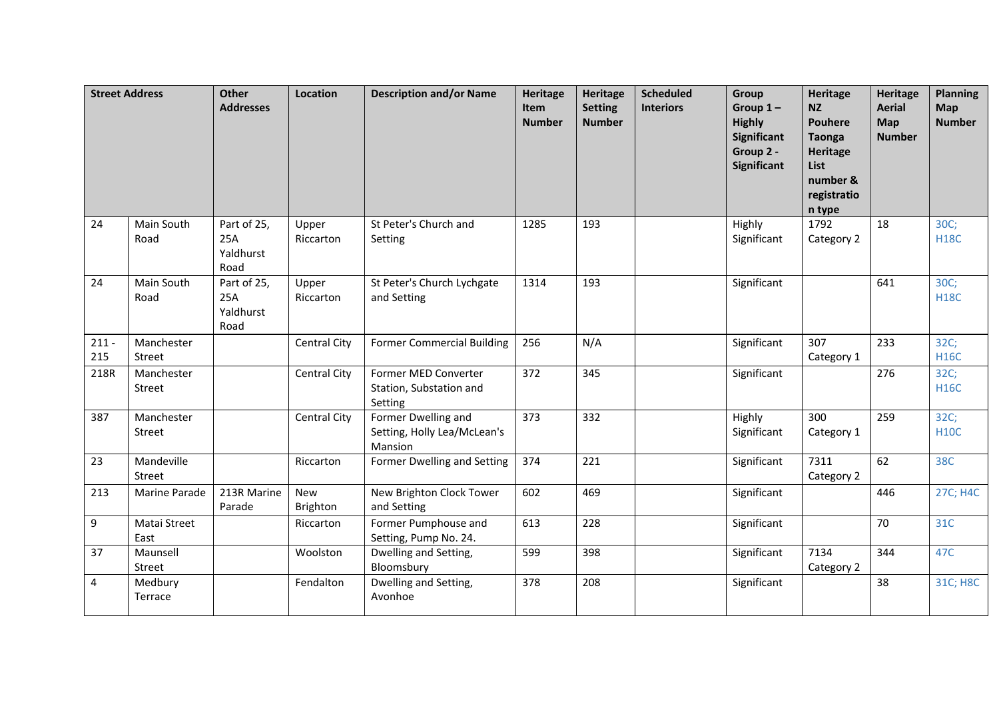|                | <b>Street Address</b> | <b>Other</b><br><b>Addresses</b>        | <b>Location</b>        | <b>Description and/or Name</b>                                | <b>Heritage</b><br>Item<br><b>Number</b> | Heritage<br><b>Setting</b><br><b>Number</b> | <b>Scheduled</b><br><b>Interiors</b> | Group<br>Group $1-$<br><b>Highly</b><br><b>Significant</b><br>Group 2 -<br><b>Significant</b> | <b>Heritage</b><br><b>NZ</b><br><b>Pouhere</b><br><b>Taonga</b><br><b>Heritage</b><br>List<br>number &<br>registratio<br>n type | <b>Heritage</b><br><b>Aerial</b><br>Map<br><b>Number</b> | <b>Planning</b><br>Map<br><b>Number</b> |
|----------------|-----------------------|-----------------------------------------|------------------------|---------------------------------------------------------------|------------------------------------------|---------------------------------------------|--------------------------------------|-----------------------------------------------------------------------------------------------|---------------------------------------------------------------------------------------------------------------------------------|----------------------------------------------------------|-----------------------------------------|
| 24             | Main South<br>Road    | Part of 25,<br>25A<br>Yaldhurst<br>Road | Upper<br>Riccarton     | St Peter's Church and<br>Setting                              | 1285                                     | 193                                         |                                      | Highly<br>Significant                                                                         | 1792<br>Category 2                                                                                                              | 18                                                       | 30C;<br><b>H18C</b>                     |
| 24             | Main South<br>Road    | Part of 25,<br>25A<br>Yaldhurst<br>Road | Upper<br>Riccarton     | St Peter's Church Lychgate<br>and Setting                     | 1314                                     | 193                                         |                                      | Significant                                                                                   |                                                                                                                                 | 641                                                      | 30C <sub>i</sub><br><b>H18C</b>         |
| $211 -$<br>215 | Manchester<br>Street  |                                         | Central City           | <b>Former Commercial Building</b>                             | 256                                      | N/A                                         |                                      | Significant                                                                                   | 307<br>Category 1                                                                                                               | 233                                                      | 32C;<br><b>H16C</b>                     |
| 218R           | Manchester<br>Street  |                                         | Central City           | Former MED Converter<br>Station, Substation and<br>Setting    | 372                                      | 345                                         |                                      | Significant                                                                                   |                                                                                                                                 | 276                                                      | 32C;<br><b>H16C</b>                     |
| 387            | Manchester<br>Street  |                                         | Central City           | Former Dwelling and<br>Setting, Holly Lea/McLean's<br>Mansion | 373                                      | 332                                         |                                      | Highly<br>Significant                                                                         | 300<br>Category 1                                                                                                               | 259                                                      | 32C;<br><b>H10C</b>                     |
| 23             | Mandeville<br>Street  |                                         | Riccarton              | Former Dwelling and Setting                                   | 374                                      | 221                                         |                                      | Significant                                                                                   | 7311<br>Category 2                                                                                                              | 62                                                       | 38C                                     |
| 213            | Marine Parade         | 213R Marine<br>Parade                   | <b>New</b><br>Brighton | New Brighton Clock Tower<br>and Setting                       | 602                                      | 469                                         |                                      | Significant                                                                                   |                                                                                                                                 | 446                                                      | 27C; H4C                                |
| 9              | Matai Street<br>East  |                                         | Riccarton              | Former Pumphouse and<br>Setting, Pump No. 24.                 | 613                                      | 228                                         |                                      | Significant                                                                                   |                                                                                                                                 | 70                                                       | 31C                                     |
| 37             | Maunsell<br>Street    |                                         | Woolston               | Dwelling and Setting,<br>Bloomsbury                           | 599                                      | 398                                         |                                      | Significant                                                                                   | 7134<br>Category 2                                                                                                              | 344                                                      | 47C                                     |
| 4              | Medbury<br>Terrace    |                                         | Fendalton              | Dwelling and Setting,<br>Avonhoe                              | 378                                      | 208                                         |                                      | Significant                                                                                   |                                                                                                                                 | 38                                                       | 31C; H8C                                |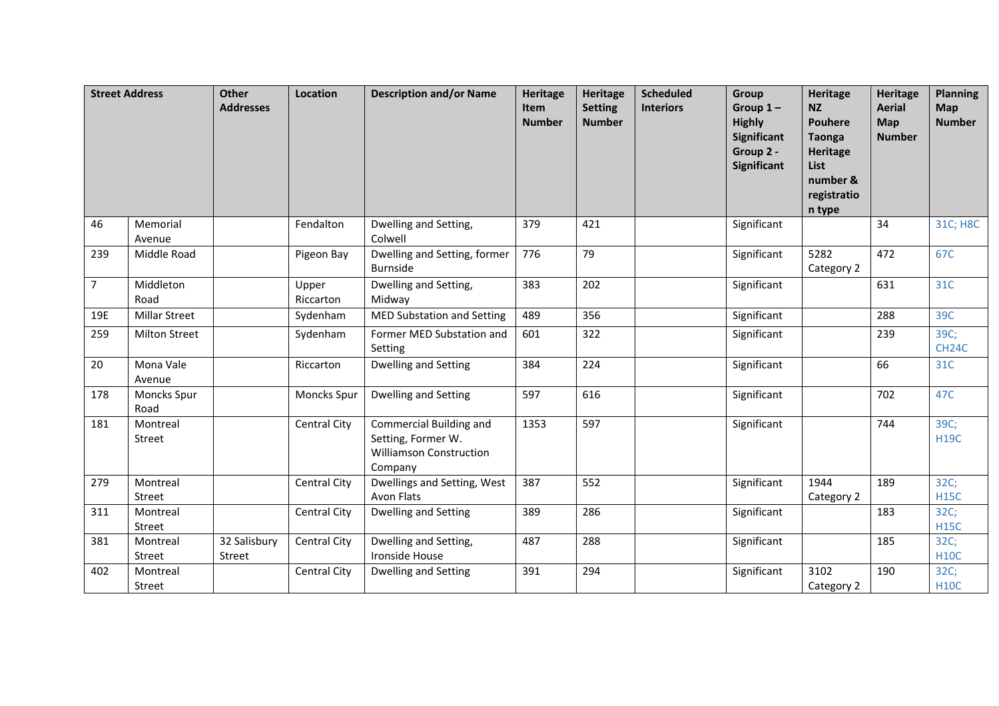|                | <b>Street Address</b>     | <b>Other</b><br><b>Addresses</b> | <b>Location</b>     | <b>Description and/or Name</b>                                                             | <b>Heritage</b><br>Item<br><b>Number</b> | Heritage<br><b>Setting</b><br><b>Number</b> | <b>Scheduled</b><br><b>Interiors</b> | <b>Group</b><br>Group $1-$<br><b>Highly</b><br>Significant<br>Group 2 -<br>Significant | <b>Heritage</b><br><b>NZ</b><br><b>Pouhere</b><br><b>Taonga</b><br><b>Heritage</b><br>List<br>number &<br>registratio<br>n type | <b>Heritage</b><br><b>Aerial</b><br>Map<br><b>Number</b> | <b>Planning</b><br>Map<br><b>Number</b> |
|----------------|---------------------------|----------------------------------|---------------------|--------------------------------------------------------------------------------------------|------------------------------------------|---------------------------------------------|--------------------------------------|----------------------------------------------------------------------------------------|---------------------------------------------------------------------------------------------------------------------------------|----------------------------------------------------------|-----------------------------------------|
| 46             | Memorial<br>Avenue        |                                  | Fendalton           | Dwelling and Setting,<br>Colwell                                                           | 379                                      | 421                                         |                                      | Significant                                                                            |                                                                                                                                 | 34                                                       | 31C; H8C                                |
| 239            | Middle Road               |                                  | Pigeon Bay          | Dwelling and Setting, former<br><b>Burnside</b>                                            | 776                                      | 79                                          |                                      | Significant                                                                            | 5282<br>Category 2                                                                                                              | 472                                                      | 67C                                     |
| $\overline{7}$ | Middleton<br>Road         |                                  | Upper<br>Riccarton  | Dwelling and Setting,<br>Midway                                                            | 383                                      | 202                                         |                                      | Significant                                                                            |                                                                                                                                 | 631                                                      | 31C                                     |
| 19E            | <b>Millar Street</b>      |                                  | Sydenham            | MED Substation and Setting                                                                 | 489                                      | 356                                         |                                      | Significant                                                                            |                                                                                                                                 | 288                                                      | 39C                                     |
| 259            | <b>Milton Street</b>      |                                  | Sydenham            | Former MED Substation and<br>Setting                                                       | 601                                      | 322                                         |                                      | Significant                                                                            |                                                                                                                                 | 239                                                      | 39C;<br>CH <sub>24</sub> C              |
| 20             | Mona Vale<br>Avenue       |                                  | Riccarton           | Dwelling and Setting                                                                       | 384                                      | 224                                         |                                      | Significant                                                                            |                                                                                                                                 | 66                                                       | 31C                                     |
| 178            | Moncks Spur<br>Road       |                                  | <b>Moncks Spur</b>  | Dwelling and Setting                                                                       | 597                                      | 616                                         |                                      | Significant                                                                            |                                                                                                                                 | 702                                                      | 47C                                     |
| 181            | Montreal<br>Street        |                                  | Central City        | Commercial Building and<br>Setting, Former W.<br><b>Williamson Construction</b><br>Company | 1353                                     | 597                                         |                                      | Significant                                                                            |                                                                                                                                 | 744                                                      | 39C;<br><b>H19C</b>                     |
| 279            | Montreal<br>Street        |                                  | Central City        | Dwellings and Setting, West<br><b>Avon Flats</b>                                           | 387                                      | 552                                         |                                      | Significant                                                                            | 1944<br>Category 2                                                                                                              | 189                                                      | 32C;<br><b>H15C</b>                     |
| 311            | Montreal<br>Street        |                                  | Central City        | <b>Dwelling and Setting</b>                                                                | 389                                      | 286                                         |                                      | Significant                                                                            |                                                                                                                                 | 183                                                      | 32C;<br><b>H15C</b>                     |
| 381            | Montreal<br><b>Street</b> | 32 Salisbury<br>Street           | <b>Central City</b> | Dwelling and Setting,<br>Ironside House                                                    | 487                                      | 288                                         |                                      | Significant                                                                            |                                                                                                                                 | 185                                                      | 32C;<br><b>H10C</b>                     |
| 402            | Montreal<br>Street        |                                  | <b>Central City</b> | Dwelling and Setting                                                                       | 391                                      | 294                                         |                                      | Significant                                                                            | 3102<br>Category 2                                                                                                              | 190                                                      | 32C;<br><b>H10C</b>                     |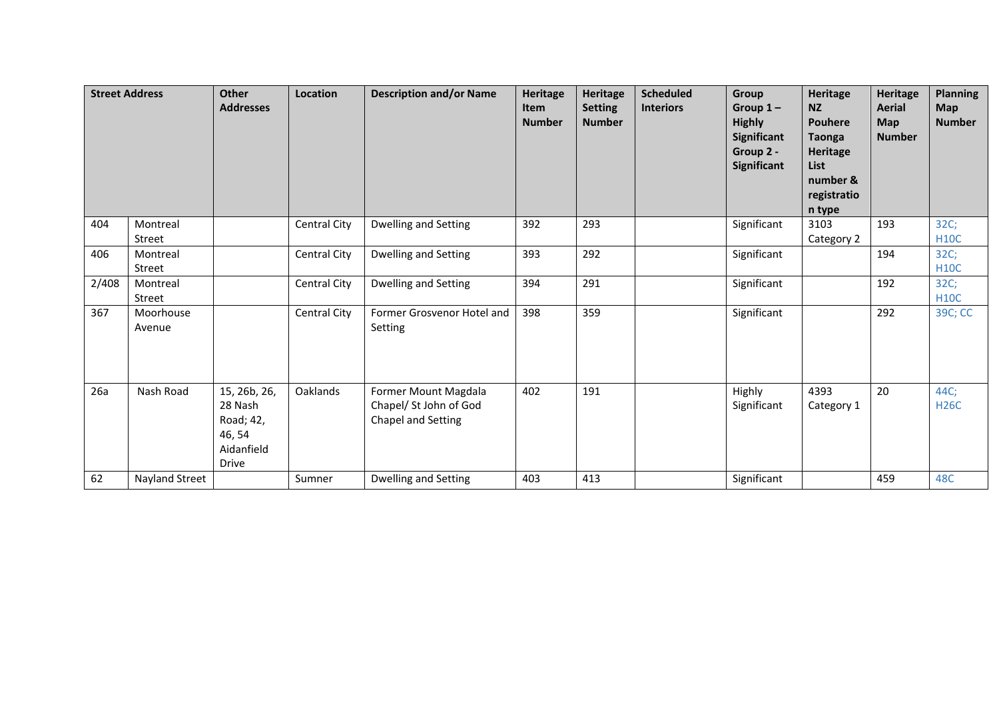| <b>Street Address</b> |                           | <b>Other</b><br><b>Addresses</b>                                             | Location            | <b>Description and/or Name</b>                                       | Heritage<br><b>Item</b><br><b>Number</b> | Heritage<br><b>Setting</b><br><b>Number</b> | <b>Scheduled</b><br><b>Interiors</b> | <b>Group</b><br>Group $1 -$<br><b>Highly</b><br>Significant<br>Group 2 -<br>Significant | <b>Heritage</b><br><b>NZ</b><br><b>Pouhere</b><br><b>Taonga</b><br><b>Heritage</b><br><b>List</b><br>number &<br>registratio<br>n type | <b>Heritage</b><br><b>Aerial</b><br><b>Map</b><br><b>Number</b> | <b>Planning</b><br><b>Map</b><br><b>Number</b> |
|-----------------------|---------------------------|------------------------------------------------------------------------------|---------------------|----------------------------------------------------------------------|------------------------------------------|---------------------------------------------|--------------------------------------|-----------------------------------------------------------------------------------------|----------------------------------------------------------------------------------------------------------------------------------------|-----------------------------------------------------------------|------------------------------------------------|
| 404                   | Montreal<br><b>Street</b> |                                                                              | <b>Central City</b> | Dwelling and Setting                                                 | 392                                      | 293                                         |                                      | Significant                                                                             | 3103<br>Category 2                                                                                                                     | 193                                                             | 32C;<br><b>H10C</b>                            |
| 406                   | Montreal<br>Street        |                                                                              | Central City        | Dwelling and Setting                                                 | 393                                      | 292                                         |                                      | Significant                                                                             |                                                                                                                                        | 194                                                             | 32C;<br><b>H10C</b>                            |
| 2/408                 | Montreal<br>Street        |                                                                              | Central City        | Dwelling and Setting                                                 | 394                                      | 291                                         |                                      | Significant                                                                             |                                                                                                                                        | 192                                                             | 32C;<br><b>H10C</b>                            |
| 367                   | Moorhouse<br>Avenue       |                                                                              | <b>Central City</b> | Former Grosvenor Hotel and<br>Setting                                | 398                                      | 359                                         |                                      | Significant                                                                             |                                                                                                                                        | 292                                                             | 39C; CC                                        |
| 26a                   | Nash Road                 | 15, 26b, 26,<br>28 Nash<br>Road; 42,<br>46, 54<br>Aidanfield<br><b>Drive</b> | Oaklands            | Former Mount Magdala<br>Chapel/ St John of God<br>Chapel and Setting | 402                                      | 191                                         |                                      | Highly<br>Significant                                                                   | 4393<br>Category 1                                                                                                                     | 20                                                              | 44C;<br><b>H26C</b>                            |
| 62                    | <b>Nayland Street</b>     |                                                                              | Sumner              | Dwelling and Setting                                                 | 403                                      | 413                                         |                                      | Significant                                                                             |                                                                                                                                        | 459                                                             | 48C                                            |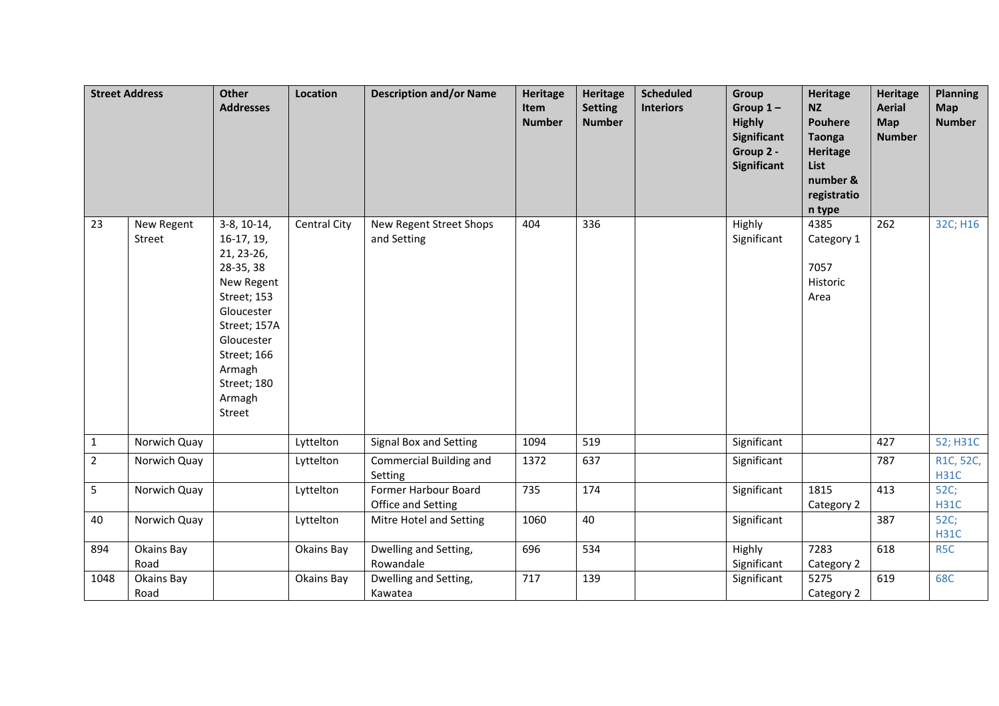|                | <b>Street Address</b> | Other<br><b>Addresses</b>                                                                                                                                                                     | Location     | <b>Description and/or Name</b>             | <b>Heritage</b><br>Item<br><b>Number</b> | Heritage<br><b>Setting</b><br><b>Number</b> | <b>Scheduled</b><br><b>Interiors</b> | Group<br>Group $1-$<br><b>Highly</b><br><b>Significant</b><br>Group 2 -<br>Significant | <b>Heritage</b><br><b>NZ</b><br><b>Pouhere</b><br><b>Taonga</b><br>Heritage<br>List<br>number &<br>registratio<br>n type | <b>Heritage</b><br><b>Aerial</b><br><b>Map</b><br><b>Number</b> | <b>Planning</b><br>Map<br><b>Number</b> |
|----------------|-----------------------|-----------------------------------------------------------------------------------------------------------------------------------------------------------------------------------------------|--------------|--------------------------------------------|------------------------------------------|---------------------------------------------|--------------------------------------|----------------------------------------------------------------------------------------|--------------------------------------------------------------------------------------------------------------------------|-----------------------------------------------------------------|-----------------------------------------|
| 23             | New Regent<br>Street  | $3-8, 10-14,$<br>$16-17, 19,$<br>21, 23-26,<br>28-35, 38<br>New Regent<br>Street; 153<br>Gloucester<br>Street; 157A<br>Gloucester<br>Street; 166<br>Armagh<br>Street; 180<br>Armagh<br>Street | Central City | New Regent Street Shops<br>and Setting     | 404                                      | 336                                         |                                      | Highly<br>Significant                                                                  | 4385<br>Category 1<br>7057<br>Historic<br>Area                                                                           | 262                                                             | 32C; H16                                |
| $\mathbf{1}$   | Norwich Quay          |                                                                                                                                                                                               | Lyttelton    | Signal Box and Setting                     | 1094                                     | 519                                         |                                      | Significant                                                                            |                                                                                                                          | 427                                                             | 52; H31C                                |
| $\overline{2}$ | Norwich Quay          |                                                                                                                                                                                               | Lyttelton    | <b>Commercial Building and</b><br>Setting  | 1372                                     | 637                                         |                                      | Significant                                                                            |                                                                                                                          | 787                                                             | R1C, 52C,<br><b>H31C</b>                |
| 5              | Norwich Quay          |                                                                                                                                                                                               | Lyttelton    | Former Harbour Board<br>Office and Setting | 735                                      | 174                                         |                                      | Significant                                                                            | 1815<br>Category 2                                                                                                       | 413                                                             | 52C;<br><b>H31C</b>                     |
| 40             | Norwich Quay          |                                                                                                                                                                                               | Lyttelton    | Mitre Hotel and Setting                    | 1060                                     | 40                                          |                                      | Significant                                                                            |                                                                                                                          | 387                                                             | 52C;<br><b>H31C</b>                     |
| 894            | Okains Bay<br>Road    |                                                                                                                                                                                               | Okains Bay   | Dwelling and Setting,<br>Rowandale         | 696                                      | 534                                         |                                      | Highly<br>Significant                                                                  | 7283<br>Category 2                                                                                                       | 618                                                             | R <sub>5</sub> C                        |
| 1048           | Okains Bay<br>Road    |                                                                                                                                                                                               | Okains Bay   | Dwelling and Setting,<br>Kawatea           | 717                                      | 139                                         |                                      | Significant                                                                            | 5275<br>Category 2                                                                                                       | 619                                                             | 68C                                     |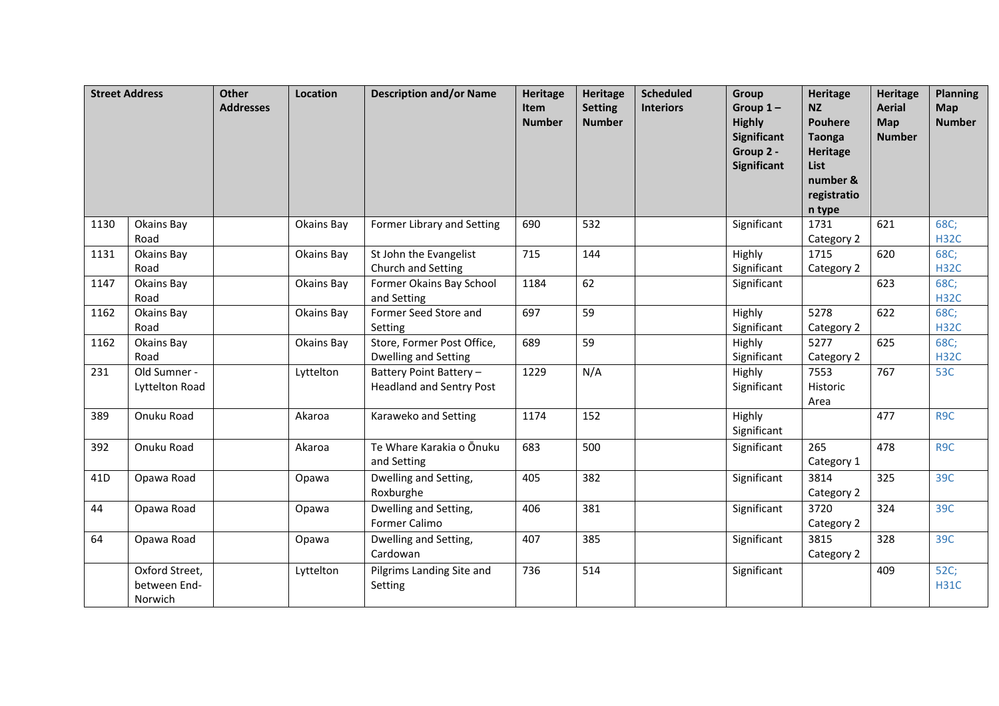|                 | <b>Street Address</b>                     | <b>Other</b><br><b>Addresses</b> | Location   | <b>Description and/or Name</b>                             | <b>Heritage</b><br>Item<br><b>Number</b> | <b>Heritage</b><br><b>Setting</b><br><b>Number</b> | <b>Scheduled</b><br><b>Interiors</b> | Group<br>Group $1-$<br><b>Highly</b><br><b>Significant</b><br>Group 2 -<br><b>Significant</b> | <b>Heritage</b><br><b>NZ</b><br><b>Pouhere</b><br><b>Taonga</b><br><b>Heritage</b><br><b>List</b><br>number &<br>registratio<br>n type | <b>Heritage</b><br><b>Aerial</b><br>Map<br><b>Number</b> | <b>Planning</b><br><b>Map</b><br><b>Number</b> |
|-----------------|-------------------------------------------|----------------------------------|------------|------------------------------------------------------------|------------------------------------------|----------------------------------------------------|--------------------------------------|-----------------------------------------------------------------------------------------------|----------------------------------------------------------------------------------------------------------------------------------------|----------------------------------------------------------|------------------------------------------------|
| 1130            | Okains Bay<br>Road                        |                                  | Okains Bay | Former Library and Setting                                 | 690                                      | 532                                                |                                      | Significant                                                                                   | 1731<br>Category 2                                                                                                                     | 621                                                      | 68C;<br><b>H32C</b>                            |
| 1131            | Okains Bay<br>Road                        |                                  | Okains Bay | St John the Evangelist<br>Church and Setting               | 715                                      | 144                                                |                                      | Highly<br>Significant                                                                         | 1715<br>Category 2                                                                                                                     | 620                                                      | 68C;<br><b>H32C</b>                            |
| 1147            | Okains Bay<br>Road                        |                                  | Okains Bay | Former Okains Bay School<br>and Setting                    | 1184                                     | 62                                                 |                                      | Significant                                                                                   |                                                                                                                                        | 623                                                      | 68C;<br><b>H32C</b>                            |
| 1162            | Okains Bay<br>Road                        |                                  | Okains Bay | Former Seed Store and<br>Setting                           | 697                                      | 59                                                 |                                      | Highly<br>Significant                                                                         | 5278<br>Category 2                                                                                                                     | 622                                                      | 68C;<br><b>H32C</b>                            |
| 1162            | Okains Bay<br>Road                        |                                  | Okains Bay | Store, Former Post Office,<br>Dwelling and Setting         | 689                                      | 59                                                 |                                      | Highly<br>Significant                                                                         | 5277<br>Category 2                                                                                                                     | 625                                                      | 68C;<br><b>H32C</b>                            |
| 231             | Old Sumner -<br>Lyttelton Road            |                                  | Lyttelton  | Battery Point Battery -<br><b>Headland and Sentry Post</b> | 1229                                     | N/A                                                |                                      | Highly<br>Significant                                                                         | 7553<br>Historic<br>Area                                                                                                               | 767                                                      | 53C                                            |
| 389             | Onuku Road                                |                                  | Akaroa     | Karaweko and Setting                                       | 1174                                     | 152                                                |                                      | Highly<br>Significant                                                                         |                                                                                                                                        | 477                                                      | R9C                                            |
| 392             | Onuku Road                                |                                  | Akaroa     | Te Whare Karakia o Ōnuku<br>and Setting                    | 683                                      | 500                                                |                                      | Significant                                                                                   | 265<br>Category 1                                                                                                                      | 478                                                      | R9C                                            |
| 41 <sub>D</sub> | Opawa Road                                |                                  | Opawa      | Dwelling and Setting,<br>Roxburghe                         | 405                                      | 382                                                |                                      | Significant                                                                                   | 3814<br>Category 2                                                                                                                     | 325                                                      | 39C                                            |
| 44              | Opawa Road                                |                                  | Opawa      | Dwelling and Setting,<br>Former Calimo                     | 406                                      | 381                                                |                                      | Significant                                                                                   | 3720<br>Category 2                                                                                                                     | 324                                                      | 39C                                            |
| 64              | Opawa Road                                |                                  | Opawa      | Dwelling and Setting,<br>Cardowan                          | 407                                      | 385                                                |                                      | Significant                                                                                   | 3815<br>Category 2                                                                                                                     | 328                                                      | 39C                                            |
|                 | Oxford Street,<br>between End-<br>Norwich |                                  | Lyttelton  | Pilgrims Landing Site and<br>Setting                       | 736                                      | 514                                                |                                      | Significant                                                                                   |                                                                                                                                        | 409                                                      | 52C;<br><b>H31C</b>                            |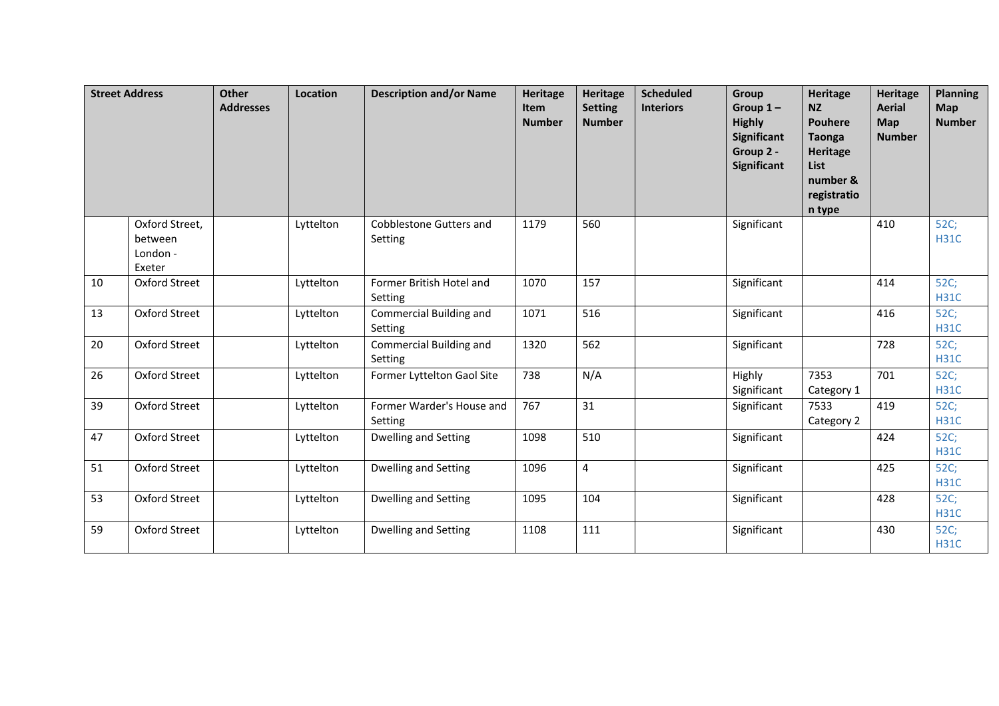| <b>Street Address</b> |                                                 | <b>Other</b><br><b>Addresses</b> | Location  | <b>Description and/or Name</b>            | Heritage<br>Item<br><b>Number</b> | <b>Heritage</b><br><b>Setting</b><br><b>Number</b> | <b>Scheduled</b><br><b>Interiors</b> | Group<br>Group $1-$<br><b>Highly</b><br>Significant<br>Group 2 -<br>Significant | <b>Heritage</b><br><b>NZ</b><br>Pouhere<br><b>Taonga</b><br>Heritage<br><b>List</b><br>number &<br>registratio<br>n type | <b>Heritage</b><br><b>Aerial</b><br>Map<br><b>Number</b> | <b>Planning</b><br><b>Map</b><br><b>Number</b> |
|-----------------------|-------------------------------------------------|----------------------------------|-----------|-------------------------------------------|-----------------------------------|----------------------------------------------------|--------------------------------------|---------------------------------------------------------------------------------|--------------------------------------------------------------------------------------------------------------------------|----------------------------------------------------------|------------------------------------------------|
|                       | Oxford Street,<br>between<br>London -<br>Exeter |                                  | Lyttelton | Cobblestone Gutters and<br>Setting        | 1179                              | 560                                                |                                      | Significant                                                                     |                                                                                                                          | 410                                                      | 52C;<br><b>H31C</b>                            |
| 10                    | <b>Oxford Street</b>                            |                                  | Lyttelton | Former British Hotel and<br>Setting       | 1070                              | 157                                                |                                      | Significant                                                                     |                                                                                                                          | 414                                                      | 52C;<br><b>H31C</b>                            |
| 13                    | Oxford Street                                   |                                  | Lyttelton | <b>Commercial Building and</b><br>Setting | 1071                              | 516                                                |                                      | Significant                                                                     |                                                                                                                          | 416                                                      | 52C;<br><b>H31C</b>                            |
| 20                    | Oxford Street                                   |                                  | Lyttelton | <b>Commercial Building and</b><br>Setting | 1320                              | 562                                                |                                      | Significant                                                                     |                                                                                                                          | 728                                                      | 52C;<br><b>H31C</b>                            |
| 26                    | Oxford Street                                   |                                  | Lyttelton | Former Lyttelton Gaol Site                | 738                               | N/A                                                |                                      | Highly<br>Significant                                                           | 7353<br>Category 1                                                                                                       | 701                                                      | 52C;<br><b>H31C</b>                            |
| 39                    | Oxford Street                                   |                                  | Lyttelton | Former Warder's House and<br>Setting      | 767                               | 31                                                 |                                      | Significant                                                                     | 7533<br>Category 2                                                                                                       | 419                                                      | 52C;<br><b>H31C</b>                            |
| 47                    | Oxford Street                                   |                                  | Lyttelton | <b>Dwelling and Setting</b>               | 1098                              | 510                                                |                                      | Significant                                                                     |                                                                                                                          | 424                                                      | 52C;<br><b>H31C</b>                            |
| 51                    | Oxford Street                                   |                                  | Lyttelton | <b>Dwelling and Setting</b>               | 1096                              | 4                                                  |                                      | Significant                                                                     |                                                                                                                          | 425                                                      | 52C;<br><b>H31C</b>                            |
| 53                    | Oxford Street                                   |                                  | Lyttelton | Dwelling and Setting                      | 1095                              | 104                                                |                                      | Significant                                                                     |                                                                                                                          | 428                                                      | 52C;<br><b>H31C</b>                            |
| 59                    | <b>Oxford Street</b>                            |                                  | Lyttelton | Dwelling and Setting                      | 1108                              | 111                                                |                                      | Significant                                                                     |                                                                                                                          | 430                                                      | 52C;<br><b>H31C</b>                            |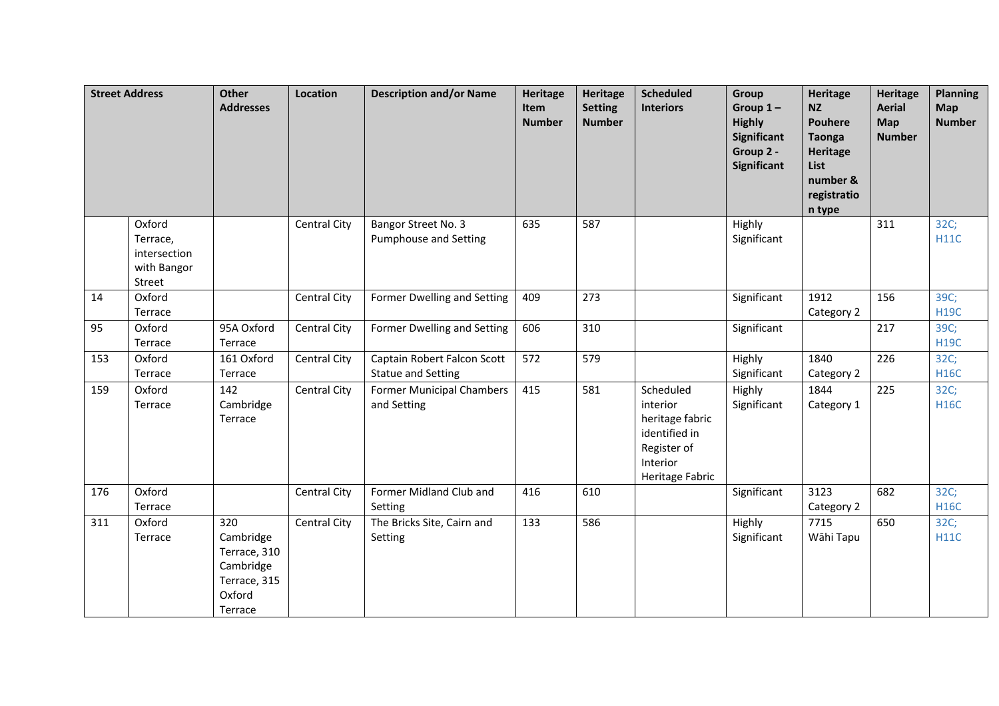|     | <b>Street Address</b>                                       | <b>Other</b><br><b>Addresses</b>                                                   | Location            | <b>Description and/or Name</b>                           | <b>Heritage</b><br>Item<br><b>Number</b> | <b>Heritage</b><br><b>Setting</b><br><b>Number</b> | <b>Scheduled</b><br><b>Interiors</b>                                                                    | Group<br>Group $1-$<br><b>Highly</b><br>Significant<br>Group 2 -<br>Significant | <b>Heritage</b><br><b>NZ</b><br><b>Pouhere</b><br><b>Taonga</b><br><b>Heritage</b><br>List<br>number &<br>registratio<br>n type | <b>Heritage</b><br><b>Aerial</b><br><b>Map</b><br><b>Number</b> | <b>Planning</b><br><b>Map</b><br><b>Number</b> |
|-----|-------------------------------------------------------------|------------------------------------------------------------------------------------|---------------------|----------------------------------------------------------|------------------------------------------|----------------------------------------------------|---------------------------------------------------------------------------------------------------------|---------------------------------------------------------------------------------|---------------------------------------------------------------------------------------------------------------------------------|-----------------------------------------------------------------|------------------------------------------------|
|     | Oxford<br>Terrace,<br>intersection<br>with Bangor<br>Street |                                                                                    | Central City        | Bangor Street No. 3<br><b>Pumphouse and Setting</b>      | 635                                      | 587                                                |                                                                                                         | Highly<br>Significant                                                           |                                                                                                                                 | 311                                                             | 32C;<br>H11C                                   |
| 14  | Oxford<br>Terrace                                           |                                                                                    | Central City        | Former Dwelling and Setting                              | 409                                      | 273                                                |                                                                                                         | Significant                                                                     | 1912<br>Category 2                                                                                                              | 156                                                             | 39C;<br><b>H19C</b>                            |
| 95  | Oxford<br>Terrace                                           | 95A Oxford<br>Terrace                                                              | <b>Central City</b> | Former Dwelling and Setting                              | 606                                      | 310                                                |                                                                                                         | Significant                                                                     |                                                                                                                                 | 217                                                             | 39C;<br><b>H19C</b>                            |
| 153 | Oxford<br>Terrace                                           | 161 Oxford<br>Terrace                                                              | Central City        | Captain Robert Falcon Scott<br><b>Statue and Setting</b> | 572                                      | 579                                                |                                                                                                         | Highly<br>Significant                                                           | 1840<br>Category 2                                                                                                              | 226                                                             | 32C;<br><b>H16C</b>                            |
| 159 | Oxford<br>Terrace                                           | 142<br>Cambridge<br>Terrace                                                        | Central City        | <b>Former Municipal Chambers</b><br>and Setting          | 415                                      | 581                                                | Scheduled<br>interior<br>heritage fabric<br>identified in<br>Register of<br>Interior<br>Heritage Fabric | Highly<br>Significant                                                           | 1844<br>Category 1                                                                                                              | 225                                                             | 32C;<br><b>H16C</b>                            |
| 176 | Oxford<br>Terrace                                           |                                                                                    | Central City        | Former Midland Club and<br>Setting                       | 416                                      | 610                                                |                                                                                                         | Significant                                                                     | 3123<br>Category 2                                                                                                              | 682                                                             | 32C;<br><b>H16C</b>                            |
| 311 | Oxford<br>Terrace                                           | 320<br>Cambridge<br>Terrace, 310<br>Cambridge<br>Terrace, 315<br>Oxford<br>Terrace | Central City        | The Bricks Site, Cairn and<br>Setting                    | 133                                      | 586                                                |                                                                                                         | Highly<br>Significant                                                           | 7715<br>Wāhi Tapu                                                                                                               | 650                                                             | 32C;<br>H11C                                   |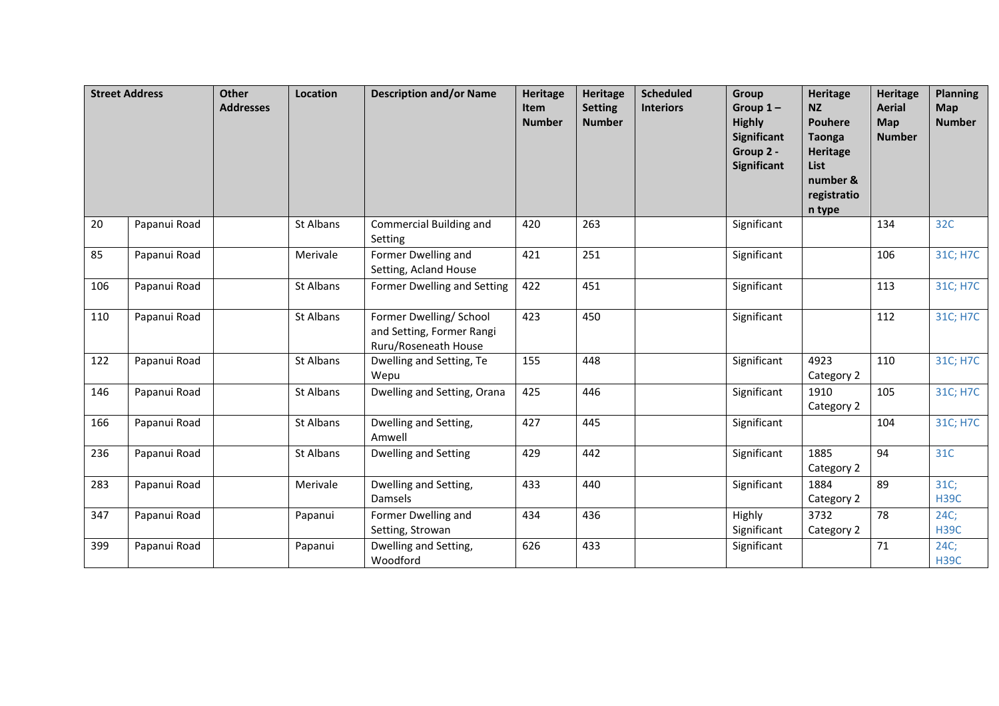|     | <b>Street Address</b> | Other<br><b>Addresses</b> | <b>Location</b> | <b>Description and/or Name</b>                                               | <b>Heritage</b><br>Item<br><b>Number</b> | <b>Heritage</b><br><b>Setting</b><br><b>Number</b> | <b>Scheduled</b><br><b>Interiors</b> | Group<br>Group $1-$<br><b>Highly</b><br><b>Significant</b><br>Group 2 -<br><b>Significant</b> | <b>Heritage</b><br><b>NZ</b><br><b>Pouhere</b><br><b>Taonga</b><br>Heritage<br>List<br>number &<br>registratio<br>n type | <b>Heritage</b><br><b>Aerial</b><br>Map<br><b>Number</b> | <b>Planning</b><br><b>Map</b><br><b>Number</b> |
|-----|-----------------------|---------------------------|-----------------|------------------------------------------------------------------------------|------------------------------------------|----------------------------------------------------|--------------------------------------|-----------------------------------------------------------------------------------------------|--------------------------------------------------------------------------------------------------------------------------|----------------------------------------------------------|------------------------------------------------|
| 20  | Papanui Road          |                           | St Albans       | Commercial Building and<br>Setting                                           | 420                                      | 263                                                |                                      | Significant                                                                                   |                                                                                                                          | 134                                                      | 32C                                            |
| 85  | Papanui Road          |                           | Merivale        | Former Dwelling and<br>Setting, Acland House                                 | 421                                      | 251                                                |                                      | Significant                                                                                   |                                                                                                                          | 106                                                      | 31C; H7C                                       |
| 106 | Papanui Road          |                           | St Albans       | Former Dwelling and Setting                                                  | 422                                      | 451                                                |                                      | Significant                                                                                   |                                                                                                                          | 113                                                      | 31C; H7C                                       |
| 110 | Papanui Road          |                           | St Albans       | Former Dwelling/ School<br>and Setting, Former Rangi<br>Ruru/Roseneath House | 423                                      | 450                                                |                                      | Significant                                                                                   |                                                                                                                          | 112                                                      | 31C; H7C                                       |
| 122 | Papanui Road          |                           | St Albans       | Dwelling and Setting, Te<br>Wepu                                             | 155                                      | 448                                                |                                      | Significant                                                                                   | 4923<br>Category 2                                                                                                       | 110                                                      | 31C; H7C                                       |
| 146 | Papanui Road          |                           | St Albans       | Dwelling and Setting, Orana                                                  | 425                                      | 446                                                |                                      | Significant                                                                                   | 1910<br>Category 2                                                                                                       | 105                                                      | 31C; H7C                                       |
| 166 | Papanui Road          |                           | St Albans       | Dwelling and Setting,<br>Amwell                                              | 427                                      | 445                                                |                                      | Significant                                                                                   |                                                                                                                          | 104                                                      | 31C; H7C                                       |
| 236 | Papanui Road          |                           | St Albans       | Dwelling and Setting                                                         | 429                                      | 442                                                |                                      | Significant                                                                                   | 1885<br>Category 2                                                                                                       | 94                                                       | 31C                                            |
| 283 | Papanui Road          |                           | Merivale        | Dwelling and Setting,<br>Damsels                                             | 433                                      | 440                                                |                                      | Significant                                                                                   | 1884<br>Category 2                                                                                                       | 89                                                       | 31C;<br><b>H39C</b>                            |
| 347 | Papanui Road          |                           | Papanui         | Former Dwelling and<br>Setting, Strowan                                      | 434                                      | 436                                                |                                      | Highly<br>Significant                                                                         | 3732<br>Category 2                                                                                                       | 78                                                       | 24C;<br><b>H39C</b>                            |
| 399 | Papanui Road          |                           | Papanui         | Dwelling and Setting,<br>Woodford                                            | 626                                      | 433                                                |                                      | Significant                                                                                   |                                                                                                                          | 71                                                       | 24C;<br><b>H39C</b>                            |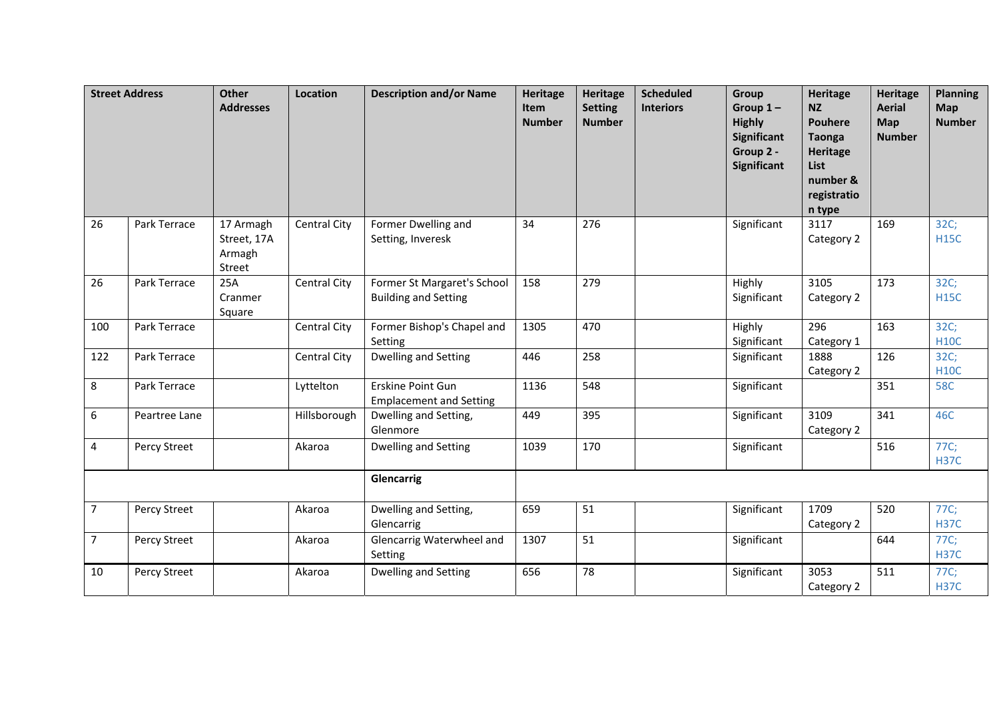|                | <b>Street Address</b> | <b>Other</b><br><b>Addresses</b>             | Location            | <b>Description and/or Name</b>                             | Heritage<br>Item<br><b>Number</b> | <b>Heritage</b><br><b>Setting</b><br><b>Number</b> | <b>Scheduled</b><br><b>Interiors</b> | Group<br>Group $1-$<br><b>Highly</b><br>Significant<br>Group 2 -<br>Significant | Heritage<br><b>NZ</b><br><b>Pouhere</b><br><b>Taonga</b><br><b>Heritage</b><br>List<br>number &<br>registratio<br>n type | <b>Heritage</b><br><b>Aerial</b><br>Map<br><b>Number</b> | <b>Planning</b><br><b>Map</b><br><b>Number</b> |
|----------------|-----------------------|----------------------------------------------|---------------------|------------------------------------------------------------|-----------------------------------|----------------------------------------------------|--------------------------------------|---------------------------------------------------------------------------------|--------------------------------------------------------------------------------------------------------------------------|----------------------------------------------------------|------------------------------------------------|
| 26             | Park Terrace          | 17 Armagh<br>Street, 17A<br>Armagh<br>Street | <b>Central City</b> | Former Dwelling and<br>Setting, Inveresk                   | 34                                | 276                                                |                                      | Significant                                                                     | 3117<br>Category 2                                                                                                       | 169                                                      | 32C;<br><b>H15C</b>                            |
| 26             | Park Terrace          | 25A<br>Cranmer<br>Square                     | Central City        | Former St Margaret's School<br><b>Building and Setting</b> | 158                               | 279                                                |                                      | Highly<br>Significant                                                           | 3105<br>Category 2                                                                                                       | 173                                                      | 32C;<br><b>H15C</b>                            |
| 100            | Park Terrace          |                                              | Central City        | Former Bishop's Chapel and<br>Setting                      | 1305                              | 470                                                |                                      | Highly<br>Significant                                                           | 296<br>Category 1                                                                                                        | 163                                                      | 32C;<br><b>H10C</b>                            |
| 122            | Park Terrace          |                                              | <b>Central City</b> | Dwelling and Setting                                       | 446                               | 258                                                |                                      | Significant                                                                     | 1888<br>Category 2                                                                                                       | 126                                                      | 32C;<br><b>H10C</b>                            |
| 8              | Park Terrace          |                                              | Lyttelton           | Erskine Point Gun<br><b>Emplacement and Setting</b>        | 1136                              | 548                                                |                                      | Significant                                                                     |                                                                                                                          | 351                                                      | <b>58C</b>                                     |
| 6              | Peartree Lane         |                                              | Hillsborough        | Dwelling and Setting,<br>Glenmore                          | 449                               | 395                                                |                                      | Significant                                                                     | 3109<br>Category 2                                                                                                       | 341                                                      | 46C                                            |
| 4              | Percy Street          |                                              | Akaroa              | Dwelling and Setting                                       | 1039                              | 170                                                |                                      | Significant                                                                     |                                                                                                                          | 516                                                      | 77C;<br><b>H37C</b>                            |
|                |                       |                                              |                     | Glencarrig                                                 |                                   |                                                    |                                      |                                                                                 |                                                                                                                          |                                                          |                                                |
| $7^{\circ}$    | Percy Street          |                                              | Akaroa              | Dwelling and Setting,<br>Glencarrig                        | 659                               | 51                                                 |                                      | Significant                                                                     | 1709<br>Category 2                                                                                                       | 520                                                      | 77C;<br><b>H37C</b>                            |
| $\overline{7}$ | Percy Street          |                                              | Akaroa              | Glencarrig Waterwheel and<br>Setting                       | 1307                              | 51                                                 |                                      | Significant                                                                     |                                                                                                                          | 644                                                      | 77C;<br><b>H37C</b>                            |
| 10             | Percy Street          |                                              | Akaroa              | <b>Dwelling and Setting</b>                                | 656                               | 78                                                 |                                      | Significant                                                                     | 3053<br>Category 2                                                                                                       | 511                                                      | 77C;<br><b>H37C</b>                            |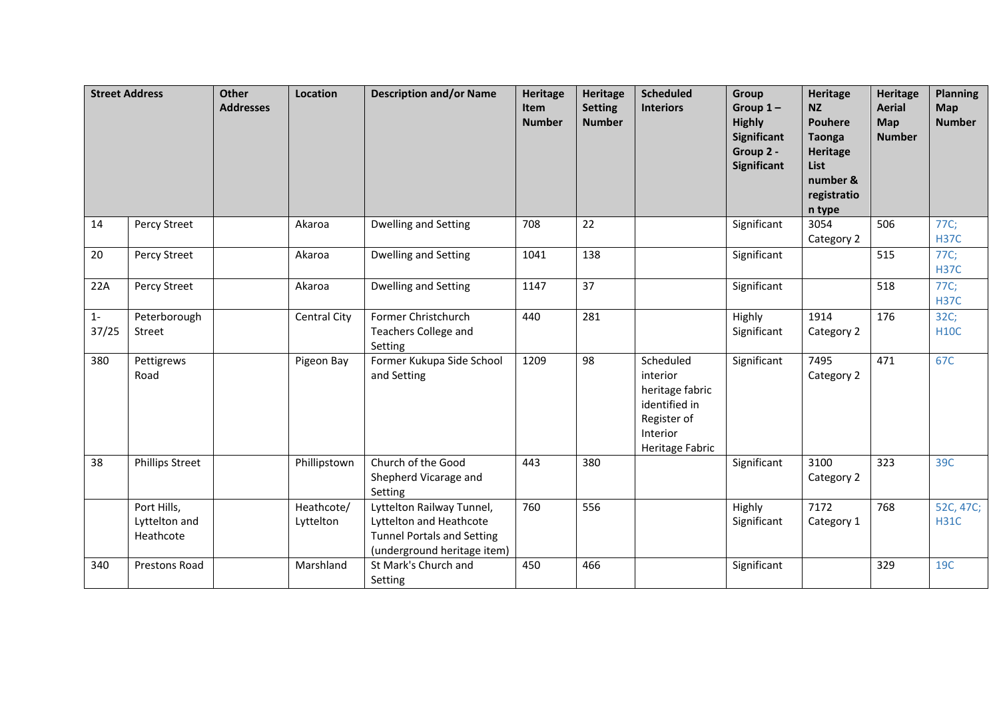|                | <b>Street Address</b>                     | Other<br><b>Addresses</b> | Location                | <b>Description and/or Name</b>                                                                                           | <b>Heritage</b><br>Item<br><b>Number</b> | <b>Heritage</b><br><b>Setting</b><br><b>Number</b> | <b>Scheduled</b><br><b>Interiors</b>                                                                    | <b>Group</b><br>Group $1-$<br><b>Highly</b><br>Significant<br>Group 2 -<br>Significant | <b>Heritage</b><br><b>NZ</b><br><b>Pouhere</b><br><b>Taonga</b><br><b>Heritage</b><br>List<br>number &<br>registratio<br>n type | <b>Heritage</b><br><b>Aerial</b><br>Map<br><b>Number</b> | <b>Planning</b><br>Map<br><b>Number</b> |
|----------------|-------------------------------------------|---------------------------|-------------------------|--------------------------------------------------------------------------------------------------------------------------|------------------------------------------|----------------------------------------------------|---------------------------------------------------------------------------------------------------------|----------------------------------------------------------------------------------------|---------------------------------------------------------------------------------------------------------------------------------|----------------------------------------------------------|-----------------------------------------|
| 14             | Percy Street                              |                           | Akaroa                  | Dwelling and Setting                                                                                                     | 708                                      | 22                                                 |                                                                                                         | Significant                                                                            | 3054<br>Category 2                                                                                                              | 506                                                      | 77C;<br><b>H37C</b>                     |
| 20             | Percy Street                              |                           | Akaroa                  | Dwelling and Setting                                                                                                     | 1041                                     | 138                                                |                                                                                                         | Significant                                                                            |                                                                                                                                 | 515                                                      | 77C;<br><b>H37C</b>                     |
| 22A            | Percy Street                              |                           | Akaroa                  | Dwelling and Setting                                                                                                     | 1147                                     | 37                                                 |                                                                                                         | Significant                                                                            |                                                                                                                                 | 518                                                      | 77C;<br><b>H37C</b>                     |
| $1 -$<br>37/25 | Peterborough<br>Street                    |                           | Central City            | Former Christchurch<br><b>Teachers College and</b><br>Setting                                                            | 440                                      | 281                                                |                                                                                                         | Highly<br>Significant                                                                  | 1914<br>Category 2                                                                                                              | 176                                                      | 32C;<br><b>H10C</b>                     |
| 380            | Pettigrews<br>Road                        |                           | Pigeon Bay              | Former Kukupa Side School<br>and Setting                                                                                 | 1209                                     | 98                                                 | Scheduled<br>interior<br>heritage fabric<br>identified in<br>Register of<br>Interior<br>Heritage Fabric | Significant                                                                            | 7495<br>Category 2                                                                                                              | 471                                                      | 67C                                     |
| 38             | <b>Phillips Street</b>                    |                           | Phillipstown            | Church of the Good<br>Shepherd Vicarage and<br>Setting                                                                   | 443                                      | 380                                                |                                                                                                         | Significant                                                                            | 3100<br>Category 2                                                                                                              | 323                                                      | 39C                                     |
|                | Port Hills,<br>Lyttelton and<br>Heathcote |                           | Heathcote/<br>Lyttelton | Lyttelton Railway Tunnel,<br>Lyttelton and Heathcote<br><b>Tunnel Portals and Setting</b><br>(underground heritage item) | 760                                      | 556                                                |                                                                                                         | Highly<br>Significant                                                                  | 7172<br>Category 1                                                                                                              | 768                                                      | 52C, 47C;<br><b>H31C</b>                |
| 340            | <b>Prestons Road</b>                      |                           | Marshland               | St Mark's Church and<br>Setting                                                                                          | 450                                      | 466                                                |                                                                                                         | Significant                                                                            |                                                                                                                                 | 329                                                      | 19C                                     |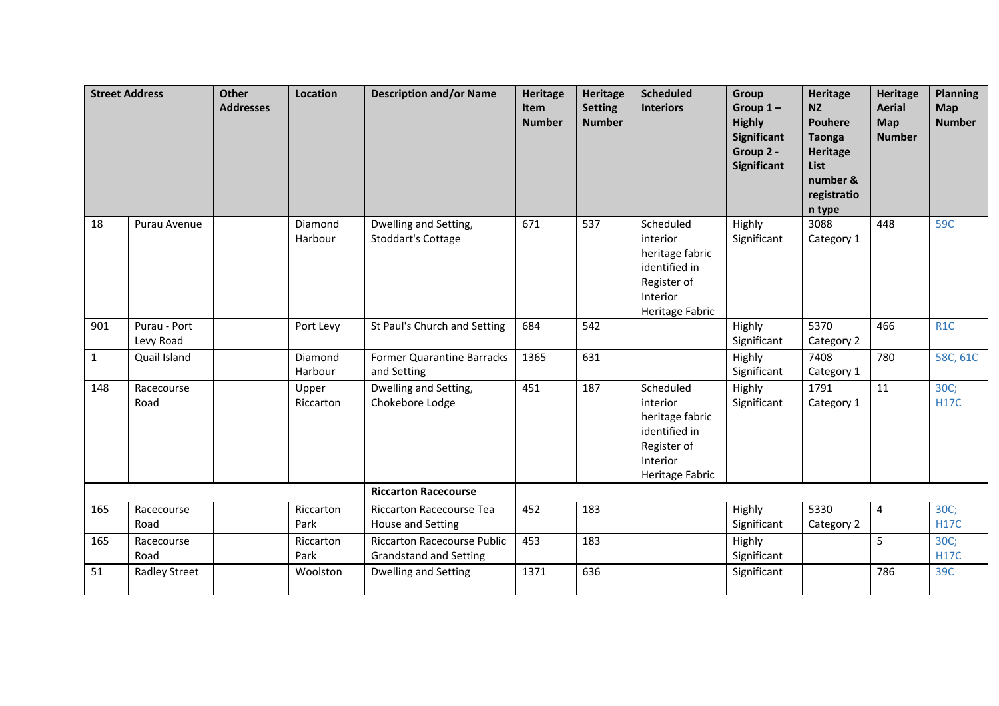| <b>Street Address</b> |                           | <b>Other</b><br><b>Addresses</b> | Location           | <b>Description and/or Name</b>                                      | <b>Heritage</b><br>Item<br><b>Number</b> | <b>Heritage</b><br><b>Setting</b><br><b>Number</b> | <b>Scheduled</b><br><b>Interiors</b>                                                                    | Group<br>Group $1-$<br><b>Highly</b><br>Significant<br>Group 2 -<br>Significant | <b>Heritage</b><br><b>NZ</b><br><b>Pouhere</b><br><b>Taonga</b><br>Heritage<br>List<br>number &<br>registratio<br>n type | Heritage<br><b>Aerial</b><br>Map<br><b>Number</b> | <b>Planning</b><br><b>Map</b><br><b>Number</b> |
|-----------------------|---------------------------|----------------------------------|--------------------|---------------------------------------------------------------------|------------------------------------------|----------------------------------------------------|---------------------------------------------------------------------------------------------------------|---------------------------------------------------------------------------------|--------------------------------------------------------------------------------------------------------------------------|---------------------------------------------------|------------------------------------------------|
| 18                    | Purau Avenue              |                                  | Diamond<br>Harbour | Dwelling and Setting,<br><b>Stoddart's Cottage</b>                  | 671                                      | 537                                                | Scheduled<br>interior<br>heritage fabric<br>identified in<br>Register of<br>Interior<br>Heritage Fabric | Highly<br>Significant                                                           | 3088<br>Category 1                                                                                                       | 448                                               | 59C                                            |
| 901                   | Purau - Port<br>Levy Road |                                  | Port Levy          | St Paul's Church and Setting                                        | 684                                      | 542                                                |                                                                                                         | Highly<br>Significant                                                           | 5370<br>Category 2                                                                                                       | 466                                               | R <sub>1</sub> C                               |
| $\mathbf{1}$          | Quail Island              |                                  | Diamond<br>Harbour | Former Quarantine Barracks<br>and Setting                           | 1365                                     | 631                                                |                                                                                                         | Highly<br>Significant                                                           | 7408<br>Category 1                                                                                                       | 780                                               | 58C, 61C                                       |
| 148                   | Racecourse<br>Road        |                                  | Upper<br>Riccarton | Dwelling and Setting,<br>Chokebore Lodge                            | 451                                      | 187                                                | Scheduled<br>interior<br>heritage fabric<br>identified in<br>Register of<br>Interior<br>Heritage Fabric | Highly<br>Significant                                                           | 1791<br>Category 1                                                                                                       | 11                                                | 30C;<br><b>H17C</b>                            |
|                       |                           |                                  |                    | <b>Riccarton Racecourse</b>                                         |                                          |                                                    |                                                                                                         |                                                                                 |                                                                                                                          |                                                   |                                                |
| 165                   | Racecourse<br>Road        |                                  | Riccarton<br>Park  | <b>Riccarton Racecourse Tea</b><br>House and Setting                | 452                                      | 183                                                |                                                                                                         | Highly<br>Significant                                                           | 5330<br>Category 2                                                                                                       | $\overline{4}$                                    | 30C;<br><b>H17C</b>                            |
| 165                   | Racecourse<br>Road        |                                  | Riccarton<br>Park  | <b>Riccarton Racecourse Public</b><br><b>Grandstand and Setting</b> | 453                                      | 183                                                |                                                                                                         | Highly<br>Significant                                                           |                                                                                                                          | 5                                                 | 30C;<br><b>H17C</b>                            |
| 51                    | <b>Radley Street</b>      |                                  | Woolston           | Dwelling and Setting                                                | 1371                                     | 636                                                |                                                                                                         | Significant                                                                     |                                                                                                                          | 786                                               | 39C                                            |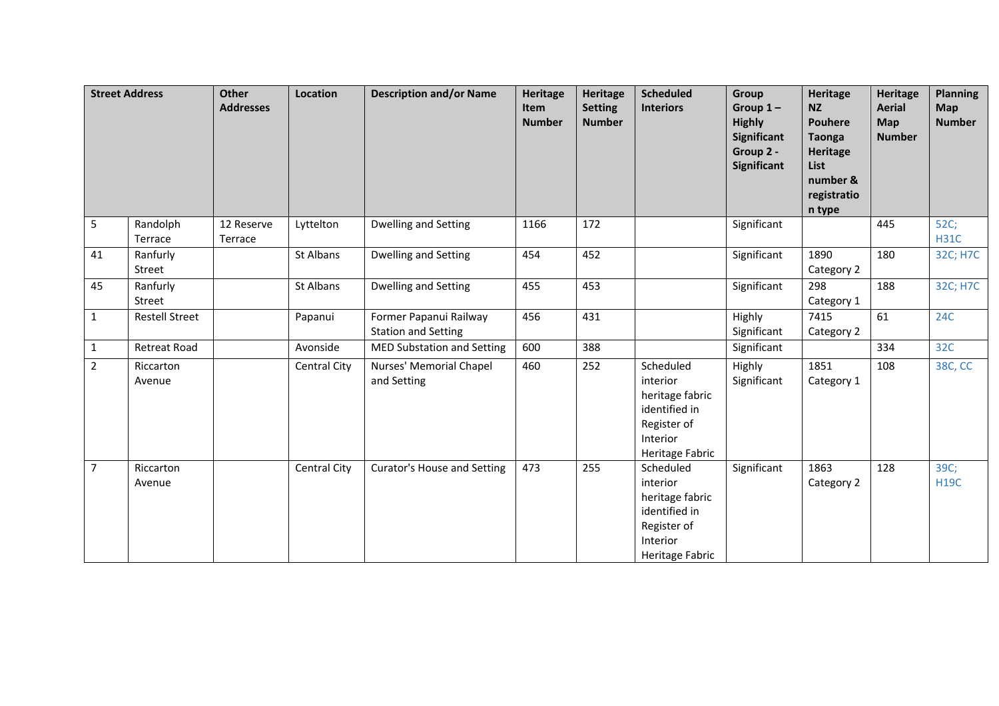|                | <b>Street Address</b> | <b>Other</b><br><b>Addresses</b> | Location     | <b>Description and/or Name</b>                       | <b>Heritage</b><br><b>Item</b><br><b>Number</b> | Heritage<br><b>Setting</b><br><b>Number</b> | <b>Scheduled</b><br><b>Interiors</b>                                                                    | Group<br>Group $1-$<br><b>Highly</b><br>Significant<br>Group 2 -<br>Significant | <b>Heritage</b><br><b>NZ</b><br><b>Pouhere</b><br><b>Taonga</b><br>Heritage<br>List<br>number &<br>registratio<br>n type | <b>Heritage</b><br><b>Aerial</b><br><b>Map</b><br><b>Number</b> | <b>Planning</b><br><b>Map</b><br><b>Number</b> |
|----------------|-----------------------|----------------------------------|--------------|------------------------------------------------------|-------------------------------------------------|---------------------------------------------|---------------------------------------------------------------------------------------------------------|---------------------------------------------------------------------------------|--------------------------------------------------------------------------------------------------------------------------|-----------------------------------------------------------------|------------------------------------------------|
| 5              | Randolph<br>Terrace   | 12 Reserve<br>Terrace            | Lyttelton    | Dwelling and Setting                                 | 1166                                            | 172                                         |                                                                                                         | Significant                                                                     |                                                                                                                          | 445                                                             | 52C;<br><b>H31C</b>                            |
| 41             | Ranfurly<br>Street    |                                  | St Albans    | Dwelling and Setting                                 | 454                                             | 452                                         |                                                                                                         | Significant                                                                     | 1890<br>Category 2                                                                                                       | 180                                                             | 32C; H7C                                       |
| 45             | Ranfurly<br>Street    |                                  | St Albans    | Dwelling and Setting                                 | 455                                             | 453                                         |                                                                                                         | Significant                                                                     | 298<br>Category 1                                                                                                        | 188                                                             | 32C; H7C                                       |
| $\mathbf{1}$   | <b>Restell Street</b> |                                  | Papanui      | Former Papanui Railway<br><b>Station and Setting</b> | 456                                             | 431                                         |                                                                                                         | Highly<br>Significant                                                           | 7415<br>Category 2                                                                                                       | 61                                                              | <b>24C</b>                                     |
| $\mathbf{1}$   | Retreat Road          |                                  | Avonside     | <b>MED Substation and Setting</b>                    | 600                                             | 388                                         |                                                                                                         | Significant                                                                     |                                                                                                                          | 334                                                             | 32C                                            |
| $\overline{2}$ | Riccarton<br>Avenue   |                                  | Central City | Nurses' Memorial Chapel<br>and Setting               | 460                                             | 252                                         | Scheduled<br>interior<br>heritage fabric<br>identified in<br>Register of<br>Interior<br>Heritage Fabric | Highly<br>Significant                                                           | 1851<br>Category 1                                                                                                       | 108                                                             | 38C, CC                                        |
| $\overline{7}$ | Riccarton<br>Avenue   |                                  | Central City | Curator's House and Setting                          | 473                                             | 255                                         | Scheduled<br>interior<br>heritage fabric<br>identified in<br>Register of<br>Interior<br>Heritage Fabric | Significant                                                                     | 1863<br>Category 2                                                                                                       | 128                                                             | 39C;<br><b>H19C</b>                            |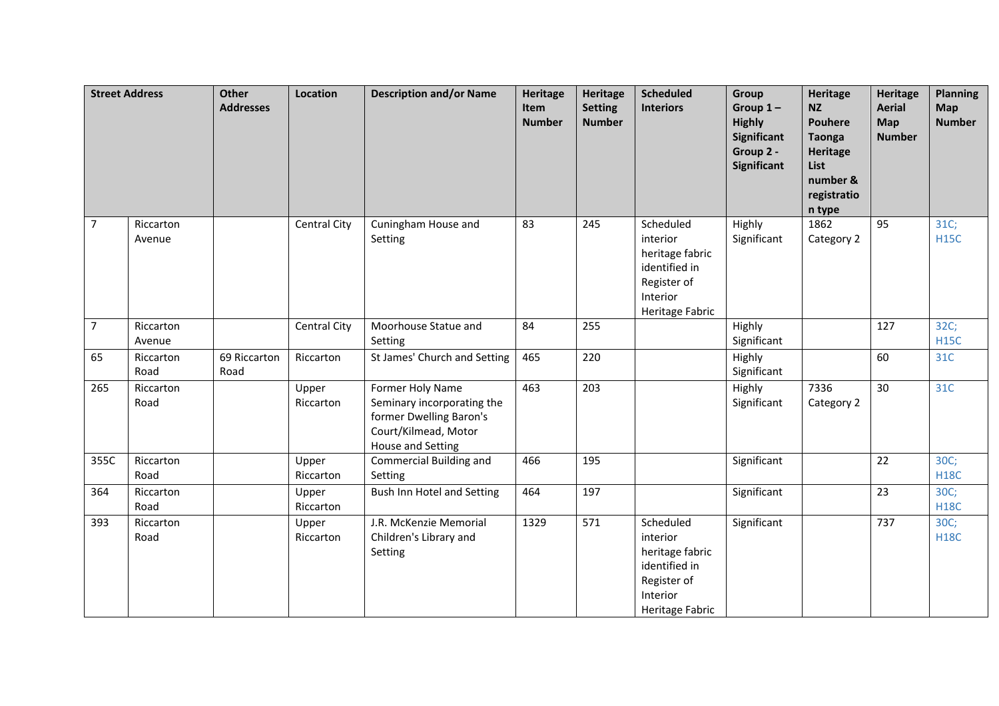|                | <b>Street Address</b> | <b>Other</b><br><b>Addresses</b> | <b>Location</b>     | <b>Description and/or Name</b>                                                                                                | <b>Heritage</b><br>Item<br><b>Number</b> | Heritage<br><b>Setting</b><br><b>Number</b> | <b>Scheduled</b><br><b>Interiors</b>                                                                    | Group<br>Group $1-$<br><b>Highly</b><br><b>Significant</b><br>Group 2 -<br>Significant | <b>Heritage</b><br><b>NZ</b><br><b>Pouhere</b><br><b>Taonga</b><br><b>Heritage</b><br>List<br>number &<br>registratio<br>n type | <b>Heritage</b><br><b>Aerial</b><br>Map<br><b>Number</b> | <b>Planning</b><br>Map<br><b>Number</b> |
|----------------|-----------------------|----------------------------------|---------------------|-------------------------------------------------------------------------------------------------------------------------------|------------------------------------------|---------------------------------------------|---------------------------------------------------------------------------------------------------------|----------------------------------------------------------------------------------------|---------------------------------------------------------------------------------------------------------------------------------|----------------------------------------------------------|-----------------------------------------|
| $\overline{7}$ | Riccarton<br>Avenue   |                                  | <b>Central City</b> | Cuningham House and<br>Setting                                                                                                | 83                                       | 245                                         | Scheduled<br>interior<br>heritage fabric<br>identified in<br>Register of<br>Interior<br>Heritage Fabric | Highly<br>Significant                                                                  | 1862<br>Category 2                                                                                                              | 95                                                       | 31C;<br><b>H15C</b>                     |
| $\overline{7}$ | Riccarton<br>Avenue   |                                  | Central City        | Moorhouse Statue and<br>Setting                                                                                               | 84                                       | 255                                         |                                                                                                         | Highly<br>Significant                                                                  |                                                                                                                                 | 127                                                      | 32C;<br><b>H15C</b>                     |
| 65             | Riccarton<br>Road     | 69 Riccarton<br>Road             | Riccarton           | St James' Church and Setting                                                                                                  | 465                                      | 220                                         |                                                                                                         | Highly<br>Significant                                                                  |                                                                                                                                 | 60                                                       | 31C                                     |
| 265            | Riccarton<br>Road     |                                  | Upper<br>Riccarton  | Former Holy Name<br>Seminary incorporating the<br>former Dwelling Baron's<br>Court/Kilmead, Motor<br><b>House and Setting</b> | 463                                      | 203                                         |                                                                                                         | Highly<br>Significant                                                                  | 7336<br>Category 2                                                                                                              | 30                                                       | 31C                                     |
| 355C           | Riccarton<br>Road     |                                  | Upper<br>Riccarton  | Commercial Building and<br>Setting                                                                                            | 466                                      | 195                                         |                                                                                                         | Significant                                                                            |                                                                                                                                 | 22                                                       | 30C;<br><b>H18C</b>                     |
| 364            | Riccarton<br>Road     |                                  | Upper<br>Riccarton  | Bush Inn Hotel and Setting                                                                                                    | 464                                      | 197                                         |                                                                                                         | Significant                                                                            |                                                                                                                                 | 23                                                       | 30C;<br><b>H18C</b>                     |
| 393            | Riccarton<br>Road     |                                  | Upper<br>Riccarton  | J.R. McKenzie Memorial<br>Children's Library and<br>Setting                                                                   | 1329                                     | 571                                         | Scheduled<br>interior<br>heritage fabric<br>identified in<br>Register of<br>Interior<br>Heritage Fabric | Significant                                                                            |                                                                                                                                 | 737                                                      | 30C;<br><b>H18C</b>                     |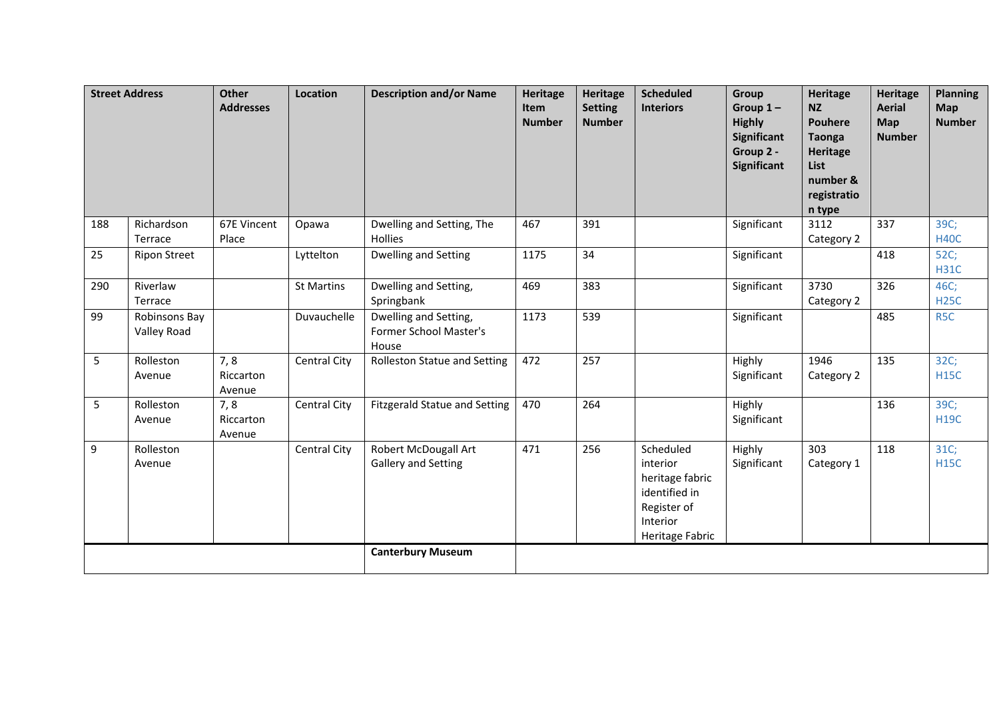|     | <b>Street Address</b>        | Other<br><b>Addresses</b>  | <b>Location</b>     | <b>Description and/or Name</b>                           | Heritage<br>Item<br><b>Number</b> | <b>Heritage</b><br><b>Setting</b><br><b>Number</b> | <b>Scheduled</b><br><b>Interiors</b>                                                                    | Group<br>Group $1-$<br><b>Highly</b><br><b>Significant</b><br>Group 2 -<br><b>Significant</b> | <b>Heritage</b><br><b>NZ</b><br><b>Pouhere</b><br><b>Taonga</b><br><b>Heritage</b><br>List<br>number &<br>registratio<br>n type | <b>Heritage</b><br><b>Aerial</b><br>Map<br><b>Number</b> | <b>Planning</b><br>Map<br><b>Number</b> |
|-----|------------------------------|----------------------------|---------------------|----------------------------------------------------------|-----------------------------------|----------------------------------------------------|---------------------------------------------------------------------------------------------------------|-----------------------------------------------------------------------------------------------|---------------------------------------------------------------------------------------------------------------------------------|----------------------------------------------------------|-----------------------------------------|
| 188 | Richardson<br>Terrace        | 67E Vincent<br>Place       | Opawa               | Dwelling and Setting, The<br><b>Hollies</b>              | 467                               | 391                                                |                                                                                                         | Significant                                                                                   | 3112<br>Category 2                                                                                                              | 337                                                      | 39C;<br><b>H40C</b>                     |
| 25  | <b>Ripon Street</b>          |                            | Lyttelton           | Dwelling and Setting                                     | 1175                              | 34                                                 |                                                                                                         | Significant                                                                                   |                                                                                                                                 | 418                                                      | 52C;<br><b>H31C</b>                     |
| 290 | Riverlaw<br>Terrace          |                            | <b>St Martins</b>   | Dwelling and Setting,<br>Springbank                      | 469                               | 383                                                |                                                                                                         | Significant                                                                                   | 3730<br>Category 2                                                                                                              | 326                                                      | 46C;<br><b>H25C</b>                     |
| 99  | Robinsons Bay<br>Valley Road |                            | Duvauchelle         | Dwelling and Setting,<br>Former School Master's<br>House | 1173                              | 539                                                |                                                                                                         | Significant                                                                                   |                                                                                                                                 | 485                                                      | R <sub>5</sub> C                        |
| 5   | Rolleston<br>Avenue          | 7,8<br>Riccarton<br>Avenue | <b>Central City</b> | <b>Rolleston Statue and Setting</b>                      | 472                               | 257                                                |                                                                                                         | Highly<br>Significant                                                                         | 1946<br>Category 2                                                                                                              | 135                                                      | 32C;<br><b>H15C</b>                     |
| 5   | Rolleston<br>Avenue          | 7,8<br>Riccarton<br>Avenue | Central City        | <b>Fitzgerald Statue and Setting</b>                     | 470                               | 264                                                |                                                                                                         | Highly<br>Significant                                                                         |                                                                                                                                 | 136                                                      | 39C;<br><b>H19C</b>                     |
| 9   | Rolleston<br>Avenue          |                            | Central City        | Robert McDougall Art<br><b>Gallery and Setting</b>       | 471                               | 256                                                | Scheduled<br>interior<br>heritage fabric<br>identified in<br>Register of<br>Interior<br>Heritage Fabric | Highly<br>Significant                                                                         | 303<br>Category 1                                                                                                               | 118                                                      | 31C;<br><b>H15C</b>                     |
|     |                              |                            |                     | <b>Canterbury Museum</b>                                 |                                   |                                                    |                                                                                                         |                                                                                               |                                                                                                                                 |                                                          |                                         |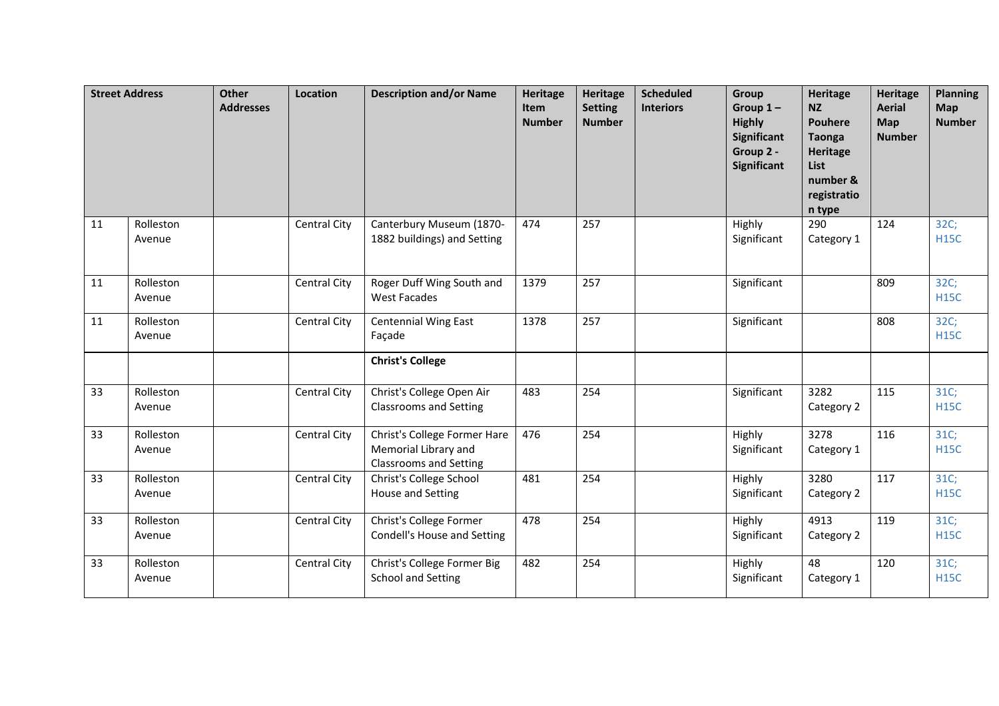|    | <b>Street Address</b> | Other<br><b>Addresses</b> | <b>Location</b>     | <b>Description and/or Name</b>                                                        | <b>Heritage</b><br>Item<br><b>Number</b> | <b>Heritage</b><br><b>Setting</b><br><b>Number</b> | <b>Scheduled</b><br><b>Interiors</b> | Group<br>Group $1-$<br><b>Highly</b><br><b>Significant</b><br>Group 2 -<br>Significant | <b>Heritage</b><br><b>NZ</b><br><b>Pouhere</b><br><b>Taonga</b><br><b>Heritage</b><br>List<br>number &<br>registratio<br>n type | <b>Heritage</b><br><b>Aerial</b><br>Map<br><b>Number</b> | <b>Planning</b><br>Map<br><b>Number</b> |
|----|-----------------------|---------------------------|---------------------|---------------------------------------------------------------------------------------|------------------------------------------|----------------------------------------------------|--------------------------------------|----------------------------------------------------------------------------------------|---------------------------------------------------------------------------------------------------------------------------------|----------------------------------------------------------|-----------------------------------------|
| 11 | Rolleston<br>Avenue   |                           | Central City        | Canterbury Museum (1870-<br>1882 buildings) and Setting                               | 474                                      | 257                                                |                                      | Highly<br>Significant                                                                  | 290<br>Category 1                                                                                                               | 124                                                      | 32C;<br><b>H15C</b>                     |
| 11 | Rolleston<br>Avenue   |                           | Central City        | Roger Duff Wing South and<br><b>West Facades</b>                                      | 1379                                     | 257                                                |                                      | Significant                                                                            |                                                                                                                                 | 809                                                      | 32C;<br><b>H15C</b>                     |
| 11 | Rolleston<br>Avenue   |                           | Central City        | <b>Centennial Wing East</b><br>Façade                                                 | 1378                                     | 257                                                |                                      | Significant                                                                            |                                                                                                                                 | 808                                                      | 32C;<br><b>H15C</b>                     |
|    |                       |                           |                     | <b>Christ's College</b>                                                               |                                          |                                                    |                                      |                                                                                        |                                                                                                                                 |                                                          |                                         |
| 33 | Rolleston<br>Avenue   |                           | Central City        | Christ's College Open Air<br><b>Classrooms and Setting</b>                            | 483                                      | 254                                                |                                      | Significant                                                                            | 3282<br>Category 2                                                                                                              | 115                                                      | 31C;<br><b>H15C</b>                     |
| 33 | Rolleston<br>Avenue   |                           | Central City        | Christ's College Former Hare<br>Memorial Library and<br><b>Classrooms and Setting</b> | 476                                      | 254                                                |                                      | Highly<br>Significant                                                                  | 3278<br>Category 1                                                                                                              | 116                                                      | 31C;<br><b>H15C</b>                     |
| 33 | Rolleston<br>Avenue   |                           | <b>Central City</b> | Christ's College School<br>House and Setting                                          | 481                                      | 254                                                |                                      | Highly<br>Significant                                                                  | 3280<br>Category 2                                                                                                              | 117                                                      | 31C;<br><b>H15C</b>                     |
| 33 | Rolleston<br>Avenue   |                           | Central City        | Christ's College Former<br>Condell's House and Setting                                | 478                                      | 254                                                |                                      | Highly<br>Significant                                                                  | 4913<br>Category 2                                                                                                              | 119                                                      | 31C;<br><b>H15C</b>                     |
| 33 | Rolleston<br>Avenue   |                           | <b>Central City</b> | Christ's College Former Big<br><b>School and Setting</b>                              | 482                                      | 254                                                |                                      | Highly<br>Significant                                                                  | 48<br>Category 1                                                                                                                | 120                                                      | 31C;<br><b>H15C</b>                     |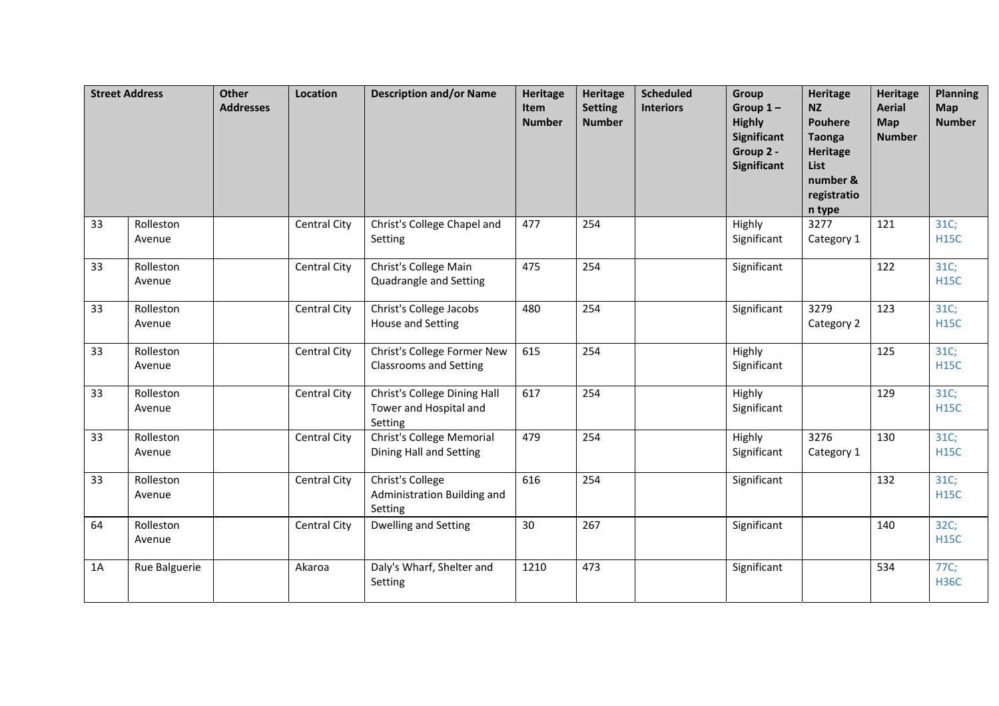|    | <b>Street Address</b> | <b>Other</b><br><b>Addresses</b> | Location            | <b>Description and/or Name</b>                                    | <b>Heritage</b><br>Item<br><b>Number</b> | <b>Heritage</b><br><b>Setting</b><br><b>Number</b> | <b>Scheduled</b><br><b>Interiors</b> | <b>Group</b><br>Group $1-$<br><b>Highly</b><br>Significant<br>Group 2 -<br>Significant | <b>Heritage</b><br><b>NZ</b><br><b>Pouhere</b><br><b>Taonga</b><br><b>Heritage</b><br>List<br>number &<br>registratio<br>n type | <b>Heritage</b><br><b>Aerial</b><br>Map<br><b>Number</b> | <b>Planning</b><br><b>Map</b><br><b>Number</b> |
|----|-----------------------|----------------------------------|---------------------|-------------------------------------------------------------------|------------------------------------------|----------------------------------------------------|--------------------------------------|----------------------------------------------------------------------------------------|---------------------------------------------------------------------------------------------------------------------------------|----------------------------------------------------------|------------------------------------------------|
| 33 | Rolleston<br>Avenue   |                                  | Central City        | Christ's College Chapel and<br>Setting                            | 477                                      | 254                                                |                                      | Highly<br>Significant                                                                  | 3277<br>Category 1                                                                                                              | 121                                                      | 31C;<br><b>H15C</b>                            |
| 33 | Rolleston<br>Avenue   |                                  | Central City        | Christ's College Main<br>Quadrangle and Setting                   | 475                                      | 254                                                |                                      | Significant                                                                            |                                                                                                                                 | 122                                                      | 31C;<br><b>H15C</b>                            |
| 33 | Rolleston<br>Avenue   |                                  | <b>Central City</b> | Christ's College Jacobs<br>House and Setting                      | 480                                      | 254                                                |                                      | Significant                                                                            | 3279<br>Category 2                                                                                                              | 123                                                      | 31C;<br><b>H15C</b>                            |
| 33 | Rolleston<br>Avenue   |                                  | Central City        | Christ's College Former New<br><b>Classrooms and Setting</b>      | 615                                      | 254                                                |                                      | Highly<br>Significant                                                                  |                                                                                                                                 | 125                                                      | 31C;<br><b>H15C</b>                            |
| 33 | Rolleston<br>Avenue   |                                  | Central City        | Christ's College Dining Hall<br>Tower and Hospital and<br>Setting | 617                                      | 254                                                |                                      | Highly<br>Significant                                                                  |                                                                                                                                 | 129                                                      | 31C;<br><b>H15C</b>                            |
| 33 | Rolleston<br>Avenue   |                                  | Central City        | Christ's College Memorial<br>Dining Hall and Setting              | 479                                      | 254                                                |                                      | Highly<br>Significant                                                                  | 3276<br>Category 1                                                                                                              | 130                                                      | 31C;<br><b>H15C</b>                            |
| 33 | Rolleston<br>Avenue   |                                  | Central City        | Christ's College<br>Administration Building and<br>Setting        | 616                                      | 254                                                |                                      | Significant                                                                            |                                                                                                                                 | 132                                                      | 31C;<br><b>H15C</b>                            |
| 64 | Rolleston<br>Avenue   |                                  | <b>Central City</b> | Dwelling and Setting                                              | 30                                       | 267                                                |                                      | Significant                                                                            |                                                                                                                                 | 140                                                      | 32C;<br><b>H15C</b>                            |
| 1A | Rue Balguerie         |                                  | Akaroa              | Daly's Wharf, Shelter and<br>Setting                              | 1210                                     | 473                                                |                                      | Significant                                                                            |                                                                                                                                 | 534                                                      | 77C;<br><b>H36C</b>                            |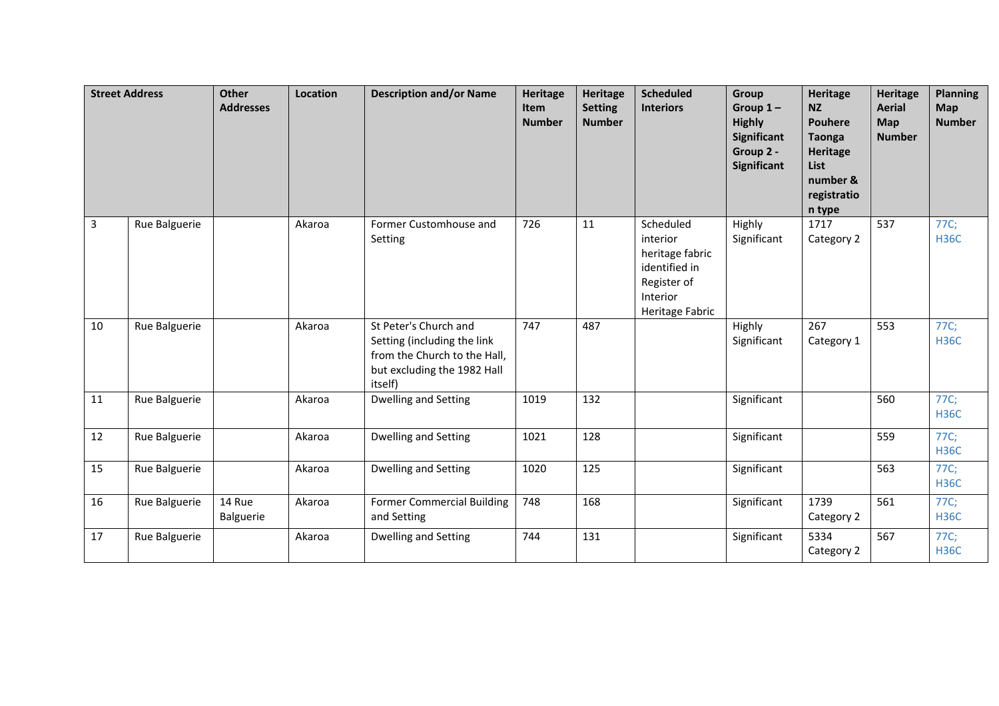|    | <b>Street Address</b> | Other<br><b>Addresses</b> | Location | <b>Description and/or Name</b>                                                                                                 | <b>Heritage</b><br>Item<br><b>Number</b> | <b>Heritage</b><br><b>Setting</b><br><b>Number</b> | <b>Scheduled</b><br><b>Interiors</b>                                                                    | <b>Group</b><br>Group $1-$<br><b>Highly</b><br><b>Significant</b><br>Group 2 -<br>Significant | <b>Heritage</b><br><b>NZ</b><br><b>Pouhere</b><br><b>Taonga</b><br>Heritage<br>List<br>number &<br>registratio<br>n type | <b>Heritage</b><br><b>Aerial</b><br>Map<br><b>Number</b> | <b>Planning</b><br><b>Map</b><br><b>Number</b> |
|----|-----------------------|---------------------------|----------|--------------------------------------------------------------------------------------------------------------------------------|------------------------------------------|----------------------------------------------------|---------------------------------------------------------------------------------------------------------|-----------------------------------------------------------------------------------------------|--------------------------------------------------------------------------------------------------------------------------|----------------------------------------------------------|------------------------------------------------|
| 3  | Rue Balguerie         |                           | Akaroa   | Former Customhouse and<br>Setting                                                                                              | 726                                      | 11                                                 | Scheduled<br>interior<br>heritage fabric<br>identified in<br>Register of<br>Interior<br>Heritage Fabric | Highly<br>Significant                                                                         | 1717<br>Category 2                                                                                                       | 537                                                      | 77C;<br><b>H36C</b>                            |
| 10 | Rue Balguerie         |                           | Akaroa   | St Peter's Church and<br>Setting (including the link<br>from the Church to the Hall,<br>but excluding the 1982 Hall<br>itself) | 747                                      | 487                                                |                                                                                                         | Highly<br>Significant                                                                         | 267<br>Category 1                                                                                                        | 553                                                      | 77C;<br><b>H36C</b>                            |
| 11 | Rue Balguerie         |                           | Akaroa   | Dwelling and Setting                                                                                                           | 1019                                     | 132                                                |                                                                                                         | Significant                                                                                   |                                                                                                                          | 560                                                      | 77C;<br><b>H36C</b>                            |
| 12 | Rue Balguerie         |                           | Akaroa   | Dwelling and Setting                                                                                                           | 1021                                     | 128                                                |                                                                                                         | Significant                                                                                   |                                                                                                                          | 559                                                      | 77C;<br><b>H36C</b>                            |
| 15 | Rue Balguerie         |                           | Akaroa   | Dwelling and Setting                                                                                                           | 1020                                     | 125                                                |                                                                                                         | Significant                                                                                   |                                                                                                                          | 563                                                      | 77C;<br><b>H36C</b>                            |
| 16 | Rue Balguerie         | 14 Rue<br>Balguerie       | Akaroa   | <b>Former Commercial Building</b><br>and Setting                                                                               | 748                                      | 168                                                |                                                                                                         | Significant                                                                                   | 1739<br>Category 2                                                                                                       | 561                                                      | 77C;<br><b>H36C</b>                            |
| 17 | Rue Balguerie         |                           | Akaroa   | Dwelling and Setting                                                                                                           | 744                                      | 131                                                |                                                                                                         | Significant                                                                                   | 5334<br>Category 2                                                                                                       | 567                                                      | 77C;<br><b>H36C</b>                            |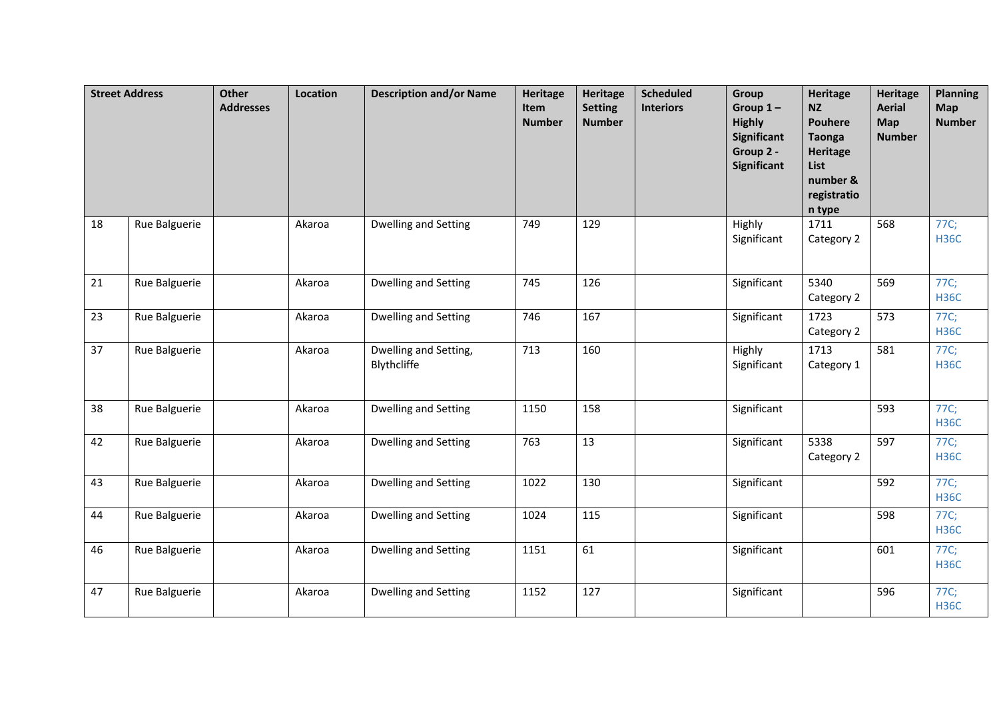|    | <b>Street Address</b> | Other<br><b>Addresses</b> | Location | <b>Description and/or Name</b>       | <b>Heritage</b><br>Item<br><b>Number</b> | Heritage<br><b>Setting</b><br><b>Number</b> | <b>Scheduled</b><br><b>Interiors</b> | Group<br>Group $1-$<br><b>Highly</b><br>Significant<br>Group 2 -<br>Significant | <b>Heritage</b><br><b>NZ</b><br><b>Pouhere</b><br><b>Taonga</b><br><b>Heritage</b><br><b>List</b><br>number &<br>registratio<br>n type | <b>Heritage</b><br><b>Aerial</b><br>Map<br><b>Number</b> | <b>Planning</b><br>Map<br><b>Number</b> |
|----|-----------------------|---------------------------|----------|--------------------------------------|------------------------------------------|---------------------------------------------|--------------------------------------|---------------------------------------------------------------------------------|----------------------------------------------------------------------------------------------------------------------------------------|----------------------------------------------------------|-----------------------------------------|
| 18 | Rue Balguerie         |                           | Akaroa   | Dwelling and Setting                 | 749                                      | 129                                         |                                      | Highly<br>Significant                                                           | 1711<br>Category 2                                                                                                                     | 568                                                      | 77C;<br><b>H36C</b>                     |
| 21 | Rue Balguerie         |                           | Akaroa   | Dwelling and Setting                 | 745                                      | 126                                         |                                      | Significant                                                                     | 5340<br>Category 2                                                                                                                     | 569                                                      | 77C;<br><b>H36C</b>                     |
| 23 | Rue Balguerie         |                           | Akaroa   | Dwelling and Setting                 | 746                                      | 167                                         |                                      | Significant                                                                     | 1723<br>Category 2                                                                                                                     | 573                                                      | 77C;<br><b>H36C</b>                     |
| 37 | Rue Balguerie         |                           | Akaroa   | Dwelling and Setting,<br>Blythcliffe | 713                                      | 160                                         |                                      | Highly<br>Significant                                                           | 1713<br>Category 1                                                                                                                     | 581                                                      | 77C;<br><b>H36C</b>                     |
| 38 | Rue Balguerie         |                           | Akaroa   | Dwelling and Setting                 | 1150                                     | 158                                         |                                      | Significant                                                                     |                                                                                                                                        | 593                                                      | 77C;<br><b>H36C</b>                     |
| 42 | Rue Balguerie         |                           | Akaroa   | Dwelling and Setting                 | 763                                      | 13                                          |                                      | Significant                                                                     | 5338<br>Category 2                                                                                                                     | 597                                                      | 77C;<br><b>H36C</b>                     |
| 43 | Rue Balguerie         |                           | Akaroa   | Dwelling and Setting                 | 1022                                     | 130                                         |                                      | Significant                                                                     |                                                                                                                                        | 592                                                      | 77C;<br><b>H36C</b>                     |
| 44 | Rue Balguerie         |                           | Akaroa   | Dwelling and Setting                 | 1024                                     | 115                                         |                                      | Significant                                                                     |                                                                                                                                        | 598                                                      | 77C;<br><b>H36C</b>                     |
| 46 | Rue Balguerie         |                           | Akaroa   | Dwelling and Setting                 | 1151                                     | 61                                          |                                      | Significant                                                                     |                                                                                                                                        | 601                                                      | 77C;<br><b>H36C</b>                     |
| 47 | Rue Balguerie         |                           | Akaroa   | Dwelling and Setting                 | 1152                                     | 127                                         |                                      | Significant                                                                     |                                                                                                                                        | 596                                                      | 77C;<br><b>H36C</b>                     |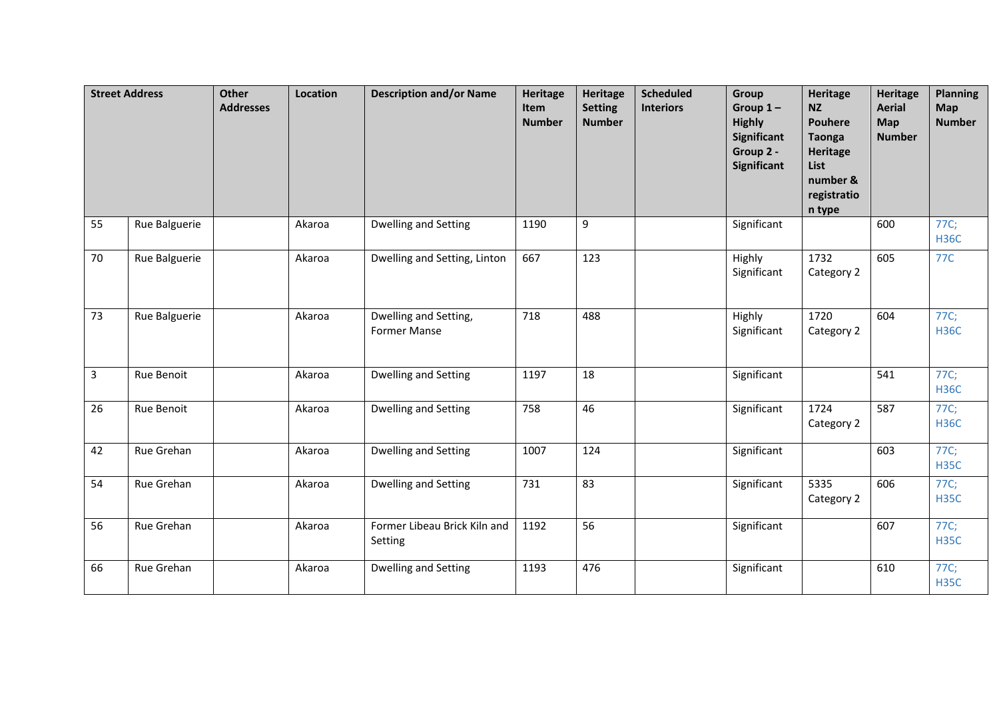|    | <b>Street Address</b> | <b>Other</b><br><b>Addresses</b> | Location | <b>Description and/or Name</b>               | <b>Heritage</b><br>Item<br><b>Number</b> | Heritage<br><b>Setting</b><br><b>Number</b> | <b>Scheduled</b><br><b>Interiors</b> | <b>Group</b><br>Group $1-$<br><b>Highly</b><br><b>Significant</b><br>Group 2 -<br>Significant | <b>Heritage</b><br><b>NZ</b><br><b>Pouhere</b><br><b>Taonga</b><br><b>Heritage</b><br>List<br>number &<br>registratio<br>n type | <b>Heritage</b><br><b>Aerial</b><br>Map<br><b>Number</b> | <b>Planning</b><br>Map<br><b>Number</b> |
|----|-----------------------|----------------------------------|----------|----------------------------------------------|------------------------------------------|---------------------------------------------|--------------------------------------|-----------------------------------------------------------------------------------------------|---------------------------------------------------------------------------------------------------------------------------------|----------------------------------------------------------|-----------------------------------------|
| 55 | Rue Balguerie         |                                  | Akaroa   | Dwelling and Setting                         | 1190                                     | 9                                           |                                      | Significant                                                                                   |                                                                                                                                 | 600                                                      | 77C;<br><b>H36C</b>                     |
| 70 | Rue Balguerie         |                                  | Akaroa   | Dwelling and Setting, Linton                 | 667                                      | 123                                         |                                      | Highly<br>Significant                                                                         | 1732<br>Category 2                                                                                                              | 605                                                      | 77C                                     |
| 73 | Rue Balguerie         |                                  | Akaroa   | Dwelling and Setting,<br><b>Former Manse</b> | 718                                      | 488                                         |                                      | Highly<br>Significant                                                                         | 1720<br>Category 2                                                                                                              | 604                                                      | 77C;<br><b>H36C</b>                     |
| 3  | Rue Benoit            |                                  | Akaroa   | Dwelling and Setting                         | 1197                                     | 18                                          |                                      | Significant                                                                                   |                                                                                                                                 | 541                                                      | 77C;<br><b>H36C</b>                     |
| 26 | Rue Benoit            |                                  | Akaroa   | <b>Dwelling and Setting</b>                  | 758                                      | 46                                          |                                      | Significant                                                                                   | 1724<br>Category 2                                                                                                              | 587                                                      | 77C;<br><b>H36C</b>                     |
| 42 | Rue Grehan            |                                  | Akaroa   | Dwelling and Setting                         | 1007                                     | 124                                         |                                      | Significant                                                                                   |                                                                                                                                 | 603                                                      | 77C;<br><b>H35C</b>                     |
| 54 | Rue Grehan            |                                  | Akaroa   | <b>Dwelling and Setting</b>                  | 731                                      | 83                                          |                                      | Significant                                                                                   | 5335<br>Category 2                                                                                                              | 606                                                      | 77C;<br><b>H35C</b>                     |
| 56 | Rue Grehan            |                                  | Akaroa   | Former Libeau Brick Kiln and<br>Setting      | 1192                                     | 56                                          |                                      | Significant                                                                                   |                                                                                                                                 | 607                                                      | 77C;<br><b>H35C</b>                     |
| 66 | Rue Grehan            |                                  | Akaroa   | Dwelling and Setting                         | 1193                                     | 476                                         |                                      | Significant                                                                                   |                                                                                                                                 | 610                                                      | 77C;<br><b>H35C</b>                     |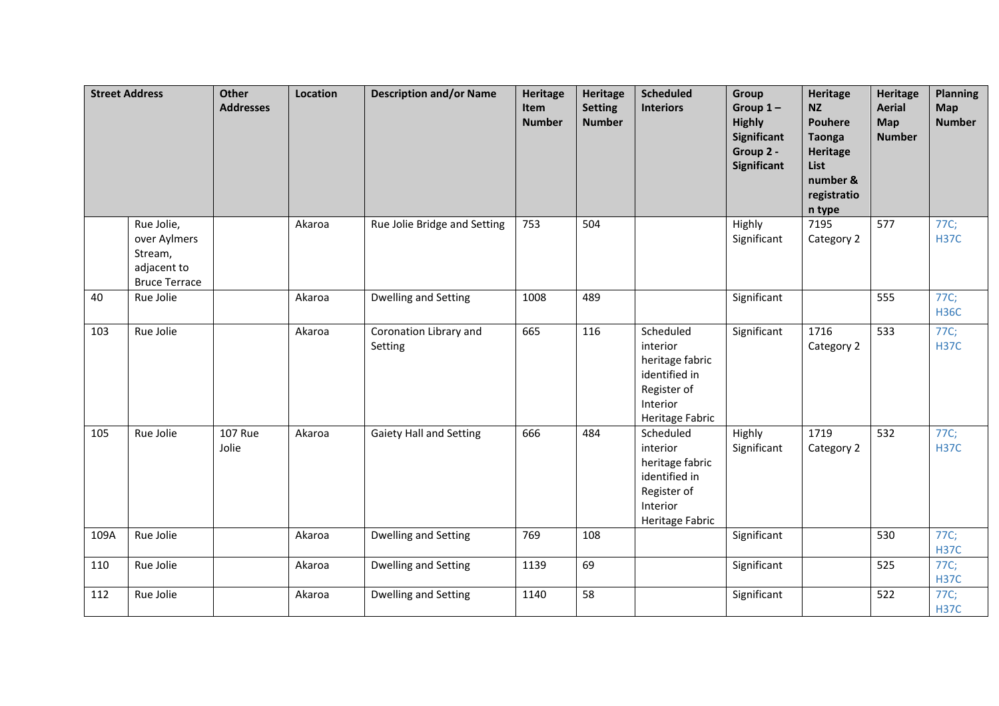|      | <b>Street Address</b>                                                        | <b>Other</b><br><b>Addresses</b> | Location | <b>Description and/or Name</b>    | <b>Heritage</b><br>Item<br><b>Number</b> | <b>Heritage</b><br><b>Setting</b><br><b>Number</b> | <b>Scheduled</b><br><b>Interiors</b>                                                                    | Group<br>Group $1-$<br><b>Highly</b><br><b>Significant</b><br>Group 2 -<br><b>Significant</b> | <b>Heritage</b><br><b>NZ</b><br><b>Pouhere</b><br><b>Taonga</b><br><b>Heritage</b><br>List<br>number &<br>registratio<br>n type | <b>Heritage</b><br><b>Aerial</b><br>Map<br><b>Number</b> | <b>Planning</b><br>Map<br><b>Number</b> |
|------|------------------------------------------------------------------------------|----------------------------------|----------|-----------------------------------|------------------------------------------|----------------------------------------------------|---------------------------------------------------------------------------------------------------------|-----------------------------------------------------------------------------------------------|---------------------------------------------------------------------------------------------------------------------------------|----------------------------------------------------------|-----------------------------------------|
|      | Rue Jolie,<br>over Aylmers<br>Stream,<br>adjacent to<br><b>Bruce Terrace</b> |                                  | Akaroa   | Rue Jolie Bridge and Setting      | 753                                      | 504                                                |                                                                                                         | Highly<br>Significant                                                                         | 7195<br>Category 2                                                                                                              | 577                                                      | 77C;<br><b>H37C</b>                     |
| 40   | Rue Jolie                                                                    |                                  | Akaroa   | Dwelling and Setting              | 1008                                     | 489                                                |                                                                                                         | Significant                                                                                   |                                                                                                                                 | 555                                                      | 77C;<br><b>H36C</b>                     |
| 103  | Rue Jolie                                                                    |                                  | Akaroa   | Coronation Library and<br>Setting | 665                                      | 116                                                | Scheduled<br>interior<br>heritage fabric<br>identified in<br>Register of<br>Interior<br>Heritage Fabric | Significant                                                                                   | 1716<br>Category 2                                                                                                              | 533                                                      | 77C;<br><b>H37C</b>                     |
| 105  | Rue Jolie                                                                    | <b>107 Rue</b><br>Jolie          | Akaroa   | <b>Gaiety Hall and Setting</b>    | 666                                      | 484                                                | Scheduled<br>interior<br>heritage fabric<br>identified in<br>Register of<br>Interior<br>Heritage Fabric | Highly<br>Significant                                                                         | 1719<br>Category 2                                                                                                              | 532                                                      | 77C;<br><b>H37C</b>                     |
| 109A | Rue Jolie                                                                    |                                  | Akaroa   | Dwelling and Setting              | 769                                      | 108                                                |                                                                                                         | Significant                                                                                   |                                                                                                                                 | 530                                                      | 77C;<br><b>H37C</b>                     |
| 110  | Rue Jolie                                                                    |                                  | Akaroa   | Dwelling and Setting              | 1139                                     | 69                                                 |                                                                                                         | Significant                                                                                   |                                                                                                                                 | 525                                                      | 77C;<br><b>H37C</b>                     |
| 112  | Rue Jolie                                                                    |                                  | Akaroa   | Dwelling and Setting              | 1140                                     | 58                                                 |                                                                                                         | Significant                                                                                   |                                                                                                                                 | 522                                                      | 77C;<br><b>H37C</b>                     |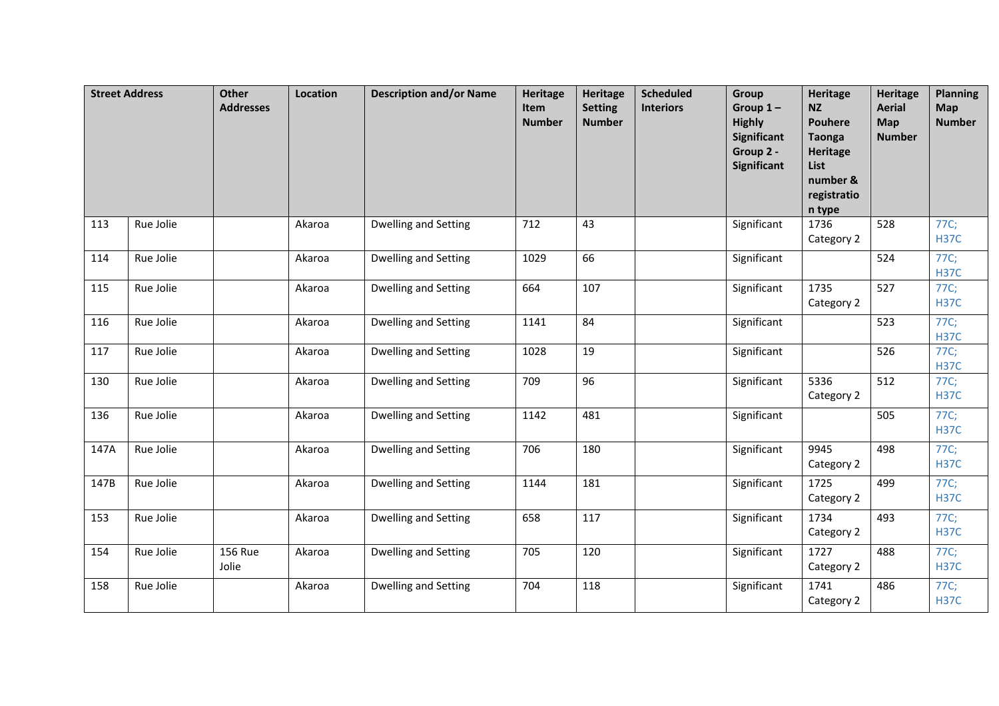|      | <b>Street Address</b> | <b>Other</b><br><b>Addresses</b> | Location | <b>Description and/or Name</b> | <b>Heritage</b><br>Item<br><b>Number</b> | <b>Heritage</b><br><b>Setting</b><br><b>Number</b> | <b>Scheduled</b><br><b>Interiors</b> | Group<br>Group $1-$<br><b>Highly</b><br><b>Significant</b><br>Group 2 -<br><b>Significant</b> | <b>Heritage</b><br><b>NZ</b><br><b>Pouhere</b><br>Taonga<br><b>Heritage</b><br>List<br>number &<br>registratio<br>n type | <b>Heritage</b><br><b>Aerial</b><br>Map<br><b>Number</b> | <b>Planning</b><br><b>Map</b><br><b>Number</b> |
|------|-----------------------|----------------------------------|----------|--------------------------------|------------------------------------------|----------------------------------------------------|--------------------------------------|-----------------------------------------------------------------------------------------------|--------------------------------------------------------------------------------------------------------------------------|----------------------------------------------------------|------------------------------------------------|
| 113  | Rue Jolie             |                                  | Akaroa   | Dwelling and Setting           | 712                                      | 43                                                 |                                      | Significant                                                                                   | 1736<br>Category 2                                                                                                       | 528                                                      | 77C;<br><b>H37C</b>                            |
| 114  | Rue Jolie             |                                  | Akaroa   | Dwelling and Setting           | 1029                                     | 66                                                 |                                      | Significant                                                                                   |                                                                                                                          | 524                                                      | 77C;<br><b>H37C</b>                            |
| 115  | Rue Jolie             |                                  | Akaroa   | <b>Dwelling and Setting</b>    | 664                                      | 107                                                |                                      | Significant                                                                                   | 1735<br>Category 2                                                                                                       | 527                                                      | 77C;<br><b>H37C</b>                            |
| 116  | Rue Jolie             |                                  | Akaroa   | Dwelling and Setting           | 1141                                     | 84                                                 |                                      | Significant                                                                                   |                                                                                                                          | 523                                                      | 77C;<br><b>H37C</b>                            |
| 117  | Rue Jolie             |                                  | Akaroa   | Dwelling and Setting           | 1028                                     | 19                                                 |                                      | Significant                                                                                   |                                                                                                                          | 526                                                      | 77C;<br><b>H37C</b>                            |
| 130  | Rue Jolie             |                                  | Akaroa   | <b>Dwelling and Setting</b>    | 709                                      | 96                                                 |                                      | Significant                                                                                   | 5336<br>Category 2                                                                                                       | 512                                                      | 77C;<br><b>H37C</b>                            |
| 136  | Rue Jolie             |                                  | Akaroa   | Dwelling and Setting           | 1142                                     | 481                                                |                                      | Significant                                                                                   |                                                                                                                          | 505                                                      | 77C;<br><b>H37C</b>                            |
| 147A | Rue Jolie             |                                  | Akaroa   | <b>Dwelling and Setting</b>    | 706                                      | 180                                                |                                      | Significant                                                                                   | 9945<br>Category 2                                                                                                       | 498                                                      | 77C;<br><b>H37C</b>                            |
| 147B | Rue Jolie             |                                  | Akaroa   | <b>Dwelling and Setting</b>    | 1144                                     | 181                                                |                                      | Significant                                                                                   | 1725<br>Category 2                                                                                                       | 499                                                      | 77C;<br><b>H37C</b>                            |
| 153  | Rue Jolie             |                                  | Akaroa   | Dwelling and Setting           | 658                                      | 117                                                |                                      | Significant                                                                                   | 1734<br>Category 2                                                                                                       | 493                                                      | 77C;<br><b>H37C</b>                            |
| 154  | Rue Jolie             | <b>156 Rue</b><br>Jolie          | Akaroa   | <b>Dwelling and Setting</b>    | 705                                      | 120                                                |                                      | Significant                                                                                   | 1727<br>Category 2                                                                                                       | 488                                                      | 77C;<br><b>H37C</b>                            |
| 158  | Rue Jolie             |                                  | Akaroa   | Dwelling and Setting           | 704                                      | 118                                                |                                      | Significant                                                                                   | 1741<br>Category 2                                                                                                       | 486                                                      | 77C;<br><b>H37C</b>                            |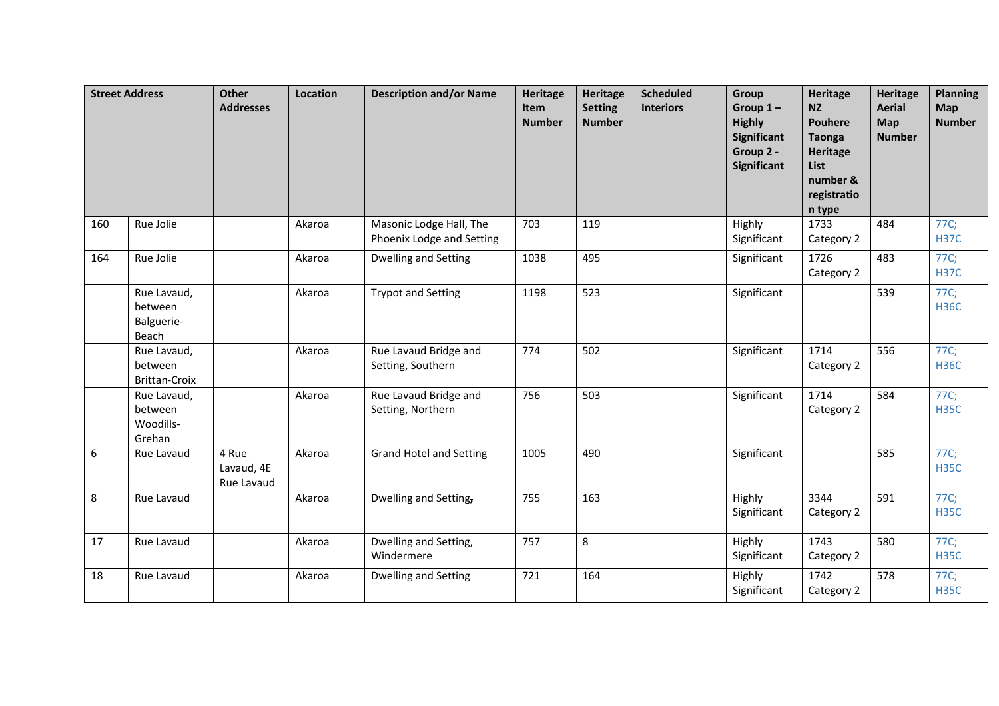|     | <b>Street Address</b>                         | <b>Other</b><br><b>Addresses</b>  | Location | <b>Description and/or Name</b>                       | <b>Heritage</b><br>Item<br><b>Number</b> | <b>Heritage</b><br><b>Setting</b><br><b>Number</b> | <b>Scheduled</b><br><b>Interiors</b> | Group<br>Group $1-$<br><b>Highly</b><br><b>Significant</b><br>Group 2 -<br>Significant | <b>Heritage</b><br><b>NZ</b><br><b>Pouhere</b><br><b>Taonga</b><br><b>Heritage</b><br>List<br>number &<br>registratio<br>n type | <b>Heritage</b><br><b>Aerial</b><br>Map<br><b>Number</b> | <b>Planning</b><br><b>Map</b><br><b>Number</b> |
|-----|-----------------------------------------------|-----------------------------------|----------|------------------------------------------------------|------------------------------------------|----------------------------------------------------|--------------------------------------|----------------------------------------------------------------------------------------|---------------------------------------------------------------------------------------------------------------------------------|----------------------------------------------------------|------------------------------------------------|
| 160 | Rue Jolie                                     |                                   | Akaroa   | Masonic Lodge Hall, The<br>Phoenix Lodge and Setting | 703                                      | 119                                                |                                      | Highly<br>Significant                                                                  | 1733<br>Category 2                                                                                                              | 484                                                      | 77C;<br><b>H37C</b>                            |
| 164 | Rue Jolie                                     |                                   | Akaroa   | <b>Dwelling and Setting</b>                          | 1038                                     | 495                                                |                                      | Significant                                                                            | 1726<br>Category 2                                                                                                              | 483                                                      | 77C;<br><b>H37C</b>                            |
|     | Rue Lavaud,<br>between<br>Balguerie-<br>Beach |                                   | Akaroa   | <b>Trypot and Setting</b>                            | 1198                                     | 523                                                |                                      | Significant                                                                            |                                                                                                                                 | 539                                                      | 77C;<br><b>H36C</b>                            |
|     | Rue Lavaud,<br>between<br>Brittan-Croix       |                                   | Akaroa   | Rue Lavaud Bridge and<br>Setting, Southern           | 774                                      | 502                                                |                                      | Significant                                                                            | 1714<br>Category 2                                                                                                              | 556                                                      | 77C;<br><b>H36C</b>                            |
|     | Rue Lavaud,<br>between<br>Woodills-<br>Grehan |                                   | Akaroa   | Rue Lavaud Bridge and<br>Setting, Northern           | 756                                      | 503                                                |                                      | Significant                                                                            | 1714<br>Category 2                                                                                                              | 584                                                      | 77C;<br><b>H35C</b>                            |
| 6   | Rue Lavaud                                    | 4 Rue<br>Lavaud, 4E<br>Rue Lavaud | Akaroa   | <b>Grand Hotel and Setting</b>                       | 1005                                     | 490                                                |                                      | Significant                                                                            |                                                                                                                                 | 585                                                      | 77C;<br><b>H35C</b>                            |
| 8   | Rue Lavaud                                    |                                   | Akaroa   | Dwelling and Setting,                                | 755                                      | 163                                                |                                      | Highly<br>Significant                                                                  | 3344<br>Category 2                                                                                                              | 591                                                      | 77C;<br><b>H35C</b>                            |
| 17  | Rue Lavaud                                    |                                   | Akaroa   | Dwelling and Setting,<br>Windermere                  | 757                                      | 8                                                  |                                      | Highly<br>Significant                                                                  | 1743<br>Category 2                                                                                                              | 580                                                      | 77C;<br><b>H35C</b>                            |
| 18  | Rue Lavaud                                    |                                   | Akaroa   | Dwelling and Setting                                 | 721                                      | 164                                                |                                      | Highly<br>Significant                                                                  | 1742<br>Category 2                                                                                                              | 578                                                      | 77C;<br><b>H35C</b>                            |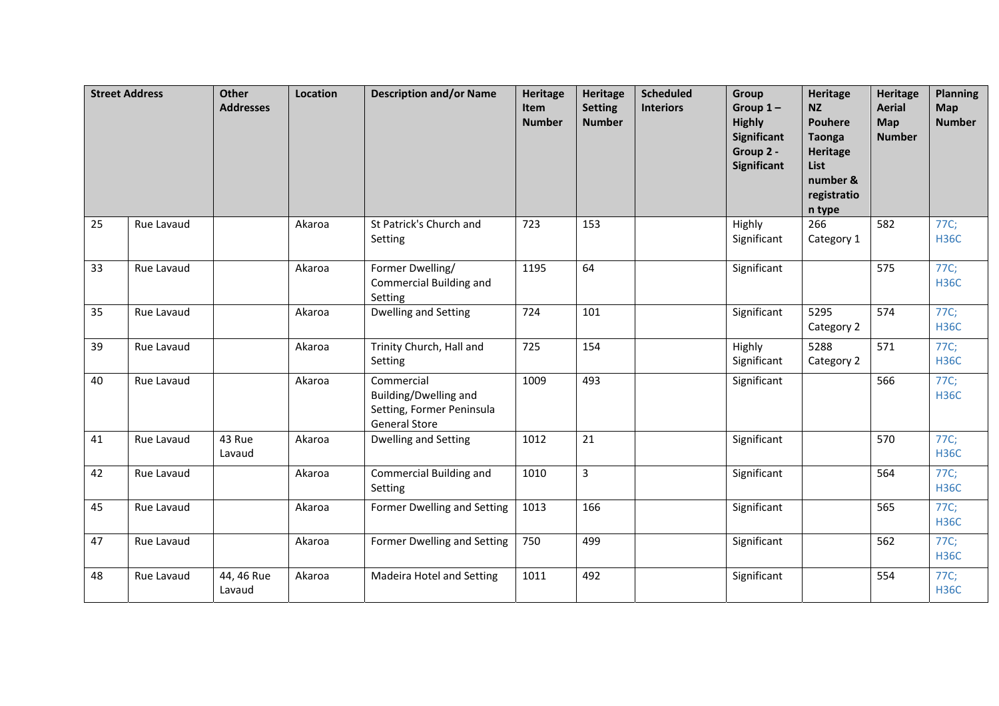|    | <b>Street Address</b> | <b>Other</b><br><b>Addresses</b> | Location | <b>Description and/or Name</b>                                                           | Heritage<br>Item<br><b>Number</b> | Heritage<br><b>Setting</b><br><b>Number</b> | <b>Scheduled</b><br><b>Interiors</b> | <b>Group</b><br>Group $1-$<br><b>Highly</b><br><b>Significant</b><br>Group 2 -<br><b>Significant</b> | <b>Heritage</b><br><b>NZ</b><br><b>Pouhere</b><br><b>Taonga</b><br><b>Heritage</b><br>List<br>number &<br>registratio<br>n type | <b>Heritage</b><br><b>Aerial</b><br>Map<br><b>Number</b> | <b>Planning</b><br>Map<br><b>Number</b> |
|----|-----------------------|----------------------------------|----------|------------------------------------------------------------------------------------------|-----------------------------------|---------------------------------------------|--------------------------------------|------------------------------------------------------------------------------------------------------|---------------------------------------------------------------------------------------------------------------------------------|----------------------------------------------------------|-----------------------------------------|
| 25 | Rue Lavaud            |                                  | Akaroa   | St Patrick's Church and<br>Setting                                                       | 723                               | 153                                         |                                      | Highly<br>Significant                                                                                | 266<br>Category 1                                                                                                               | 582                                                      | 77C;<br><b>H36C</b>                     |
| 33 | Rue Lavaud            |                                  | Akaroa   | Former Dwelling/<br>Commercial Building and<br>Setting                                   | 1195                              | 64                                          |                                      | Significant                                                                                          |                                                                                                                                 | 575                                                      | 77C;<br><b>H36C</b>                     |
| 35 | Rue Lavaud            |                                  | Akaroa   | Dwelling and Setting                                                                     | 724                               | 101                                         |                                      | Significant                                                                                          | 5295<br>Category 2                                                                                                              | 574                                                      | 77C;<br><b>H36C</b>                     |
| 39 | Rue Lavaud            |                                  | Akaroa   | Trinity Church, Hall and<br>Setting                                                      | 725                               | 154                                         |                                      | Highly<br>Significant                                                                                | 5288<br>Category 2                                                                                                              | 571                                                      | 77C;<br><b>H36C</b>                     |
| 40 | Rue Lavaud            |                                  | Akaroa   | Commercial<br>Building/Dwelling and<br>Setting, Former Peninsula<br><b>General Store</b> | 1009                              | 493                                         |                                      | Significant                                                                                          |                                                                                                                                 | 566                                                      | 77C;<br><b>H36C</b>                     |
| 41 | Rue Lavaud            | 43 Rue<br>Lavaud                 | Akaroa   | Dwelling and Setting                                                                     | 1012                              | 21                                          |                                      | Significant                                                                                          |                                                                                                                                 | 570                                                      | 77C;<br><b>H36C</b>                     |
| 42 | Rue Lavaud            |                                  | Akaroa   | Commercial Building and<br>Setting                                                       | 1010                              | $\overline{3}$                              |                                      | Significant                                                                                          |                                                                                                                                 | 564                                                      | 77C;<br><b>H36C</b>                     |
| 45 | Rue Lavaud            |                                  | Akaroa   | Former Dwelling and Setting                                                              | 1013                              | 166                                         |                                      | Significant                                                                                          |                                                                                                                                 | 565                                                      | 77C;<br><b>H36C</b>                     |
| 47 | Rue Lavaud            |                                  | Akaroa   | Former Dwelling and Setting                                                              | 750                               | 499                                         |                                      | Significant                                                                                          |                                                                                                                                 | 562                                                      | 77C;<br><b>H36C</b>                     |
| 48 | Rue Lavaud            | 44, 46 Rue<br>Lavaud             | Akaroa   | Madeira Hotel and Setting                                                                | 1011                              | 492                                         |                                      | Significant                                                                                          |                                                                                                                                 | 554                                                      | 77C;<br><b>H36C</b>                     |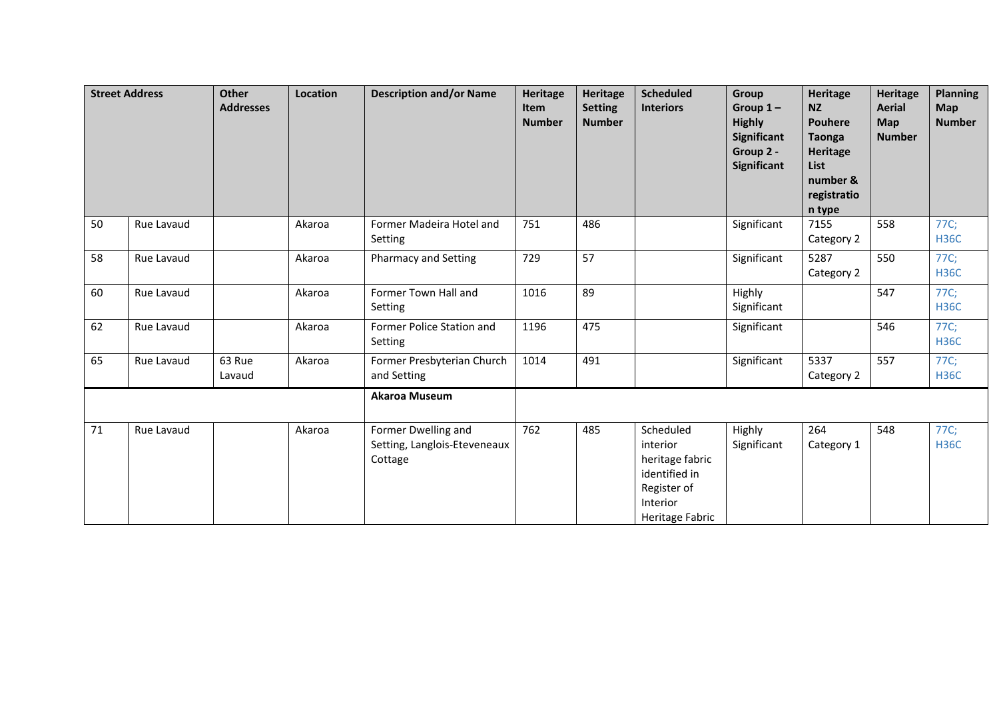|    | <b>Street Address</b> | Other<br><b>Addresses</b> | <b>Location</b> | <b>Description and/or Name</b>                                 | <b>Heritage</b><br><b>Item</b><br><b>Number</b> | <b>Heritage</b><br><b>Setting</b><br><b>Number</b> | <b>Scheduled</b><br><b>Interiors</b>                                                                    | Group<br>Group $1-$<br><b>Highly</b><br><b>Significant</b><br>Group 2 -<br><b>Significant</b> | <b>Heritage</b><br><b>NZ</b><br><b>Pouhere</b><br><b>Taonga</b><br><b>Heritage</b><br>List<br>number &<br>registratio<br>n type | <b>Heritage</b><br><b>Aerial</b><br>Map<br><b>Number</b> | <b>Planning</b><br><b>Map</b><br><b>Number</b> |
|----|-----------------------|---------------------------|-----------------|----------------------------------------------------------------|-------------------------------------------------|----------------------------------------------------|---------------------------------------------------------------------------------------------------------|-----------------------------------------------------------------------------------------------|---------------------------------------------------------------------------------------------------------------------------------|----------------------------------------------------------|------------------------------------------------|
| 50 | Rue Lavaud            |                           | Akaroa          | Former Madeira Hotel and<br>Setting                            | 751                                             | 486                                                |                                                                                                         | Significant                                                                                   | 7155<br>Category 2                                                                                                              | 558                                                      | 77C;<br><b>H36C</b>                            |
| 58 | Rue Lavaud            |                           | Akaroa          | <b>Pharmacy and Setting</b>                                    | 729                                             | 57                                                 |                                                                                                         | Significant                                                                                   | 5287<br>Category 2                                                                                                              | 550                                                      | 77C;<br><b>H36C</b>                            |
| 60 | Rue Lavaud            |                           | Akaroa          | Former Town Hall and<br>Setting                                | 1016                                            | 89                                                 |                                                                                                         | Highly<br>Significant                                                                         |                                                                                                                                 | 547                                                      | 77C;<br><b>H36C</b>                            |
| 62 | Rue Lavaud            |                           | Akaroa          | Former Police Station and<br>Setting                           | 1196                                            | 475                                                |                                                                                                         | Significant                                                                                   |                                                                                                                                 | 546                                                      | 77C;<br><b>H36C</b>                            |
| 65 | Rue Lavaud            | 63 Rue<br>Lavaud          | Akaroa          | Former Presbyterian Church<br>and Setting                      | 1014                                            | 491                                                |                                                                                                         | Significant                                                                                   | 5337<br>Category 2                                                                                                              | 557                                                      | 77C;<br><b>H36C</b>                            |
|    |                       |                           |                 | <b>Akaroa Museum</b>                                           |                                                 |                                                    |                                                                                                         |                                                                                               |                                                                                                                                 |                                                          |                                                |
| 71 | Rue Lavaud            |                           | Akaroa          | Former Dwelling and<br>Setting, Langlois-Eteveneaux<br>Cottage | 762                                             | 485                                                | Scheduled<br>interior<br>heritage fabric<br>identified in<br>Register of<br>Interior<br>Heritage Fabric | Highly<br>Significant                                                                         | 264<br>Category 1                                                                                                               | 548                                                      | 77C;<br><b>H36C</b>                            |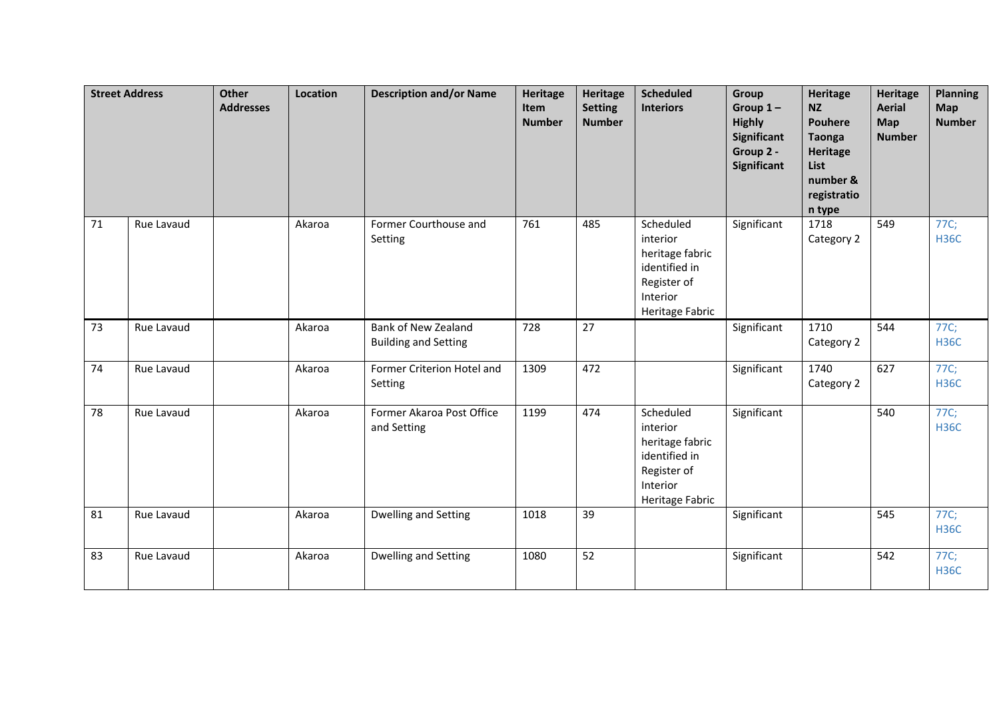|    | <b>Street Address</b> | <b>Other</b><br><b>Addresses</b> | Location | <b>Description and/or Name</b>                     | <b>Heritage</b><br>Item<br><b>Number</b> | <b>Heritage</b><br><b>Setting</b><br><b>Number</b> | <b>Scheduled</b><br><b>Interiors</b>                                                                    | Group<br>Group $1-$<br><b>Highly</b><br><b>Significant</b><br>Group 2 -<br>Significant | <b>Heritage</b><br><b>NZ</b><br><b>Pouhere</b><br><b>Taonga</b><br><b>Heritage</b><br>List<br>number &<br>registratio<br>n type | <b>Heritage</b><br><b>Aerial</b><br>Map<br><b>Number</b> | <b>Planning</b><br>Map<br><b>Number</b> |
|----|-----------------------|----------------------------------|----------|----------------------------------------------------|------------------------------------------|----------------------------------------------------|---------------------------------------------------------------------------------------------------------|----------------------------------------------------------------------------------------|---------------------------------------------------------------------------------------------------------------------------------|----------------------------------------------------------|-----------------------------------------|
| 71 | Rue Lavaud            |                                  | Akaroa   | Former Courthouse and<br>Setting                   | 761                                      | 485                                                | Scheduled<br>interior<br>heritage fabric<br>identified in<br>Register of<br>Interior<br>Heritage Fabric | Significant                                                                            | 1718<br>Category 2                                                                                                              | 549                                                      | 77C;<br><b>H36C</b>                     |
| 73 | Rue Lavaud            |                                  | Akaroa   | Bank of New Zealand<br><b>Building and Setting</b> | 728                                      | 27                                                 |                                                                                                         | Significant                                                                            | 1710<br>Category 2                                                                                                              | 544                                                      | 77C;<br><b>H36C</b>                     |
| 74 | Rue Lavaud            |                                  | Akaroa   | Former Criterion Hotel and<br>Setting              | 1309                                     | 472                                                |                                                                                                         | Significant                                                                            | 1740<br>Category 2                                                                                                              | 627                                                      | 77C;<br><b>H36C</b>                     |
| 78 | Rue Lavaud            |                                  | Akaroa   | Former Akaroa Post Office<br>and Setting           | 1199                                     | 474                                                | Scheduled<br>interior<br>heritage fabric<br>identified in<br>Register of<br>Interior<br>Heritage Fabric | Significant                                                                            |                                                                                                                                 | 540                                                      | 77C;<br><b>H36C</b>                     |
| 81 | Rue Lavaud            |                                  | Akaroa   | Dwelling and Setting                               | 1018                                     | 39                                                 |                                                                                                         | Significant                                                                            |                                                                                                                                 | 545                                                      | 77C;<br><b>H36C</b>                     |
| 83 | Rue Lavaud            |                                  | Akaroa   | Dwelling and Setting                               | 1080                                     | 52                                                 |                                                                                                         | Significant                                                                            |                                                                                                                                 | 542                                                      | 77C;<br><b>H36C</b>                     |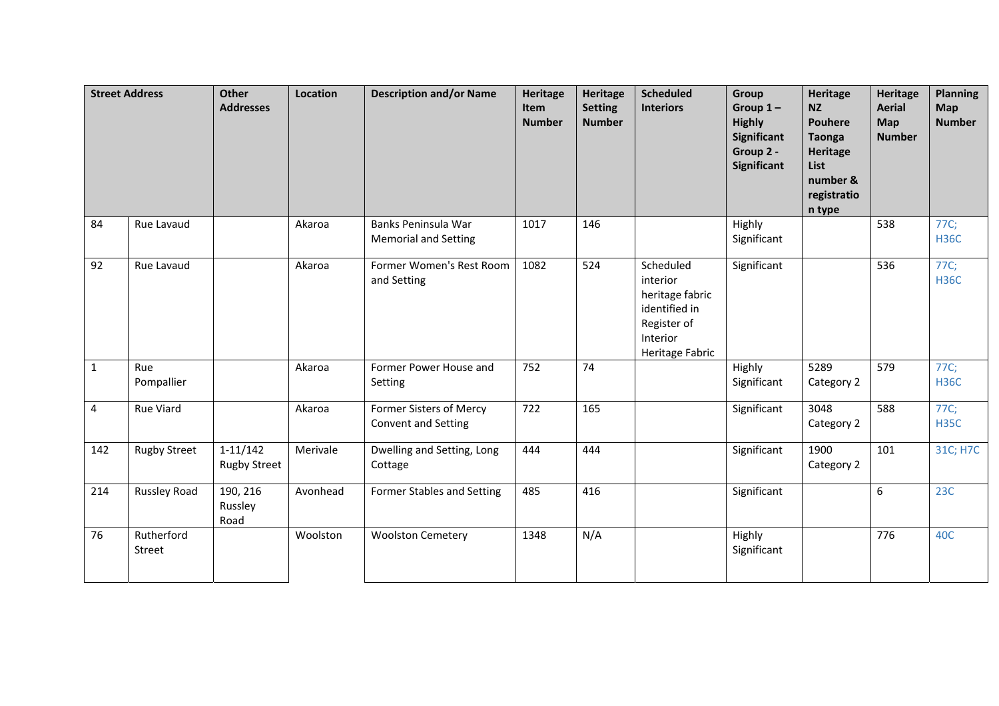|              | <b>Street Address</b> | <b>Other</b><br><b>Addresses</b>  | <b>Location</b> | <b>Description and/or Name</b>                        | <b>Heritage</b><br>Item<br><b>Number</b> | <b>Heritage</b><br><b>Setting</b><br><b>Number</b> | <b>Scheduled</b><br><b>Interiors</b>                                                                    | <b>Group</b><br>Group $1-$<br><b>Highly</b><br>Significant<br>Group 2 -<br>Significant | <b>Heritage</b><br><b>NZ</b><br><b>Pouhere</b><br><b>Taonga</b><br><b>Heritage</b><br>List<br>number &<br>registratio<br>n type | <b>Heritage</b><br><b>Aerial</b><br>Map<br><b>Number</b> | <b>Planning</b><br>Map<br><b>Number</b> |
|--------------|-----------------------|-----------------------------------|-----------------|-------------------------------------------------------|------------------------------------------|----------------------------------------------------|---------------------------------------------------------------------------------------------------------|----------------------------------------------------------------------------------------|---------------------------------------------------------------------------------------------------------------------------------|----------------------------------------------------------|-----------------------------------------|
| 84           | Rue Lavaud            |                                   | Akaroa          | Banks Peninsula War<br><b>Memorial and Setting</b>    | 1017                                     | 146                                                |                                                                                                         | Highly<br>Significant                                                                  |                                                                                                                                 | 538                                                      | 77C;<br><b>H36C</b>                     |
| 92           | Rue Lavaud            |                                   | Akaroa          | Former Women's Rest Room<br>and Setting               | 1082                                     | 524                                                | Scheduled<br>interior<br>heritage fabric<br>identified in<br>Register of<br>Interior<br>Heritage Fabric | Significant                                                                            |                                                                                                                                 | 536                                                      | 77C;<br><b>H36C</b>                     |
| $\mathbf{1}$ | Rue<br>Pompallier     |                                   | Akaroa          | Former Power House and<br>Setting                     | 752                                      | 74                                                 |                                                                                                         | Highly<br>Significant                                                                  | 5289<br>Category 2                                                                                                              | 579                                                      | 77C;<br><b>H36C</b>                     |
| 4            | <b>Rue Viard</b>      |                                   | Akaroa          | Former Sisters of Mercy<br><b>Convent and Setting</b> | $\overline{722}$                         | 165                                                |                                                                                                         | Significant                                                                            | 3048<br>Category 2                                                                                                              | 588                                                      | 77C;<br><b>H35C</b>                     |
| 142          | <b>Rugby Street</b>   | $1-11/142$<br><b>Rugby Street</b> | Merivale        | Dwelling and Setting, Long<br>Cottage                 | 444                                      | 444                                                |                                                                                                         | Significant                                                                            | 1900<br>Category 2                                                                                                              | 101                                                      | 31C; H7C                                |
| 214          | <b>Russley Road</b>   | 190, 216<br>Russley<br>Road       | Avonhead        | Former Stables and Setting                            | 485                                      | 416                                                |                                                                                                         | Significant                                                                            |                                                                                                                                 | 6                                                        | 23C                                     |
| 76           | Rutherford<br>Street  |                                   | Woolston        | <b>Woolston Cemetery</b>                              | 1348                                     | N/A                                                |                                                                                                         | Highly<br>Significant                                                                  |                                                                                                                                 | 776                                                      | 40C                                     |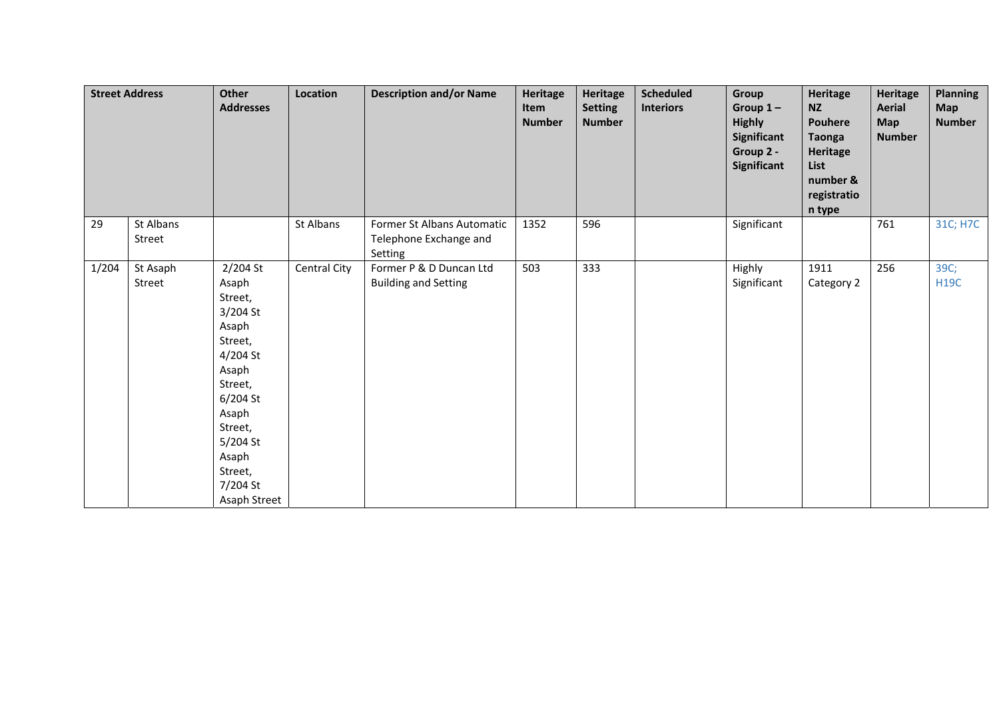|       | <b>Street Address</b> | Other<br><b>Addresses</b>                                                                                                                                                                | Location     | <b>Description and/or Name</b>                                  | Heritage<br>Item<br><b>Number</b> | Heritage<br><b>Setting</b><br><b>Number</b> | <b>Scheduled</b><br><b>Interiors</b> | Group<br>Group $1-$<br><b>Highly</b><br>Significant<br>Group 2 -<br>Significant | Heritage<br><b>NZ</b><br>Pouhere<br><b>Taonga</b><br><b>Heritage</b><br>List<br>number &<br>registratio<br>n type | <b>Heritage</b><br><b>Aerial</b><br><b>Map</b><br><b>Number</b> | <b>Planning</b><br><b>Map</b><br><b>Number</b> |
|-------|-----------------------|------------------------------------------------------------------------------------------------------------------------------------------------------------------------------------------|--------------|-----------------------------------------------------------------|-----------------------------------|---------------------------------------------|--------------------------------------|---------------------------------------------------------------------------------|-------------------------------------------------------------------------------------------------------------------|-----------------------------------------------------------------|------------------------------------------------|
| 29    | St Albans<br>Street   |                                                                                                                                                                                          | St Albans    | Former St Albans Automatic<br>Telephone Exchange and<br>Setting | 1352                              | 596                                         |                                      | Significant                                                                     |                                                                                                                   | 761                                                             | 31C; H7C                                       |
| 1/204 | St Asaph<br>Street    | 2/204 St<br>Asaph<br>Street,<br>3/204 St<br>Asaph<br>Street,<br>4/204 St<br>Asaph<br>Street,<br>6/204 St<br>Asaph<br>Street,<br>5/204 St<br>Asaph<br>Street,<br>7/204 St<br>Asaph Street | Central City | Former P & D Duncan Ltd<br><b>Building and Setting</b>          | 503                               | 333                                         |                                      | Highly<br>Significant                                                           | 1911<br>Category 2                                                                                                | 256                                                             | 39C;<br><b>H19C</b>                            |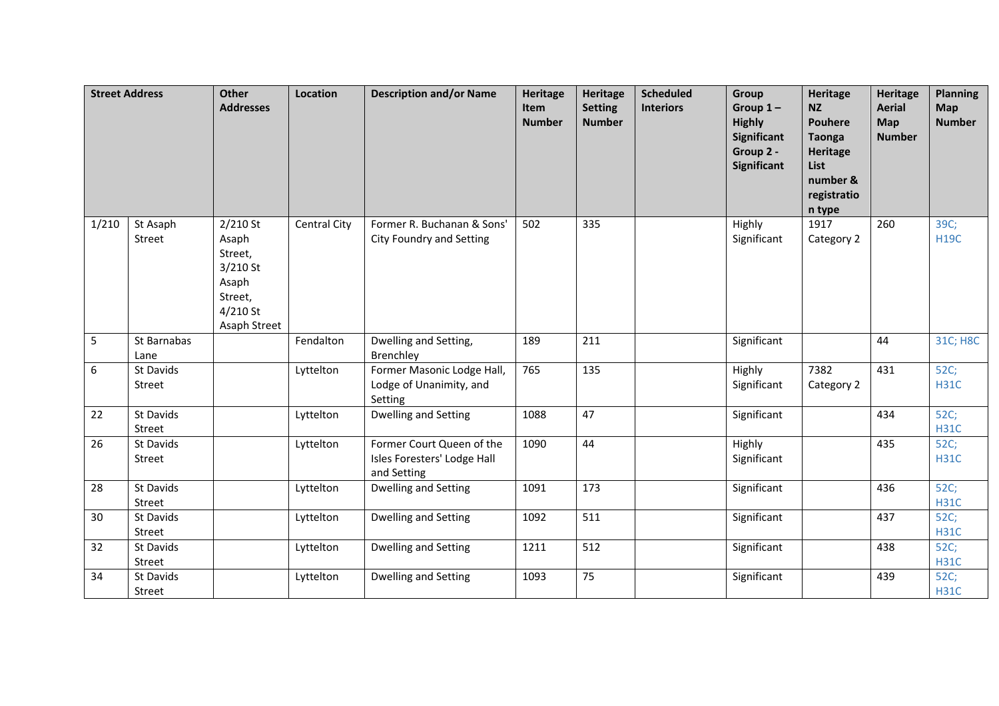|       | <b>Street Address</b> | <b>Other</b><br><b>Addresses</b>                                                               | Location            | <b>Description and/or Name</b>                                          | Heritage<br>Item<br><b>Number</b> | <b>Heritage</b><br><b>Setting</b><br><b>Number</b> | <b>Scheduled</b><br><b>Interiors</b> | Group<br>Group $1-$<br><b>Highly</b><br><b>Significant</b><br>Group 2 -<br>Significant | <b>Heritage</b><br><b>NZ</b><br><b>Pouhere</b><br><b>Taonga</b><br><b>Heritage</b><br>List<br>number &<br>registratio<br>n type | <b>Heritage</b><br><b>Aerial</b><br>Map<br><b>Number</b> | <b>Planning</b><br><b>Map</b><br><b>Number</b> |
|-------|-----------------------|------------------------------------------------------------------------------------------------|---------------------|-------------------------------------------------------------------------|-----------------------------------|----------------------------------------------------|--------------------------------------|----------------------------------------------------------------------------------------|---------------------------------------------------------------------------------------------------------------------------------|----------------------------------------------------------|------------------------------------------------|
| 1/210 | St Asaph<br>Street    | $2/210$ St<br>Asaph<br>Street,<br>$3/210$ St<br>Asaph<br>Street,<br>$4/210$ St<br>Asaph Street | <b>Central City</b> | Former R. Buchanan & Sons'<br>City Foundry and Setting                  | 502                               | 335                                                |                                      | Highly<br>Significant                                                                  | 1917<br>Category 2                                                                                                              | 260                                                      | 39C;<br><b>H19C</b>                            |
| 5     | St Barnabas<br>Lane   |                                                                                                | Fendalton           | Dwelling and Setting,<br>Brenchley                                      | 189                               | 211                                                |                                      | Significant                                                                            |                                                                                                                                 | 44                                                       | 31C; H8C                                       |
| 6     | St Davids<br>Street   |                                                                                                | Lyttelton           | Former Masonic Lodge Hall,<br>Lodge of Unanimity, and<br>Setting        | 765                               | 135                                                |                                      | Highly<br>Significant                                                                  | 7382<br>Category 2                                                                                                              | 431                                                      | 52C;<br><b>H31C</b>                            |
| 22    | St Davids<br>Street   |                                                                                                | Lyttelton           | Dwelling and Setting                                                    | 1088                              | 47                                                 |                                      | Significant                                                                            |                                                                                                                                 | 434                                                      | 52C;<br><b>H31C</b>                            |
| 26    | St Davids<br>Street   |                                                                                                | Lyttelton           | Former Court Queen of the<br>Isles Foresters' Lodge Hall<br>and Setting | 1090                              | 44                                                 |                                      | Highly<br>Significant                                                                  |                                                                                                                                 | 435                                                      | 52C;<br><b>H31C</b>                            |
| 28    | St Davids<br>Street   |                                                                                                | Lyttelton           | Dwelling and Setting                                                    | 1091                              | 173                                                |                                      | Significant                                                                            |                                                                                                                                 | 436                                                      | 52C;<br><b>H31C</b>                            |
| 30    | St Davids<br>Street   |                                                                                                | Lyttelton           | Dwelling and Setting                                                    | 1092                              | 511                                                |                                      | Significant                                                                            |                                                                                                                                 | 437                                                      | 52C;<br><b>H31C</b>                            |
| 32    | St Davids<br>Street   |                                                                                                | Lyttelton           | Dwelling and Setting                                                    | 1211                              | 512                                                |                                      | Significant                                                                            |                                                                                                                                 | 438                                                      | 52C;<br><b>H31C</b>                            |
| 34    | St Davids<br>Street   |                                                                                                | Lyttelton           | Dwelling and Setting                                                    | 1093                              | 75                                                 |                                      | Significant                                                                            |                                                                                                                                 | 439                                                      | 52C;<br><b>H31C</b>                            |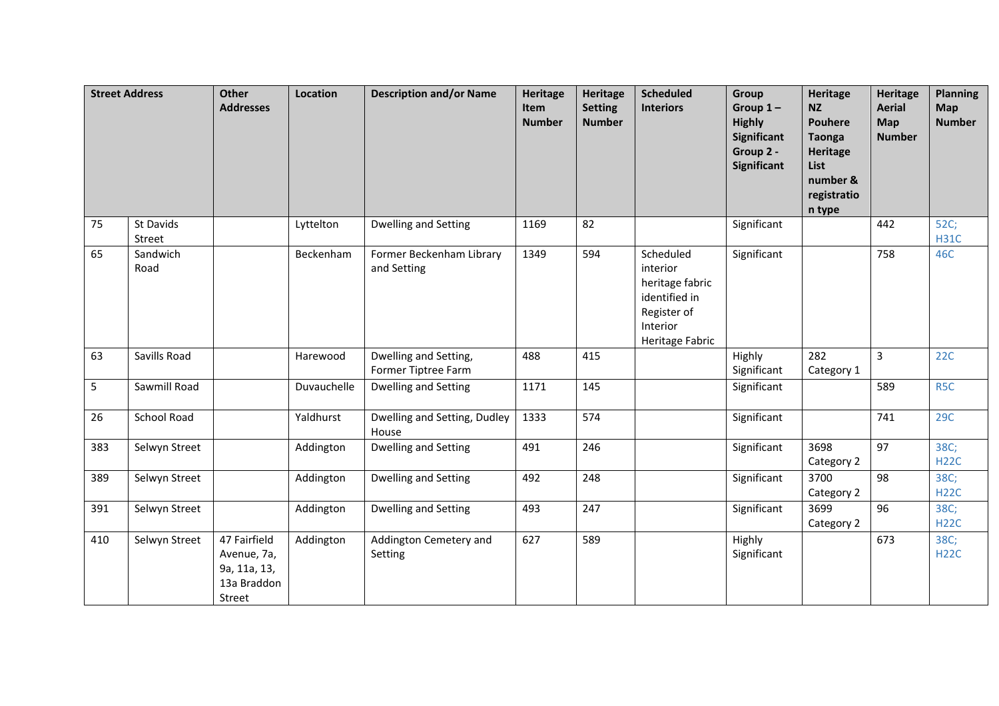|     | <b>Street Address</b> | <b>Other</b><br><b>Addresses</b>                                     | Location    | <b>Description and/or Name</b>               | <b>Heritage</b><br>Item<br><b>Number</b> | Heritage<br><b>Setting</b><br><b>Number</b> | <b>Scheduled</b><br><b>Interiors</b>                                                                    | Group<br>Group $1-$<br><b>Highly</b><br><b>Significant</b><br>Group 2 -<br>Significant | <b>Heritage</b><br><b>NZ</b><br><b>Pouhere</b><br><b>Taonga</b><br><b>Heritage</b><br>List<br>number &<br>registratio<br>n type | <b>Heritage</b><br><b>Aerial</b><br>Map<br><b>Number</b> | <b>Planning</b><br><b>Map</b><br><b>Number</b> |
|-----|-----------------------|----------------------------------------------------------------------|-------------|----------------------------------------------|------------------------------------------|---------------------------------------------|---------------------------------------------------------------------------------------------------------|----------------------------------------------------------------------------------------|---------------------------------------------------------------------------------------------------------------------------------|----------------------------------------------------------|------------------------------------------------|
| 75  | St Davids<br>Street   |                                                                      | Lyttelton   | <b>Dwelling and Setting</b>                  | 1169                                     | 82                                          |                                                                                                         | Significant                                                                            |                                                                                                                                 | 442                                                      | 52C;<br><b>H31C</b>                            |
| 65  | Sandwich<br>Road      |                                                                      | Beckenham   | Former Beckenham Library<br>and Setting      | 1349                                     | 594                                         | Scheduled<br>interior<br>heritage fabric<br>identified in<br>Register of<br>Interior<br>Heritage Fabric | Significant                                                                            |                                                                                                                                 | 758                                                      | 46C                                            |
| 63  | Savills Road          |                                                                      | Harewood    | Dwelling and Setting,<br>Former Tiptree Farm | 488                                      | 415                                         |                                                                                                         | Highly<br>Significant                                                                  | 282<br>Category 1                                                                                                               | 3                                                        | 22C                                            |
| 5   | Sawmill Road          |                                                                      | Duvauchelle | Dwelling and Setting                         | 1171                                     | 145                                         |                                                                                                         | Significant                                                                            |                                                                                                                                 | 589                                                      | R <sub>5</sub> C                               |
| 26  | <b>School Road</b>    |                                                                      | Yaldhurst   | Dwelling and Setting, Dudley<br>House        | 1333                                     | 574                                         |                                                                                                         | Significant                                                                            |                                                                                                                                 | 741                                                      | 29C                                            |
| 383 | Selwyn Street         |                                                                      | Addington   | Dwelling and Setting                         | 491                                      | 246                                         |                                                                                                         | Significant                                                                            | 3698<br>Category 2                                                                                                              | 97                                                       | 38C;<br><b>H22C</b>                            |
| 389 | Selwyn Street         |                                                                      | Addington   | Dwelling and Setting                         | 492                                      | 248                                         |                                                                                                         | Significant                                                                            | 3700<br>Category 2                                                                                                              | 98                                                       | 38C;<br><b>H22C</b>                            |
| 391 | Selwyn Street         |                                                                      | Addington   | Dwelling and Setting                         | 493                                      | 247                                         |                                                                                                         | Significant                                                                            | 3699<br>Category 2                                                                                                              | 96                                                       | 38C;<br><b>H22C</b>                            |
| 410 | Selwyn Street         | 47 Fairfield<br>Avenue, 7a,<br>9a, 11a, 13,<br>13a Braddon<br>Street | Addington   | Addington Cemetery and<br>Setting            | 627                                      | 589                                         |                                                                                                         | Highly<br>Significant                                                                  |                                                                                                                                 | 673                                                      | 38C;<br><b>H22C</b>                            |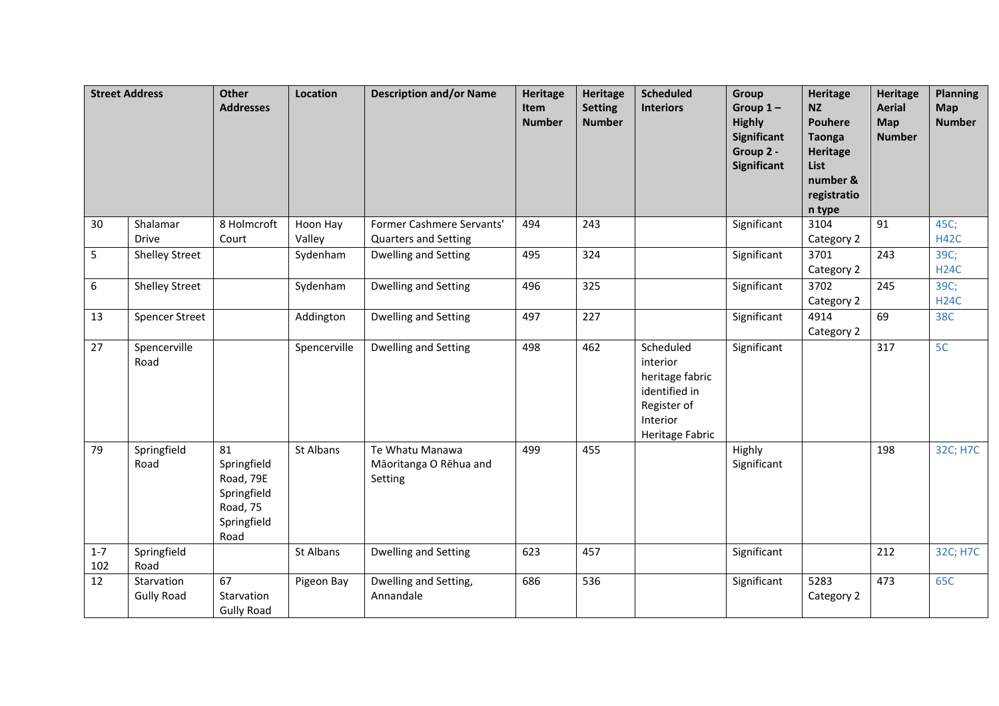|                | <b>Street Address</b>           | <b>Other</b><br><b>Addresses</b>                                                 | Location           | <b>Description and/or Name</b>                           | <b>Heritage</b><br>Item<br><b>Number</b> | <b>Heritage</b><br><b>Setting</b><br><b>Number</b> | <b>Scheduled</b><br><b>Interiors</b>                                                                    | Group<br>Group $1-$<br><b>Highly</b><br>Significant<br>Group 2 -<br><b>Significant</b> | <b>Heritage</b><br><b>NZ</b><br><b>Pouhere</b><br><b>Taonga</b><br><b>Heritage</b><br>List<br>number &<br>registratio<br>n type | <b>Heritage</b><br><b>Aerial</b><br>Map<br><b>Number</b> | <b>Planning</b><br><b>Map</b><br><b>Number</b> |
|----------------|---------------------------------|----------------------------------------------------------------------------------|--------------------|----------------------------------------------------------|------------------------------------------|----------------------------------------------------|---------------------------------------------------------------------------------------------------------|----------------------------------------------------------------------------------------|---------------------------------------------------------------------------------------------------------------------------------|----------------------------------------------------------|------------------------------------------------|
| 30             | Shalamar<br><b>Drive</b>        | 8 Holmcroft<br>Court                                                             | Hoon Hay<br>Valley | Former Cashmere Servants'<br><b>Quarters and Setting</b> | 494                                      | 243                                                |                                                                                                         | Significant                                                                            | 3104<br>Category 2                                                                                                              | 91                                                       | 45C;<br><b>H42C</b>                            |
| 5              | <b>Shelley Street</b>           |                                                                                  | Sydenham           | Dwelling and Setting                                     | 495                                      | 324                                                |                                                                                                         | Significant                                                                            | 3701<br>Category 2                                                                                                              | 243                                                      | 39C;<br><b>H24C</b>                            |
| 6              | <b>Shelley Street</b>           |                                                                                  | Sydenham           | Dwelling and Setting                                     | 496                                      | 325                                                |                                                                                                         | Significant                                                                            | 3702<br>Category 2                                                                                                              | 245                                                      | 39C;<br><b>H24C</b>                            |
| 13             | <b>Spencer Street</b>           |                                                                                  | Addington          | Dwelling and Setting                                     | 497                                      | 227                                                |                                                                                                         | Significant                                                                            | 4914<br>Category 2                                                                                                              | 69                                                       | 38C                                            |
| 27             | Spencerville<br>Road            |                                                                                  | Spencerville       | Dwelling and Setting                                     | 498                                      | 462                                                | Scheduled<br>interior<br>heritage fabric<br>identified in<br>Register of<br>Interior<br>Heritage Fabric | Significant                                                                            |                                                                                                                                 | 317                                                      | 5 <sub>C</sub>                                 |
| 79             | Springfield<br>Road             | 81<br>Springfield<br>Road, 79E<br>Springfield<br>Road, 75<br>Springfield<br>Road | St Albans          | Te Whatu Manawa<br>Māoritanga O Rēhua and<br>Setting     | 499                                      | 455                                                |                                                                                                         | Highly<br>Significant                                                                  |                                                                                                                                 | 198                                                      | 32C; H7C                                       |
| $1 - 7$<br>102 | Springfield<br>Road             |                                                                                  | St Albans          | Dwelling and Setting                                     | 623                                      | 457                                                |                                                                                                         | Significant                                                                            |                                                                                                                                 | 212                                                      | 32C; H7C                                       |
| 12             | Starvation<br><b>Gully Road</b> | 67<br>Starvation<br><b>Gully Road</b>                                            | Pigeon Bay         | Dwelling and Setting,<br>Annandale                       | 686                                      | 536                                                |                                                                                                         | Significant                                                                            | 5283<br>Category 2                                                                                                              | 473                                                      | 65C                                            |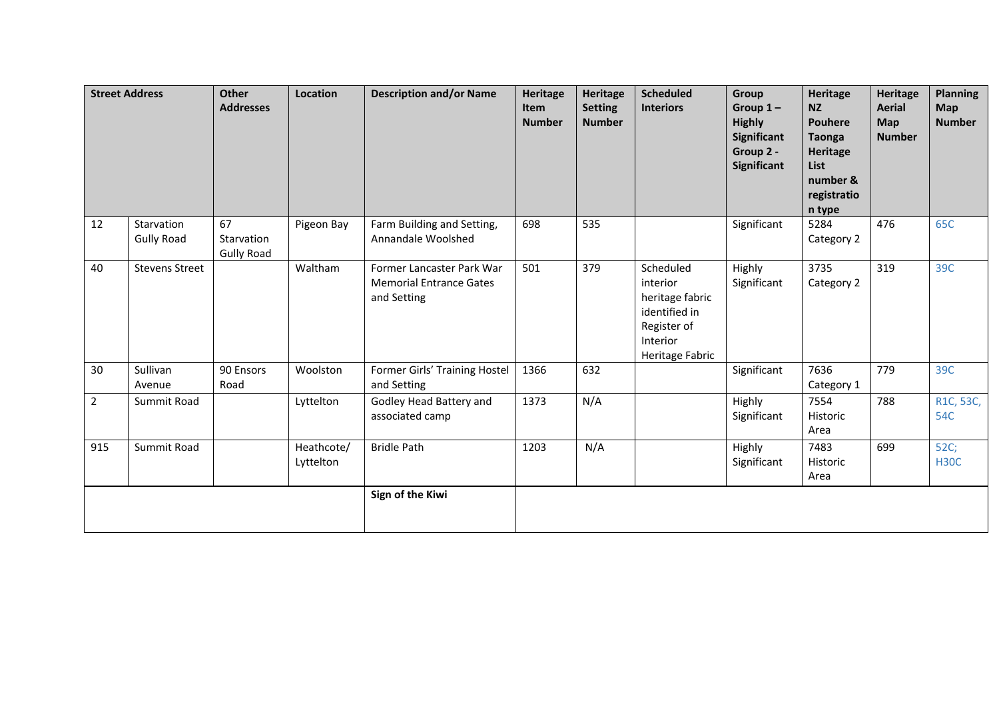|                | <b>Street Address</b>           | Other<br><b>Addresses</b>             | Location                | <b>Description and/or Name</b>                                             | Heritage<br>Item<br><b>Number</b> | <b>Heritage</b><br><b>Setting</b><br><b>Number</b> | <b>Scheduled</b><br><b>Interiors</b>                                                                    | Group<br>Group $1-$<br><b>Highly</b><br>Significant<br>Group 2 -<br><b>Significant</b> | Heritage<br><b>NZ</b><br><b>Pouhere</b><br><b>Taonga</b><br><b>Heritage</b><br><b>List</b><br>number &<br>registratio<br>n type | <b>Heritage</b><br><b>Aerial</b><br>Map<br><b>Number</b> | <b>Planning</b><br><b>Map</b><br><b>Number</b> |
|----------------|---------------------------------|---------------------------------------|-------------------------|----------------------------------------------------------------------------|-----------------------------------|----------------------------------------------------|---------------------------------------------------------------------------------------------------------|----------------------------------------------------------------------------------------|---------------------------------------------------------------------------------------------------------------------------------|----------------------------------------------------------|------------------------------------------------|
| 12             | Starvation<br><b>Gully Road</b> | 67<br>Starvation<br><b>Gully Road</b> | Pigeon Bay              | Farm Building and Setting,<br>Annandale Woolshed                           | 698                               | 535                                                |                                                                                                         | Significant                                                                            | 5284<br>Category 2                                                                                                              | 476                                                      | 65C                                            |
| 40             | <b>Stevens Street</b>           |                                       | Waltham                 | Former Lancaster Park War<br><b>Memorial Entrance Gates</b><br>and Setting | 501                               | 379                                                | Scheduled<br>interior<br>heritage fabric<br>identified in<br>Register of<br>Interior<br>Heritage Fabric | Highly<br>Significant                                                                  | 3735<br>Category 2                                                                                                              | 319                                                      | 39C                                            |
| 30             | Sullivan<br>Avenue              | 90 Ensors<br>Road                     | Woolston                | Former Girls' Training Hostel<br>and Setting                               | 1366                              | 632                                                |                                                                                                         | Significant                                                                            | 7636<br>Category 1                                                                                                              | 779                                                      | 39C                                            |
| $\overline{2}$ | Summit Road                     |                                       | Lyttelton               | Godley Head Battery and<br>associated camp                                 | 1373                              | N/A                                                |                                                                                                         | Highly<br>Significant                                                                  | 7554<br>Historic<br>Area                                                                                                        | 788                                                      | R1C, 53C,<br>54C                               |
| 915            | Summit Road                     |                                       | Heathcote/<br>Lyttelton | <b>Bridle Path</b>                                                         | 1203                              | N/A                                                |                                                                                                         | Highly<br>Significant                                                                  | 7483<br>Historic<br>Area                                                                                                        | 699                                                      | 52C;<br><b>H30C</b>                            |
|                |                                 |                                       |                         | Sign of the Kiwi                                                           |                                   |                                                    |                                                                                                         |                                                                                        |                                                                                                                                 |                                                          |                                                |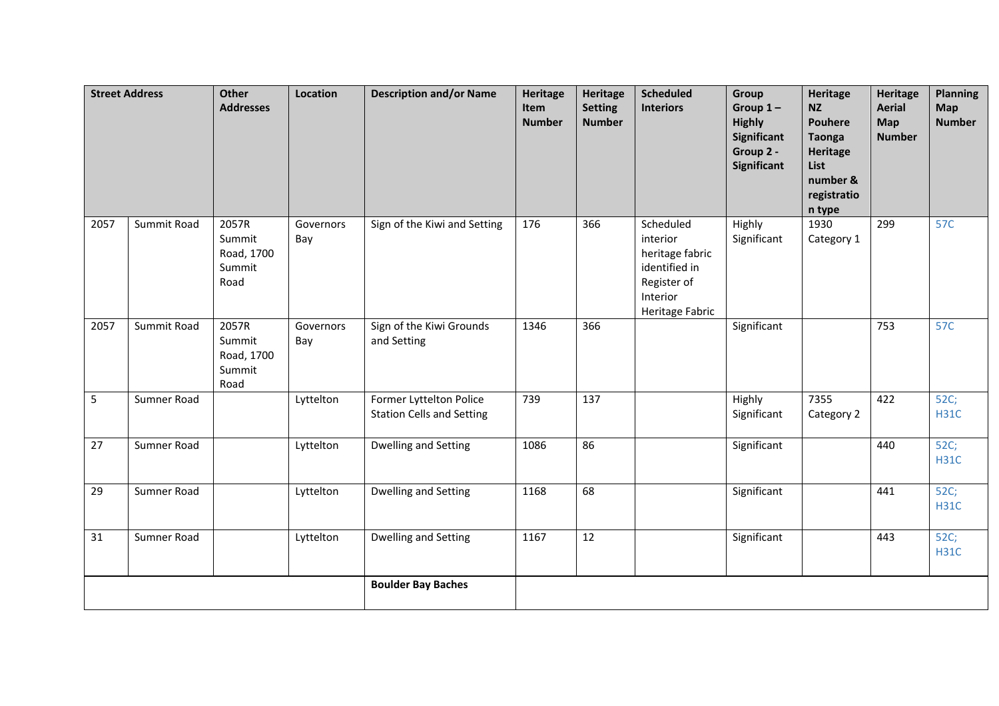|      | <b>Street Address</b> | <b>Other</b><br><b>Addresses</b>                | Location         | <b>Description and/or Name</b>                              | <b>Heritage</b><br>Item<br><b>Number</b> | Heritage<br><b>Setting</b><br><b>Number</b> | <b>Scheduled</b><br><b>Interiors</b>                                                                    | Group<br>Group $1-$<br><b>Highly</b><br>Significant<br>Group 2 -<br><b>Significant</b> | <b>Heritage</b><br><b>NZ</b><br><b>Pouhere</b><br><b>Taonga</b><br><b>Heritage</b><br>List<br>number &<br>registratio<br>n type | <b>Heritage</b><br><b>Aerial</b><br>Map<br><b>Number</b> | <b>Planning</b><br>Map<br><b>Number</b> |
|------|-----------------------|-------------------------------------------------|------------------|-------------------------------------------------------------|------------------------------------------|---------------------------------------------|---------------------------------------------------------------------------------------------------------|----------------------------------------------------------------------------------------|---------------------------------------------------------------------------------------------------------------------------------|----------------------------------------------------------|-----------------------------------------|
| 2057 | Summit Road           | 2057R<br>Summit<br>Road, 1700<br>Summit<br>Road | Governors<br>Bay | Sign of the Kiwi and Setting                                | 176                                      | 366                                         | Scheduled<br>interior<br>heritage fabric<br>identified in<br>Register of<br>Interior<br>Heritage Fabric | Highly<br>Significant                                                                  | 1930<br>Category 1                                                                                                              | 299                                                      | 57C                                     |
| 2057 | Summit Road           | 2057R<br>Summit<br>Road, 1700<br>Summit<br>Road | Governors<br>Bay | Sign of the Kiwi Grounds<br>and Setting                     | 1346                                     | 366                                         |                                                                                                         | Significant                                                                            |                                                                                                                                 | 753                                                      | 57C                                     |
| 5    | Sumner Road           |                                                 | Lyttelton        | Former Lyttelton Police<br><b>Station Cells and Setting</b> | 739                                      | 137                                         |                                                                                                         | Highly<br>Significant                                                                  | 7355<br>Category 2                                                                                                              | 422                                                      | 52C;<br><b>H31C</b>                     |
| 27   | Sumner Road           |                                                 | Lyttelton        | Dwelling and Setting                                        | 1086                                     | 86                                          |                                                                                                         | Significant                                                                            |                                                                                                                                 | 440                                                      | 52C;<br><b>H31C</b>                     |
| 29   | Sumner Road           |                                                 | Lyttelton        | Dwelling and Setting                                        | 1168                                     | 68                                          |                                                                                                         | Significant                                                                            |                                                                                                                                 | 441                                                      | 52C;<br><b>H31C</b>                     |
| 31   | Sumner Road           |                                                 | Lyttelton        | Dwelling and Setting                                        | 1167                                     | 12                                          |                                                                                                         | Significant                                                                            |                                                                                                                                 | 443                                                      | 52C;<br><b>H31C</b>                     |
|      |                       |                                                 |                  | <b>Boulder Bay Baches</b>                                   |                                          |                                             |                                                                                                         |                                                                                        |                                                                                                                                 |                                                          |                                         |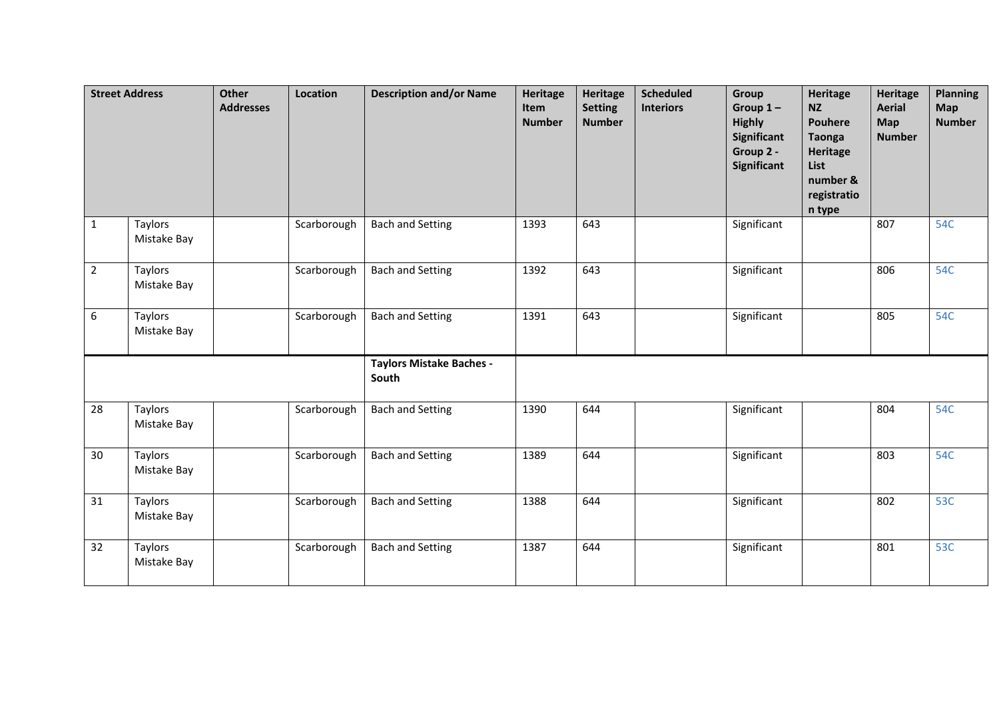|                | <b>Street Address</b>  | <b>Other</b><br><b>Addresses</b> | Location    | <b>Description and/or Name</b>           | <b>Heritage</b><br>Item<br><b>Number</b> | Heritage<br><b>Setting</b><br><b>Number</b> | <b>Scheduled</b><br><b>Interiors</b> | Group<br>Group $1-$<br><b>Highly</b><br><b>Significant</b><br>Group 2 -<br><b>Significant</b> | <b>Heritage</b><br><b>NZ</b><br><b>Pouhere</b><br><b>Taonga</b><br><b>Heritage</b><br>List<br>number &<br>registratio<br>n type | <b>Heritage</b><br><b>Aerial</b><br>Map<br><b>Number</b> | <b>Planning</b><br><b>Map</b><br><b>Number</b> |
|----------------|------------------------|----------------------------------|-------------|------------------------------------------|------------------------------------------|---------------------------------------------|--------------------------------------|-----------------------------------------------------------------------------------------------|---------------------------------------------------------------------------------------------------------------------------------|----------------------------------------------------------|------------------------------------------------|
| $\mathbf{1}$   | Taylors<br>Mistake Bay |                                  | Scarborough | <b>Bach and Setting</b>                  | 1393                                     | 643                                         |                                      | Significant                                                                                   |                                                                                                                                 | 807                                                      | 54C                                            |
| $\overline{2}$ | Taylors<br>Mistake Bay |                                  | Scarborough | <b>Bach and Setting</b>                  | 1392                                     | 643                                         |                                      | Significant                                                                                   |                                                                                                                                 | 806                                                      | 54C                                            |
| 6              | Taylors<br>Mistake Bay |                                  | Scarborough | <b>Bach and Setting</b>                  | 1391                                     | 643                                         |                                      | Significant                                                                                   |                                                                                                                                 | 805                                                      | 54C                                            |
|                |                        |                                  |             | <b>Taylors Mistake Baches -</b><br>South |                                          |                                             |                                      |                                                                                               |                                                                                                                                 |                                                          |                                                |
| 28             | Taylors<br>Mistake Bay |                                  | Scarborough | <b>Bach and Setting</b>                  | 1390                                     | 644                                         |                                      | Significant                                                                                   |                                                                                                                                 | 804                                                      | <b>54C</b>                                     |
| 30             | Taylors<br>Mistake Bay |                                  | Scarborough | <b>Bach and Setting</b>                  | 1389                                     | 644                                         |                                      | Significant                                                                                   |                                                                                                                                 | 803                                                      | 54C                                            |
| 31             | Taylors<br>Mistake Bay |                                  | Scarborough | <b>Bach and Setting</b>                  | 1388                                     | 644                                         |                                      | Significant                                                                                   |                                                                                                                                 | 802                                                      | 53C                                            |
| 32             | Taylors<br>Mistake Bay |                                  | Scarborough | <b>Bach and Setting</b>                  | 1387                                     | 644                                         |                                      | Significant                                                                                   |                                                                                                                                 | 801                                                      | 53C                                            |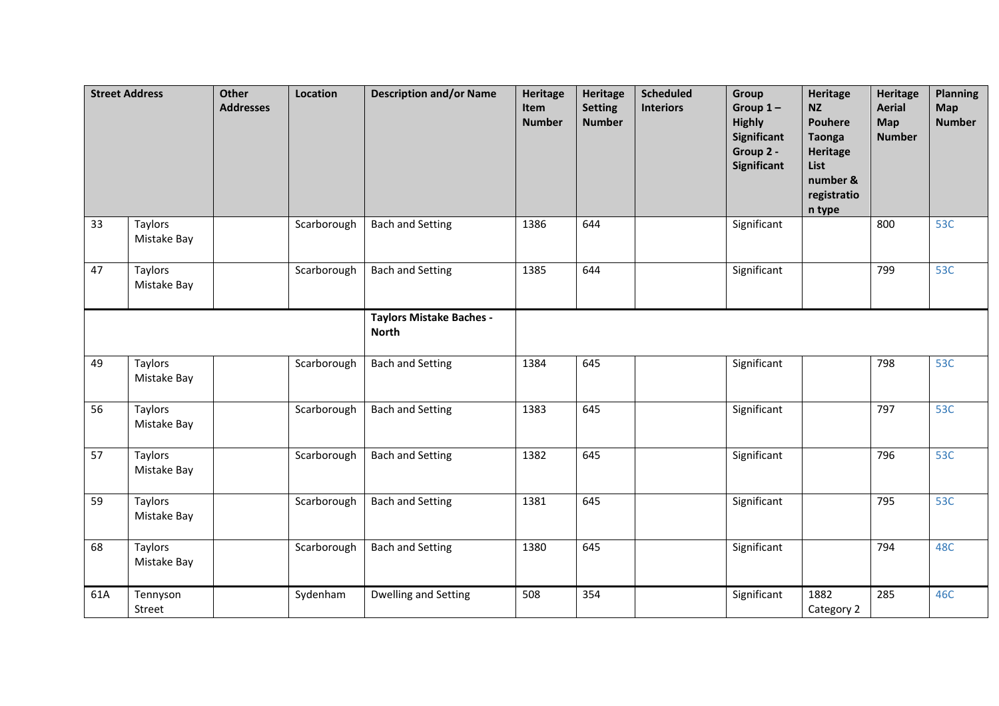|     | <b>Street Address</b>  | Other<br><b>Addresses</b> | Location    | <b>Description and/or Name</b>                  | <b>Heritage</b><br>Item<br><b>Number</b> | Heritage<br><b>Setting</b><br><b>Number</b> | <b>Scheduled</b><br><b>Interiors</b> | Group<br>Group $1-$<br><b>Highly</b><br><b>Significant</b><br>Group 2 -<br><b>Significant</b> | <b>Heritage</b><br><b>NZ</b><br><b>Pouhere</b><br><b>Taonga</b><br><b>Heritage</b><br>List<br>number &<br>registratio<br>n type | <b>Heritage</b><br><b>Aerial</b><br>Map<br><b>Number</b> | <b>Planning</b><br><b>Map</b><br><b>Number</b> |
|-----|------------------------|---------------------------|-------------|-------------------------------------------------|------------------------------------------|---------------------------------------------|--------------------------------------|-----------------------------------------------------------------------------------------------|---------------------------------------------------------------------------------------------------------------------------------|----------------------------------------------------------|------------------------------------------------|
| 33  | Taylors<br>Mistake Bay |                           | Scarborough | <b>Bach and Setting</b>                         | 1386                                     | 644                                         |                                      | Significant                                                                                   |                                                                                                                                 | 800                                                      | 53C                                            |
| 47  | Taylors<br>Mistake Bay |                           | Scarborough | <b>Bach and Setting</b>                         | 1385                                     | 644                                         |                                      | Significant                                                                                   |                                                                                                                                 | 799                                                      | 53C                                            |
|     |                        |                           |             | <b>Taylors Mistake Baches -</b><br><b>North</b> |                                          |                                             |                                      |                                                                                               |                                                                                                                                 |                                                          |                                                |
| 49  | Taylors<br>Mistake Bay |                           | Scarborough | <b>Bach and Setting</b>                         | 1384                                     | 645                                         |                                      | Significant                                                                                   |                                                                                                                                 | 798                                                      | 53C                                            |
| 56  | Taylors<br>Mistake Bay |                           | Scarborough | <b>Bach and Setting</b>                         | 1383                                     | 645                                         |                                      | Significant                                                                                   |                                                                                                                                 | 797                                                      | 53C                                            |
| 57  | Taylors<br>Mistake Bay |                           | Scarborough | <b>Bach and Setting</b>                         | 1382                                     | 645                                         |                                      | Significant                                                                                   |                                                                                                                                 | 796                                                      | 53C                                            |
| 59  | Taylors<br>Mistake Bay |                           | Scarborough | <b>Bach and Setting</b>                         | 1381                                     | 645                                         |                                      | Significant                                                                                   |                                                                                                                                 | 795                                                      | 53C                                            |
| 68  | Taylors<br>Mistake Bay |                           | Scarborough | <b>Bach and Setting</b>                         | 1380                                     | 645                                         |                                      | Significant                                                                                   |                                                                                                                                 | 794                                                      | 48C                                            |
| 61A | Tennyson<br>Street     |                           | Sydenham    | <b>Dwelling and Setting</b>                     | 508                                      | 354                                         |                                      | Significant                                                                                   | 1882<br>Category 2                                                                                                              | 285                                                      | 46C                                            |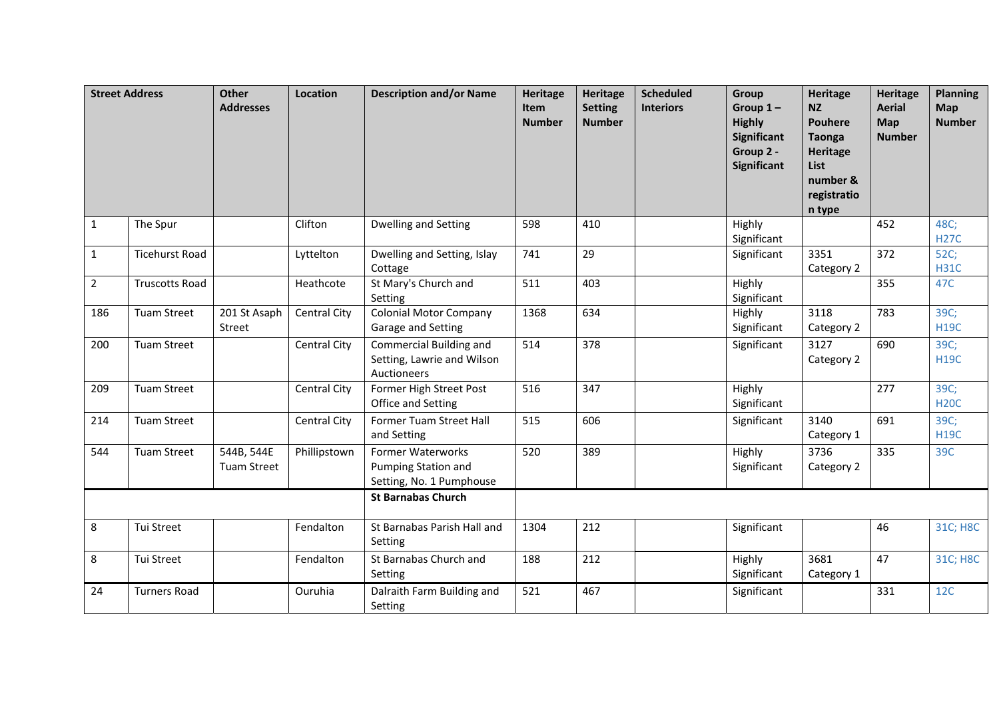|                | <b>Street Address</b> | <b>Other</b><br><b>Addresses</b> | Location            | <b>Description and/or Name</b>                                       | <b>Heritage</b><br>Item<br><b>Number</b> | Heritage<br><b>Setting</b><br><b>Number</b> | <b>Scheduled</b><br><b>Interiors</b> | Group<br>Group $1-$<br><b>Highly</b><br>Significant<br>Group 2 -<br>Significant | <b>Heritage</b><br><b>NZ</b><br><b>Pouhere</b><br><b>Taonga</b><br>Heritage<br>List<br>number &<br>registratio<br>n type | <b>Heritage</b><br><b>Aerial</b><br>Map<br><b>Number</b> | <b>Planning</b><br><b>Map</b><br><b>Number</b> |
|----------------|-----------------------|----------------------------------|---------------------|----------------------------------------------------------------------|------------------------------------------|---------------------------------------------|--------------------------------------|---------------------------------------------------------------------------------|--------------------------------------------------------------------------------------------------------------------------|----------------------------------------------------------|------------------------------------------------|
| $\mathbf{1}$   | The Spur              |                                  | Clifton             | Dwelling and Setting                                                 | 598                                      | 410                                         |                                      | Highly<br>Significant                                                           |                                                                                                                          | 452                                                      | 48C;<br><b>H27C</b>                            |
| $\overline{1}$ | <b>Ticehurst Road</b> |                                  | Lyttelton           | Dwelling and Setting, Islay<br>Cottage                               | $\overline{741}$                         | 29                                          |                                      | Significant                                                                     | 3351<br>Category 2                                                                                                       | $\overline{372}$                                         | 52C;<br><b>H31C</b>                            |
| $\overline{2}$ | <b>Truscotts Road</b> |                                  | Heathcote           | St Mary's Church and<br>Setting                                      | 511                                      | 403                                         |                                      | Highly<br>Significant                                                           |                                                                                                                          | 355                                                      | 47C                                            |
| 186            | <b>Tuam Street</b>    | 201 St Asaph<br>Street           | Central City        | <b>Colonial Motor Company</b><br>Garage and Setting                  | 1368                                     | 634                                         |                                      | Highly<br>Significant                                                           | 3118<br>Category 2                                                                                                       | 783                                                      | 39C;<br><b>H19C</b>                            |
| 200            | <b>Tuam Street</b>    |                                  | Central City        | Commercial Building and<br>Setting, Lawrie and Wilson<br>Auctioneers | 514                                      | 378                                         |                                      | Significant                                                                     | 3127<br>Category 2                                                                                                       | 690                                                      | 39C;<br><b>H19C</b>                            |
| 209            | <b>Tuam Street</b>    |                                  | Central City        | Former High Street Post<br>Office and Setting                        | 516                                      | 347                                         |                                      | Highly<br>Significant                                                           |                                                                                                                          | 277                                                      | 39C;<br><b>H20C</b>                            |
| 214            | <b>Tuam Street</b>    |                                  | <b>Central City</b> | Former Tuam Street Hall<br>and Setting                               | 515                                      | 606                                         |                                      | Significant                                                                     | 3140<br>Category 1                                                                                                       | 691                                                      | 39C;<br><b>H19C</b>                            |
| 544            | <b>Tuam Street</b>    | 544B, 544E<br><b>Tuam Street</b> | Phillipstown        | Former Waterworks<br>Pumping Station and<br>Setting, No. 1 Pumphouse | 520                                      | 389                                         |                                      | Highly<br>Significant                                                           | 3736<br>Category 2                                                                                                       | 335                                                      | 39C                                            |
|                |                       |                                  |                     | <b>St Barnabas Church</b>                                            |                                          |                                             |                                      |                                                                                 |                                                                                                                          |                                                          |                                                |
| 8              | Tui Street            |                                  | Fendalton           | St Barnabas Parish Hall and<br>Setting                               | 1304                                     | 212                                         |                                      | Significant                                                                     |                                                                                                                          | 46                                                       | 31C; H8C                                       |
| 8              | Tui Street            |                                  | Fendalton           | St Barnabas Church and<br>Setting                                    | 188                                      | 212                                         |                                      | Highly<br>Significant                                                           | 3681<br>Category 1                                                                                                       | 47                                                       | 31C; H8C                                       |
| 24             | <b>Turners Road</b>   |                                  | Ouruhia             | Dalraith Farm Building and<br>Setting                                | 521                                      | 467                                         |                                      | Significant                                                                     |                                                                                                                          | 331                                                      | 12C                                            |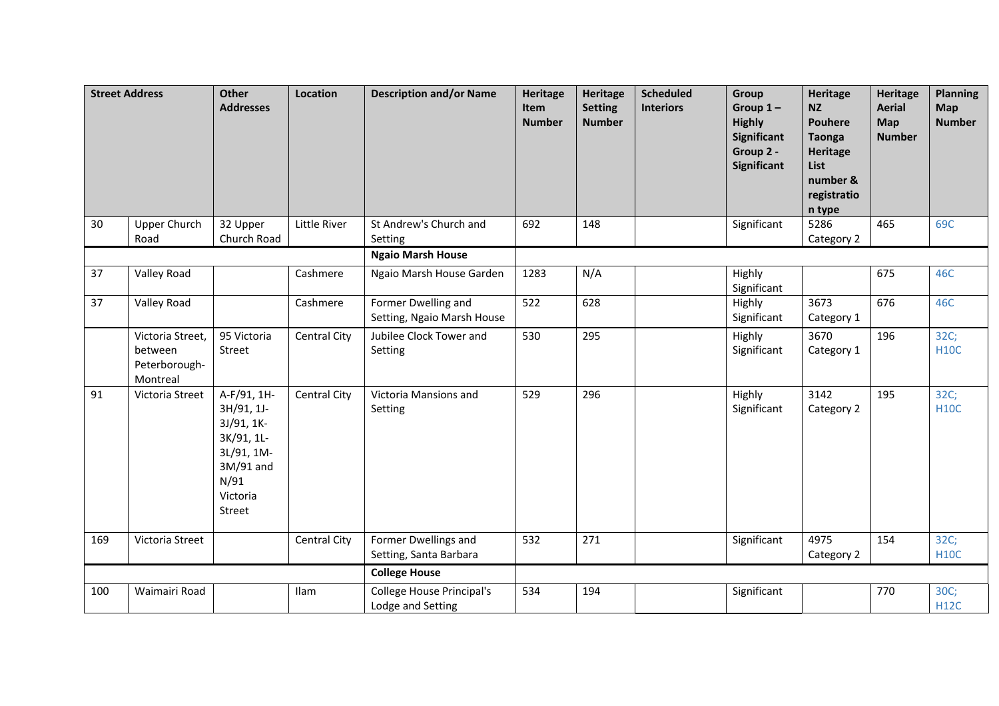|     | <b>Street Address</b>                                    | <b>Other</b><br><b>Addresses</b>                                                                               | Location            | <b>Description and/or Name</b>                    | <b>Heritage</b><br>Item<br><b>Number</b> | <b>Heritage</b><br><b>Setting</b><br><b>Number</b> | <b>Scheduled</b><br><b>Interiors</b> | Group<br>Group $1-$<br><b>Highly</b><br><b>Significant</b><br>Group 2 -<br><b>Significant</b> | <b>Heritage</b><br><b>NZ</b><br><b>Pouhere</b><br><b>Taonga</b><br>Heritage<br>List<br>number &<br>registratio<br>n type | <b>Heritage</b><br><b>Aerial</b><br><b>Map</b><br><b>Number</b> | <b>Planning</b><br>Map<br><b>Number</b> |
|-----|----------------------------------------------------------|----------------------------------------------------------------------------------------------------------------|---------------------|---------------------------------------------------|------------------------------------------|----------------------------------------------------|--------------------------------------|-----------------------------------------------------------------------------------------------|--------------------------------------------------------------------------------------------------------------------------|-----------------------------------------------------------------|-----------------------------------------|
| 30  | <b>Upper Church</b><br>Road                              | 32 Upper<br>Church Road                                                                                        | Little River        | St Andrew's Church and<br>Setting                 | 692                                      | 148                                                |                                      | Significant                                                                                   | 5286<br>Category 2                                                                                                       | 465                                                             | 69C                                     |
|     |                                                          |                                                                                                                |                     | <b>Ngaio Marsh House</b>                          |                                          |                                                    |                                      |                                                                                               |                                                                                                                          |                                                                 |                                         |
| 37  | Valley Road                                              |                                                                                                                | Cashmere            | Ngaio Marsh House Garden                          | 1283                                     | N/A                                                |                                      | Highly<br>Significant                                                                         |                                                                                                                          | 675                                                             | 46C                                     |
| 37  | Valley Road                                              |                                                                                                                | Cashmere            | Former Dwelling and<br>Setting, Ngaio Marsh House | 522                                      | 628                                                |                                      | Highly<br>Significant                                                                         | 3673<br>Category 1                                                                                                       | 676                                                             | 46C                                     |
|     | Victoria Street,<br>between<br>Peterborough-<br>Montreal | 95 Victoria<br>Street                                                                                          | Central City        | Jubilee Clock Tower and<br>Setting                | 530                                      | 295                                                |                                      | Highly<br>Significant                                                                         | 3670<br>Category 1                                                                                                       | 196                                                             | 32C;<br><b>H10C</b>                     |
| 91  | Victoria Street                                          | A-F/91, 1H-<br>3H/91, 1J-<br>3J/91, 1K-<br>3K/91, 1L-<br>3L/91, 1M-<br>3M/91 and<br>N/91<br>Victoria<br>Street | Central City        | Victoria Mansions and<br>Setting                  | 529                                      | 296                                                |                                      | Highly<br>Significant                                                                         | 3142<br>Category 2                                                                                                       | 195                                                             | 32C;<br><b>H10C</b>                     |
| 169 | Victoria Street                                          |                                                                                                                | <b>Central City</b> | Former Dwellings and<br>Setting, Santa Barbara    | 532                                      | 271                                                |                                      | Significant                                                                                   | 4975<br>Category 2                                                                                                       | 154                                                             | 32C;<br><b>H10C</b>                     |
|     |                                                          |                                                                                                                |                     | <b>College House</b>                              |                                          |                                                    |                                      |                                                                                               |                                                                                                                          |                                                                 |                                         |
| 100 | Waimairi Road                                            |                                                                                                                | Ilam                | College House Principal's<br>Lodge and Setting    | 534                                      | 194                                                |                                      | Significant                                                                                   |                                                                                                                          | 770                                                             | 30C;<br><b>H12C</b>                     |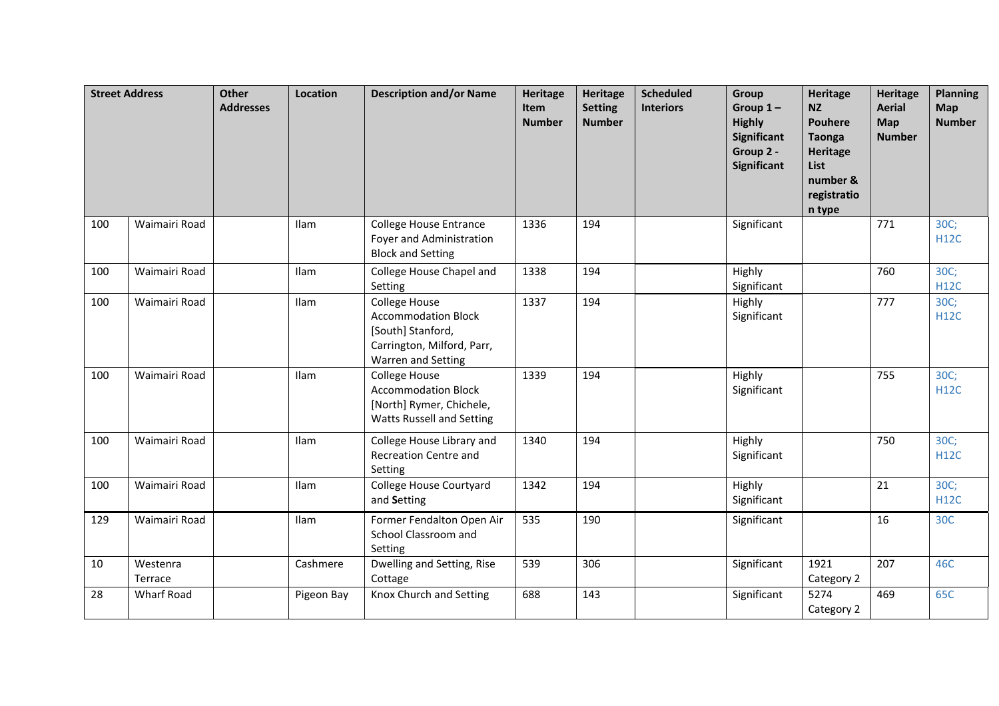|     | <b>Street Address</b> | <b>Other</b><br><b>Addresses</b> | Location    | <b>Description and/or Name</b>                                                                                       | <b>Heritage</b><br><b>Item</b><br><b>Number</b> | <b>Heritage</b><br><b>Setting</b><br><b>Number</b> | <b>Scheduled</b><br><b>Interiors</b> | Group<br>Group $1-$<br><b>Highly</b><br><b>Significant</b><br>Group 2 -<br><b>Significant</b> | <b>Heritage</b><br><b>NZ</b><br><b>Pouhere</b><br><b>Taonga</b><br>Heritage<br>List<br>number &<br>registratio<br>n type | <b>Heritage</b><br><b>Aerial</b><br><b>Map</b><br><b>Number</b> | <b>Planning</b><br>Map<br><b>Number</b> |
|-----|-----------------------|----------------------------------|-------------|----------------------------------------------------------------------------------------------------------------------|-------------------------------------------------|----------------------------------------------------|--------------------------------------|-----------------------------------------------------------------------------------------------|--------------------------------------------------------------------------------------------------------------------------|-----------------------------------------------------------------|-----------------------------------------|
| 100 | Waimairi Road         |                                  | Ilam        | <b>College House Entrance</b><br>Foyer and Administration<br><b>Block and Setting</b>                                | 1336                                            | 194                                                |                                      | Significant                                                                                   |                                                                                                                          | 771                                                             | 30C;<br><b>H12C</b>                     |
| 100 | Waimairi Road         |                                  | Ilam        | College House Chapel and<br>Setting                                                                                  | 1338                                            | 194                                                |                                      | Highly<br>Significant                                                                         |                                                                                                                          | 760                                                             | 30C;<br><b>H12C</b>                     |
| 100 | Waimairi Road         |                                  | Ilam        | College House<br><b>Accommodation Block</b><br>[South] Stanford,<br>Carrington, Milford, Parr,<br>Warren and Setting | 1337                                            | 194                                                |                                      | Highly<br>Significant                                                                         |                                                                                                                          | 777                                                             | 30C;<br><b>H12C</b>                     |
| 100 | Waimairi Road         |                                  | <b>Ilam</b> | College House<br><b>Accommodation Block</b><br>[North] Rymer, Chichele,<br>Watts Russell and Setting                 | 1339                                            | 194                                                |                                      | Highly<br>Significant                                                                         |                                                                                                                          | 755                                                             | 30C;<br><b>H12C</b>                     |
| 100 | Waimairi Road         |                                  | Ilam        | College House Library and<br><b>Recreation Centre and</b><br>Setting                                                 | 1340                                            | 194                                                |                                      | Highly<br>Significant                                                                         |                                                                                                                          | 750                                                             | 30C;<br><b>H12C</b>                     |
| 100 | Waimairi Road         |                                  | Ilam        | College House Courtyard<br>and Setting                                                                               | 1342                                            | 194                                                |                                      | Highly<br>Significant                                                                         |                                                                                                                          | 21                                                              | 30C;<br><b>H12C</b>                     |
| 129 | Waimairi Road         |                                  | Ilam        | Former Fendalton Open Air<br>School Classroom and<br>Setting                                                         | 535                                             | 190                                                |                                      | Significant                                                                                   |                                                                                                                          | 16                                                              | 30C                                     |
| 10  | Westenra<br>Terrace   |                                  | Cashmere    | Dwelling and Setting, Rise<br>Cottage                                                                                | 539                                             | 306                                                |                                      | Significant                                                                                   | 1921<br>Category 2                                                                                                       | 207                                                             | 46C                                     |
| 28  | <b>Wharf Road</b>     |                                  | Pigeon Bay  | Knox Church and Setting                                                                                              | 688                                             | 143                                                |                                      | Significant                                                                                   | 5274<br>Category 2                                                                                                       | 469                                                             | 65C                                     |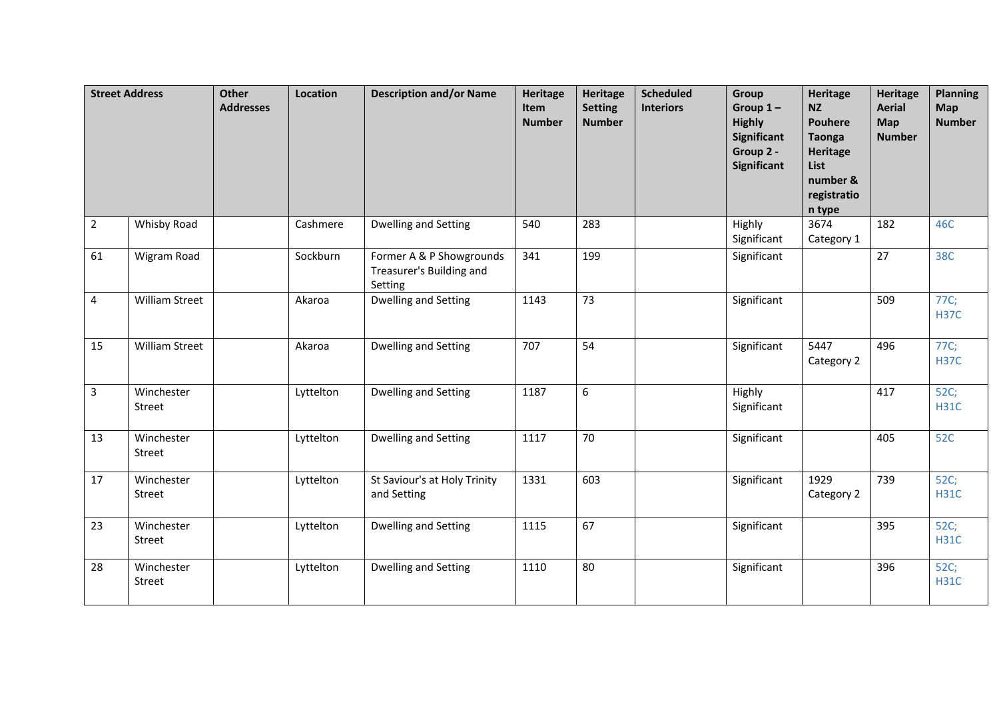|                | <b>Street Address</b> | <b>Other</b><br><b>Addresses</b> | Location  | <b>Description and/or Name</b>                                  | <b>Heritage</b><br>Item<br><b>Number</b> | <b>Heritage</b><br><b>Setting</b><br><b>Number</b> | <b>Scheduled</b><br><b>Interiors</b> | Group<br>Group $1-$<br><b>Highly</b><br><b>Significant</b><br>Group 2 -<br>Significant | <b>Heritage</b><br><b>NZ</b><br><b>Pouhere</b><br><b>Taonga</b><br><b>Heritage</b><br>List<br>number &<br>registratio<br>n type | <b>Heritage</b><br><b>Aerial</b><br>Map<br><b>Number</b> | <b>Planning</b><br>Map<br><b>Number</b> |
|----------------|-----------------------|----------------------------------|-----------|-----------------------------------------------------------------|------------------------------------------|----------------------------------------------------|--------------------------------------|----------------------------------------------------------------------------------------|---------------------------------------------------------------------------------------------------------------------------------|----------------------------------------------------------|-----------------------------------------|
| $\overline{2}$ | Whisby Road           |                                  | Cashmere  | Dwelling and Setting                                            | 540                                      | 283                                                |                                      | Highly<br>Significant                                                                  | 3674<br>Category 1                                                                                                              | 182                                                      | 46C                                     |
| 61             | Wigram Road           |                                  | Sockburn  | Former A & P Showgrounds<br>Treasurer's Building and<br>Setting | 341                                      | 199                                                |                                      | Significant                                                                            |                                                                                                                                 | 27                                                       | 38C                                     |
| 4              | <b>William Street</b> |                                  | Akaroa    | Dwelling and Setting                                            | 1143                                     | 73                                                 |                                      | Significant                                                                            |                                                                                                                                 | 509                                                      | 77C;<br><b>H37C</b>                     |
| 15             | <b>William Street</b> |                                  | Akaroa    | <b>Dwelling and Setting</b>                                     | 707                                      | 54                                                 |                                      | Significant                                                                            | 5447<br>Category 2                                                                                                              | 496                                                      | 77C;<br><b>H37C</b>                     |
| 3              | Winchester<br>Street  |                                  | Lyttelton | <b>Dwelling and Setting</b>                                     | 1187                                     | 6                                                  |                                      | Highly<br>Significant                                                                  |                                                                                                                                 | 417                                                      | 52C;<br><b>H31C</b>                     |
| 13             | Winchester<br>Street  |                                  | Lyttelton | Dwelling and Setting                                            | 1117                                     | $\overline{70}$                                    |                                      | Significant                                                                            |                                                                                                                                 | 405                                                      | 52C                                     |
| 17             | Winchester<br>Street  |                                  | Lyttelton | St Saviour's at Holy Trinity<br>and Setting                     | 1331                                     | 603                                                |                                      | Significant                                                                            | 1929<br>Category 2                                                                                                              | 739                                                      | 52C;<br><b>H31C</b>                     |
| 23             | Winchester<br>Street  |                                  | Lyttelton | Dwelling and Setting                                            | 1115                                     | 67                                                 |                                      | Significant                                                                            |                                                                                                                                 | 395                                                      | 52C;<br><b>H31C</b>                     |
| 28             | Winchester<br>Street  |                                  | Lyttelton | Dwelling and Setting                                            | 1110                                     | 80                                                 |                                      | Significant                                                                            |                                                                                                                                 | 396                                                      | 52C;<br><b>H31C</b>                     |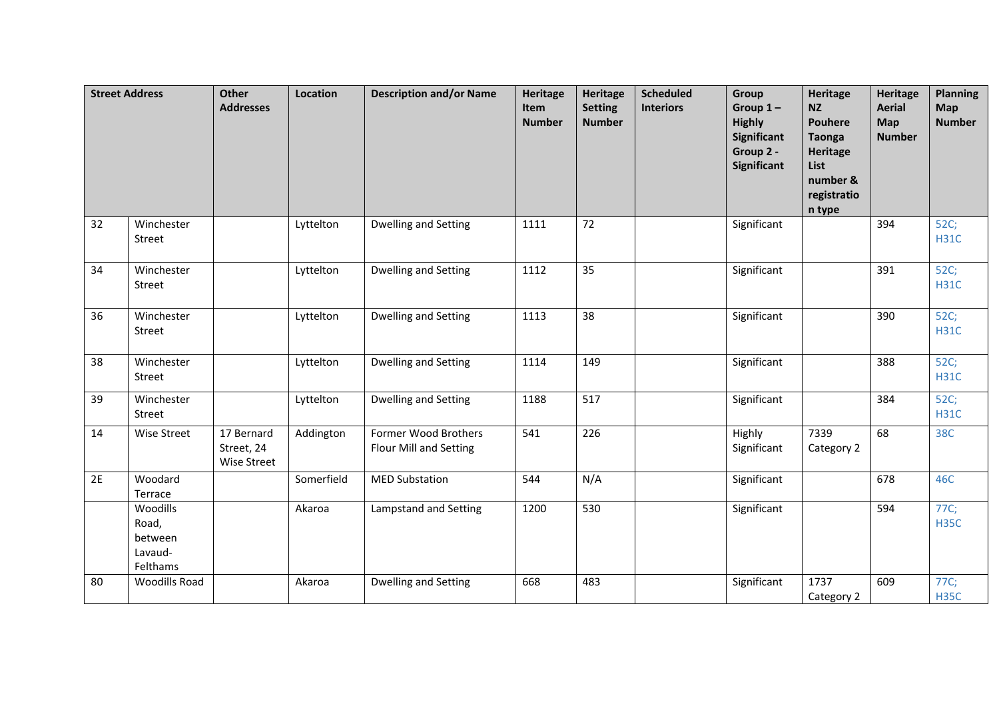|    | <b>Street Address</b>                               | <b>Other</b><br><b>Addresses</b>        | Location   | <b>Description and/or Name</b>                        | <b>Heritage</b><br>Item<br><b>Number</b> | <b>Heritage</b><br><b>Setting</b><br><b>Number</b> | <b>Scheduled</b><br><b>Interiors</b> | Group<br>Group $1-$<br><b>Highly</b><br><b>Significant</b><br>Group 2 -<br><b>Significant</b> | <b>Heritage</b><br><b>NZ</b><br><b>Pouhere</b><br><b>Taonga</b><br><b>Heritage</b><br>List<br>number &<br>registratio<br>n type | <b>Heritage</b><br><b>Aerial</b><br>Map<br><b>Number</b> | <b>Planning</b><br>Map<br><b>Number</b> |
|----|-----------------------------------------------------|-----------------------------------------|------------|-------------------------------------------------------|------------------------------------------|----------------------------------------------------|--------------------------------------|-----------------------------------------------------------------------------------------------|---------------------------------------------------------------------------------------------------------------------------------|----------------------------------------------------------|-----------------------------------------|
| 32 | Winchester<br>Street                                |                                         | Lyttelton  | <b>Dwelling and Setting</b>                           | 1111                                     | 72                                                 |                                      | Significant                                                                                   |                                                                                                                                 | 394                                                      | 52C;<br><b>H31C</b>                     |
| 34 | Winchester<br>Street                                |                                         | Lyttelton  | Dwelling and Setting                                  | 1112                                     | 35                                                 |                                      | Significant                                                                                   |                                                                                                                                 | 391                                                      | 52C;<br><b>H31C</b>                     |
| 36 | Winchester<br>Street                                |                                         | Lyttelton  | Dwelling and Setting                                  | 1113                                     | 38                                                 |                                      | Significant                                                                                   |                                                                                                                                 | 390                                                      | 52C;<br><b>H31C</b>                     |
| 38 | Winchester<br>Street                                |                                         | Lyttelton  | Dwelling and Setting                                  | 1114                                     | 149                                                |                                      | Significant                                                                                   |                                                                                                                                 | 388                                                      | 52C;<br><b>H31C</b>                     |
| 39 | Winchester<br>Street                                |                                         | Lyttelton  | <b>Dwelling and Setting</b>                           | 1188                                     | 517                                                |                                      | Significant                                                                                   |                                                                                                                                 | 384                                                      | 52C;<br><b>H31C</b>                     |
| 14 | <b>Wise Street</b>                                  | 17 Bernard<br>Street, 24<br>Wise Street | Addington  | Former Wood Brothers<br><b>Flour Mill and Setting</b> | 541                                      | 226                                                |                                      | Highly<br>Significant                                                                         | 7339<br>Category 2                                                                                                              | 68                                                       | <b>38C</b>                              |
| 2E | Woodard<br>Terrace                                  |                                         | Somerfield | <b>MED Substation</b>                                 | 544                                      | N/A                                                |                                      | Significant                                                                                   |                                                                                                                                 | 678                                                      | 46C                                     |
|    | Woodills<br>Road,<br>between<br>Lavaud-<br>Felthams |                                         | Akaroa     | Lampstand and Setting                                 | 1200                                     | 530                                                |                                      | Significant                                                                                   |                                                                                                                                 | 594                                                      | 77C;<br><b>H35C</b>                     |
| 80 | <b>Woodills Road</b>                                |                                         | Akaroa     | <b>Dwelling and Setting</b>                           | 668                                      | 483                                                |                                      | Significant                                                                                   | 1737<br>Category 2                                                                                                              | 609                                                      | 77C;<br><b>H35C</b>                     |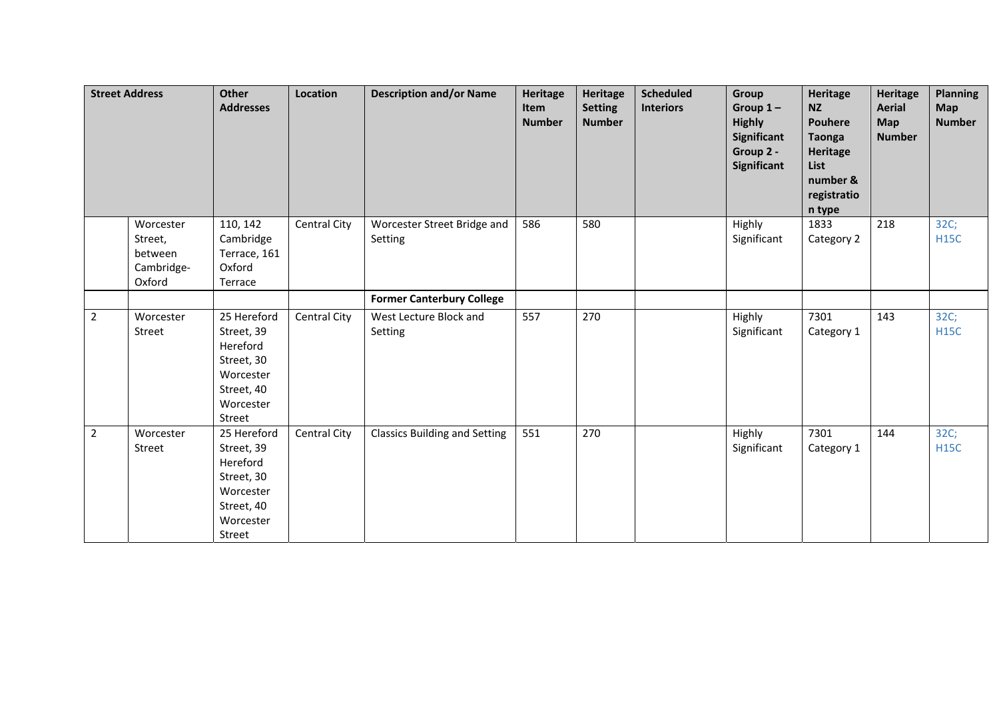| <b>Street Address</b> |                                                         | <b>Other</b><br><b>Addresses</b>                                                                      | Location            | <b>Description and/or Name</b>         | Heritage<br>Item<br><b>Number</b> | Heritage<br><b>Setting</b><br><b>Number</b> | <b>Scheduled</b><br><b>Interiors</b> | Group<br>Group $1-$<br><b>Highly</b><br><b>Significant</b><br>Group 2 -<br><b>Significant</b> | Heritage<br><b>NZ</b><br>Pouhere<br><b>Taonga</b><br>Heritage<br><b>List</b><br>number &<br>registratio<br>n type | <b>Heritage</b><br><b>Aerial</b><br><b>Map</b><br><b>Number</b> | <b>Planning</b><br><b>Map</b><br><b>Number</b> |
|-----------------------|---------------------------------------------------------|-------------------------------------------------------------------------------------------------------|---------------------|----------------------------------------|-----------------------------------|---------------------------------------------|--------------------------------------|-----------------------------------------------------------------------------------------------|-------------------------------------------------------------------------------------------------------------------|-----------------------------------------------------------------|------------------------------------------------|
|                       | Worcester<br>Street,<br>between<br>Cambridge-<br>Oxford | 110, 142<br>Cambridge<br>Terrace, 161<br>Oxford<br>Terrace                                            | <b>Central City</b> | Worcester Street Bridge and<br>Setting | 586                               | 580                                         |                                      | Highly<br>Significant                                                                         | 1833<br>Category 2                                                                                                | 218                                                             | 32C;<br><b>H15C</b>                            |
|                       |                                                         |                                                                                                       |                     | <b>Former Canterbury College</b>       |                                   |                                             |                                      |                                                                                               |                                                                                                                   |                                                                 |                                                |
| $\overline{2}$        | Worcester<br>Street                                     | 25 Hereford<br>Street, 39<br>Hereford<br>Street, 30<br>Worcester<br>Street, 40<br>Worcester<br>Street | <b>Central City</b> | West Lecture Block and<br>Setting      | 557                               | 270                                         |                                      | Highly<br>Significant                                                                         | 7301<br>Category 1                                                                                                | 143                                                             | 32C;<br><b>H15C</b>                            |
| $\overline{2}$        | Worcester<br>Street                                     | 25 Hereford<br>Street, 39<br>Hereford<br>Street, 30<br>Worcester<br>Street, 40<br>Worcester<br>Street | <b>Central City</b> | <b>Classics Building and Setting</b>   | 551                               | 270                                         |                                      | Highly<br>Significant                                                                         | 7301<br>Category 1                                                                                                | 144                                                             | 32C;<br><b>H15C</b>                            |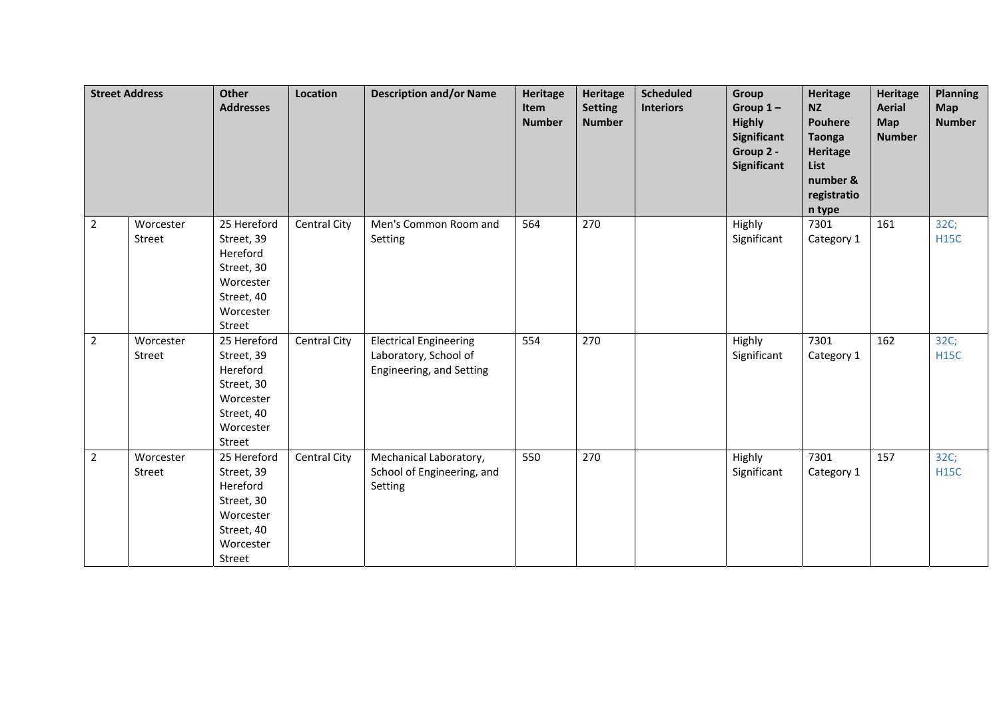|                | <b>Street Address</b> | <b>Other</b><br><b>Addresses</b>                                                                      | Location            | <b>Description and/or Name</b>                                                     | <b>Heritage</b><br>Item<br><b>Number</b> | <b>Heritage</b><br><b>Setting</b><br><b>Number</b> | <b>Scheduled</b><br><b>Interiors</b> | Group<br>Group $1-$<br><b>Highly</b><br>Significant<br>Group 2 -<br>Significant | <b>Heritage</b><br><b>NZ</b><br><b>Pouhere</b><br><b>Taonga</b><br><b>Heritage</b><br>List<br>number &<br>registratio<br>n type | <b>Heritage</b><br><b>Aerial</b><br><b>Map</b><br><b>Number</b> | <b>Planning</b><br><b>Map</b><br><b>Number</b> |
|----------------|-----------------------|-------------------------------------------------------------------------------------------------------|---------------------|------------------------------------------------------------------------------------|------------------------------------------|----------------------------------------------------|--------------------------------------|---------------------------------------------------------------------------------|---------------------------------------------------------------------------------------------------------------------------------|-----------------------------------------------------------------|------------------------------------------------|
| $2^{\circ}$    | Worcester<br>Street   | 25 Hereford<br>Street, 39<br>Hereford<br>Street, 30<br>Worcester<br>Street, 40<br>Worcester<br>Street | Central City        | Men's Common Room and<br>Setting                                                   | 564                                      | 270                                                |                                      | Highly<br>Significant                                                           | 7301<br>Category 1                                                                                                              | 161                                                             | 32C;<br><b>H15C</b>                            |
| $2^{\circ}$    | Worcester<br>Street   | 25 Hereford<br>Street, 39<br>Hereford<br>Street, 30<br>Worcester<br>Street, 40<br>Worcester<br>Street | Central City        | <b>Electrical Engineering</b><br>Laboratory, School of<br>Engineering, and Setting | 554                                      | 270                                                |                                      | Highly<br>Significant                                                           | 7301<br>Category 1                                                                                                              | 162                                                             | 32C;<br><b>H15C</b>                            |
| $\overline{2}$ | Worcester<br>Street   | 25 Hereford<br>Street, 39<br>Hereford<br>Street, 30<br>Worcester<br>Street, 40<br>Worcester<br>Street | <b>Central City</b> | Mechanical Laboratory,<br>School of Engineering, and<br>Setting                    | 550                                      | 270                                                |                                      | Highly<br>Significant                                                           | 7301<br>Category 1                                                                                                              | 157                                                             | 32C;<br><b>H15C</b>                            |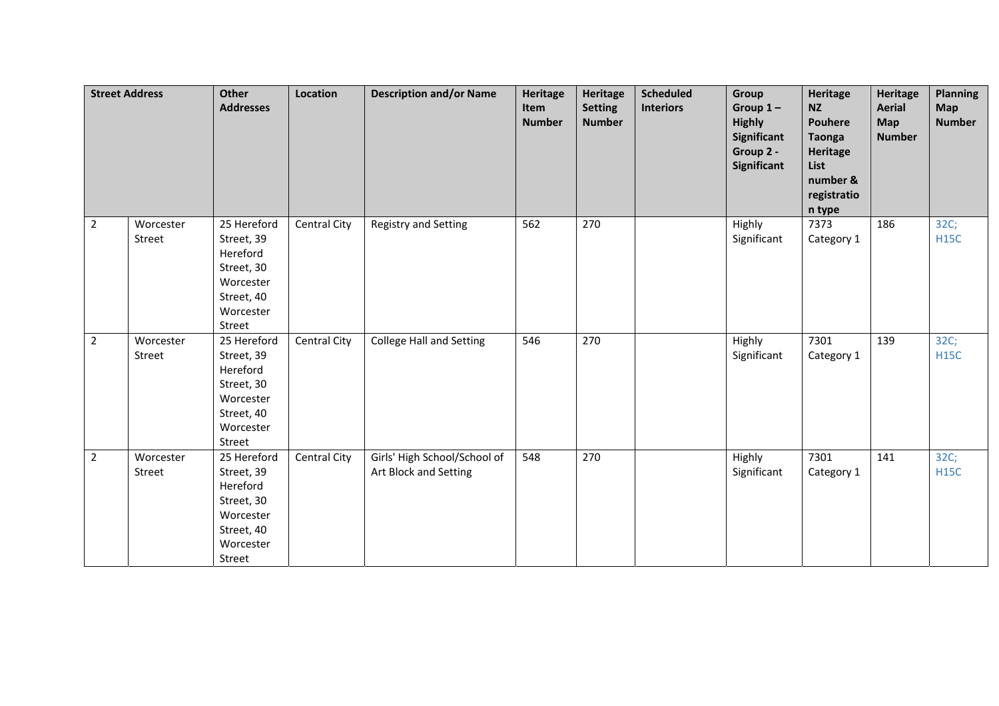|                | <b>Street Address</b> | <b>Other</b><br><b>Addresses</b>                                                                      | Location            | <b>Description and/or Name</b>                        | <b>Heritage</b><br>Item<br><b>Number</b> | <b>Heritage</b><br><b>Setting</b><br><b>Number</b> | <b>Scheduled</b><br><b>Interiors</b> | Group<br>Group $1-$<br><b>Highly</b><br>Significant<br>Group 2 -<br>Significant | <b>Heritage</b><br><b>NZ</b><br><b>Pouhere</b><br><b>Taonga</b><br><b>Heritage</b><br>List<br>number &<br>registratio<br>n type | <b>Heritage</b><br><b>Aerial</b><br>Map<br><b>Number</b> | <b>Planning</b><br><b>Map</b><br><b>Number</b> |
|----------------|-----------------------|-------------------------------------------------------------------------------------------------------|---------------------|-------------------------------------------------------|------------------------------------------|----------------------------------------------------|--------------------------------------|---------------------------------------------------------------------------------|---------------------------------------------------------------------------------------------------------------------------------|----------------------------------------------------------|------------------------------------------------|
| $2^{\circ}$    | Worcester<br>Street   | 25 Hereford<br>Street, 39<br>Hereford<br>Street, 30<br>Worcester<br>Street, 40<br>Worcester<br>Street | <b>Central City</b> | <b>Registry and Setting</b>                           | 562                                      | 270                                                |                                      | Highly<br>Significant                                                           | 7373<br>Category 1                                                                                                              | 186                                                      | 32C;<br><b>H15C</b>                            |
| $2^{\circ}$    | Worcester<br>Street   | 25 Hereford<br>Street, 39<br>Hereford<br>Street, 30<br>Worcester<br>Street, 40<br>Worcester<br>Street | <b>Central City</b> | <b>College Hall and Setting</b>                       | 546                                      | 270                                                |                                      | Highly<br>Significant                                                           | 7301<br>Category 1                                                                                                              | 139                                                      | 32C;<br><b>H15C</b>                            |
| $\overline{2}$ | Worcester<br>Street   | 25 Hereford<br>Street, 39<br>Hereford<br>Street, 30<br>Worcester<br>Street, 40<br>Worcester<br>Street | <b>Central City</b> | Girls' High School/School of<br>Art Block and Setting | 548                                      | 270                                                |                                      | Highly<br>Significant                                                           | 7301<br>Category 1                                                                                                              | 141                                                      | 32C;<br><b>H15C</b>                            |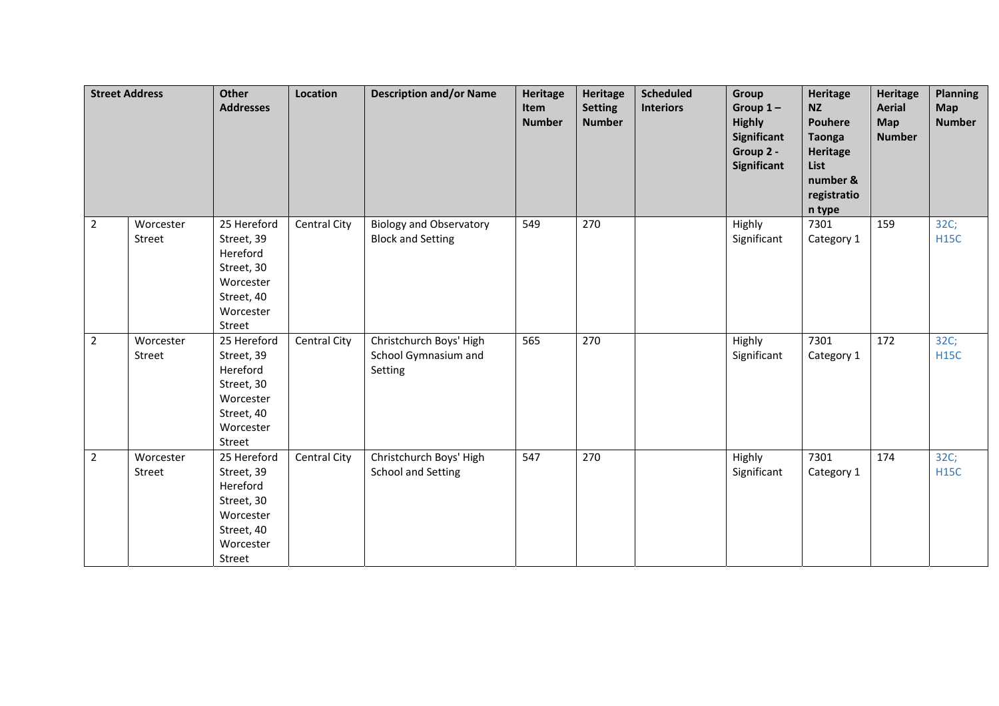|                | <b>Street Address</b> | <b>Other</b><br><b>Addresses</b>                                                                      | Location     | <b>Description and/or Name</b>                             | <b>Heritage</b><br>Item<br><b>Number</b> | Heritage<br><b>Setting</b><br><b>Number</b> | <b>Scheduled</b><br><b>Interiors</b> | Group<br>Group $1-$<br><b>Highly</b><br><b>Significant</b><br>Group 2 -<br>Significant | <b>Heritage</b><br><b>NZ</b><br><b>Pouhere</b><br><b>Taonga</b><br><b>Heritage</b><br>List<br>number &<br>registratio<br>n type | <b>Heritage</b><br><b>Aerial</b><br><b>Map</b><br><b>Number</b> | <b>Planning</b><br><b>Map</b><br><b>Number</b> |
|----------------|-----------------------|-------------------------------------------------------------------------------------------------------|--------------|------------------------------------------------------------|------------------------------------------|---------------------------------------------|--------------------------------------|----------------------------------------------------------------------------------------|---------------------------------------------------------------------------------------------------------------------------------|-----------------------------------------------------------------|------------------------------------------------|
| $2^{\circ}$    | Worcester<br>Street   | 25 Hereford<br>Street, 39<br>Hereford<br>Street, 30<br>Worcester<br>Street, 40<br>Worcester<br>Street | Central City | <b>Biology and Observatory</b><br><b>Block and Setting</b> | 549                                      | 270                                         |                                      | Highly<br>Significant                                                                  | 7301<br>Category 1                                                                                                              | 159                                                             | 32C;<br><b>H15C</b>                            |
| 2 <sup>1</sup> | Worcester<br>Street   | 25 Hereford<br>Street, 39<br>Hereford<br>Street, 30<br>Worcester<br>Street, 40<br>Worcester<br>Street | Central City | Christchurch Boys' High<br>School Gymnasium and<br>Setting | 565                                      | 270                                         |                                      | Highly<br>Significant                                                                  | 7301<br>Category 1                                                                                                              | 172                                                             | 32C;<br><b>H15C</b>                            |
| $\overline{2}$ | Worcester<br>Street   | 25 Hereford<br>Street, 39<br>Hereford<br>Street, 30<br>Worcester<br>Street, 40<br>Worcester<br>Street | Central City | Christchurch Boys' High<br><b>School and Setting</b>       | 547                                      | 270                                         |                                      | Highly<br>Significant                                                                  | 7301<br>Category 1                                                                                                              | 174                                                             | 32C;<br><b>H15C</b>                            |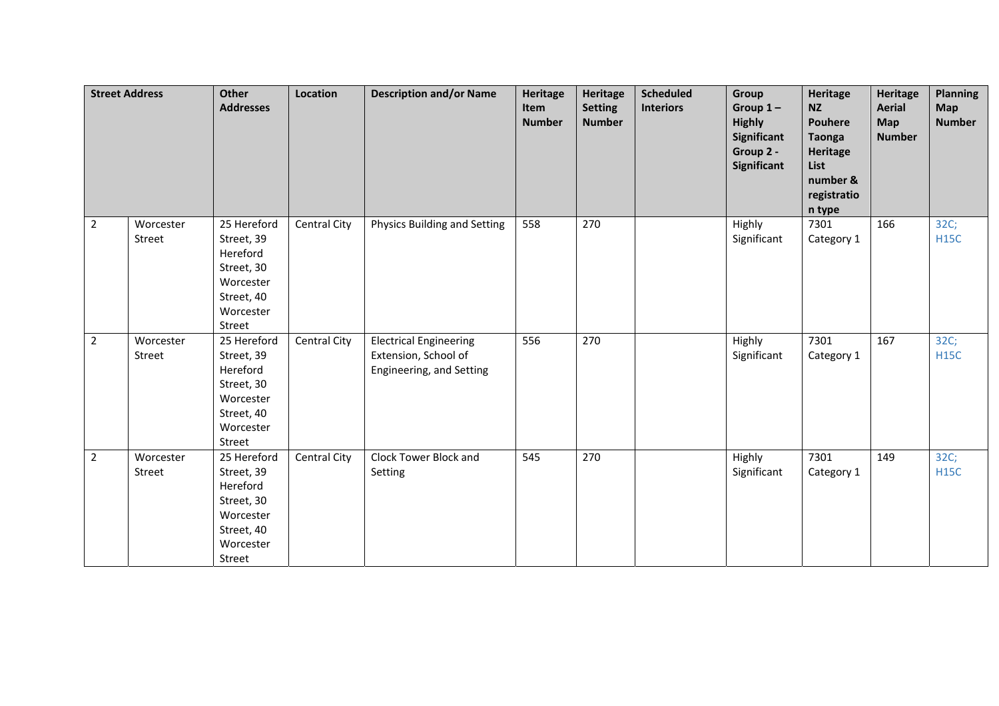|                | <b>Street Address</b> | <b>Other</b><br><b>Addresses</b>                                                                      | Location            | <b>Description and/or Name</b>                                                    | <b>Heritage</b><br>Item<br><b>Number</b> | Heritage<br><b>Setting</b><br><b>Number</b> | <b>Scheduled</b><br><b>Interiors</b> | Group<br>Group $1-$<br><b>Highly</b><br>Significant<br>Group 2 -<br>Significant | <b>Heritage</b><br><b>NZ</b><br><b>Pouhere</b><br><b>Taonga</b><br><b>Heritage</b><br>List<br>number &<br>registratio<br>n type | <b>Heritage</b><br><b>Aerial</b><br><b>Map</b><br><b>Number</b> | <b>Planning</b><br><b>Map</b><br><b>Number</b> |
|----------------|-----------------------|-------------------------------------------------------------------------------------------------------|---------------------|-----------------------------------------------------------------------------------|------------------------------------------|---------------------------------------------|--------------------------------------|---------------------------------------------------------------------------------|---------------------------------------------------------------------------------------------------------------------------------|-----------------------------------------------------------------|------------------------------------------------|
| $2^{\circ}$    | Worcester<br>Street   | 25 Hereford<br>Street, 39<br>Hereford<br>Street, 30<br>Worcester<br>Street, 40<br>Worcester<br>Street | <b>Central City</b> | Physics Building and Setting                                                      | 558                                      | 270                                         |                                      | Highly<br>Significant                                                           | 7301<br>Category 1                                                                                                              | 166                                                             | 32C;<br><b>H15C</b>                            |
| $2^{\circ}$    | Worcester<br>Street   | 25 Hereford<br>Street, 39<br>Hereford<br>Street, 30<br>Worcester<br>Street, 40<br>Worcester<br>Street | Central City        | <b>Electrical Engineering</b><br>Extension, School of<br>Engineering, and Setting | 556                                      | 270                                         |                                      | Highly<br>Significant                                                           | 7301<br>Category 1                                                                                                              | 167                                                             | 32C;<br><b>H15C</b>                            |
| $\overline{2}$ | Worcester<br>Street   | 25 Hereford<br>Street, 39<br>Hereford<br>Street, 30<br>Worcester<br>Street, 40<br>Worcester<br>Street | <b>Central City</b> | Clock Tower Block and<br>Setting                                                  | 545                                      | 270                                         |                                      | Highly<br>Significant                                                           | 7301<br>Category 1                                                                                                              | 149                                                             | 32C;<br><b>H15C</b>                            |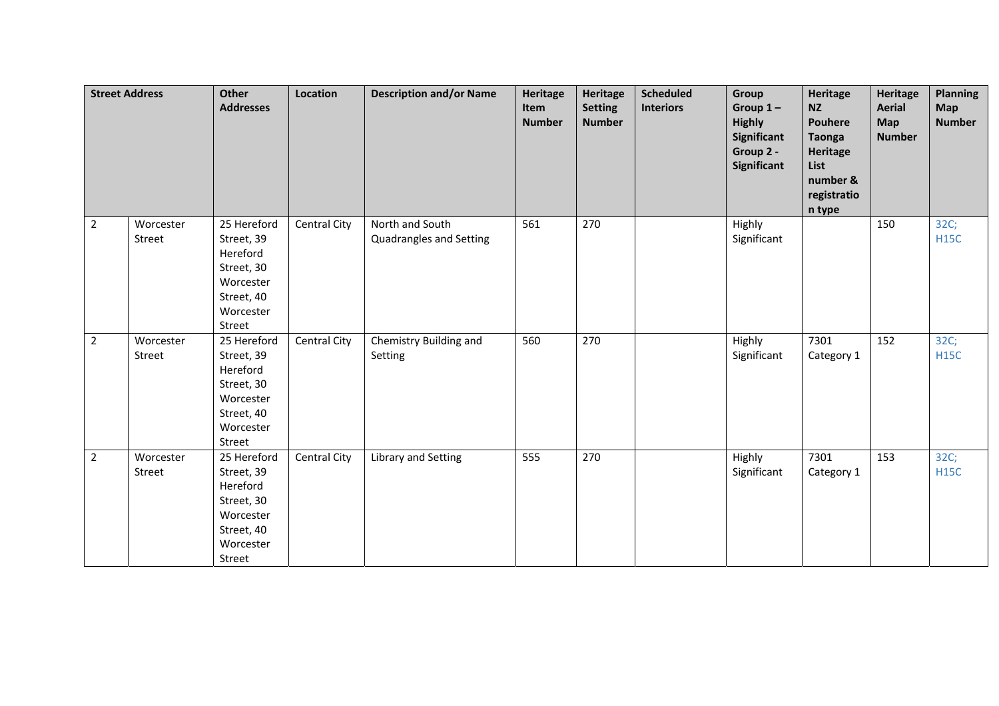|                | <b>Street Address</b> | <b>Other</b><br><b>Addresses</b>                                                                      | Location            | <b>Description and/or Name</b>             | <b>Heritage</b><br>Item<br><b>Number</b> | <b>Heritage</b><br><b>Setting</b><br><b>Number</b> | <b>Scheduled</b><br><b>Interiors</b> | Group<br>Group $1-$<br><b>Highly</b><br>Significant<br>Group 2 -<br>Significant | <b>Heritage</b><br><b>NZ</b><br><b>Pouhere</b><br><b>Taonga</b><br><b>Heritage</b><br>List<br>number &<br>registratio<br>n type | <b>Heritage</b><br><b>Aerial</b><br>Map<br><b>Number</b> | <b>Planning</b><br><b>Map</b><br><b>Number</b> |
|----------------|-----------------------|-------------------------------------------------------------------------------------------------------|---------------------|--------------------------------------------|------------------------------------------|----------------------------------------------------|--------------------------------------|---------------------------------------------------------------------------------|---------------------------------------------------------------------------------------------------------------------------------|----------------------------------------------------------|------------------------------------------------|
| $2^{\circ}$    | Worcester<br>Street   | 25 Hereford<br>Street, 39<br>Hereford<br>Street, 30<br>Worcester<br>Street, 40<br>Worcester<br>Street | <b>Central City</b> | North and South<br>Quadrangles and Setting | 561                                      | 270                                                |                                      | Highly<br>Significant                                                           |                                                                                                                                 | 150                                                      | 32C;<br><b>H15C</b>                            |
| 2 <sup>1</sup> | Worcester<br>Street   | 25 Hereford<br>Street, 39<br>Hereford<br>Street, 30<br>Worcester<br>Street, 40<br>Worcester<br>Street | Central City        | Chemistry Building and<br>Setting          | 560                                      | 270                                                |                                      | Highly<br>Significant                                                           | 7301<br>Category 1                                                                                                              | 152                                                      | 32C;<br><b>H15C</b>                            |
| $\overline{2}$ | Worcester<br>Street   | 25 Hereford<br>Street, 39<br>Hereford<br>Street, 30<br>Worcester<br>Street, 40<br>Worcester<br>Street | <b>Central City</b> | Library and Setting                        | 555                                      | 270                                                |                                      | Highly<br>Significant                                                           | 7301<br>Category 1                                                                                                              | 153                                                      | 32C;<br><b>H15C</b>                            |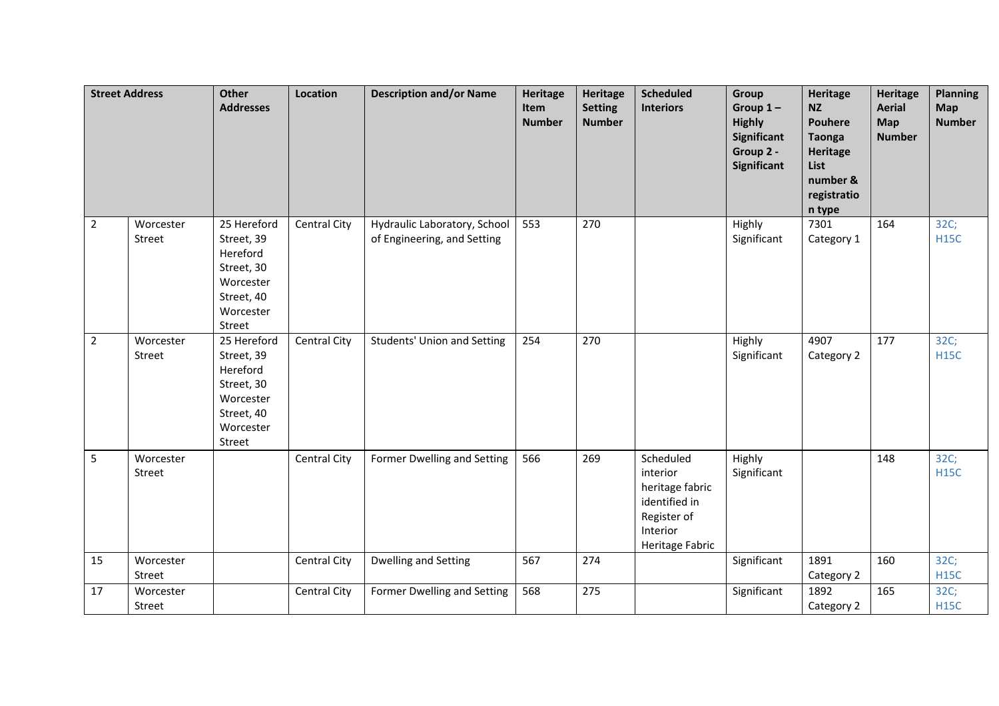| <b>Street Address</b> |                     | <b>Other</b><br><b>Addresses</b>                                                                      | Location     | <b>Description and/or Name</b>                              | <b>Heritage</b><br>Item<br><b>Number</b> | <b>Heritage</b><br><b>Setting</b><br><b>Number</b> | <b>Scheduled</b><br><b>Interiors</b>                                                                    | Group<br>Group $1-$<br><b>Highly</b><br><b>Significant</b><br>Group 2 -<br><b>Significant</b> | <b>Heritage</b><br><b>NZ</b><br><b>Pouhere</b><br><b>Taonga</b><br><b>Heritage</b><br>List<br>number &<br>registratio<br>n type | <b>Heritage</b><br><b>Aerial</b><br>Map<br><b>Number</b> | <b>Planning</b><br>Map<br><b>Number</b> |
|-----------------------|---------------------|-------------------------------------------------------------------------------------------------------|--------------|-------------------------------------------------------------|------------------------------------------|----------------------------------------------------|---------------------------------------------------------------------------------------------------------|-----------------------------------------------------------------------------------------------|---------------------------------------------------------------------------------------------------------------------------------|----------------------------------------------------------|-----------------------------------------|
| $\overline{2}$        | Worcester<br>Street | 25 Hereford<br>Street, 39<br>Hereford<br>Street, 30<br>Worcester<br>Street, 40<br>Worcester<br>Street | Central City | Hydraulic Laboratory, School<br>of Engineering, and Setting | 553                                      | 270                                                |                                                                                                         | Highly<br>Significant                                                                         | 7301<br>Category 1                                                                                                              | 164                                                      | 32C;<br><b>H15C</b>                     |
| $\overline{2}$        | Worcester<br>Street | 25 Hereford<br>Street, 39<br>Hereford<br>Street, 30<br>Worcester<br>Street, 40<br>Worcester<br>Street | Central City | <b>Students' Union and Setting</b>                          | 254                                      | 270                                                |                                                                                                         | Highly<br>Significant                                                                         | 4907<br>Category 2                                                                                                              | 177                                                      | 32C;<br><b>H15C</b>                     |
| 5                     | Worcester<br>Street |                                                                                                       | Central City | Former Dwelling and Setting                                 | 566                                      | 269                                                | Scheduled<br>interior<br>heritage fabric<br>identified in<br>Register of<br>Interior<br>Heritage Fabric | Highly<br>Significant                                                                         |                                                                                                                                 | 148                                                      | 32C;<br><b>H15C</b>                     |
| 15                    | Worcester<br>Street |                                                                                                       | Central City | Dwelling and Setting                                        | 567                                      | 274                                                |                                                                                                         | Significant                                                                                   | 1891<br>Category 2                                                                                                              | 160                                                      | 32C;<br><b>H15C</b>                     |
| 17                    | Worcester<br>Street |                                                                                                       | Central City | Former Dwelling and Setting                                 | 568                                      | 275                                                |                                                                                                         | Significant                                                                                   | 1892<br>Category 2                                                                                                              | 165                                                      | 32C;<br><b>H15C</b>                     |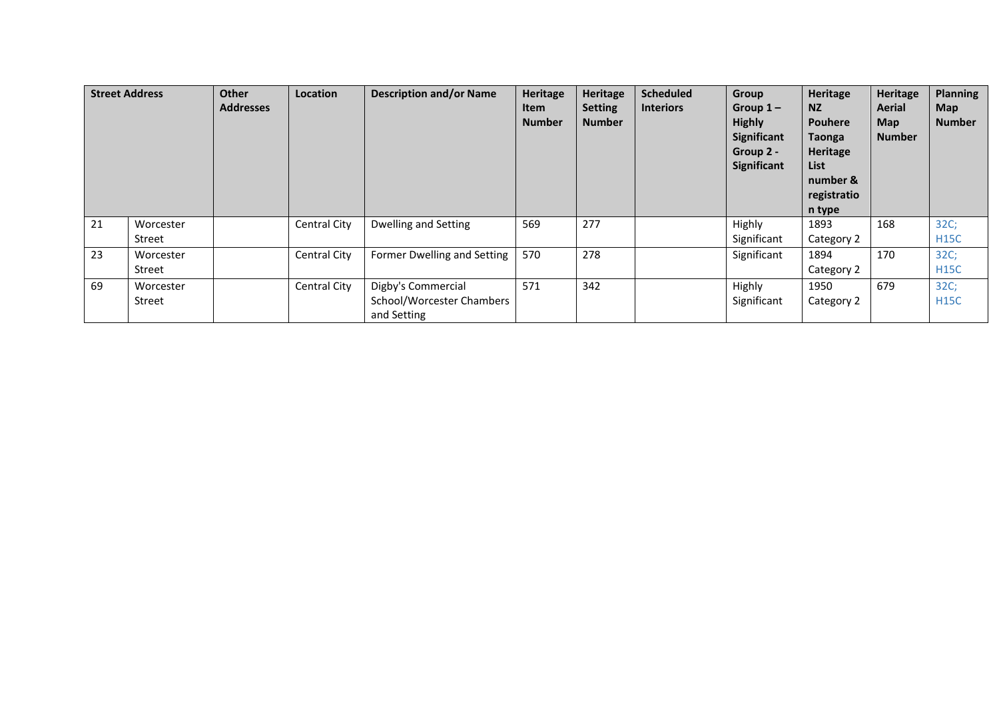| <b>Street Address</b> |                     | Other<br><b>Addresses</b> | Location            | <b>Description and/or Name</b>                                 | Heritage<br><b>Item</b><br><b>Number</b> | <b>Heritage</b><br><b>Setting</b><br><b>Number</b> | <b>Scheduled</b><br><b>Interiors</b> | Group<br>Group $1-$<br><b>Highly</b><br>Significant<br>Group 2 -<br>Significant | Heritage<br>NZ.<br><b>Pouhere</b><br>Taonga<br>Heritage<br>List<br>number &<br>registratio<br>n type | Heritage<br>Aerial<br><b>Map</b><br><b>Number</b> | <b>Planning</b><br><b>Map</b><br><b>Number</b> |
|-----------------------|---------------------|---------------------------|---------------------|----------------------------------------------------------------|------------------------------------------|----------------------------------------------------|--------------------------------------|---------------------------------------------------------------------------------|------------------------------------------------------------------------------------------------------|---------------------------------------------------|------------------------------------------------|
| 21                    | Worcester<br>Street |                           | <b>Central City</b> | Dwelling and Setting                                           | 569                                      | 277                                                |                                      | Highly<br>Significant                                                           | 1893<br>Category 2                                                                                   | 168                                               | 32C;<br><b>H15C</b>                            |
| 23                    | Worcester<br>Street |                           | <b>Central City</b> | Former Dwelling and Setting                                    | 570                                      | 278                                                |                                      | Significant                                                                     | 1894<br>Category 2                                                                                   | 170                                               | 32C;<br><b>H15C</b>                            |
| 69                    | Worcester<br>Street |                           | <b>Central City</b> | Digby's Commercial<br>School/Worcester Chambers<br>and Setting | 571                                      | 342                                                |                                      | Highly<br>Significant                                                           | 1950<br>Category 2                                                                                   | 679                                               | 32C;<br><b>H15C</b>                            |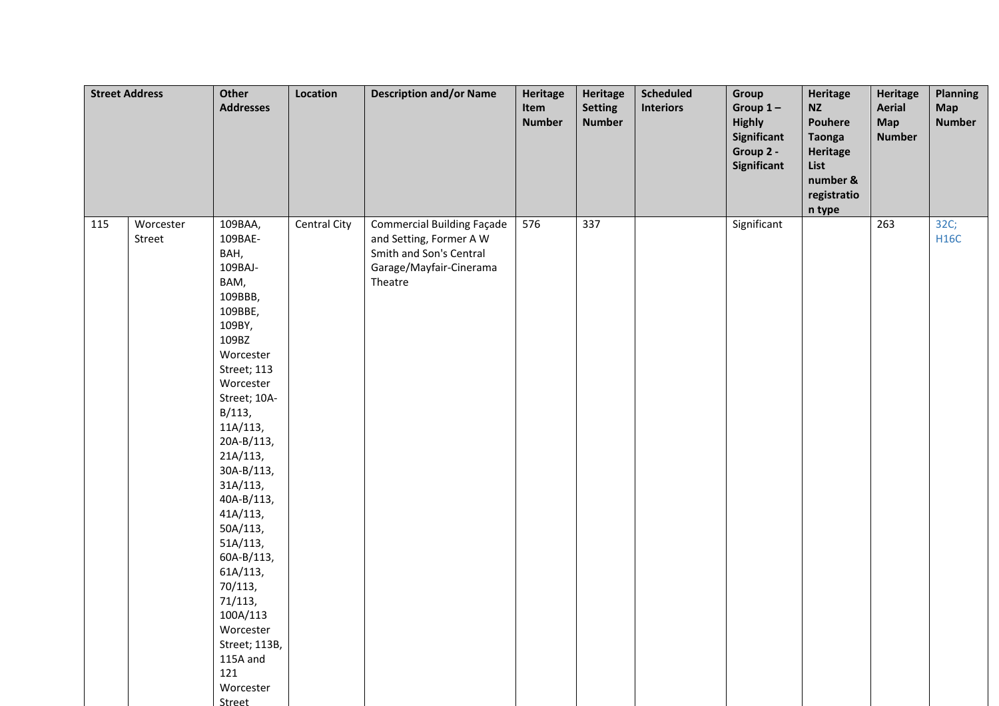| <b>Street Address</b> |                     | Other<br><b>Addresses</b>                                                                                                                                                                                                                                                                                                                                                                                       | Location     | <b>Description and/or Name</b>                                                                                                | Heritage<br>Item<br><b>Number</b> | <b>Heritage</b><br><b>Setting</b><br><b>Number</b> | <b>Scheduled</b><br><b>Interiors</b> | Group<br>Group $1-$<br><b>Highly</b><br>Significant<br>Group 2 -<br>Significant | Heritage<br><b>NZ</b><br>Pouhere<br><b>Taonga</b><br>Heritage<br>List<br>number &<br>registratio<br>n type | <b>Heritage</b><br><b>Aerial</b><br><b>Map</b><br><b>Number</b> | Planning<br>Map<br><b>Number</b> |
|-----------------------|---------------------|-----------------------------------------------------------------------------------------------------------------------------------------------------------------------------------------------------------------------------------------------------------------------------------------------------------------------------------------------------------------------------------------------------------------|--------------|-------------------------------------------------------------------------------------------------------------------------------|-----------------------------------|----------------------------------------------------|--------------------------------------|---------------------------------------------------------------------------------|------------------------------------------------------------------------------------------------------------|-----------------------------------------------------------------|----------------------------------|
| 115                   | Worcester<br>Street | 109BAA,<br>109BAE-<br>BAH,<br>109BAJ-<br>BAM,<br>109BBB,<br>109BBE,<br>109BY,<br>109BZ<br>Worcester<br>Street; 113<br>Worcester<br>Street; 10A-<br>B/113,<br>11A/113,<br>20A-B/113,<br>21A/113,<br>30A-B/113,<br>31A/113,<br>40A-B/113,<br>41A/113,<br>50A/113,<br>51A/113,<br>60A-B/113,<br>61A/113,<br>70/113,<br>71/113,<br>100A/113<br>Worcester<br>Street; 113B,<br>115A and<br>121<br>Worcester<br>Street | Central City | <b>Commercial Building Façade</b><br>and Setting, Former A W<br>Smith and Son's Central<br>Garage/Mayfair-Cinerama<br>Theatre | 576                               | 337                                                |                                      | Significant                                                                     |                                                                                                            | 263                                                             | 32C;<br><b>H16C</b>              |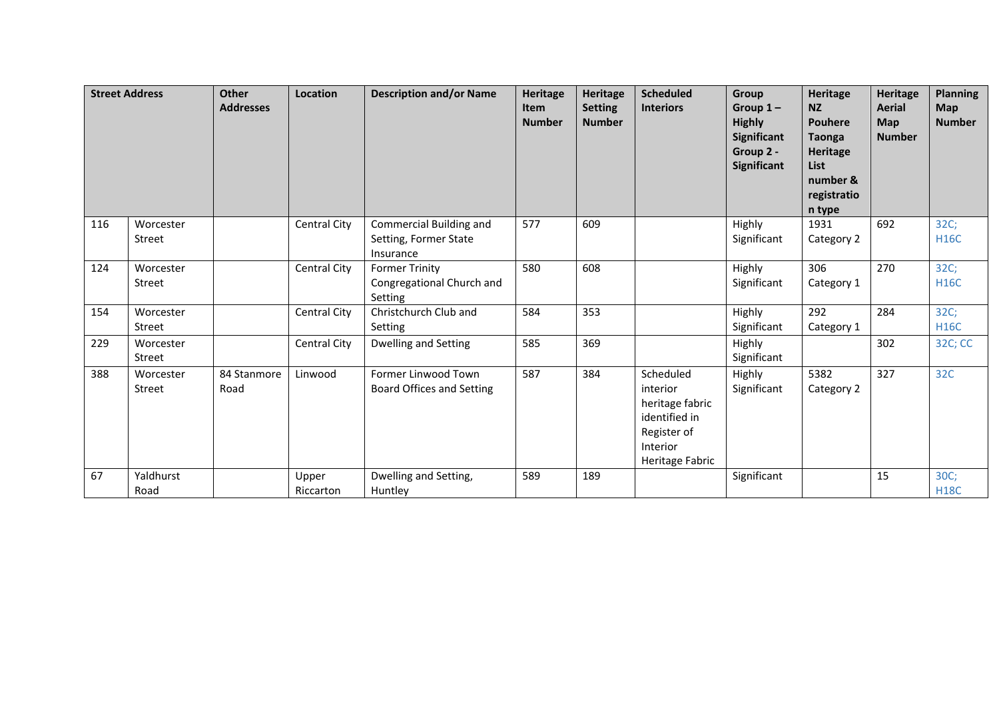|     | <b>Street Address</b> | <b>Other</b><br><b>Addresses</b> | Location           | <b>Description and/or Name</b>                                | <b>Heritage</b><br><b>Item</b><br><b>Number</b> | Heritage<br><b>Setting</b><br><b>Number</b> | <b>Scheduled</b><br><b>Interiors</b>                                                                    | Group<br>Group $1-$<br><b>Highly</b><br>Significant<br>Group 2 -<br>Significant | Heritage<br>NZ<br><b>Pouhere</b><br><b>Taonga</b><br>Heritage<br>List<br>number &<br>registratio<br>n type | <b>Heritage</b><br><b>Aerial</b><br><b>Map</b><br><b>Number</b> | <b>Planning</b><br><b>Map</b><br><b>Number</b> |
|-----|-----------------------|----------------------------------|--------------------|---------------------------------------------------------------|-------------------------------------------------|---------------------------------------------|---------------------------------------------------------------------------------------------------------|---------------------------------------------------------------------------------|------------------------------------------------------------------------------------------------------------|-----------------------------------------------------------------|------------------------------------------------|
| 116 | Worcester<br>Street   |                                  | Central City       | Commercial Building and<br>Setting, Former State<br>Insurance | 577                                             | 609                                         |                                                                                                         | Highly<br>Significant                                                           | 1931<br>Category 2                                                                                         | 692                                                             | 32C;<br><b>H16C</b>                            |
| 124 | Worcester<br>Street   |                                  | Central City       | <b>Former Trinity</b><br>Congregational Church and<br>Setting | 580                                             | 608                                         |                                                                                                         | Highly<br>Significant                                                           | 306<br>Category 1                                                                                          | 270                                                             | 32C;<br><b>H16C</b>                            |
| 154 | Worcester<br>Street   |                                  | Central City       | Christchurch Club and<br>Setting                              | 584                                             | 353                                         |                                                                                                         | Highly<br>Significant                                                           | 292<br>Category 1                                                                                          | 284                                                             | 32C;<br><b>H16C</b>                            |
| 229 | Worcester<br>Street   |                                  | Central City       | Dwelling and Setting                                          | 585                                             | 369                                         |                                                                                                         | Highly<br>Significant                                                           |                                                                                                            | 302                                                             | 32C; CC                                        |
| 388 | Worcester<br>Street   | 84 Stanmore<br>Road              | Linwood            | Former Linwood Town<br>Board Offices and Setting              | 587                                             | 384                                         | Scheduled<br>interior<br>heritage fabric<br>identified in<br>Register of<br>Interior<br>Heritage Fabric | Highly<br>Significant                                                           | 5382<br>Category 2                                                                                         | 327                                                             | 32C                                            |
| 67  | Yaldhurst<br>Road     |                                  | Upper<br>Riccarton | Dwelling and Setting,<br>Huntley                              | 589                                             | 189                                         |                                                                                                         | Significant                                                                     |                                                                                                            | 15                                                              | 30C;<br><b>H18C</b>                            |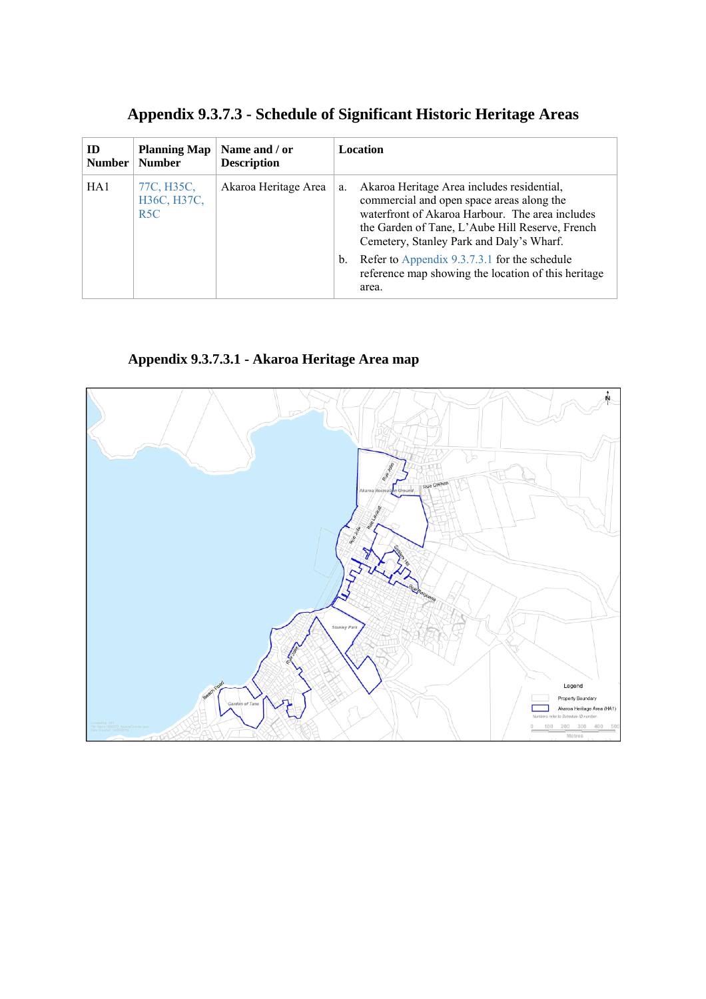|  |  | <b>Appendix 9.3.7.3 - Schedule of Significant Historic Heritage Areas</b> |
|--|--|---------------------------------------------------------------------------|
|--|--|---------------------------------------------------------------------------|

| ID              | <b>Planning Map</b>              | Name and / or        | Location                                                                                                                                                                                                                                                                                                                                                              |
|-----------------|----------------------------------|----------------------|-----------------------------------------------------------------------------------------------------------------------------------------------------------------------------------------------------------------------------------------------------------------------------------------------------------------------------------------------------------------------|
| <b>Number</b>   | <b>Number</b>                    | <b>Description</b>   |                                                                                                                                                                                                                                                                                                                                                                       |
| HA <sub>1</sub> | 77C, H35C,<br>H36C, H37C,<br>R5C | Akaroa Heritage Area | Akaroa Heritage Area includes residential,<br>a.<br>commercial and open space areas along the<br>waterfront of Akaroa Harbour. The area includes<br>the Garden of Tane, L'Aube Hill Reserve, French<br>Cemetery, Stanley Park and Daly's Wharf.<br>Refer to Appendix 9.3.7.3.1 for the schedule<br>b.<br>reference map showing the location of this heritage<br>area. |

**Appendix 9.3.7.3.1 - Akaroa Heritage Area map** 

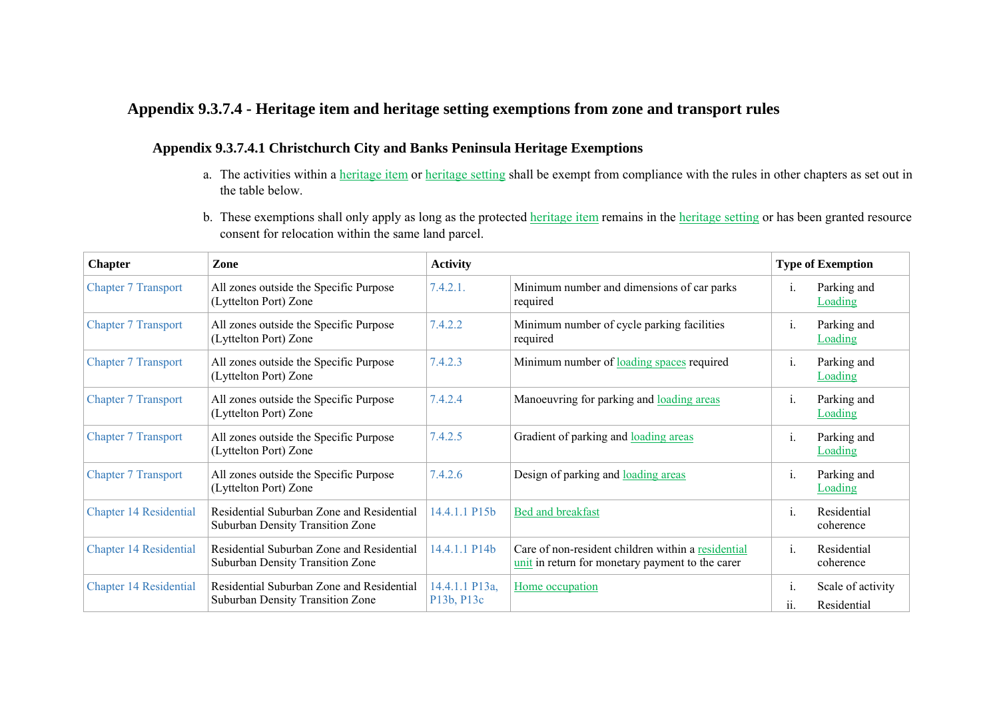# **Appendix 9.3.7.4 - Heritage item and heritage setting exemptions from zone and transport rules**

#### **Appendix 9.3.7.4.1 Christchurch City and Banks Peninsula Heritage Exemptions**

- a. The activities within a heritage item or heritage setting shall be exempt from compliance with the rules in other chapters as set out in the table below.
- b. These exemptions shall only apply as long as the protected heritage item remains in the heritage setting or has been granted resource consent for relocation within the same land parcel.

| <b>Chapter</b>                | Zone                                                                          | <b>Activity</b>              |                                                                                                        | <b>Type of Exemption</b>                      |  |
|-------------------------------|-------------------------------------------------------------------------------|------------------------------|--------------------------------------------------------------------------------------------------------|-----------------------------------------------|--|
| <b>Chapter 7 Transport</b>    | All zones outside the Specific Purpose<br>(Lyttelton Port) Zone               | 7.4.2.1.                     | Minimum number and dimensions of car parks<br>required                                                 | Parking and<br>1.<br><b>Loading</b>           |  |
| <b>Chapter 7 Transport</b>    | All zones outside the Specific Purpose<br>(Lyttelton Port) Zone               | 7.4.2.2                      | Minimum number of cycle parking facilities<br>required                                                 | Parking and<br>1.<br><b>Loading</b>           |  |
| <b>Chapter 7 Transport</b>    | All zones outside the Specific Purpose<br>(Lyttelton Port) Zone               | 7.4.2.3                      | Minimum number of <u>loading spaces</u> required                                                       | Parking and<br>$\mathbf{1}$ .<br>Loading      |  |
| <b>Chapter 7 Transport</b>    | All zones outside the Specific Purpose<br>(Lyttelton Port) Zone               | 7.4.2.4                      | Manoeuvring for parking and loading areas                                                              | Parking and<br>1.<br>Loading                  |  |
| <b>Chapter 7 Transport</b>    | All zones outside the Specific Purpose<br>(Lyttelton Port) Zone               | 7.4.2.5                      | Gradient of parking and loading areas                                                                  | Parking and<br>1.<br><b>Loading</b>           |  |
| <b>Chapter 7 Transport</b>    | All zones outside the Specific Purpose<br>(Lyttelton Port) Zone               | 7.4.2.6                      | Design of parking and loading areas                                                                    | Parking and<br>1.<br>Loading                  |  |
| Chapter 14 Residential        | Residential Suburban Zone and Residential<br>Suburban Density Transition Zone | 14.4.1.1 P15b                | Bed and breakfast                                                                                      | Residential<br>$\mathbf{1}$ .<br>coherence    |  |
| <b>Chapter 14 Residential</b> | Residential Suburban Zone and Residential<br>Suburban Density Transition Zone | 14.4.1.1 P14b                | Care of non-resident children within a residential<br>unit in return for monetary payment to the carer | Residential<br>$\mathbf{1}$ .<br>coherence    |  |
| <b>Chapter 14 Residential</b> | Residential Suburban Zone and Residential<br>Suburban Density Transition Zone | 14.4.1.1 P13a,<br>P13b, P13c | Home occupation                                                                                        | Scale of activity<br>1.<br>Residential<br>11. |  |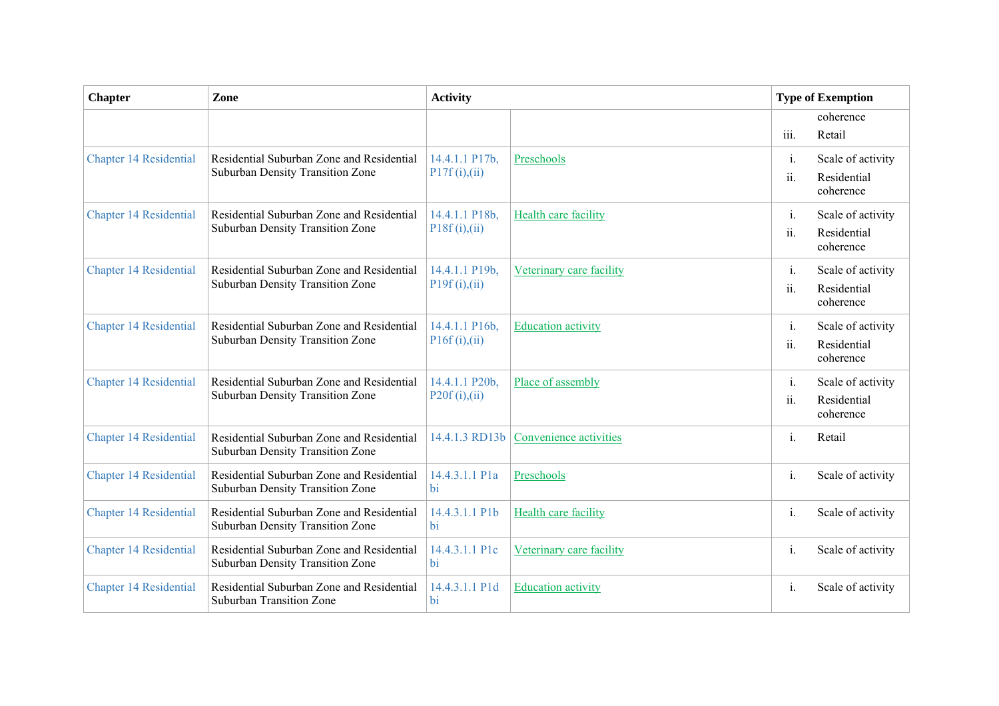| <b>Chapter</b>                | Zone                                                                          | <b>Activity</b>                   |                             | <b>Type of Exemption</b> |                                               |
|-------------------------------|-------------------------------------------------------------------------------|-----------------------------------|-----------------------------|--------------------------|-----------------------------------------------|
|                               |                                                                               |                                   |                             | iii.                     | coherence<br>Retail                           |
| <b>Chapter 14 Residential</b> | Residential Suburban Zone and Residential<br>Suburban Density Transition Zone | 14.4.1.1 P17b,<br>P17f(i),(ii)    | Preschools                  | i.<br>ii.                | Scale of activity<br>Residential<br>coherence |
| <b>Chapter 14 Residential</b> | Residential Suburban Zone and Residential<br>Suburban Density Transition Zone | 14.4.1.1 P18b,<br>P18f(i),(ii)    | <b>Health care facility</b> | i.<br>ii.                | Scale of activity<br>Residential<br>coherence |
| <b>Chapter 14 Residential</b> | Residential Suburban Zone and Residential<br>Suburban Density Transition Zone | 14.4.1.1 P19b,<br>P19f(i), (ii)   | Veterinary care facility    | i.<br>ii.                | Scale of activity<br>Residential<br>coherence |
| <b>Chapter 14 Residential</b> | Residential Suburban Zone and Residential<br>Suburban Density Transition Zone | 14.4.1.1 P16b,<br>P16f(i),(ii)    | <b>Education activity</b>   | i.<br>ii.                | Scale of activity<br>Residential<br>coherence |
| <b>Chapter 14 Residential</b> | Residential Suburban Zone and Residential<br>Suburban Density Transition Zone | 14.4.1.1 P20b,<br>P20f(i),(ii)    | Place of assembly           | $\mathbf{i}$ .<br>ii.    | Scale of activity<br>Residential<br>coherence |
| <b>Chapter 14 Residential</b> | Residential Suburban Zone and Residential<br>Suburban Density Transition Zone | 14.4.1.3 RD13b                    | Convenience activities      | $i$ .                    | Retail                                        |
| <b>Chapter 14 Residential</b> | Residential Suburban Zone and Residential<br>Suburban Density Transition Zone | 14.4.3.1.1 P <sub>1</sub> a<br>bi | Preschools                  | $\mathbf{i}$ .           | Scale of activity                             |
| <b>Chapter 14 Residential</b> | Residential Suburban Zone and Residential<br>Suburban Density Transition Zone | 14.4.3.1.1 P1b<br><b>bi</b>       | Health care facility        | i.                       | Scale of activity                             |
| <b>Chapter 14 Residential</b> | Residential Suburban Zone and Residential<br>Suburban Density Transition Zone | 14.4.3.1.1 P1c<br>bi              | Veterinary care facility    | i.                       | Scale of activity                             |
| <b>Chapter 14 Residential</b> | Residential Suburban Zone and Residential<br><b>Suburban Transition Zone</b>  | 14.4.3.1.1 P1d<br>bi              | <b>Education activity</b>   | i.                       | Scale of activity                             |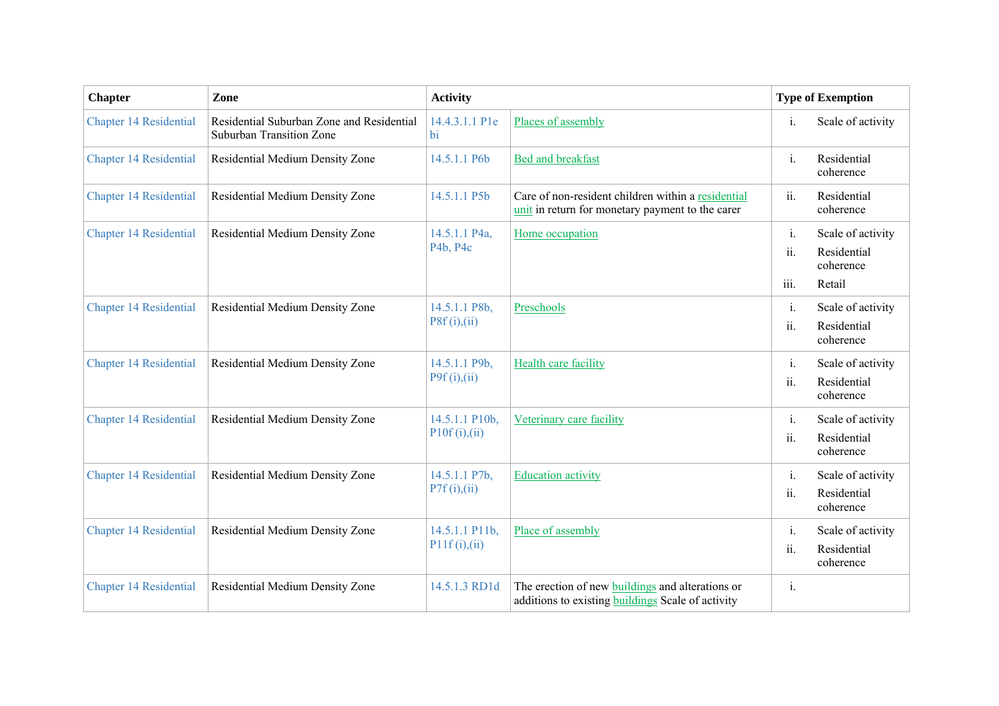| <b>Chapter</b>                | Zone                                                                         | <b>Activity</b>                 |                                                                                                              | <b>Type of Exemption</b>      |                                                         |
|-------------------------------|------------------------------------------------------------------------------|---------------------------------|--------------------------------------------------------------------------------------------------------------|-------------------------------|---------------------------------------------------------|
| <b>Chapter 14 Residential</b> | Residential Suburban Zone and Residential<br><b>Suburban Transition Zone</b> | 14.4.3.1.1 P1e<br><b>bi</b>     | Places of assembly                                                                                           | $\mathbf{i}$ .                | Scale of activity                                       |
| <b>Chapter 14 Residential</b> | Residential Medium Density Zone                                              | 14.5.1.1 P6b                    | <b>Bed and breakfast</b>                                                                                     | $\mathbf{i}$ .                | Residential<br>coherence                                |
| <b>Chapter 14 Residential</b> | Residential Medium Density Zone                                              | 14.5.1.1 P5b                    | Care of non-resident children within a residential<br>unit in return for monetary payment to the carer       | ii.                           | Residential<br>coherence                                |
| <b>Chapter 14 Residential</b> | Residential Medium Density Zone                                              | 14.5.1.1 P4a,<br>P4b, P4c       | Home occupation                                                                                              | $\mathbf{i}$ .<br>ii.<br>iii. | Scale of activity<br>Residential<br>coherence<br>Retail |
| <b>Chapter 14 Residential</b> | Residential Medium Density Zone                                              | 14.5.1.1 P8b,<br>P8f(i),(ii)    | Preschools                                                                                                   | $\mathbf{i}$ .<br>ii.         | Scale of activity<br>Residential<br>coherence           |
| <b>Chapter 14 Residential</b> | Residential Medium Density Zone                                              | 14.5.1.1 P9b,<br>P9f(i),(ii)    | <b>Health care facility</b>                                                                                  | $\mathbf{i}$ .<br>ii.         | Scale of activity<br>Residential<br>coherence           |
| <b>Chapter 14 Residential</b> | Residential Medium Density Zone                                              | 14.5.1.1 P10b,<br>P10f(i),(ii)  | Veterinary care facility                                                                                     | i.<br>$\ddot{\mathbf{u}}$ .   | Scale of activity<br>Residential<br>coherence           |
| <b>Chapter 14 Residential</b> | Residential Medium Density Zone                                              | 14.5.1.1 P7b,<br>P7f(i),(ii)    | <b>Education activity</b>                                                                                    | i.<br>ii.                     | Scale of activity<br>Residential<br>coherence           |
| <b>Chapter 14 Residential</b> | Residential Medium Density Zone                                              | 14.5.1.1 P11b,<br>P11f(i), (ii) | Place of assembly                                                                                            | i.<br>ii.                     | Scale of activity<br>Residential<br>coherence           |
| <b>Chapter 14 Residential</b> | Residential Medium Density Zone                                              | 14.5.1.3 RD1d                   | The erection of new buildings and alterations or<br>additions to existing <b>buildings</b> Scale of activity | i.                            |                                                         |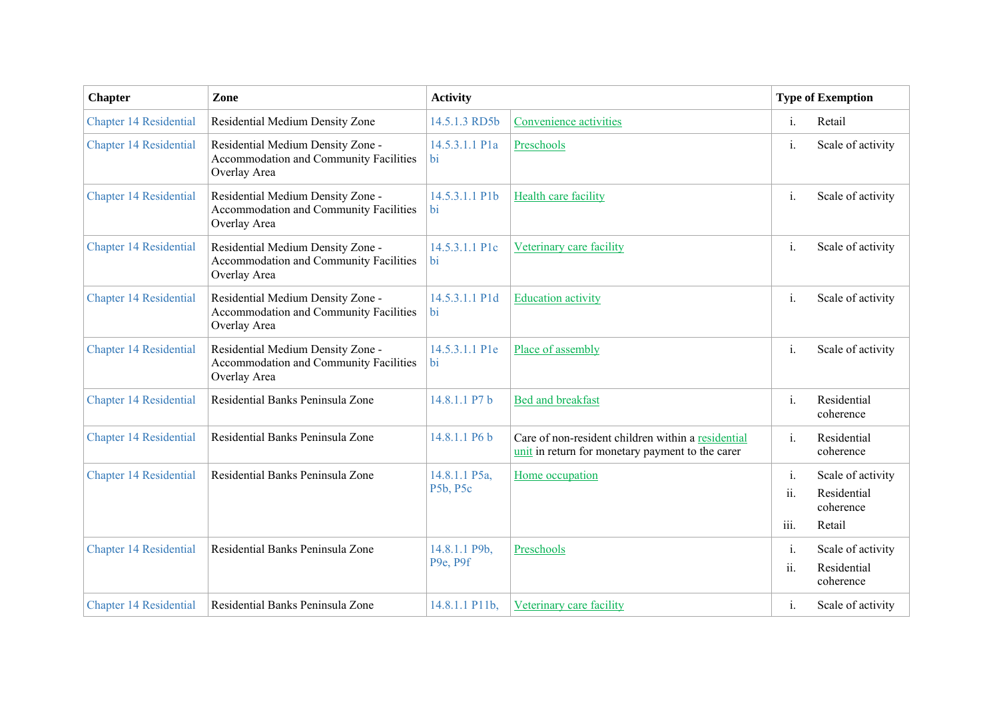| <b>Chapter</b>                | Zone                                                                                        | <b>Activity</b>           |                                                                                                        | <b>Type of Exemption</b> |                                                         |  |
|-------------------------------|---------------------------------------------------------------------------------------------|---------------------------|--------------------------------------------------------------------------------------------------------|--------------------------|---------------------------------------------------------|--|
| <b>Chapter 14 Residential</b> | Residential Medium Density Zone                                                             | 14.5.1.3 RD5b             | Convenience activities                                                                                 | i.                       | Retail                                                  |  |
| <b>Chapter 14 Residential</b> | Residential Medium Density Zone -<br>Accommodation and Community Facilities<br>Overlay Area | 14.5.3.1.1 P1a<br>bi      | Preschools                                                                                             | $\mathbf{i}$ .           | Scale of activity                                       |  |
| <b>Chapter 14 Residential</b> | Residential Medium Density Zone -<br>Accommodation and Community Facilities<br>Overlay Area | 14.5.3.1.1 P1b<br>bi      | Health care facility                                                                                   | $\mathbf{i}$ .           | Scale of activity                                       |  |
| Chapter 14 Residential        | Residential Medium Density Zone -<br>Accommodation and Community Facilities<br>Overlay Area | 14.5.3.1.1 P1c<br>bi      | Veterinary care facility                                                                               | i.                       | Scale of activity                                       |  |
| <b>Chapter 14 Residential</b> | Residential Medium Density Zone -<br>Accommodation and Community Facilities<br>Overlay Area | 14.5.3.1.1 P1d<br>bi      | <b>Education activity</b>                                                                              | $\mathbf{i}$ .           | Scale of activity                                       |  |
| <b>Chapter 14 Residential</b> | Residential Medium Density Zone -<br>Accommodation and Community Facilities<br>Overlay Area | 14.5.3.1.1 P1e<br>bi      | Place of assembly                                                                                      | i.                       | Scale of activity                                       |  |
| <b>Chapter 14 Residential</b> | Residential Banks Peninsula Zone                                                            | 14.8.1.1 P7 b             | <b>Bed and breakfast</b>                                                                               | i.                       | Residential<br>coherence                                |  |
| <b>Chapter 14 Residential</b> | Residential Banks Peninsula Zone                                                            | 14.8.1.1 P6 b             | Care of non-resident children within a residential<br>unit in return for monetary payment to the carer | $\mathbf{i}$ .           | Residential<br>coherence                                |  |
| <b>Chapter 14 Residential</b> | Residential Banks Peninsula Zone                                                            | 14.8.1.1 P5a,<br>P5b, P5c | Home occupation                                                                                        | i.<br>ii.<br>iii.        | Scale of activity<br>Residential<br>coherence<br>Retail |  |
| <b>Chapter 14 Residential</b> | Residential Banks Peninsula Zone                                                            | 14.8.1.1 P9b,<br>P9e, P9f | Preschools                                                                                             | i.<br>ii.                | Scale of activity<br>Residential<br>coherence           |  |
| <b>Chapter 14 Residential</b> | Residential Banks Peninsula Zone                                                            | 14.8.1.1 P11b,            | Veterinary care facility                                                                               | $\mathbf{1}$ .           | Scale of activity                                       |  |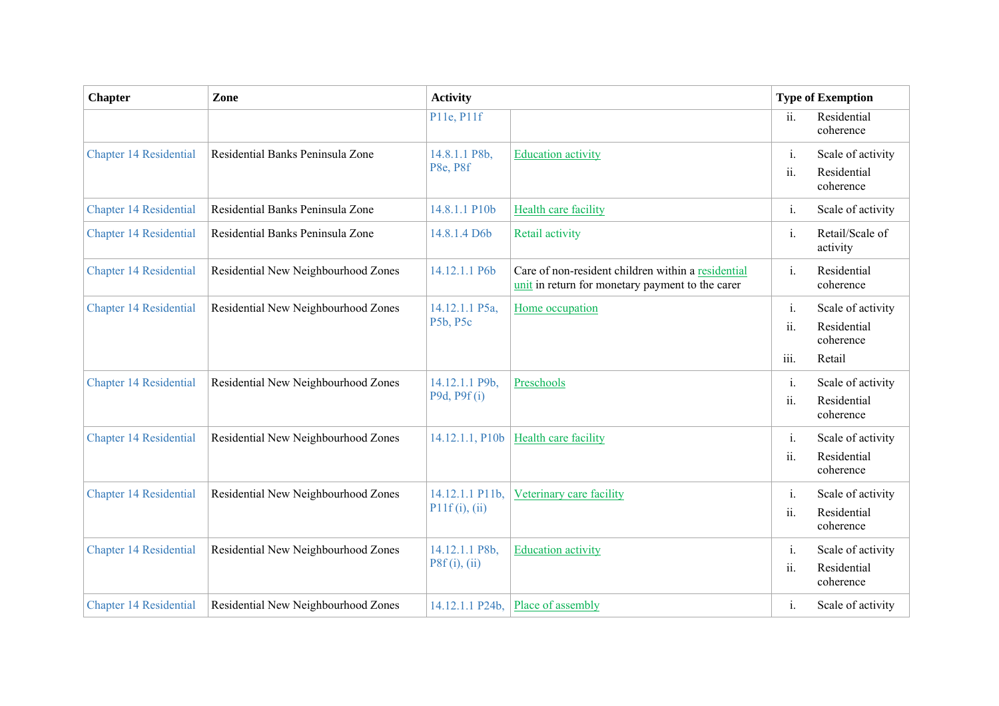| <b>Chapter</b>                | Zone                                | <b>Activity</b>                  |                                                                                                        | <b>Type of Exemption</b> |                                                         |
|-------------------------------|-------------------------------------|----------------------------------|--------------------------------------------------------------------------------------------------------|--------------------------|---------------------------------------------------------|
|                               |                                     | P11e, P11f                       |                                                                                                        | ii.                      | Residential<br>coherence                                |
| <b>Chapter 14 Residential</b> | Residential Banks Peninsula Zone    | 14.8.1.1 P8b,<br>P8e, P8f        | <b>Education activity</b>                                                                              | i.<br>ii.                | Scale of activity<br>Residential<br>coherence           |
| <b>Chapter 14 Residential</b> | Residential Banks Peninsula Zone    | 14.8.1.1 P10b                    | <b>Health care facility</b>                                                                            | i.                       | Scale of activity                                       |
| <b>Chapter 14 Residential</b> | Residential Banks Peninsula Zone    | 14.8.1.4 D6b                     | Retail activity                                                                                        | i.                       | Retail/Scale of<br>activity                             |
| <b>Chapter 14 Residential</b> | Residential New Neighbourhood Zones | 14.12.1.1 P6b                    | Care of non-resident children within a residential<br>unit in return for monetary payment to the carer | $\mathbf{i}$ .           | Residential<br>coherence                                |
| <b>Chapter 14 Residential</b> | Residential New Neighbourhood Zones | 14.12.1.1 P5a,<br>P5b, P5c       | Home occupation                                                                                        | $i$ .<br>ii.<br>iii.     | Scale of activity<br>Residential<br>coherence<br>Retail |
| <b>Chapter 14 Residential</b> | Residential New Neighbourhood Zones | 14.12.1.1 P9b,<br>P9d, P9f(i)    | Preschools                                                                                             | i.<br>ii.                | Scale of activity<br>Residential<br>coherence           |
| <b>Chapter 14 Residential</b> | Residential New Neighbourhood Zones | 14.12.1.1, P10b                  | <b>Health care facility</b>                                                                            | i.<br>ii.                | Scale of activity<br>Residential<br>coherence           |
| <b>Chapter 14 Residential</b> | Residential New Neighbourhood Zones | 14.12.1.1 P11b,<br>P11f(i), (ii) | Veterinary care facility                                                                               | i.<br>ii.                | Scale of activity<br>Residential<br>coherence           |
| <b>Chapter 14 Residential</b> | Residential New Neighbourhood Zones | 14.12.1.1 P8b,<br>P8f(i), (ii)   | <b>Education activity</b>                                                                              | i.<br>ii.                | Scale of activity<br>Residential<br>coherence           |
| <b>Chapter 14 Residential</b> | Residential New Neighbourhood Zones | 14.12.1.1 P24b,                  | Place of assembly                                                                                      | i.                       | Scale of activity                                       |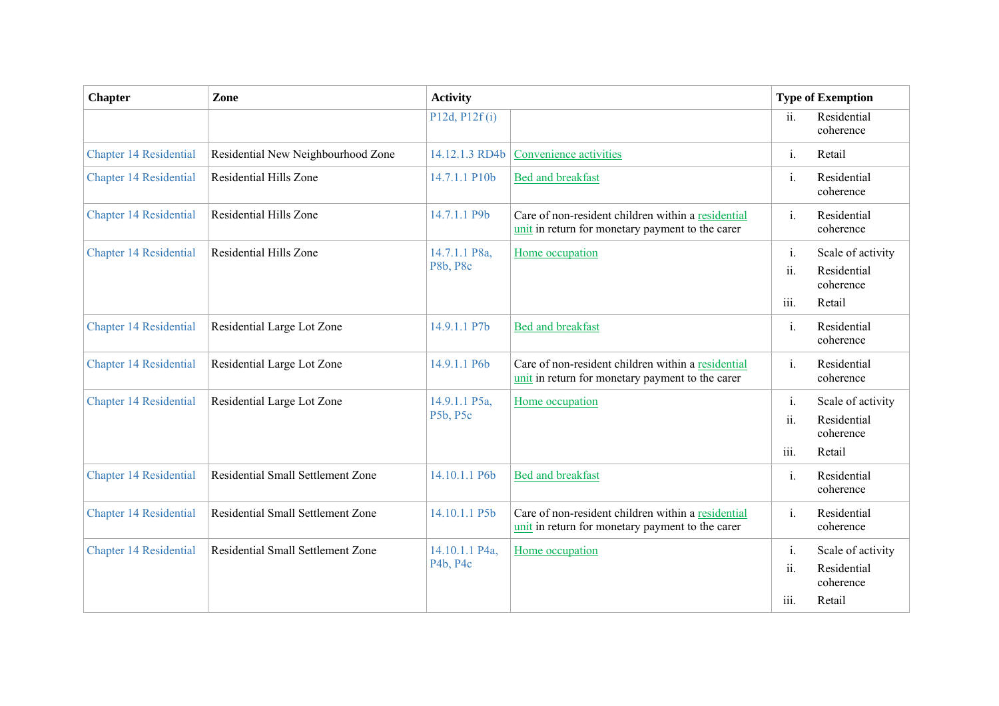| <b>Chapter</b>                | Zone                               | <b>Activity</b>            |                                                                                                        | <b>Type of Exemption</b>               |                                                         |
|-------------------------------|------------------------------------|----------------------------|--------------------------------------------------------------------------------------------------------|----------------------------------------|---------------------------------------------------------|
|                               |                                    | P12d, P12f(i)              |                                                                                                        | ii.                                    | Residential<br>coherence                                |
| <b>Chapter 14 Residential</b> | Residential New Neighbourhood Zone | 14.12.1.3 RD4b             | Convenience activities                                                                                 | $\mathbf{i}$ .                         | Retail                                                  |
| <b>Chapter 14 Residential</b> | Residential Hills Zone             | 14.7.1.1 P10b              | <b>Bed and breakfast</b>                                                                               | $\mathbf{i}$ .                         | Residential<br>coherence                                |
| <b>Chapter 14 Residential</b> | Residential Hills Zone             | 14.7.1.1 P9b               | Care of non-resident children within a residential<br>unit in return for monetary payment to the carer | i.                                     | Residential<br>coherence                                |
| <b>Chapter 14 Residential</b> | Residential Hills Zone             | 14.7.1.1 P8a,<br>P8b, P8c  | Home occupation                                                                                        | $i$ .<br>11.<br>iii.                   | Scale of activity<br>Residential<br>coherence<br>Retail |
| <b>Chapter 14 Residential</b> | Residential Large Lot Zone         | 14.9.1.1 P7b               | Bed and breakfast                                                                                      | $\mathbf{i}$ .                         | Residential<br>coherence                                |
| <b>Chapter 14 Residential</b> | Residential Large Lot Zone         | 14.9.1.1 P6b               | Care of non-resident children within a residential<br>unit in return for monetary payment to the carer | i.                                     | Residential<br>coherence                                |
| <b>Chapter 14 Residential</b> | Residential Large Lot Zone         | 14.9.1.1 P5a,<br>P5b, P5c  | Home occupation                                                                                        | $i$ .<br>$\ddot{\mathbf{u}}$ .<br>iii. | Scale of activity<br>Residential<br>coherence<br>Retail |
| <b>Chapter 14 Residential</b> | Residential Small Settlement Zone  | 14.10.1.1 P6b              | <b>Bed and breakfast</b>                                                                               | $i$ .                                  | Residential<br>coherence                                |
| <b>Chapter 14 Residential</b> | Residential Small Settlement Zone  | 14.10.1.1 P5b              | Care of non-resident children within a residential<br>unit in return for monetary payment to the carer | $i$ .                                  | Residential<br>coherence                                |
| <b>Chapter 14 Residential</b> | Residential Small Settlement Zone  | 14.10.1.1 P4a,<br>P4b, P4c | Home occupation                                                                                        | i.<br>$\ddot{\mathbf{u}}$ .<br>iii.    | Scale of activity<br>Residential<br>coherence<br>Retail |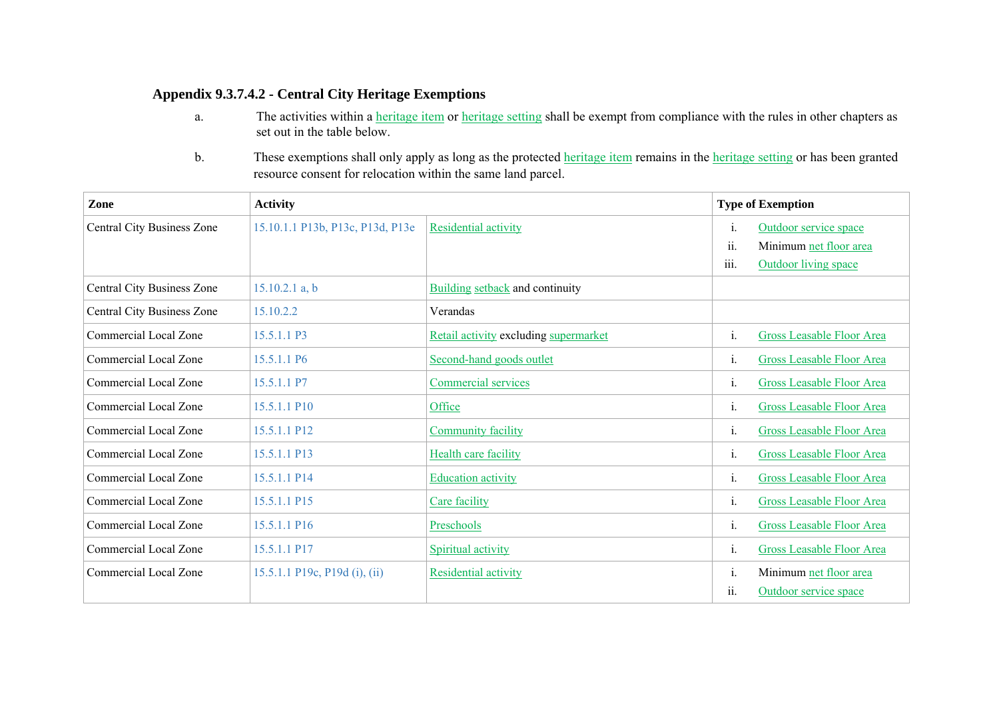### **Appendix 9.3.7.4.2 - Central City Heritage Exemptions**

- a. The activities within a *heritage item* or *heritage setting* shall be exempt from compliance with the rules in other chapters as set out in the table below.
- b.These exemptions shall only apply as long as the protected heritage item remains in the heritage setting or has been granted resource consent for relocation within the same land parcel.

| Zone                                                          | <b>Activity</b>                  |                                       |                                          | <b>Type of Exemption</b>         |  |  |
|---------------------------------------------------------------|----------------------------------|---------------------------------------|------------------------------------------|----------------------------------|--|--|
| Central City Business Zone                                    | 15.10.1.1 P13b, P13c, P13d, P13e | Residential activity                  | 1.                                       | Outdoor service space            |  |  |
|                                                               |                                  |                                       | ii.                                      | Minimum net floor area           |  |  |
|                                                               |                                  |                                       | iii.                                     | <b>Outdoor living space</b>      |  |  |
| Central City Business Zone                                    | $15.10.2.1$ a, b                 | Building setback and continuity       |                                          |                                  |  |  |
| Central City Business Zone                                    | 15.10.2.2                        | Verandas                              |                                          |                                  |  |  |
| Commercial Local Zone                                         | 15.5.1.1 P3                      | Retail activity excluding supermarket | i.                                       | Gross Leasable Floor Area        |  |  |
| Commercial Local Zone                                         | 15.5.1.1 P6                      | Second-hand goods outlet              | 1.                                       | <b>Gross Leasable Floor Area</b> |  |  |
| Commercial Local Zone                                         | 15.5.1.1 P7                      | Commercial services                   | i.                                       | <b>Gross Leasable Floor Area</b> |  |  |
| Commercial Local Zone                                         | 15.5.1.1 P10                     | Office                                | $\mathbf{1}$ .                           | Gross Leasable Floor Area        |  |  |
| Commercial Local Zone                                         | 15.5.1.1 P12                     | <b>Community facility</b>             | 1.                                       | <b>Gross Leasable Floor Area</b> |  |  |
| Commercial Local Zone                                         | 15.5.1.1 P13                     | <b>Health care facility</b>           | i.                                       | <b>Gross Leasable Floor Area</b> |  |  |
| Commercial Local Zone                                         | 15.5.1.1 P14                     | <b>Education activity</b>             | 1.                                       | <b>Gross Leasable Floor Area</b> |  |  |
| Commercial Local Zone                                         | 15.5.1.1 P15                     | Care facility                         | i.                                       | <b>Gross Leasable Floor Area</b> |  |  |
| Commercial Local Zone                                         | 15.5.1.1 P16                     | Preschools                            | 1.                                       | <b>Gross Leasable Floor Area</b> |  |  |
| Commercial Local Zone                                         | 15.5.1.1 P17                     | Spiritual activity                    | 1.                                       | Gross Leasable Floor Area        |  |  |
| <b>Commercial Local Zone</b><br>15.5.1.1 P19c, P19d (i), (ii) |                                  | Residential activity                  | Minimum net floor area<br>$\mathbf{1}$ . |                                  |  |  |
|                                                               |                                  |                                       | ii.                                      | Outdoor service space            |  |  |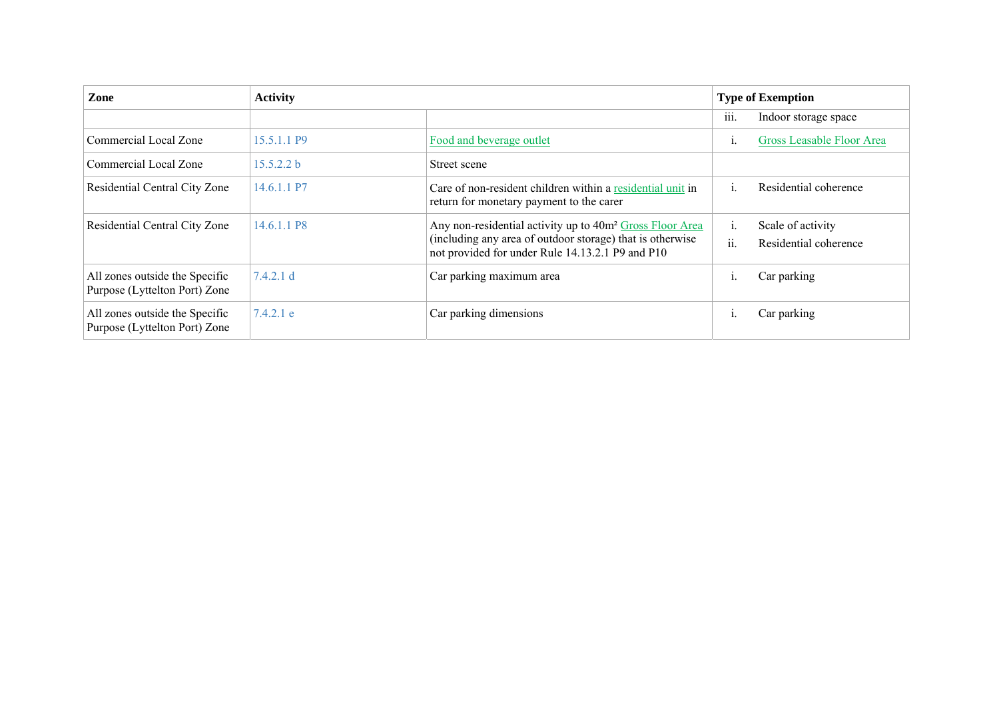| Zone                                                            | <b>Activity</b> |                                                                                                                                                                                       |           | <b>Type of Exemption</b>                   |  |  |
|-----------------------------------------------------------------|-----------------|---------------------------------------------------------------------------------------------------------------------------------------------------------------------------------------|-----------|--------------------------------------------|--|--|
|                                                                 |                 |                                                                                                                                                                                       | 111.      | Indoor storage space                       |  |  |
| Commercial Local Zone                                           | 15.5.1.1 P9     | Food and beverage outlet                                                                                                                                                              | 1.        | <b>Gross Leasable Floor Area</b>           |  |  |
| Commercial Local Zone                                           | 15.5.2.2 b      | Street scene                                                                                                                                                                          |           |                                            |  |  |
| Residential Central City Zone                                   | 14.6.1.1 P7     | Care of non-resident children within a residential unit in<br>return for monetary payment to the carer                                                                                |           | Residential coherence                      |  |  |
| Residential Central City Zone                                   | 14.6.1.1 P8     | Any non-residential activity up to 40m <sup>2</sup> Gross Floor Area<br>(including any area of outdoor storage) that is otherwise<br>not provided for under Rule 14.13.2.1 P9 and P10 | 1.<br>ii. | Scale of activity<br>Residential coherence |  |  |
| All zones outside the Specific<br>Purpose (Lyttelton Port) Zone | 7.4.2.1 d       | Car parking maximum area                                                                                                                                                              |           | Car parking                                |  |  |
| All zones outside the Specific<br>Purpose (Lyttelton Port) Zone | 7.4.2.1 e       | Car parking dimensions                                                                                                                                                                |           | Car parking                                |  |  |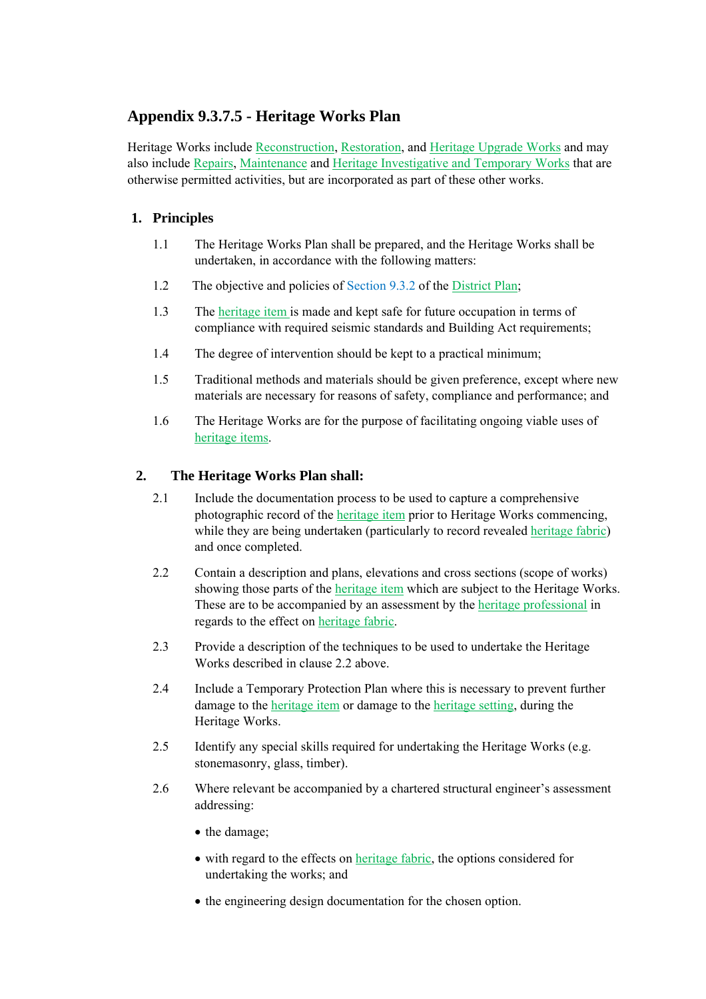# **Appendix 9.3.7.5 - Heritage Works Plan**

Heritage Works include Reconstruction, Restoration, and Heritage Upgrade Works and may also include Repairs, Maintenance and Heritage Investigative and Temporary Works that are otherwise permitted activities, but are incorporated as part of these other works.

## **1. Principles**

- 1.1 The Heritage Works Plan shall be prepared, and the Heritage Works shall be undertaken, in accordance with the following matters:
- 1.2 The objective and policies of Section 9.3.2 of the District Plan;
- 1.3 The heritage item is made and kept safe for future occupation in terms of compliance with required seismic standards and Building Act requirements;
- 1.4 The degree of intervention should be kept to a practical minimum;
- 1.5 Traditional methods and materials should be given preference, except where new materials are necessary for reasons of safety, compliance and performance; and
- 1.6 The Heritage Works are for the purpose of facilitating ongoing viable uses of heritage items.

### **2. The Heritage Works Plan shall:**

- 2.1 Include the documentation process to be used to capture a comprehensive photographic record of the heritage item prior to Heritage Works commencing, while they are being undertaken (particularly to record revealed heritage fabric) and once completed.
- 2.2 Contain a description and plans, elevations and cross sections (scope of works) showing those parts of the heritage item which are subject to the Heritage Works. These are to be accompanied by an assessment by the heritage professional in regards to the effect on heritage fabric.
- 2.3 Provide a description of the techniques to be used to undertake the Heritage Works described in clause 2.2 above.
- 2.4 Include a Temporary Protection Plan where this is necessary to prevent further damage to the heritage item or damage to the heritage setting, during the Heritage Works.
- 2.5 Identify any special skills required for undertaking the Heritage Works (e.g. stonemasonry, glass, timber).
- 2.6 Where relevant be accompanied by a chartered structural engineer's assessment addressing:
	- the damage;
	- with regard to the effects on *heritage fabric*, the options considered for undertaking the works; and
	- the engineering design documentation for the chosen option.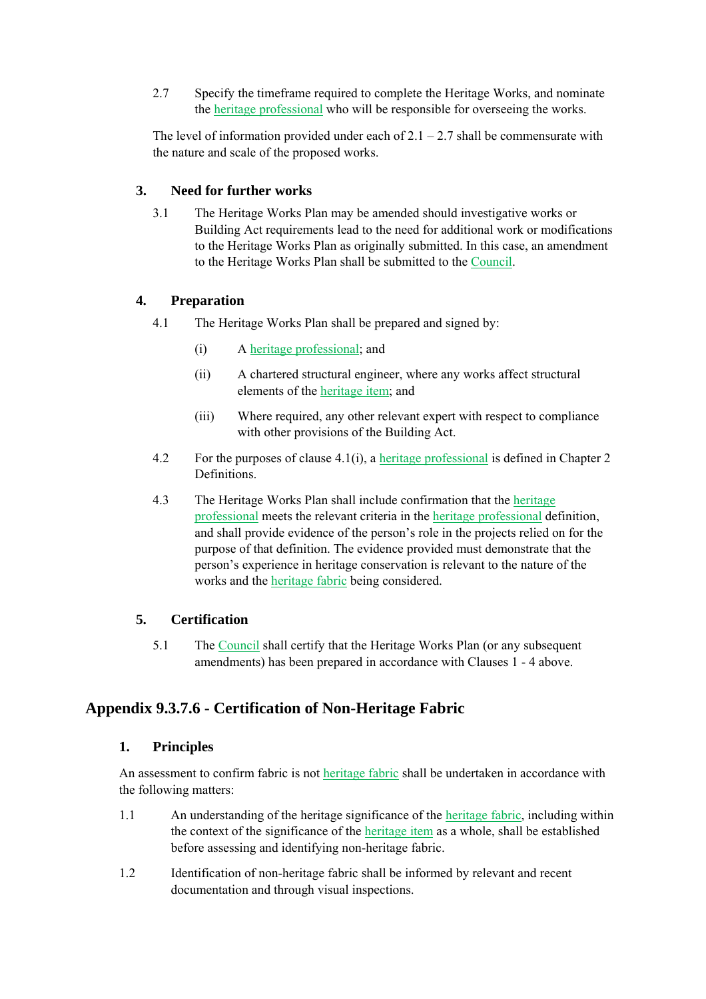2.7 Specify the timeframe required to complete the Heritage Works, and nominate the heritage professional who will be responsible for overseeing the works.

The level of information provided under each of  $2.1 - 2.7$  shall be commensurate with the nature and scale of the proposed works.

#### **3. Need for further works**

3.1 The Heritage Works Plan may be amended should investigative works or Building Act requirements lead to the need for additional work or modifications to the Heritage Works Plan as originally submitted. In this case, an amendment to the Heritage Works Plan shall be submitted to the Council.

#### **4. Preparation**

- 4.1 The Heritage Works Plan shall be prepared and signed by:
	- (i) A heritage professional; and
	- (ii) A chartered structural engineer, where any works affect structural elements of the heritage item; and
	- (iii) Where required, any other relevant expert with respect to compliance with other provisions of the Building Act.
- 4.2 For the purposes of clause 4.1(i), a heritage professional is defined in Chapter 2 **Definitions**
- 4.3 The Heritage Works Plan shall include confirmation that the heritage professional meets the relevant criteria in the heritage professional definition, and shall provide evidence of the person's role in the projects relied on for the purpose of that definition. The evidence provided must demonstrate that the person's experience in heritage conservation is relevant to the nature of the works and the heritage fabric being considered.

### **5. Certification**

5.1 The Council shall certify that the Heritage Works Plan (or any subsequent amendments) has been prepared in accordance with Clauses 1 - 4 above.

# **Appendix 9.3.7.6 - Certification of Non-Heritage Fabric**

#### **1. Principles**

An assessment to confirm fabric is not heritage fabric shall be undertaken in accordance with the following matters:

- 1.1 An understanding of the heritage significance of the heritage fabric, including within the context of the significance of the heritage item as a whole, shall be established before assessing and identifying non-heritage fabric.
- 1.2 Identification of non-heritage fabric shall be informed by relevant and recent documentation and through visual inspections.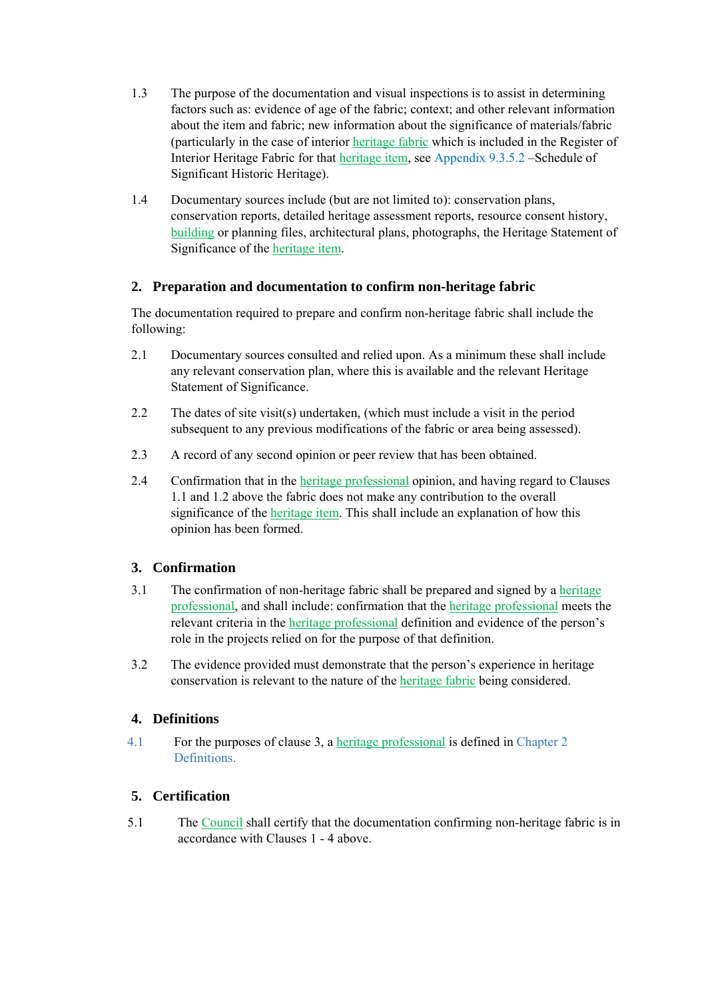- 1.3 The purpose of the documentation and visual inspections is to assist in determining factors such as: evidence of age of the fabric; context; and other relevant information about the item and fabric; new information about the significance of materials/fabric (particularly in the case of interior heritage fabric which is included in the Register of Interior Heritage Fabric for that heritage item, see Appendix 9.3.5.2 –Schedule of Significant Historic Heritage).
- 1.4 Documentary sources include (but are not limited to): conservation plans, conservation reports, detailed heritage assessment reports, resource consent history, building or planning files, architectural plans, photographs, the Heritage Statement of Significance of the heritage item.

### **2. Preparation and documentation to confirm non-heritage fabric**

The documentation required to prepare and confirm non-heritage fabric shall include the following:

- 2.1 Documentary sources consulted and relied upon. As a minimum these shall include any relevant conservation plan, where this is available and the relevant Heritage Statement of Significance.
- 2.2 The dates of site visit(s) undertaken, (which must include a visit in the period subsequent to any previous modifications of the fabric or area being assessed).
- 2.3 A record of any second opinion or peer review that has been obtained.
- 2.4 Confirmation that in the heritage professional opinion, and having regard to Clauses 1.1 and 1.2 above the fabric does not make any contribution to the overall significance of the heritage item. This shall include an explanation of how this opinion has been formed.

### **3. Confirmation**

- 3.1 The confirmation of non-heritage fabric shall be prepared and signed by a heritage professional, and shall include: confirmation that the heritage professional meets the relevant criteria in the heritage professional definition and evidence of the person's role in the projects relied on for the purpose of that definition.
- 3.2 The evidence provided must demonstrate that the person's experience in heritage conservation is relevant to the nature of the heritage fabric being considered.

### **4. Definitions**

4.1 For the purposes of clause 3, a heritage professional is defined in Chapter 2 Definitions.

### **5. Certification**

5.1 The Council shall certify that the documentation confirming non-heritage fabric is in accordance with Clauses 1 - 4 above.